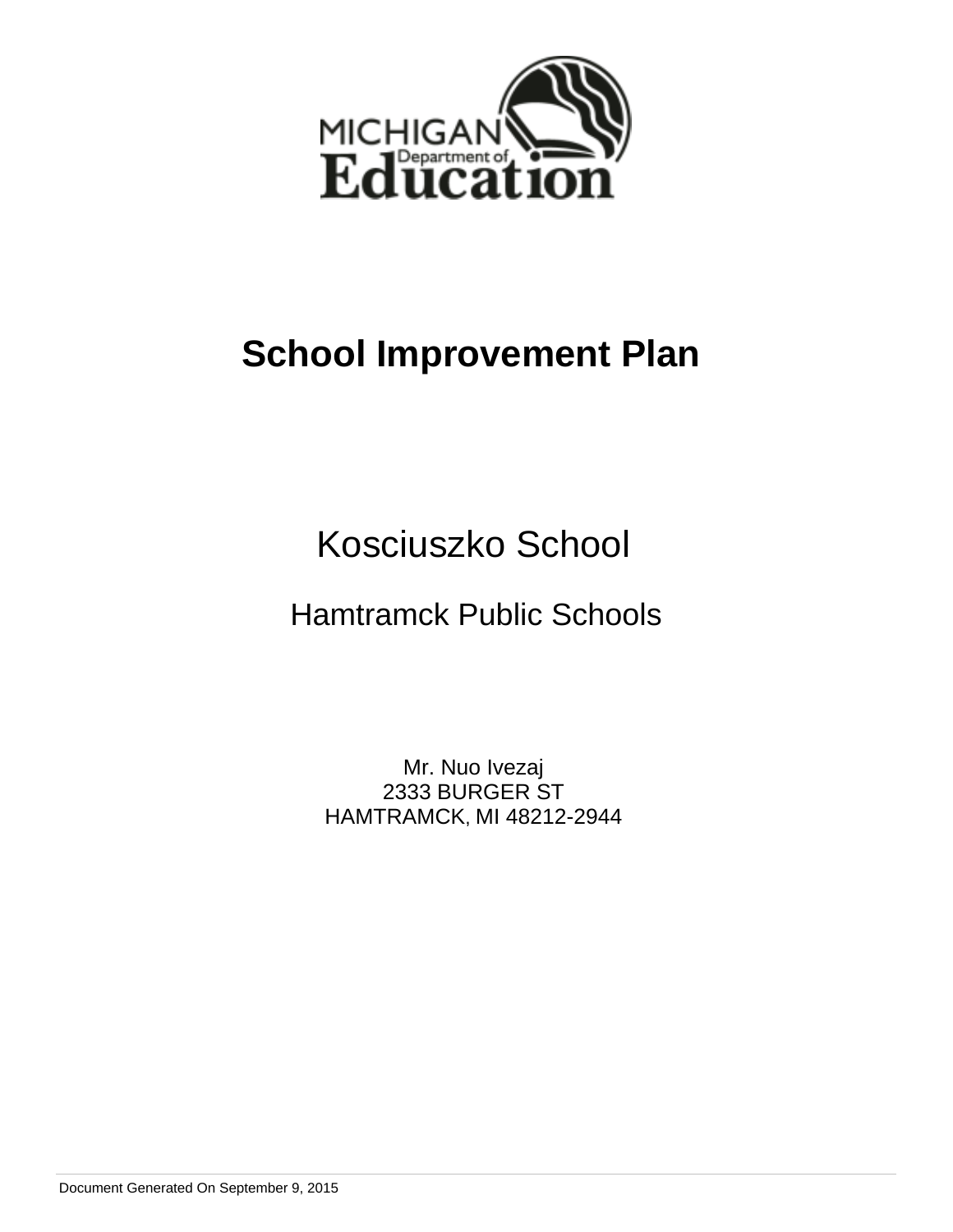

# **School Improvement Plan**

Kosciuszko School

Hamtramck Public Schools

Mr. Nuo Ivezaj 2333 BURGER ST HAMTRAMCK, MI 48212-2944

Document Generated On September 9, 2015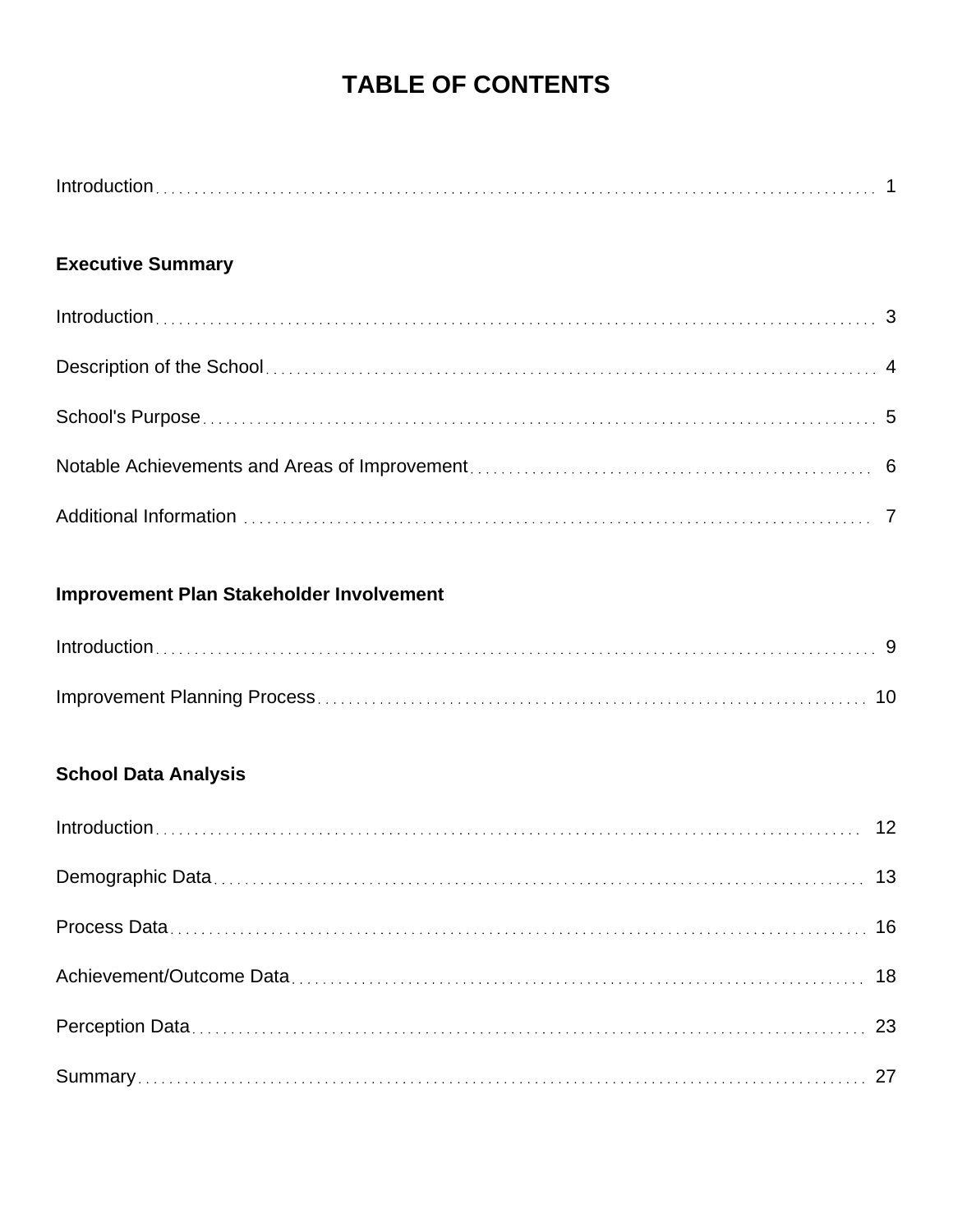# **TABLE OF CONTENTS**

## **Executive Summary**

# **Improvement Plan Stakeholder Involvement**

# **School Data Analysis**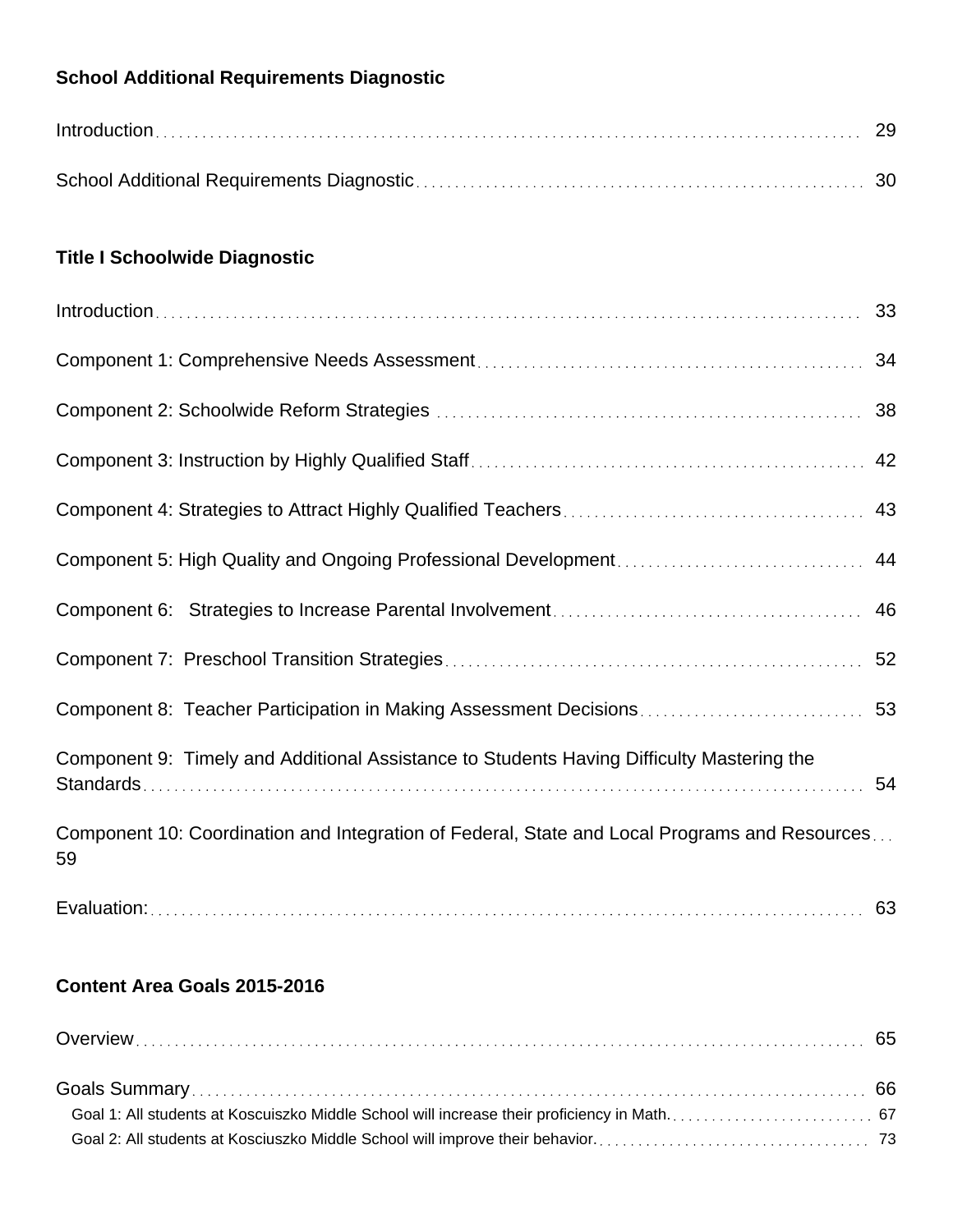## **School Additional Requirements Diagnostic**

| $Introduction \dots 29$ |  |
|-------------------------|--|
|                         |  |

## **Title I Schoolwide Diagnostic**

| Component 9: Timely and Additional Assistance to Students Having Difficulty Mastering the           |  |
|-----------------------------------------------------------------------------------------------------|--|
| Component 10: Coordination and Integration of Federal, State and Local Programs and Resources<br>59 |  |
|                                                                                                     |  |

## **Content Area Goals 2015-2016**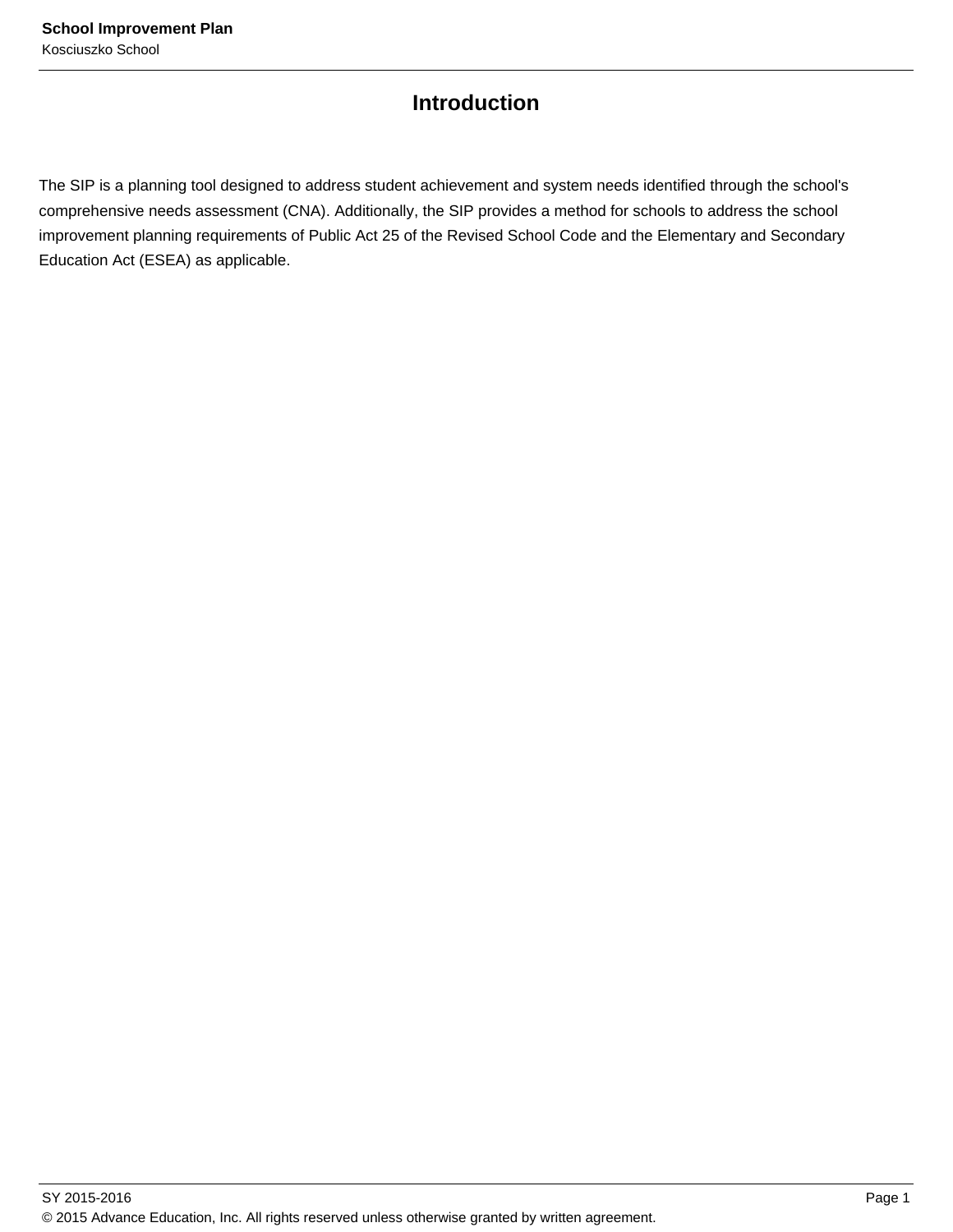## **Introduction**

The SIP is a planning tool designed to address student achievement and system needs identified through the school's comprehensive needs assessment (CNA). Additionally, the SIP provides a method for schools to address the school improvement planning requirements of Public Act 25 of the Revised School Code and the Elementary and Secondary Education Act (ESEA) as applicable.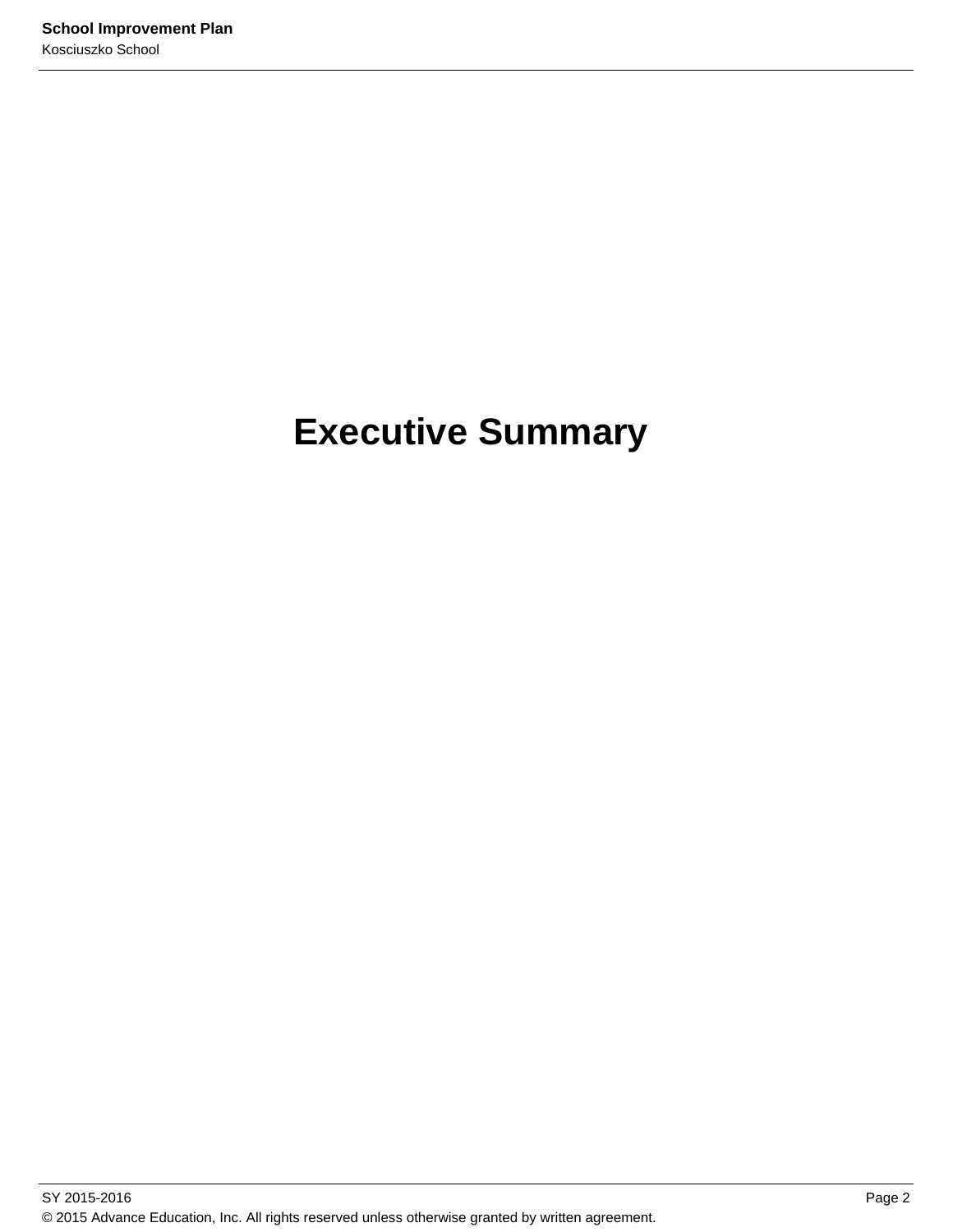# **Executive Summary**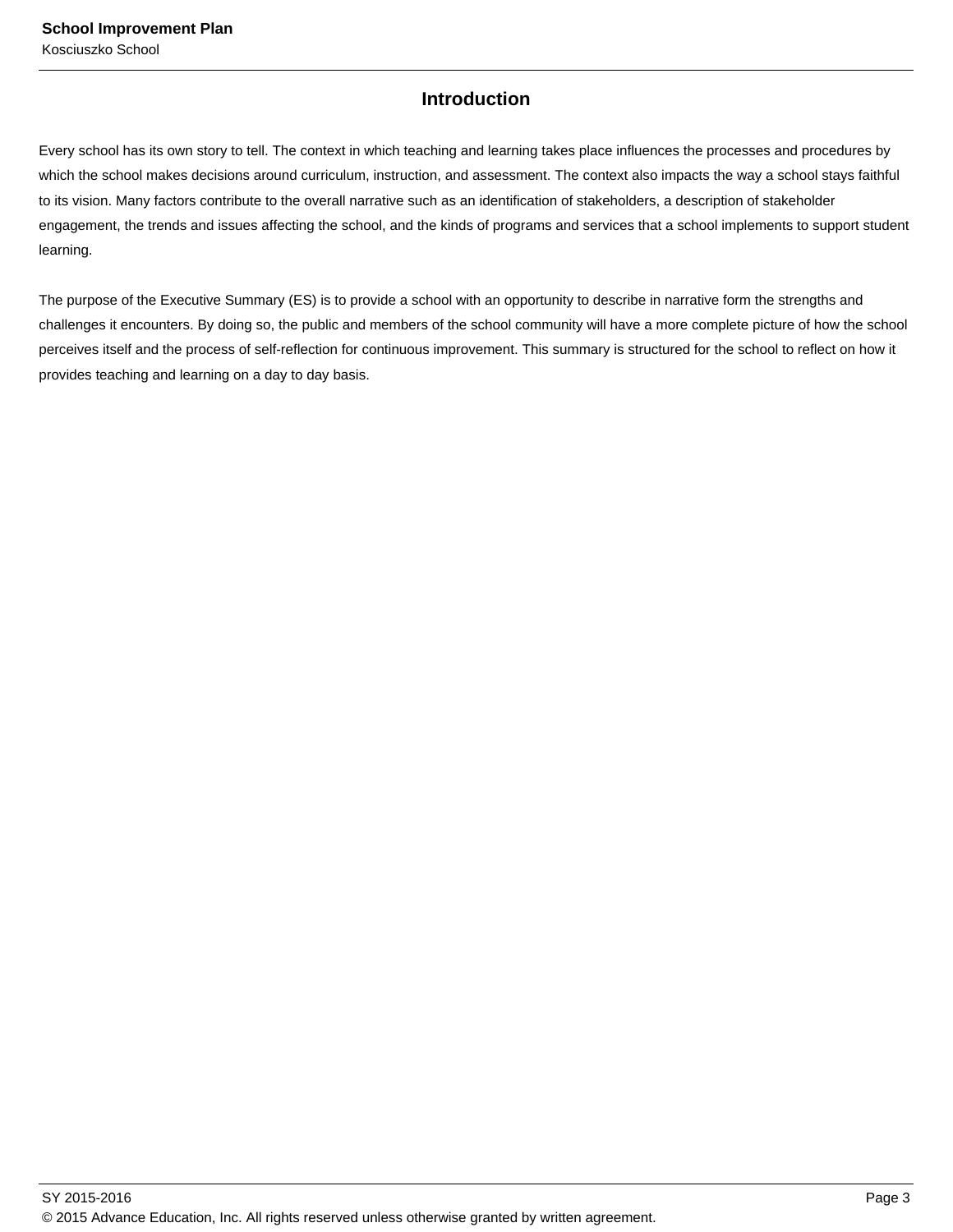## **Introduction**

Every school has its own story to tell. The context in which teaching and learning takes place influences the processes and procedures by which the school makes decisions around curriculum, instruction, and assessment. The context also impacts the way a school stays faithful to its vision. Many factors contribute to the overall narrative such as an identification of stakeholders, a description of stakeholder engagement, the trends and issues affecting the school, and the kinds of programs and services that a school implements to support student learning.

The purpose of the Executive Summary (ES) is to provide a school with an opportunity to describe in narrative form the strengths and challenges it encounters. By doing so, the public and members of the school community will have a more complete picture of how the school perceives itself and the process of self-reflection for continuous improvement. This summary is structured for the school to reflect on how it provides teaching and learning on a day to day basis.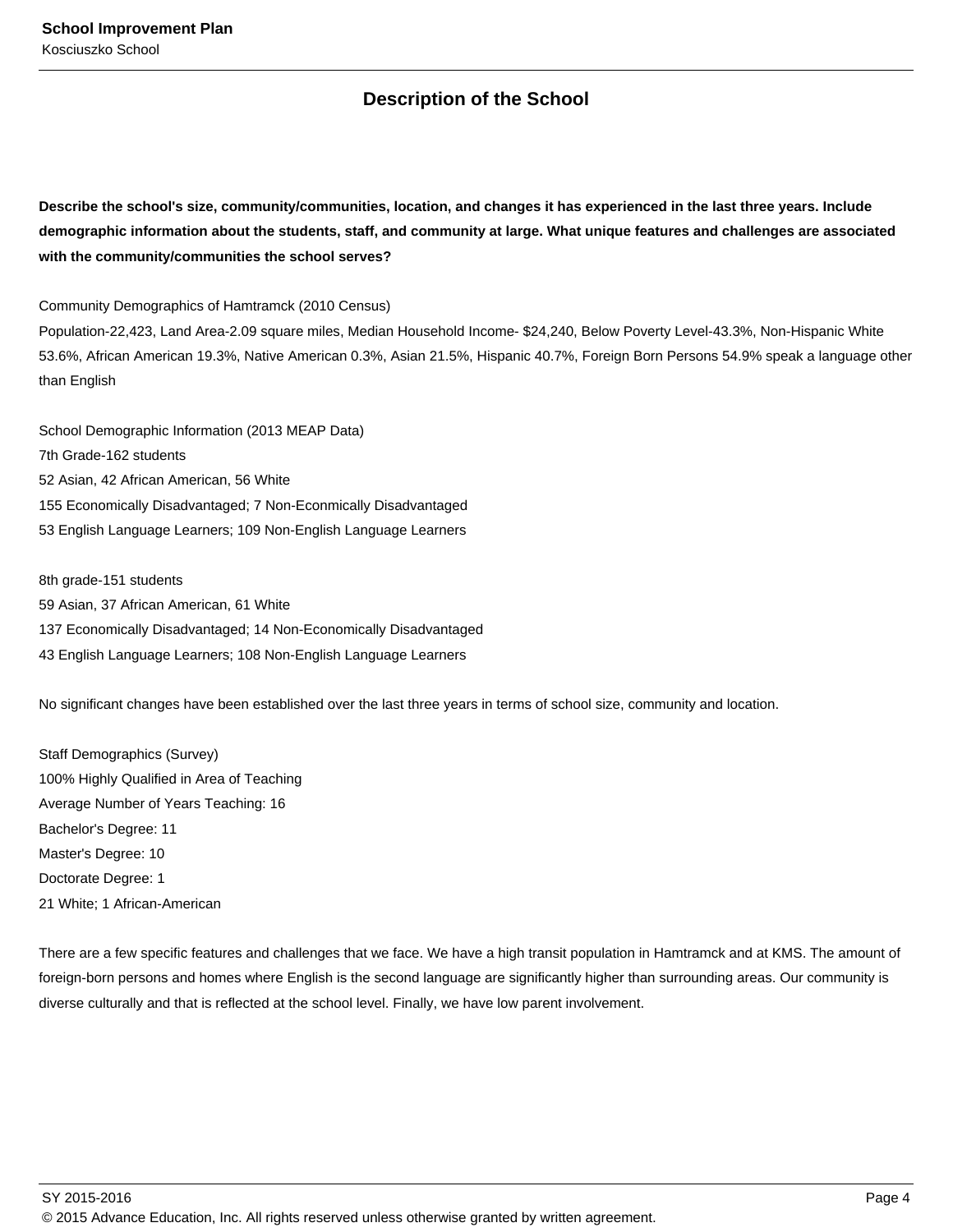## **Description of the School**

**Describe the school's size, community/communities, location, and changes it has experienced in the last three years. Include demographic information about the students, staff, and community at large. What unique features and challenges are associated with the community/communities the school serves?**

Community Demographics of Hamtramck (2010 Census)

Population-22,423, Land Area-2.09 square miles, Median Household Income- \$24,240, Below Poverty Level-43.3%, Non-Hispanic White 53.6%, African American 19.3%, Native American 0.3%, Asian 21.5%, Hispanic 40.7%, Foreign Born Persons 54.9% speak a language other than English

School Demographic Information (2013 MEAP Data) 7th Grade-162 students 52 Asian, 42 African American, 56 White 155 Economically Disadvantaged; 7 Non-Econmically Disadvantaged 53 English Language Learners; 109 Non-English Language Learners

8th grade-151 students 59 Asian, 37 African American, 61 White 137 Economically Disadvantaged; 14 Non-Economically Disadvantaged 43 English Language Learners; 108 Non-English Language Learners

No significant changes have been established over the last three years in terms of school size, community and location.

Staff Demographics (Survey) 100% Highly Qualified in Area of Teaching Average Number of Years Teaching: 16 Bachelor's Degree: 11 Master's Degree: 10 Doctorate Degree: 1 21 White; 1 African-American

There are a few specific features and challenges that we face. We have a high transit population in Hamtramck and at KMS. The amount of foreign-born persons and homes where English is the second language are significantly higher than surrounding areas. Our community is diverse culturally and that is reflected at the school level. Finally, we have low parent involvement.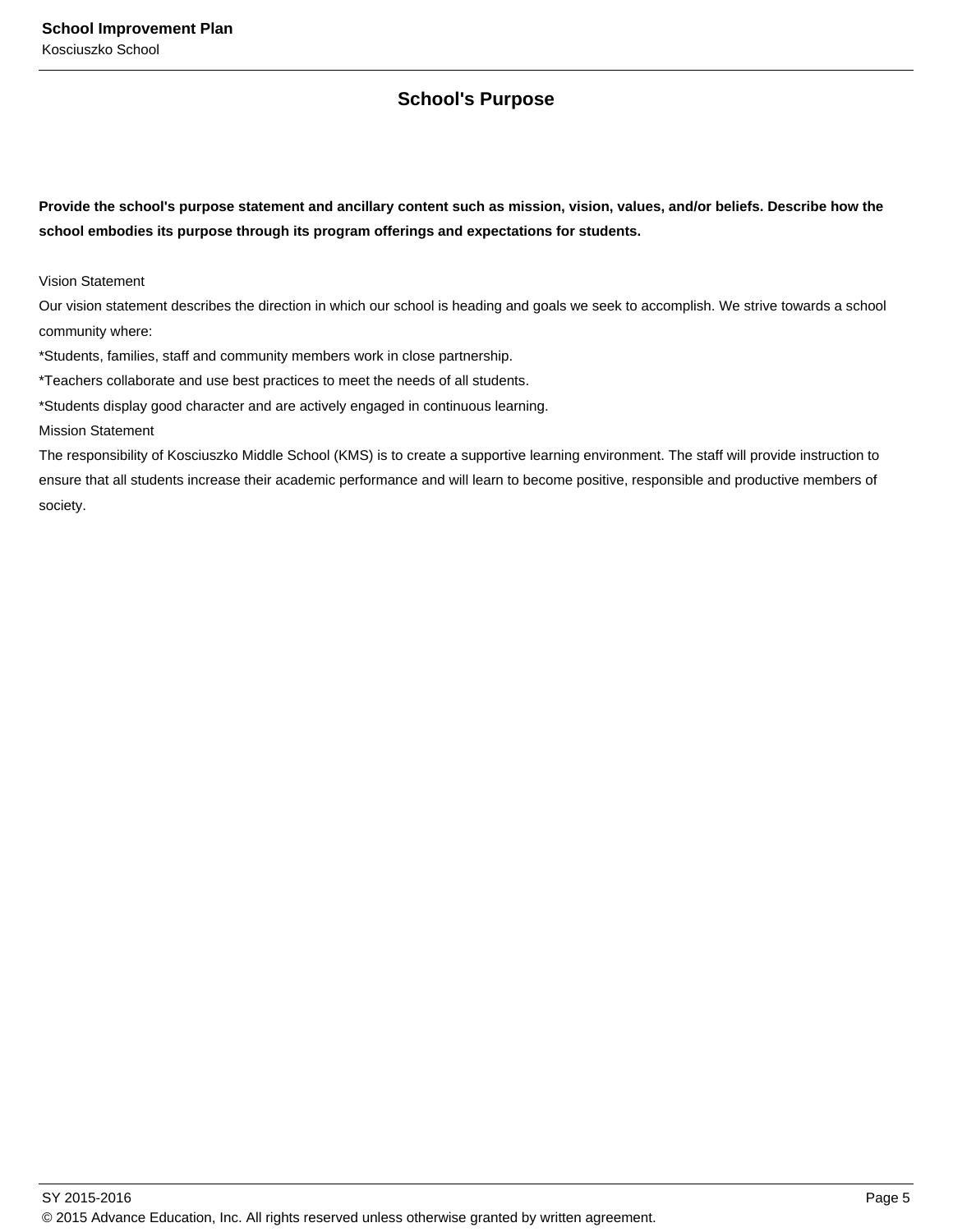## **School's Purpose**

**Provide the school's purpose statement and ancillary content such as mission, vision, values, and/or beliefs. Describe how the school embodies its purpose through its program offerings and expectations for students.**

Vision Statement

Our vision statement describes the direction in which our school is heading and goals we seek to accomplish. We strive towards a school community where:

\*Students, families, staff and community members work in close partnership.

\*Teachers collaborate and use best practices to meet the needs of all students.

\*Students display good character and are actively engaged in continuous learning.

Mission Statement

The responsibility of Kosciuszko Middle School (KMS) is to create a supportive learning environment. The staff will provide instruction to ensure that all students increase their academic performance and will learn to become positive, responsible and productive members of society.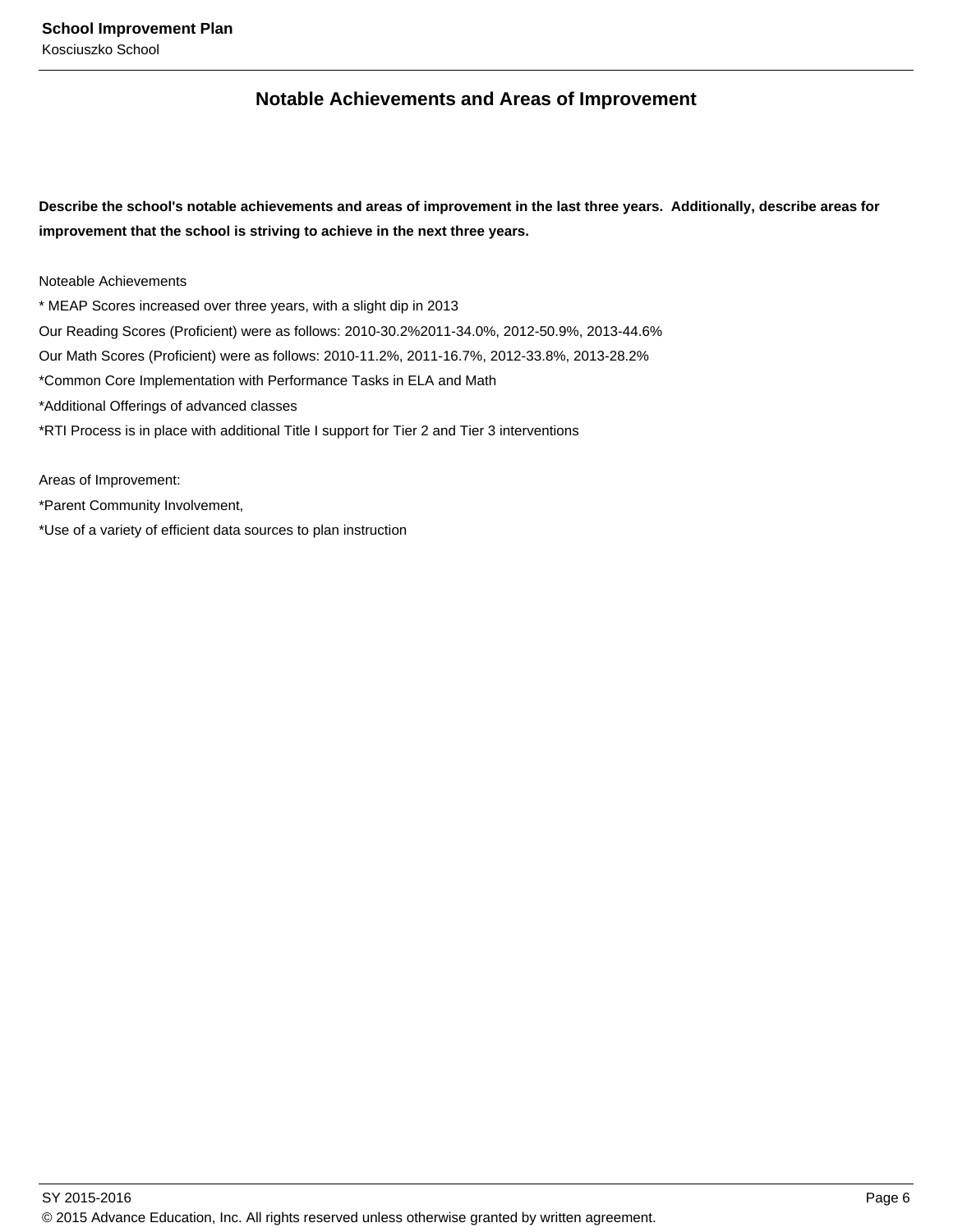## **Notable Achievements and Areas of Improvement**

**Describe the school's notable achievements and areas of improvement in the last three years. Additionally, describe areas for improvement that the school is striving to achieve in the next three years.**

Noteable Achievements

\* MEAP Scores increased over three years, with a slight dip in 2013 Our Reading Scores (Proficient) were as follows: 2010-30.2%2011-34.0%, 2012-50.9%, 2013-44.6% Our Math Scores (Proficient) were as follows: 2010-11.2%, 2011-16.7%, 2012-33.8%, 2013-28.2% \*Common Core Implementation with Performance Tasks in ELA and Math \*Additional Offerings of advanced classes \*RTI Process is in place with additional Title I support for Tier 2 and Tier 3 interventions

\*Parent Community Involvement,

Areas of Improvement:

\*Use of a variety of efficient data sources to plan instruction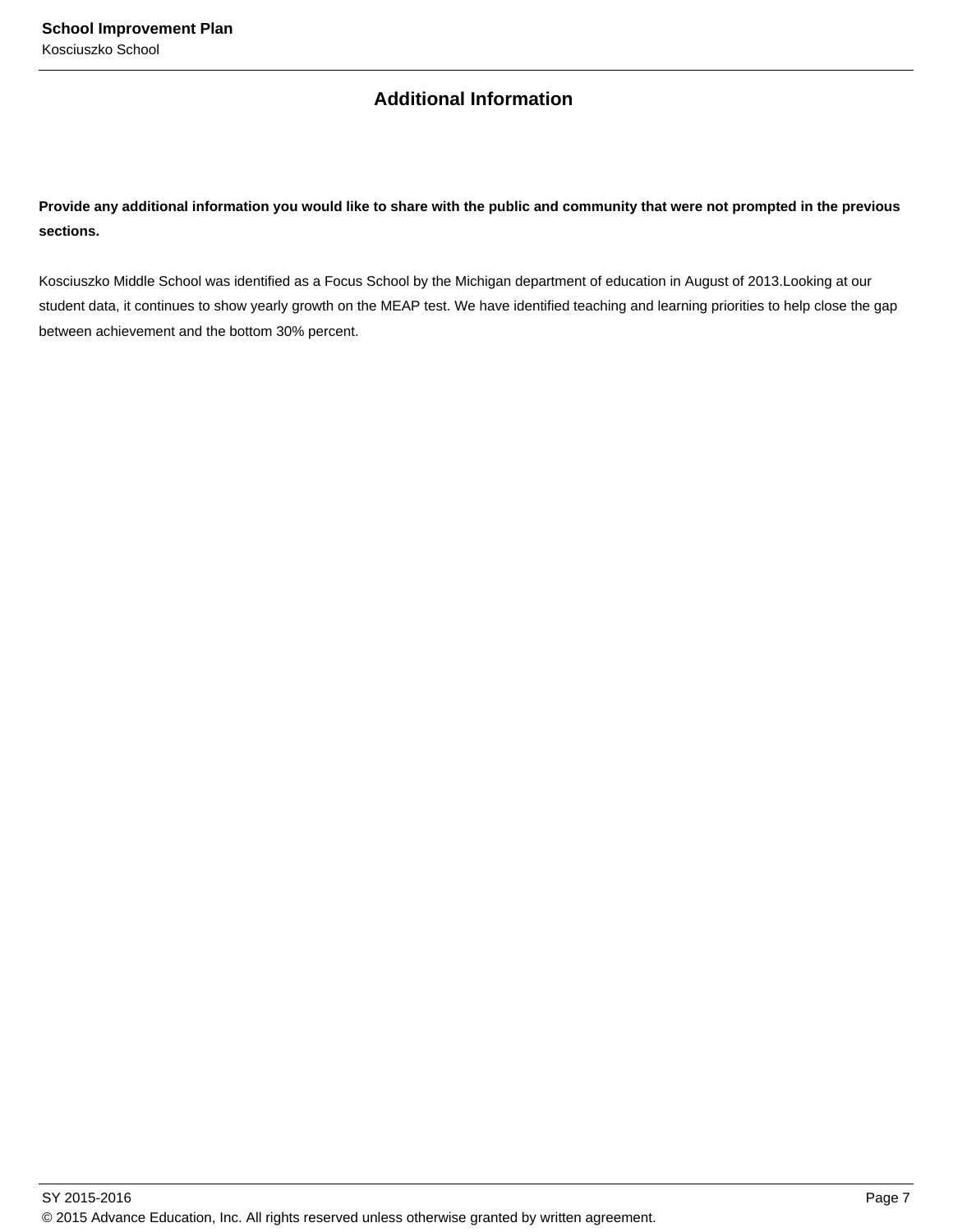## **Additional Information**

**Provide any additional information you would like to share with the public and community that were not prompted in the previous sections.**

Kosciuszko Middle School was identified as a Focus School by the Michigan department of education in August of 2013.Looking at our student data, it continues to show yearly growth on the MEAP test. We have identified teaching and learning priorities to help close the gap between achievement and the bottom 30% percent.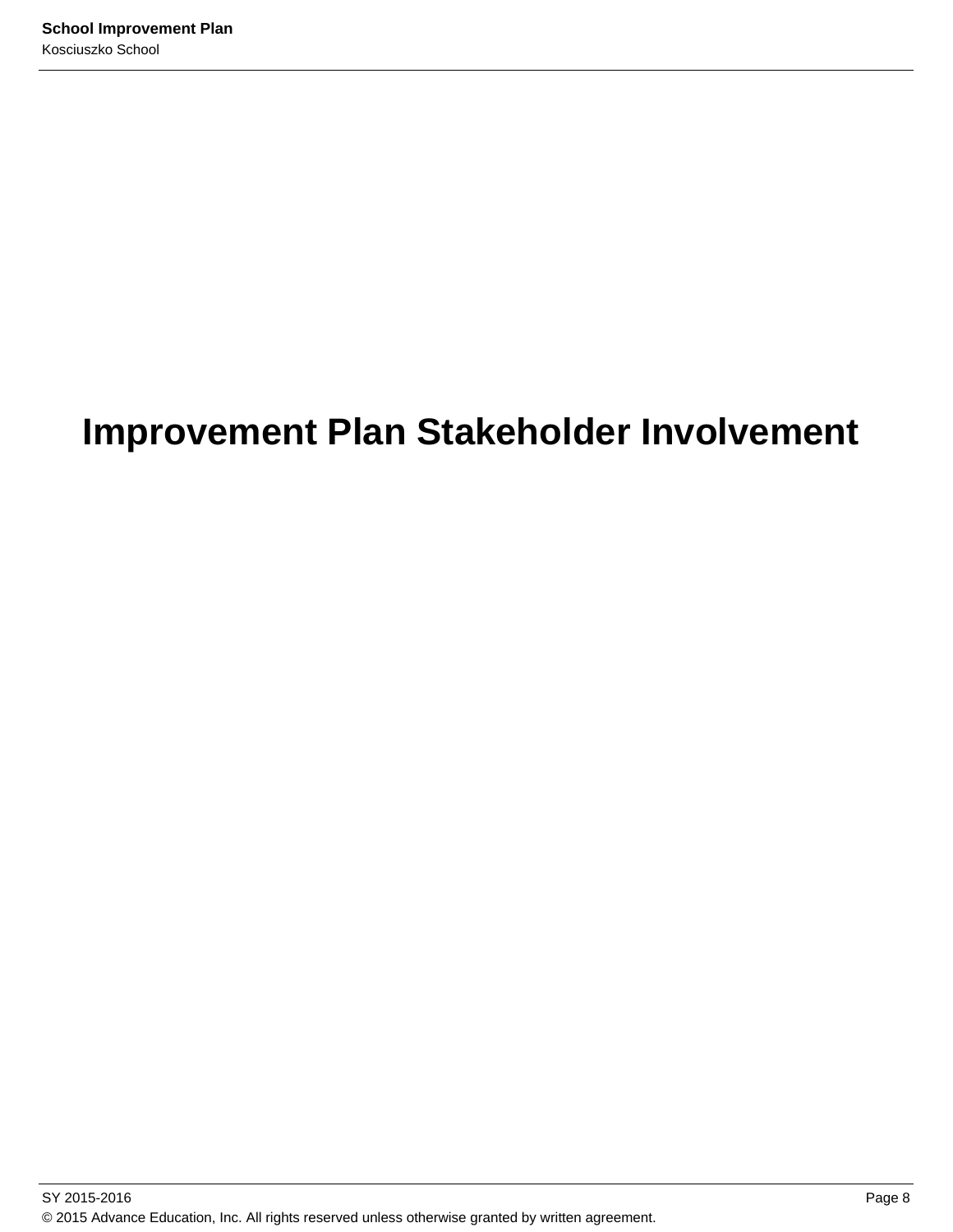# **Improvement Plan Stakeholder Involvement**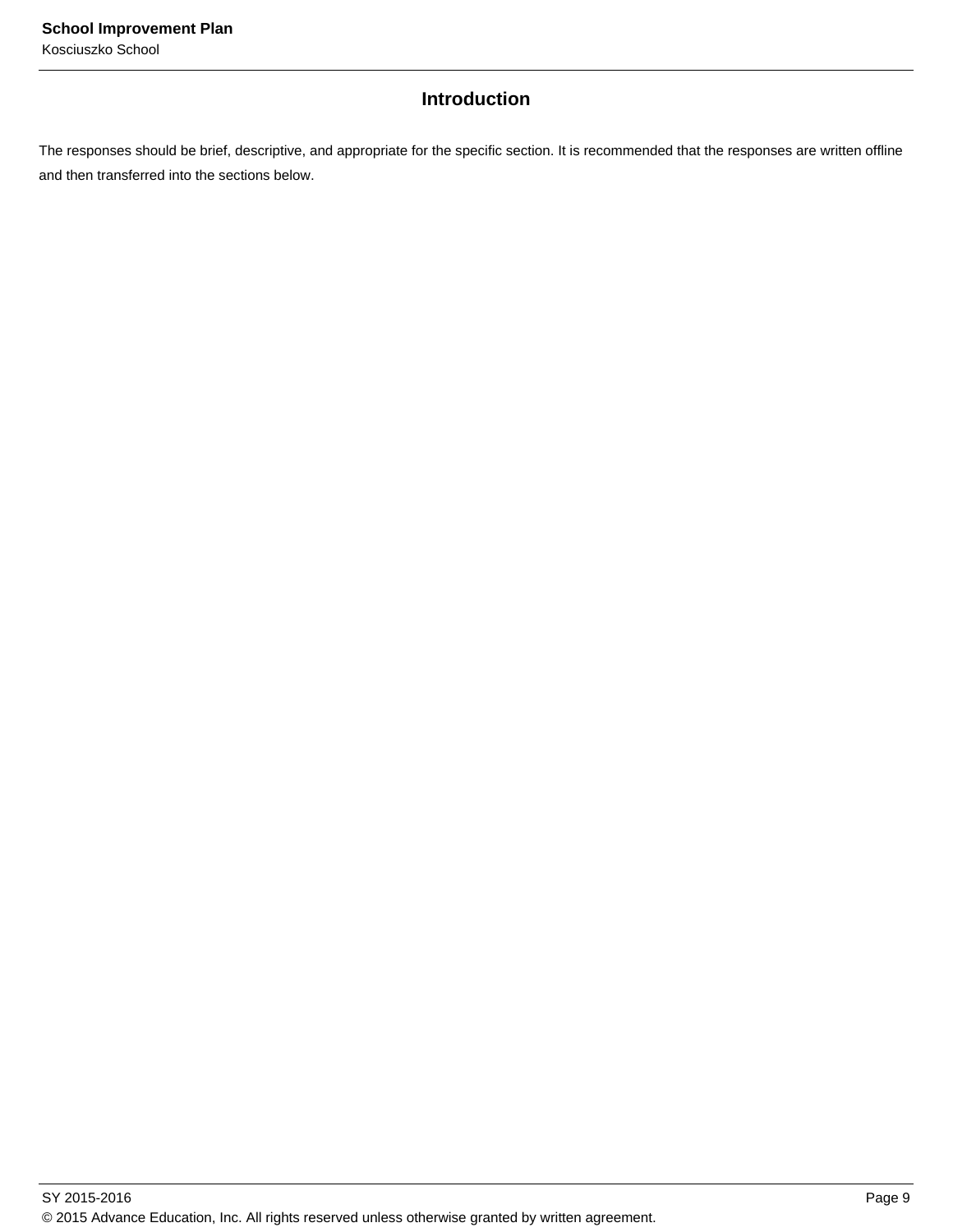## **Introduction**

The responses should be brief, descriptive, and appropriate for the specific section. It is recommended that the responses are written offline and then transferred into the sections below.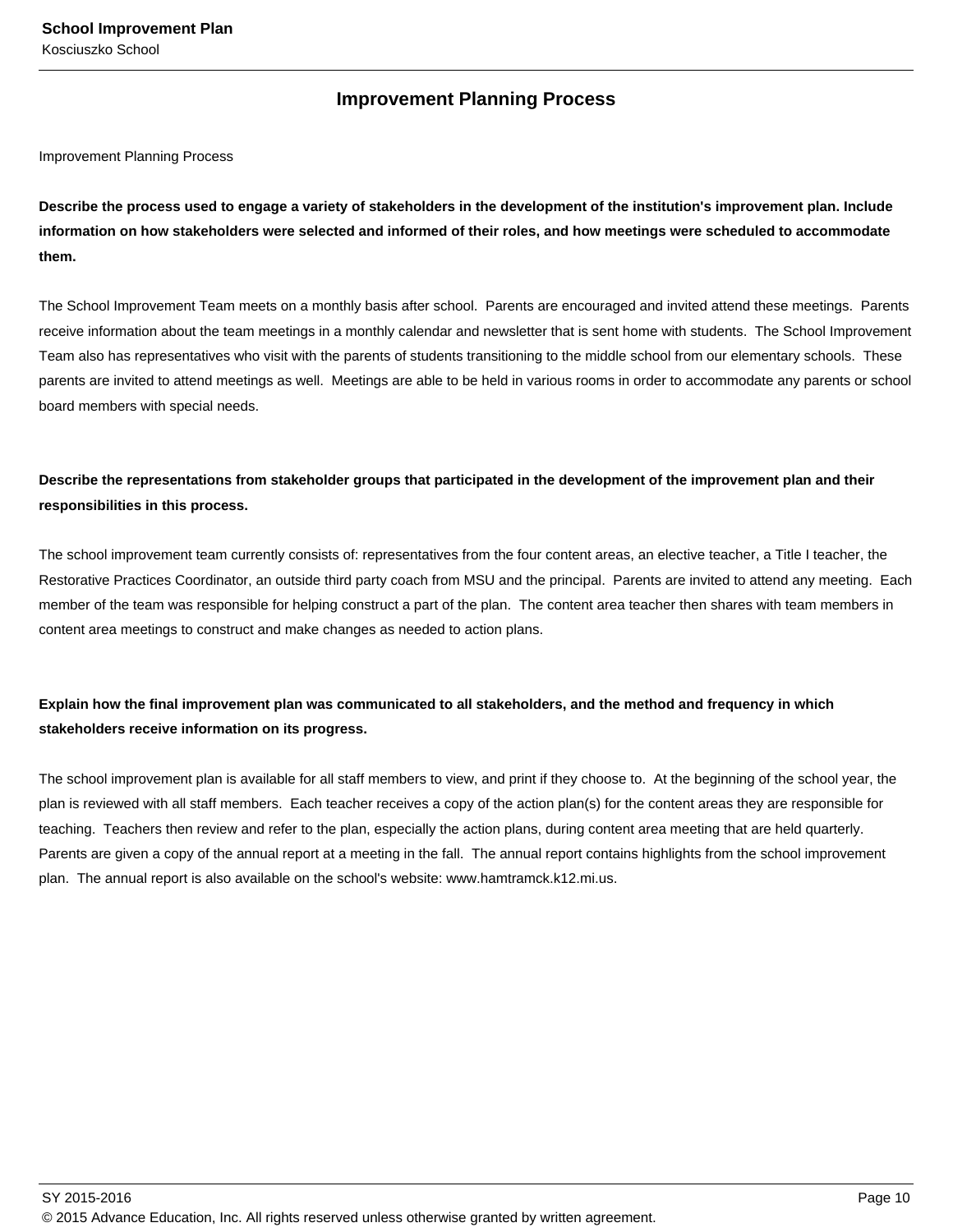## **Improvement Planning Process**

Improvement Planning Process

**Describe the process used to engage a variety of stakeholders in the development of the institution's improvement plan. Include information on how stakeholders were selected and informed of their roles, and how meetings were scheduled to accommodate them.** 

The School Improvement Team meets on a monthly basis after school. Parents are encouraged and invited attend these meetings. Parents receive information about the team meetings in a monthly calendar and newsletter that is sent home with students. The School Improvement Team also has representatives who visit with the parents of students transitioning to the middle school from our elementary schools. These parents are invited to attend meetings as well. Meetings are able to be held in various rooms in order to accommodate any parents or school board members with special needs.

## **Describe the representations from stakeholder groups that participated in the development of the improvement plan and their responsibilities in this process.**

The school improvement team currently consists of: representatives from the four content areas, an elective teacher, a Title I teacher, the Restorative Practices Coordinator, an outside third party coach from MSU and the principal. Parents are invited to attend any meeting. Each member of the team was responsible for helping construct a part of the plan. The content area teacher then shares with team members in content area meetings to construct and make changes as needed to action plans.

## **Explain how the final improvement plan was communicated to all stakeholders, and the method and frequency in which stakeholders receive information on its progress.**

The school improvement plan is available for all staff members to view, and print if they choose to. At the beginning of the school year, the plan is reviewed with all staff members. Each teacher receives a copy of the action plan(s) for the content areas they are responsible for teaching. Teachers then review and refer to the plan, especially the action plans, during content area meeting that are held quarterly. Parents are given a copy of the annual report at a meeting in the fall. The annual report contains highlights from the school improvement plan. The annual report is also available on the school's website: www.hamtramck.k12.mi.us.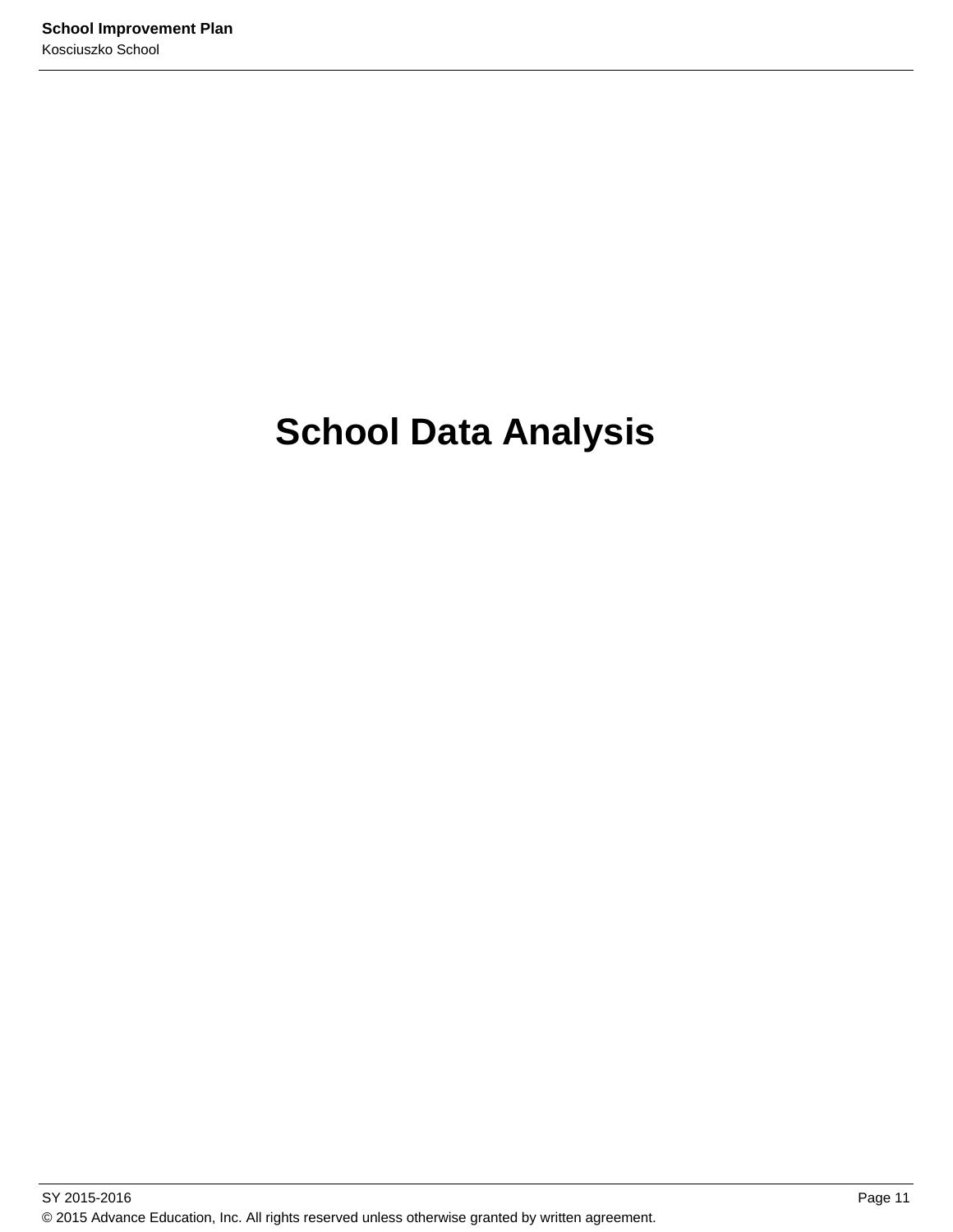# **School Data Analysis**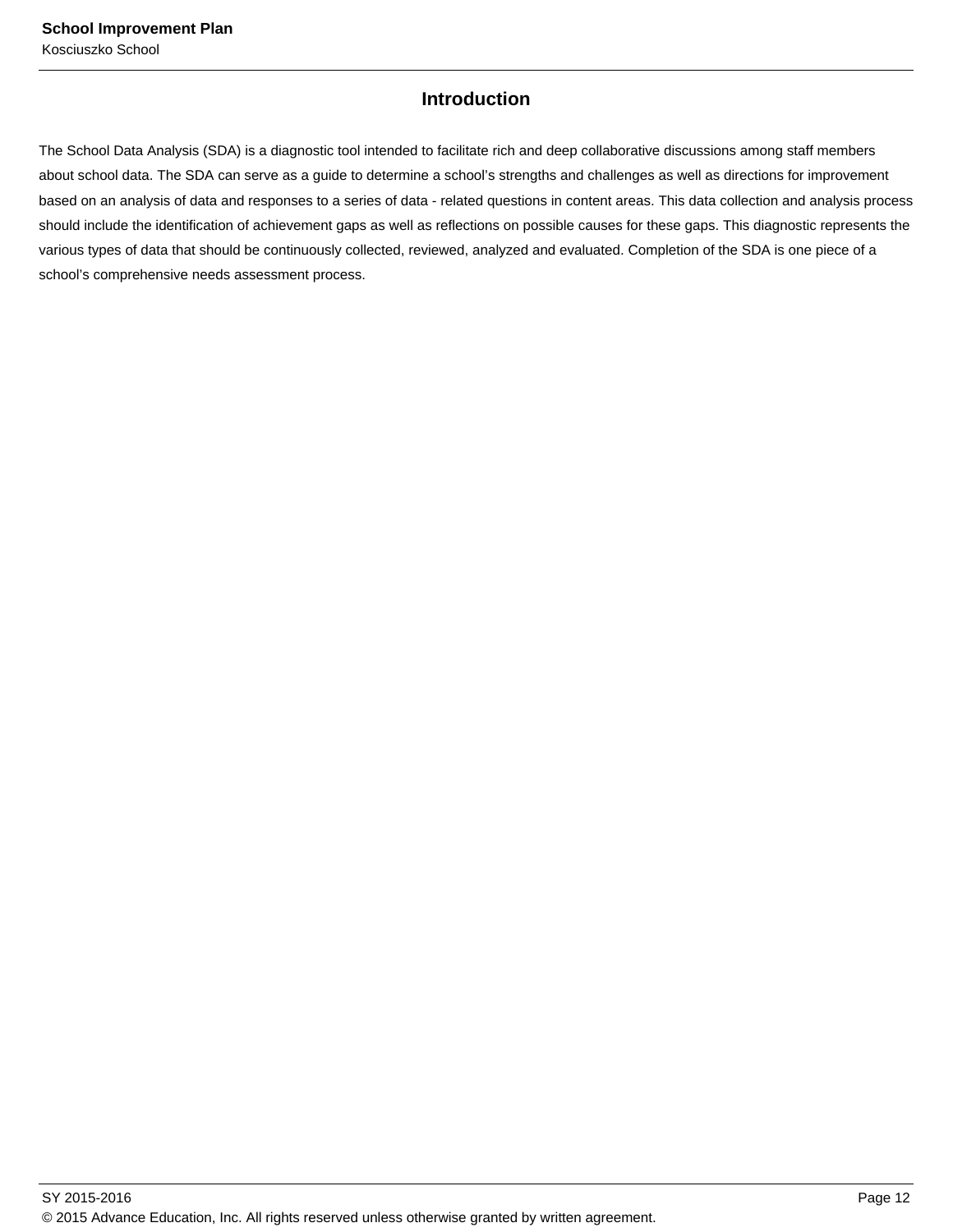## **Introduction**

The School Data Analysis (SDA) is a diagnostic tool intended to facilitate rich and deep collaborative discussions among staff members about school data. The SDA can serve as a guide to determine a school's strengths and challenges as well as directions for improvement based on an analysis of data and responses to a series of data - related questions in content areas. This data collection and analysis process should include the identification of achievement gaps as well as reflections on possible causes for these gaps. This diagnostic represents the various types of data that should be continuously collected, reviewed, analyzed and evaluated. Completion of the SDA is one piece of a school's comprehensive needs assessment process.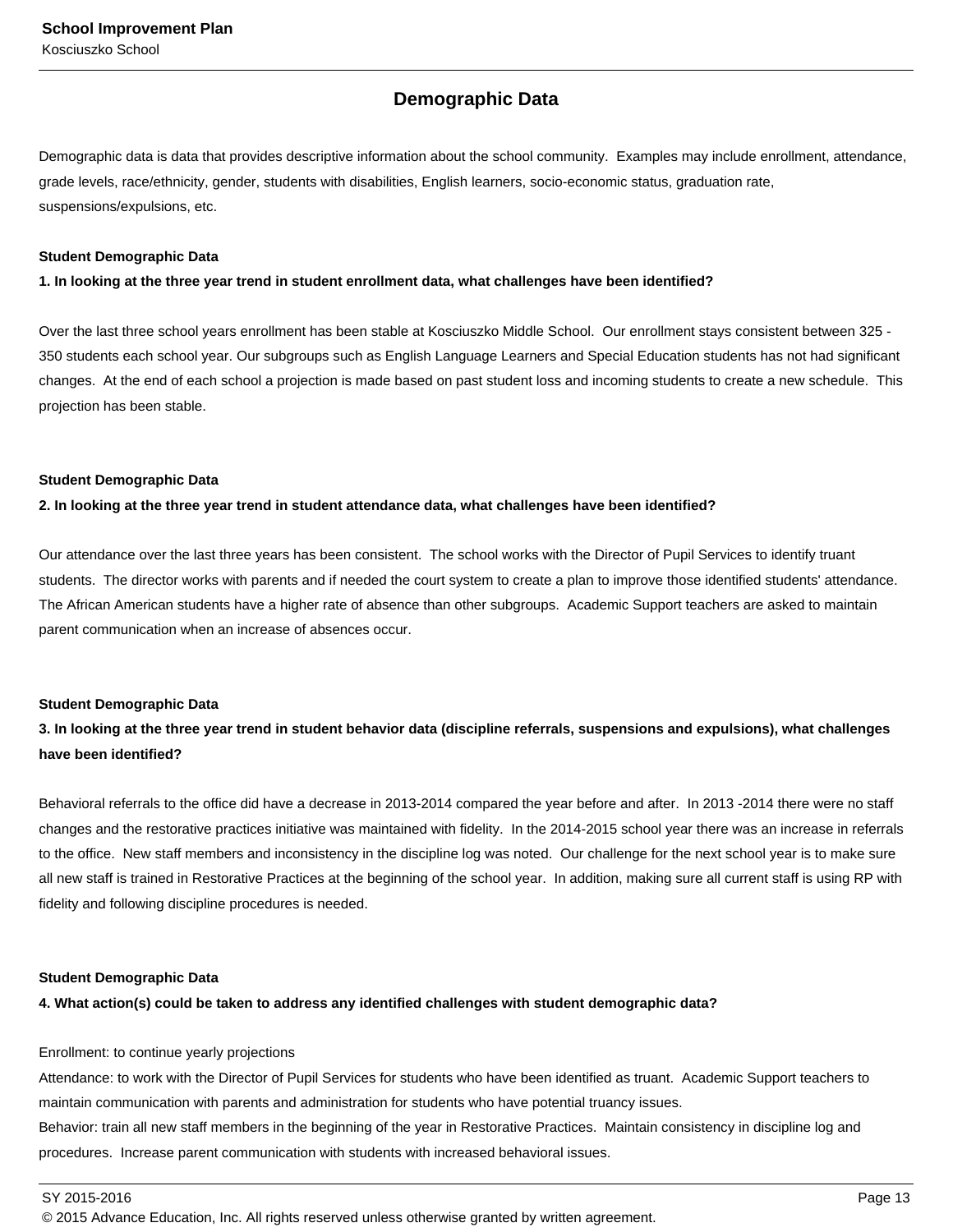## **Demographic Data**

Demographic data is data that provides descriptive information about the school community. Examples may include enrollment, attendance, grade levels, race/ethnicity, gender, students with disabilities, English learners, socio-economic status, graduation rate, suspensions/expulsions, etc.

#### **Student Demographic Data**

#### **1. In looking at the three year trend in student enrollment data, what challenges have been identified?**

Over the last three school years enrollment has been stable at Kosciuszko Middle School. Our enrollment stays consistent between 325 - 350 students each school year. Our subgroups such as English Language Learners and Special Education students has not had significant changes. At the end of each school a projection is made based on past student loss and incoming students to create a new schedule. This projection has been stable.

#### **Student Demographic Data**

#### **2. In looking at the three year trend in student attendance data, what challenges have been identified?**

Our attendance over the last three years has been consistent. The school works with the Director of Pupil Services to identify truant students. The director works with parents and if needed the court system to create a plan to improve those identified students' attendance. The African American students have a higher rate of absence than other subgroups. Academic Support teachers are asked to maintain parent communication when an increase of absences occur.

#### **Student Demographic Data**

## **3. In looking at the three year trend in student behavior data (discipline referrals, suspensions and expulsions), what challenges have been identified?**

Behavioral referrals to the office did have a decrease in 2013-2014 compared the year before and after. In 2013 -2014 there were no staff changes and the restorative practices initiative was maintained with fidelity. In the 2014-2015 school year there was an increase in referrals to the office. New staff members and inconsistency in the discipline log was noted. Our challenge for the next school year is to make sure all new staff is trained in Restorative Practices at the beginning of the school year. In addition, making sure all current staff is using RP with fidelity and following discipline procedures is needed.

#### **Student Demographic Data**

### **4. What action(s) could be taken to address any identified challenges with student demographic data?**

#### Enrollment: to continue yearly projections

Attendance: to work with the Director of Pupil Services for students who have been identified as truant. Academic Support teachers to maintain communication with parents and administration for students who have potential truancy issues.

Behavior: train all new staff members in the beginning of the year in Restorative Practices. Maintain consistency in discipline log and procedures. Increase parent communication with students with increased behavioral issues.

SY 2015-2016 Page 13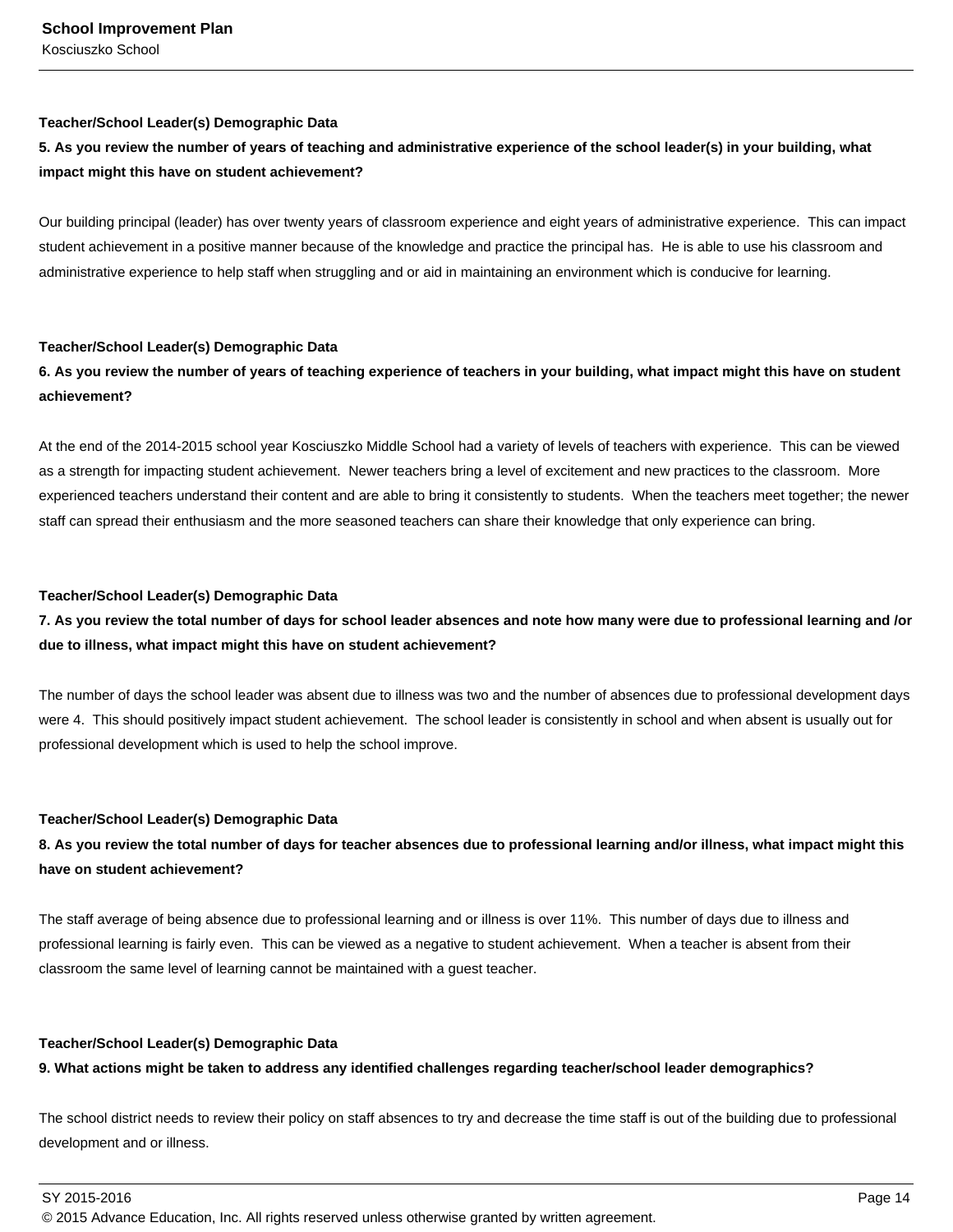#### **Teacher/School Leader(s) Demographic Data**

## **5. As you review the number of years of teaching and administrative experience of the school leader(s) in your building, what impact might this have on student achievement?**

Our building principal (leader) has over twenty years of classroom experience and eight years of administrative experience. This can impact student achievement in a positive manner because of the knowledge and practice the principal has. He is able to use his classroom and administrative experience to help staff when struggling and or aid in maintaining an environment which is conducive for learning.

#### **Teacher/School Leader(s) Demographic Data**

### **6. As you review the number of years of teaching experience of teachers in your building, what impact might this have on student achievement?**

At the end of the 2014-2015 school year Kosciuszko Middle School had a variety of levels of teachers with experience. This can be viewed as a strength for impacting student achievement. Newer teachers bring a level of excitement and new practices to the classroom. More experienced teachers understand their content and are able to bring it consistently to students. When the teachers meet together; the newer staff can spread their enthusiasm and the more seasoned teachers can share their knowledge that only experience can bring.

#### **Teacher/School Leader(s) Demographic Data**

## **7. As you review the total number of days for school leader absences and note how many were due to professional learning and /or due to illness, what impact might this have on student achievement?**

The number of days the school leader was absent due to illness was two and the number of absences due to professional development days were 4. This should positively impact student achievement. The school leader is consistently in school and when absent is usually out for professional development which is used to help the school improve.

#### **Teacher/School Leader(s) Demographic Data**

## **8. As you review the total number of days for teacher absences due to professional learning and/or illness, what impact might this have on student achievement?**

The staff average of being absence due to professional learning and or illness is over 11%. This number of days due to illness and professional learning is fairly even. This can be viewed as a negative to student achievement. When a teacher is absent from their classroom the same level of learning cannot be maintained with a guest teacher.

#### **Teacher/School Leader(s) Demographic Data**

### **9. What actions might be taken to address any identified challenges regarding teacher/school leader demographics?**

The school district needs to review their policy on staff absences to try and decrease the time staff is out of the building due to professional development and or illness.

SY 2015-2016 Page 14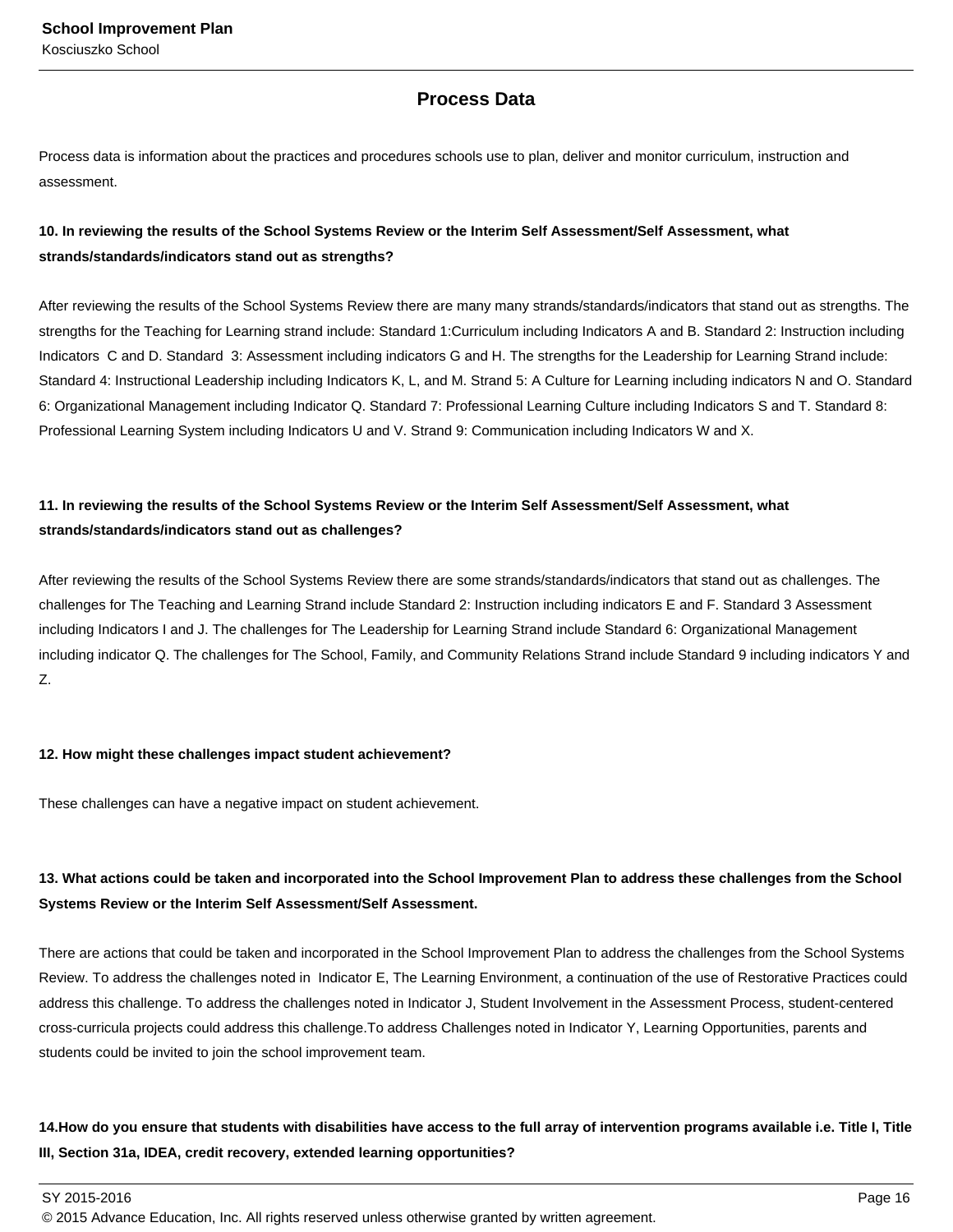## **Process Data**

Process data is information about the practices and procedures schools use to plan, deliver and monitor curriculum, instruction and assessment.

## **10. In reviewing the results of the School Systems Review or the Interim Self Assessment/Self Assessment, what strands/standards/indicators stand out as strengths?**

After reviewing the results of the School Systems Review there are many many strands/standards/indicators that stand out as strengths. The strengths for the Teaching for Learning strand include: Standard 1:Curriculum including Indicators A and B. Standard 2: Instruction including Indicators C and D. Standard 3: Assessment including indicators G and H. The strengths for the Leadership for Learning Strand include: Standard 4: Instructional Leadership including Indicators K, L, and M. Strand 5: A Culture for Learning including indicators N and O. Standard 6: Organizational Management including Indicator Q. Standard 7: Professional Learning Culture including Indicators S and T. Standard 8: Professional Learning System including Indicators U and V. Strand 9: Communication including Indicators W and X.

## **11. In reviewing the results of the School Systems Review or the Interim Self Assessment/Self Assessment, what strands/standards/indicators stand out as challenges?**

After reviewing the results of the School Systems Review there are some strands/standards/indicators that stand out as challenges. The challenges for The Teaching and Learning Strand include Standard 2: Instruction including indicators E and F. Standard 3 Assessment including Indicators I and J. The challenges for The Leadership for Learning Strand include Standard 6: Organizational Management including indicator Q. The challenges for The School, Family, and Community Relations Strand include Standard 9 including indicators Y and Z.

#### **12. How might these challenges impact student achievement?**

These challenges can have a negative impact on student achievement.

## **13. What actions could be taken and incorporated into the School Improvement Plan to address these challenges from the School Systems Review or the Interim Self Assessment/Self Assessment.**

There are actions that could be taken and incorporated in the School Improvement Plan to address the challenges from the School Systems Review. To address the challenges noted in Indicator E, The Learning Environment, a continuation of the use of Restorative Practices could address this challenge. To address the challenges noted in Indicator J, Student Involvement in the Assessment Process, student-centered cross-curricula projects could address this challenge.To address Challenges noted in Indicator Y, Learning Opportunities, parents and students could be invited to join the school improvement team.

## 14. How do you ensure that students with disabilities have access to the full array of intervention programs available i.e. Title I, Title **III, Section 31a, IDEA, credit recovery, extended learning opportunities?**

 $\,$  SY 2015-2016  $\,$  Page 16  $\,$  Page 16  $\,$  Page 16  $\,$  Page 16  $\,$  Page 16  $\,$  Page 16  $\,$  Page 16  $\,$  Page 16  $\,$  Page 16  $\,$  Page 16  $\,$  Page 16  $\,$  Page 16  $\,$  Page 16  $\,$  Page 16  $\,$  Page 16  $\,$  Pag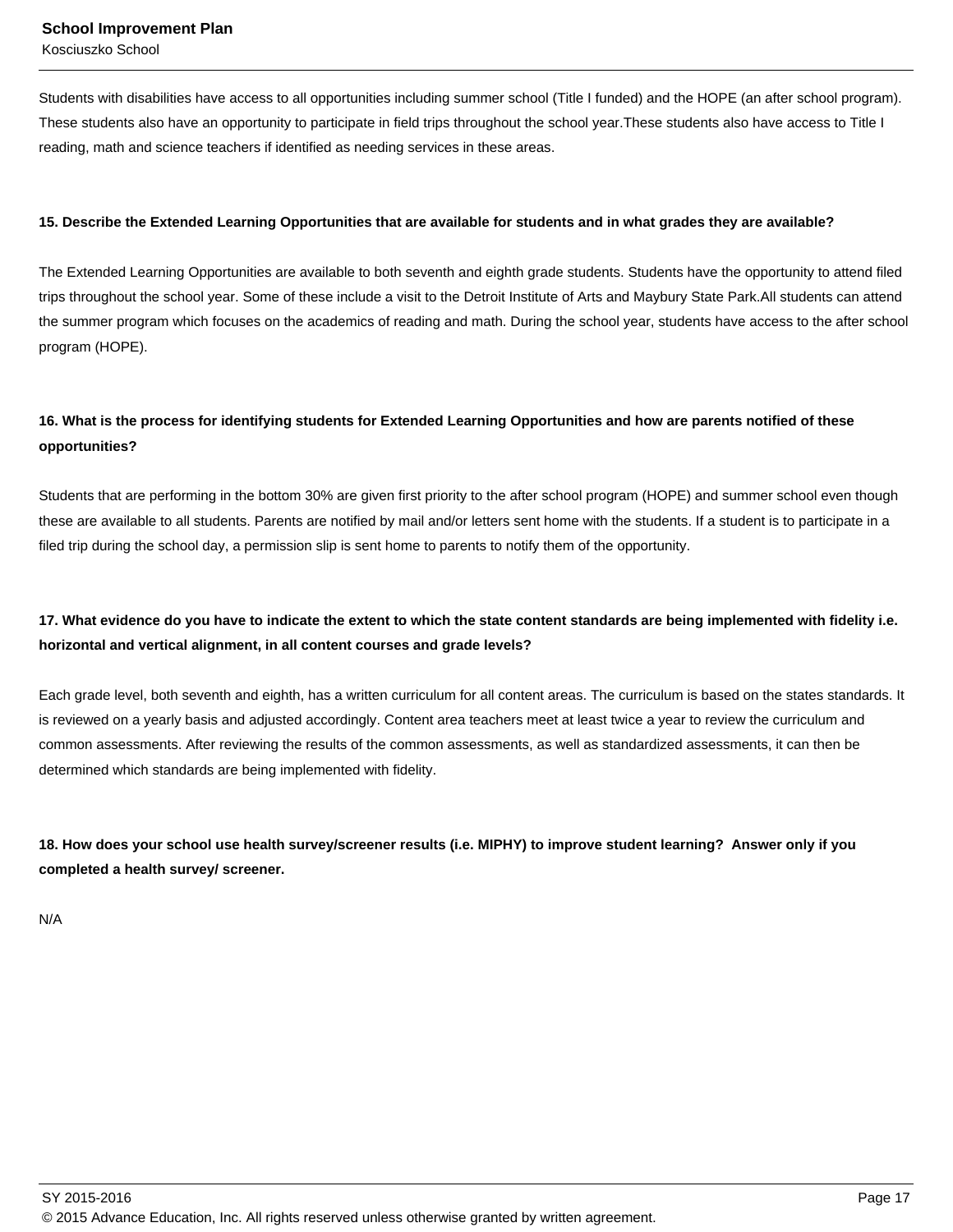Kosciuszko School

Students with disabilities have access to all opportunities including summer school (Title I funded) and the HOPE (an after school program). These students also have an opportunity to participate in field trips throughout the school year.These students also have access to Title I reading, math and science teachers if identified as needing services in these areas.

#### **15. Describe the Extended Learning Opportunities that are available for students and in what grades they are available?**

The Extended Learning Opportunities are available to both seventh and eighth grade students. Students have the opportunity to attend filed trips throughout the school year. Some of these include a visit to the Detroit Institute of Arts and Maybury State Park.All students can attend the summer program which focuses on the academics of reading and math. During the school year, students have access to the after school program (HOPE).

## **16. What is the process for identifying students for Extended Learning Opportunities and how are parents notified of these opportunities?**

Students that are performing in the bottom 30% are given first priority to the after school program (HOPE) and summer school even though these are available to all students. Parents are notified by mail and/or letters sent home with the students. If a student is to participate in a filed trip during the school day, a permission slip is sent home to parents to notify them of the opportunity.

## **17. What evidence do you have to indicate the extent to which the state content standards are being implemented with fidelity i.e. horizontal and vertical alignment, in all content courses and grade levels?**

Each grade level, both seventh and eighth, has a written curriculum for all content areas. The curriculum is based on the states standards. It is reviewed on a yearly basis and adjusted accordingly. Content area teachers meet at least twice a year to review the curriculum and common assessments. After reviewing the results of the common assessments, as well as standardized assessments, it can then be determined which standards are being implemented with fidelity.

**18. How does your school use health survey/screener results (i.e. MIPHY) to improve student learning? Answer only if you completed a health survey/ screener.**

N/A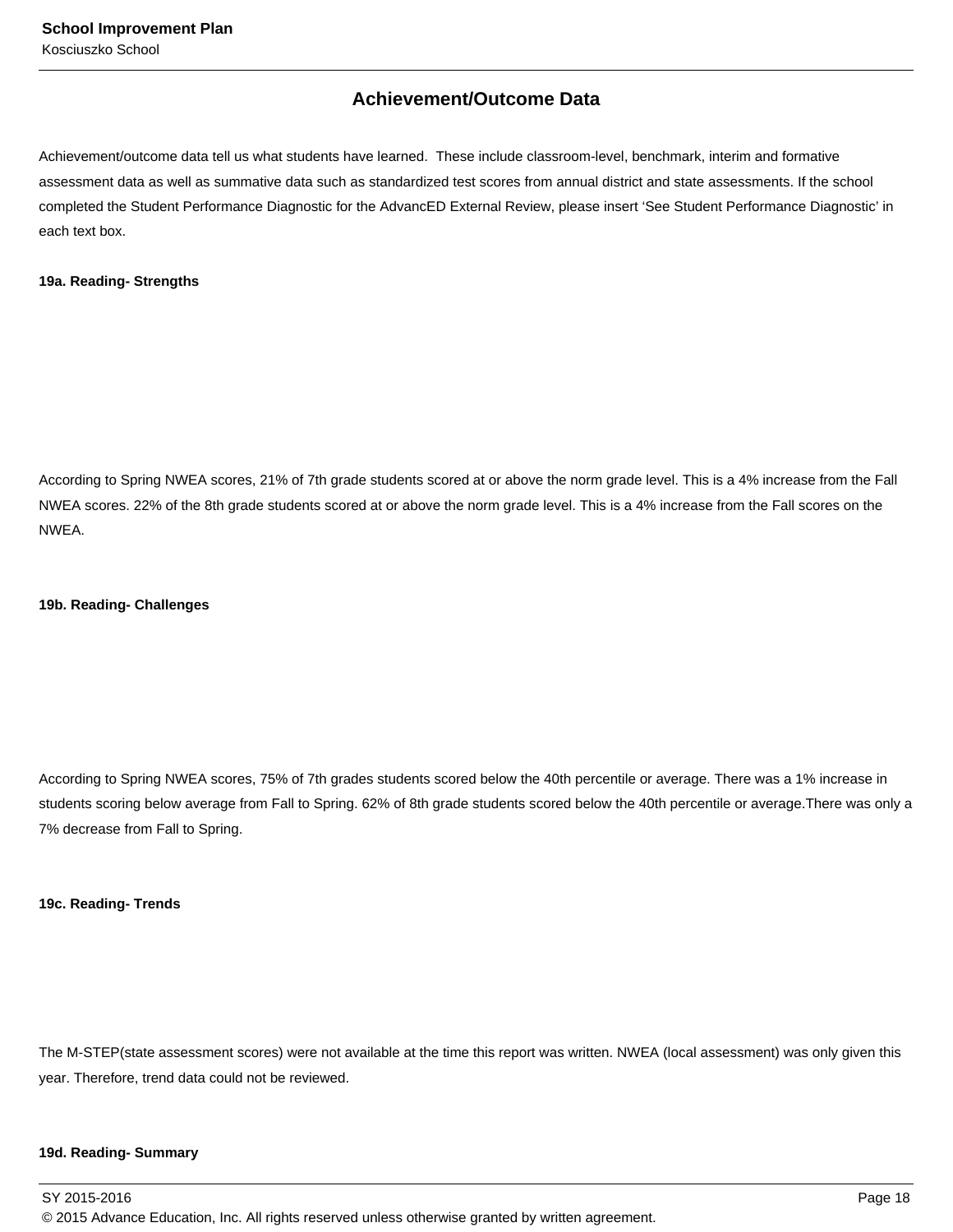## **Achievement/Outcome Data**

Achievement/outcome data tell us what students have learned. These include classroom-level, benchmark, interim and formative assessment data as well as summative data such as standardized test scores from annual district and state assessments. If the school completed the Student Performance Diagnostic for the AdvancED External Review, please insert 'See Student Performance Diagnostic' in each text box.

#### **19a. Reading- Strengths**

According to Spring NWEA scores, 21% of 7th grade students scored at or above the norm grade level. This is a 4% increase from the Fall NWEA scores. 22% of the 8th grade students scored at or above the norm grade level. This is a 4% increase from the Fall scores on the NWEA.

#### **19b. Reading- Challenges**

According to Spring NWEA scores, 75% of 7th grades students scored below the 40th percentile or average. There was a 1% increase in students scoring below average from Fall to Spring. 62% of 8th grade students scored below the 40th percentile or average.There was only a 7% decrease from Fall to Spring.

#### **19c. Reading- Trends**

The M-STEP(state assessment scores) were not available at the time this report was written. NWEA (local assessment) was only given this year. Therefore, trend data could not be reviewed.

#### **19d. Reading- Summary**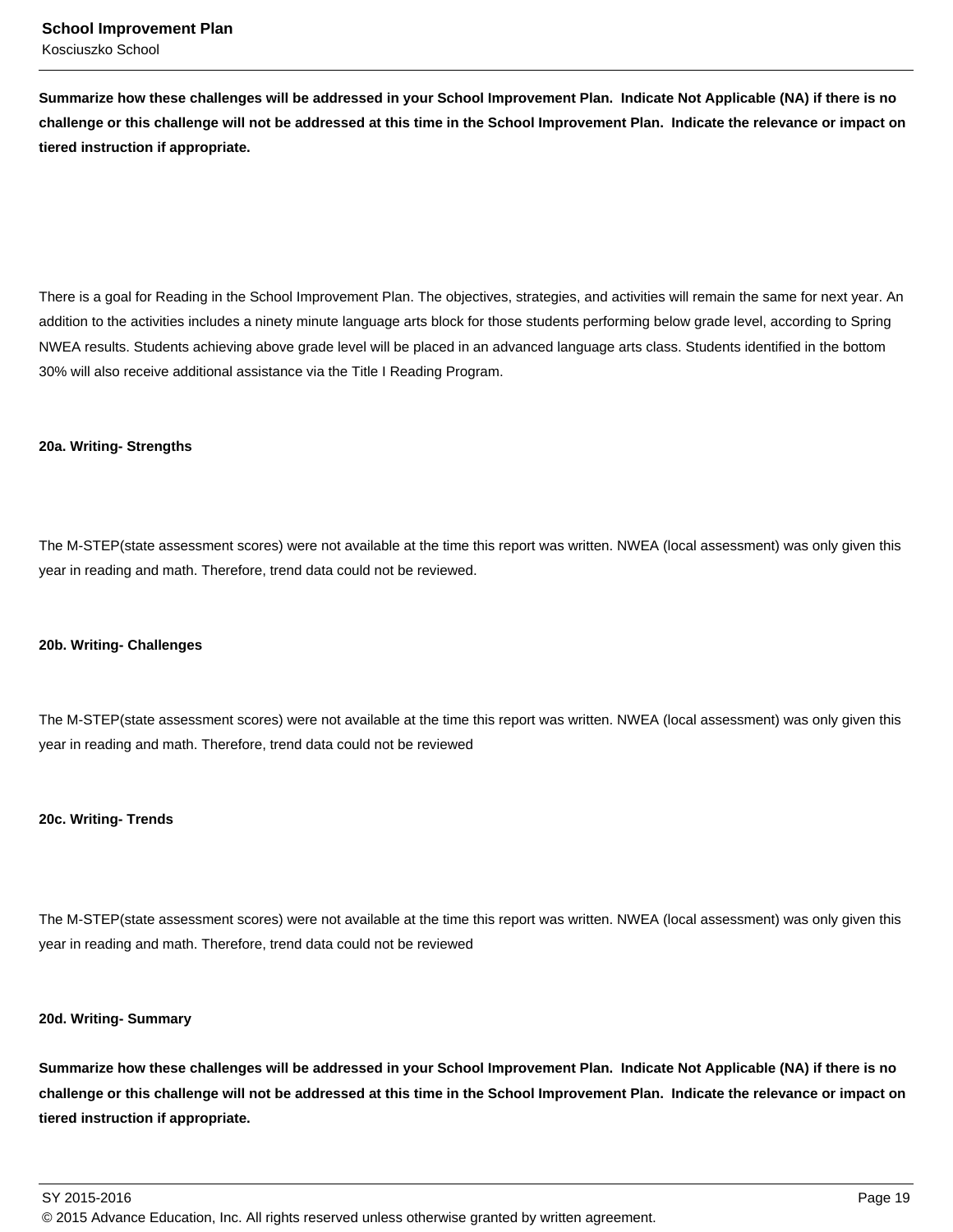**Summarize how these challenges will be addressed in your School Improvement Plan. Indicate Not Applicable (NA) if there is no challenge or this challenge will not be addressed at this time in the School Improvement Plan. Indicate the relevance or impact on tiered instruction if appropriate.**

There is a goal for Reading in the School Improvement Plan. The objectives, strategies, and activities will remain the same for next year. An addition to the activities includes a ninety minute language arts block for those students performing below grade level, according to Spring NWEA results. Students achieving above grade level will be placed in an advanced language arts class. Students identified in the bottom 30% will also receive additional assistance via the Title I Reading Program.

#### **20a. Writing- Strengths**

The M-STEP(state assessment scores) were not available at the time this report was written. NWEA (local assessment) was only given this year in reading and math. Therefore, trend data could not be reviewed.

#### **20b. Writing- Challenges**

The M-STEP(state assessment scores) were not available at the time this report was written. NWEA (local assessment) was only given this year in reading and math. Therefore, trend data could not be reviewed

#### **20c. Writing- Trends**

The M-STEP(state assessment scores) were not available at the time this report was written. NWEA (local assessment) was only given this year in reading and math. Therefore, trend data could not be reviewed

#### **20d. Writing- Summary**

**Summarize how these challenges will be addressed in your School Improvement Plan. Indicate Not Applicable (NA) if there is no challenge or this challenge will not be addressed at this time in the School Improvement Plan. Indicate the relevance or impact on tiered instruction if appropriate.**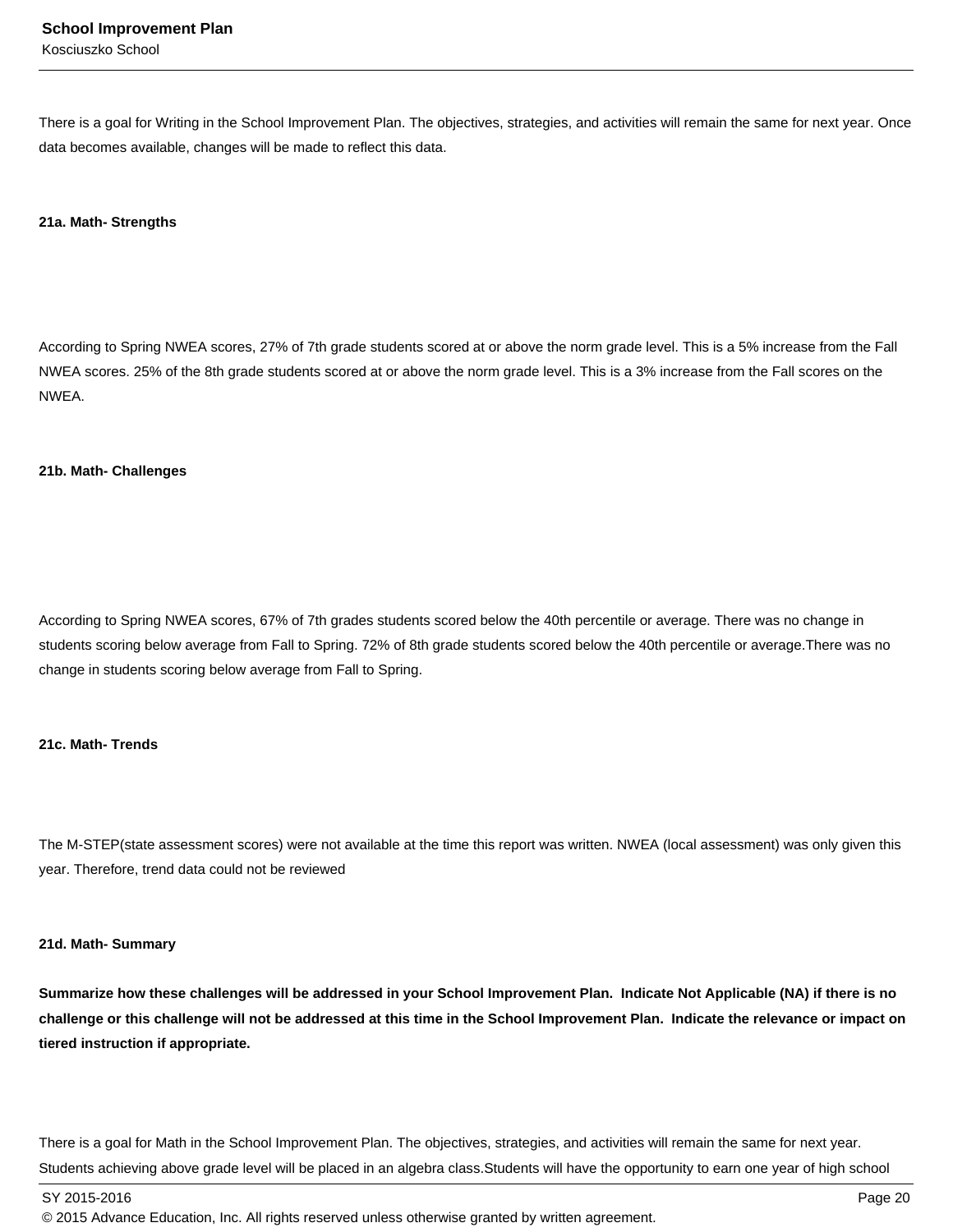There is a goal for Writing in the School Improvement Plan. The objectives, strategies, and activities will remain the same for next year. Once data becomes available, changes will be made to reflect this data.

#### **21a. Math- Strengths**

According to Spring NWEA scores, 27% of 7th grade students scored at or above the norm grade level. This is a 5% increase from the Fall NWEA scores. 25% of the 8th grade students scored at or above the norm grade level. This is a 3% increase from the Fall scores on the NWEA.

#### **21b. Math- Challenges**

According to Spring NWEA scores, 67% of 7th grades students scored below the 40th percentile or average. There was no change in students scoring below average from Fall to Spring. 72% of 8th grade students scored below the 40th percentile or average.There was no change in students scoring below average from Fall to Spring.

#### **21c. Math- Trends**

The M-STEP(state assessment scores) were not available at the time this report was written. NWEA (local assessment) was only given this year. Therefore, trend data could not be reviewed

#### **21d. Math- Summary**

**Summarize how these challenges will be addressed in your School Improvement Plan. Indicate Not Applicable (NA) if there is no challenge or this challenge will not be addressed at this time in the School Improvement Plan. Indicate the relevance or impact on tiered instruction if appropriate.**

There is a goal for Math in the School Improvement Plan. The objectives, strategies, and activities will remain the same for next year. Students achieving above grade level will be placed in an algebra class.Students will have the opportunity to earn one year of high school

SY 2015-2016 Page 20

<sup>© 2015</sup> Advance Education, Inc. All rights reserved unless otherwise granted by written agreement.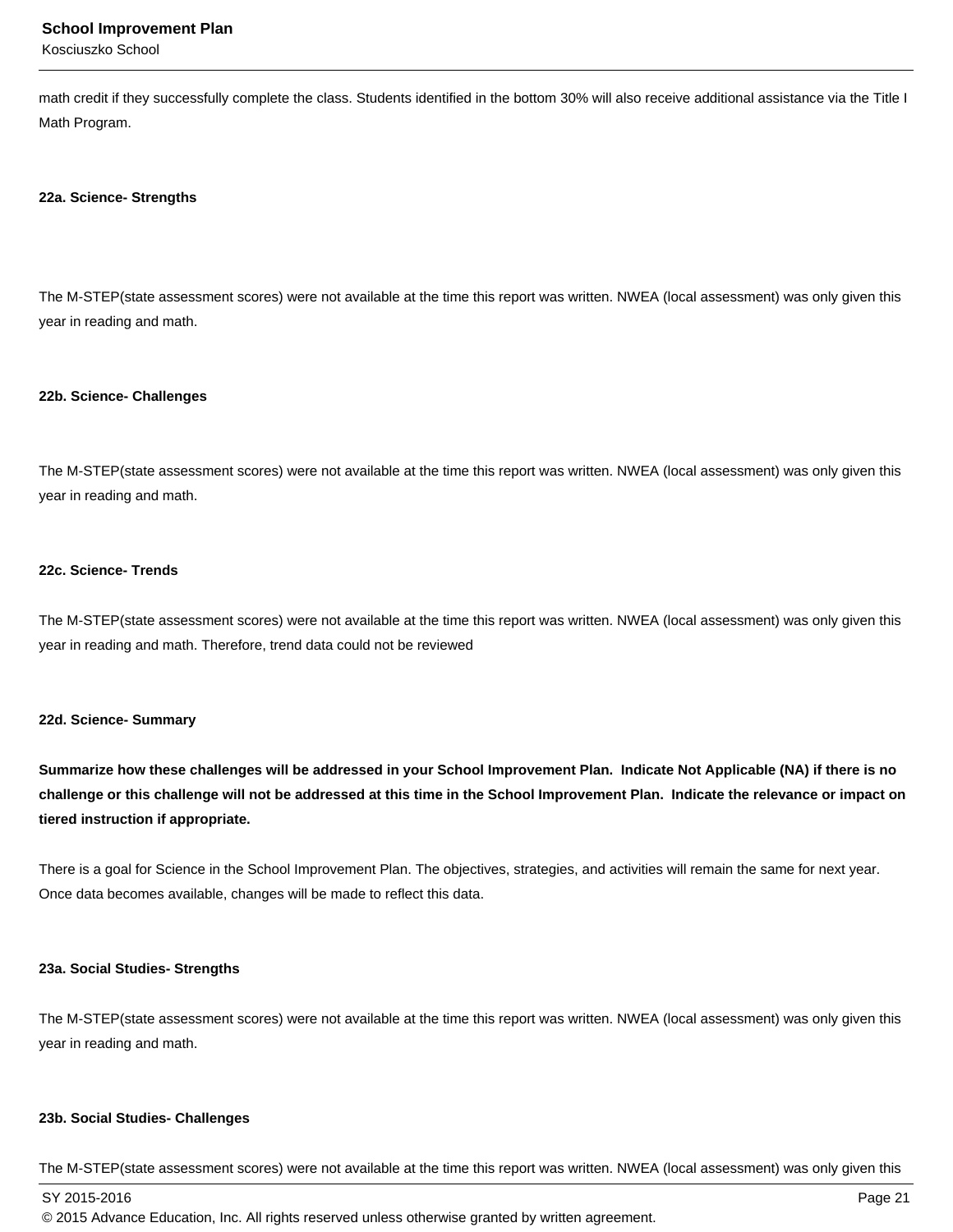#### **School Improvement Plan**

Kosciuszko School

math credit if they successfully complete the class. Students identified in the bottom 30% will also receive additional assistance via the Title I Math Program.

#### **22a. Science- Strengths**

The M-STEP(state assessment scores) were not available at the time this report was written. NWEA (local assessment) was only given this year in reading and math.

#### **22b. Science- Challenges**

The M-STEP(state assessment scores) were not available at the time this report was written. NWEA (local assessment) was only given this year in reading and math.

#### **22c. Science- Trends**

The M-STEP(state assessment scores) were not available at the time this report was written. NWEA (local assessment) was only given this year in reading and math. Therefore, trend data could not be reviewed

#### **22d. Science- Summary**

**Summarize how these challenges will be addressed in your School Improvement Plan. Indicate Not Applicable (NA) if there is no challenge or this challenge will not be addressed at this time in the School Improvement Plan. Indicate the relevance or impact on tiered instruction if appropriate.**

There is a goal for Science in the School Improvement Plan. The objectives, strategies, and activities will remain the same for next year. Once data becomes available, changes will be made to reflect this data.

#### **23a. Social Studies- Strengths**

The M-STEP(state assessment scores) were not available at the time this report was written. NWEA (local assessment) was only given this year in reading and math.

#### **23b. Social Studies- Challenges**

The M-STEP(state assessment scores) were not available at the time this report was written. NWEA (local assessment) was only given this

SY 2015-2016 Page 21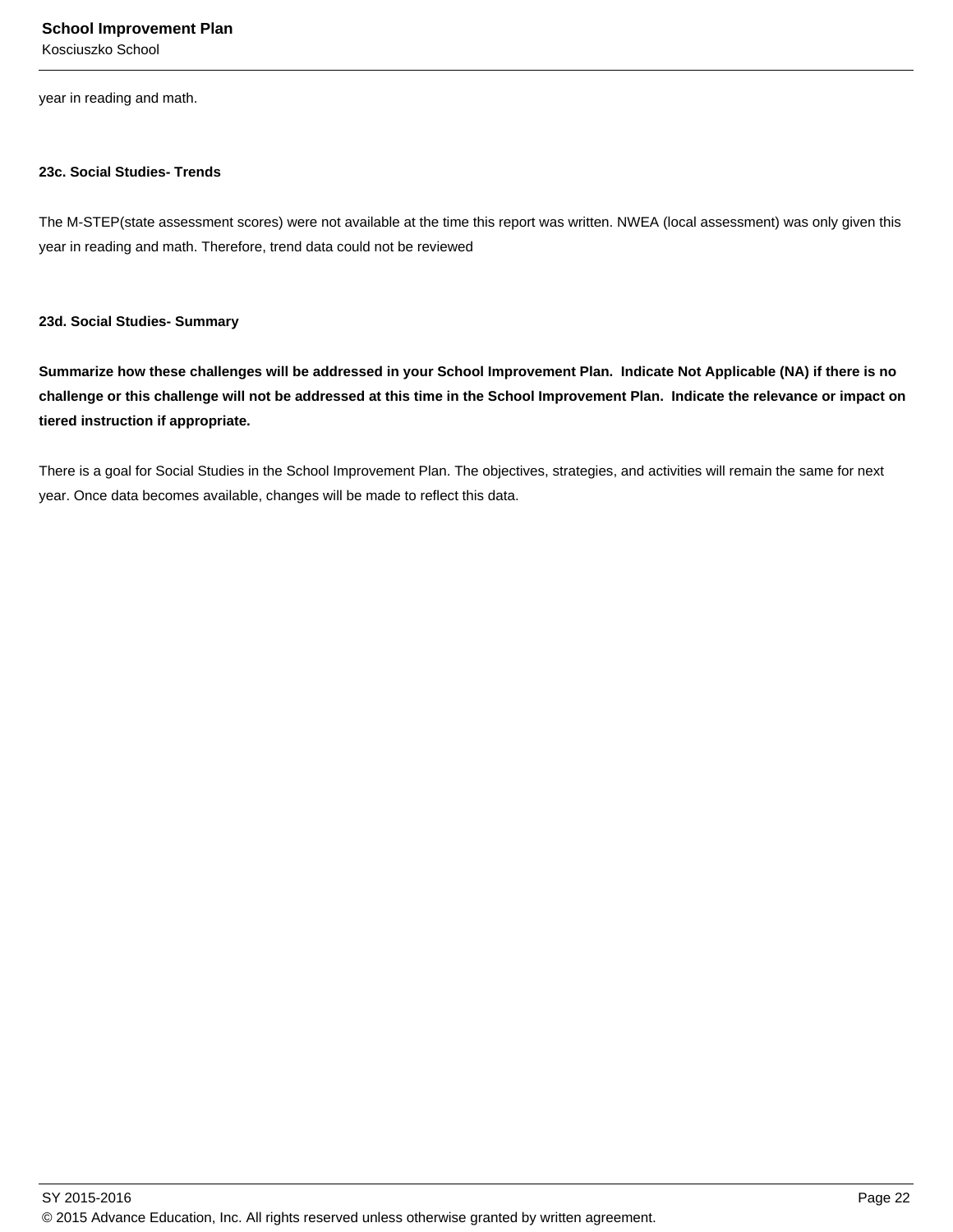Kosciuszko School

year in reading and math.

#### **23c. Social Studies- Trends**

The M-STEP(state assessment scores) were not available at the time this report was written. NWEA (local assessment) was only given this year in reading and math. Therefore, trend data could not be reviewed

#### **23d. Social Studies- Summary**

**Summarize how these challenges will be addressed in your School Improvement Plan. Indicate Not Applicable (NA) if there is no challenge or this challenge will not be addressed at this time in the School Improvement Plan. Indicate the relevance or impact on tiered instruction if appropriate.**

There is a goal for Social Studies in the School Improvement Plan. The objectives, strategies, and activities will remain the same for next year. Once data becomes available, changes will be made to reflect this data.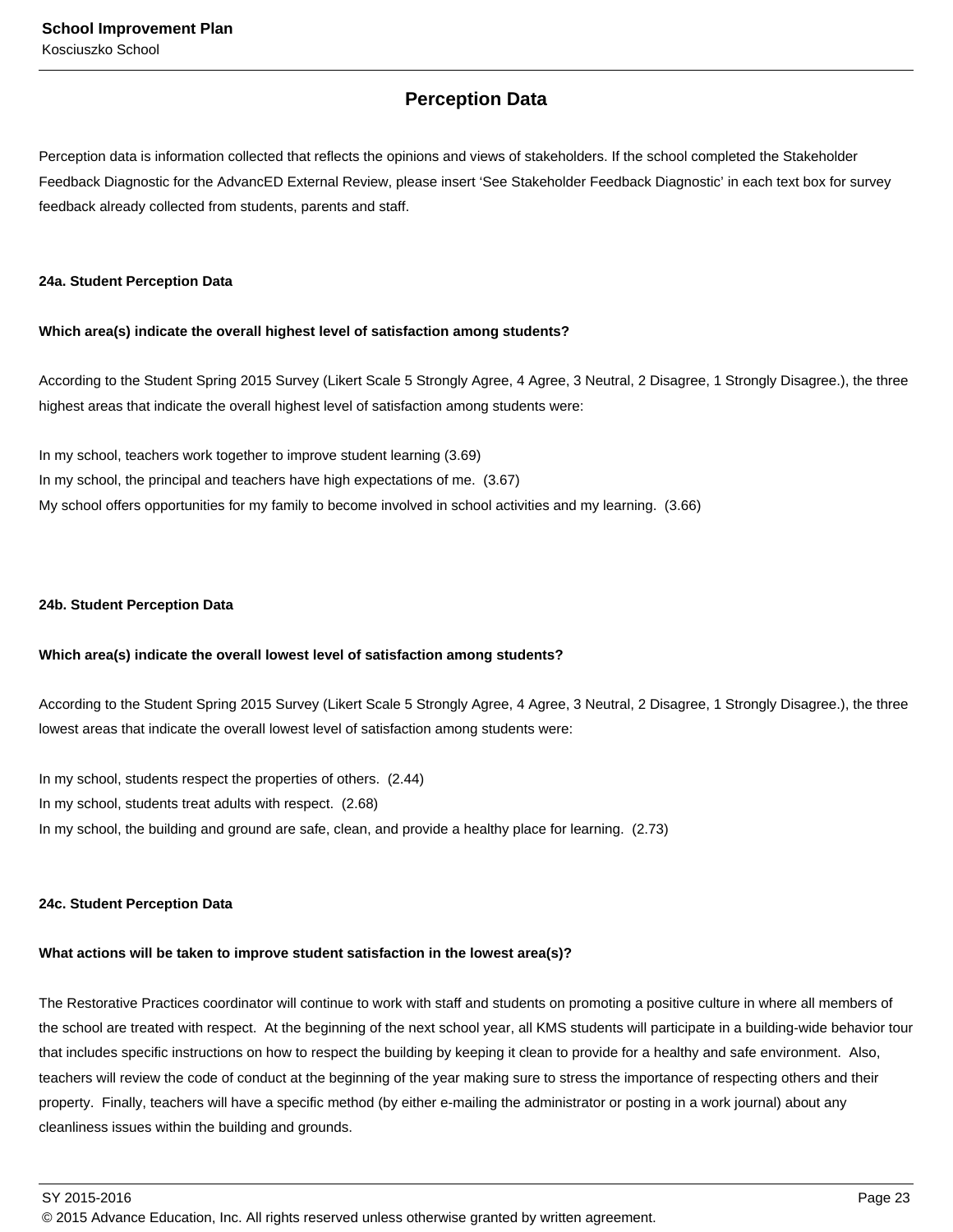## **Perception Data**

Perception data is information collected that reflects the opinions and views of stakeholders. If the school completed the Stakeholder Feedback Diagnostic for the AdvancED External Review, please insert 'See Stakeholder Feedback Diagnostic' in each text box for survey feedback already collected from students, parents and staff.

#### **24a. Student Perception Data**

#### **Which area(s) indicate the overall highest level of satisfaction among students?**

According to the Student Spring 2015 Survey (Likert Scale 5 Strongly Agree, 4 Agree, 3 Neutral, 2 Disagree, 1 Strongly Disagree.), the three highest areas that indicate the overall highest level of satisfaction among students were:

In my school, teachers work together to improve student learning (3.69) In my school, the principal and teachers have high expectations of me. (3.67) My school offers opportunities for my family to become involved in school activities and my learning. (3.66)

#### **24b. Student Perception Data**

#### **Which area(s) indicate the overall lowest level of satisfaction among students?**

According to the Student Spring 2015 Survey (Likert Scale 5 Strongly Agree, 4 Agree, 3 Neutral, 2 Disagree, 1 Strongly Disagree.), the three lowest areas that indicate the overall lowest level of satisfaction among students were:

In my school, students respect the properties of others. (2.44) In my school, students treat adults with respect. (2.68) In my school, the building and ground are safe, clean, and provide a healthy place for learning. (2.73)

#### **24c. Student Perception Data**

#### **What actions will be taken to improve student satisfaction in the lowest area(s)?**

The Restorative Practices coordinator will continue to work with staff and students on promoting a positive culture in where all members of the school are treated with respect. At the beginning of the next school year, all KMS students will participate in a building-wide behavior tour that includes specific instructions on how to respect the building by keeping it clean to provide for a healthy and safe environment. Also, teachers will review the code of conduct at the beginning of the year making sure to stress the importance of respecting others and their property. Finally, teachers will have a specific method (by either e-mailing the administrator or posting in a work journal) about any cleanliness issues within the building and grounds.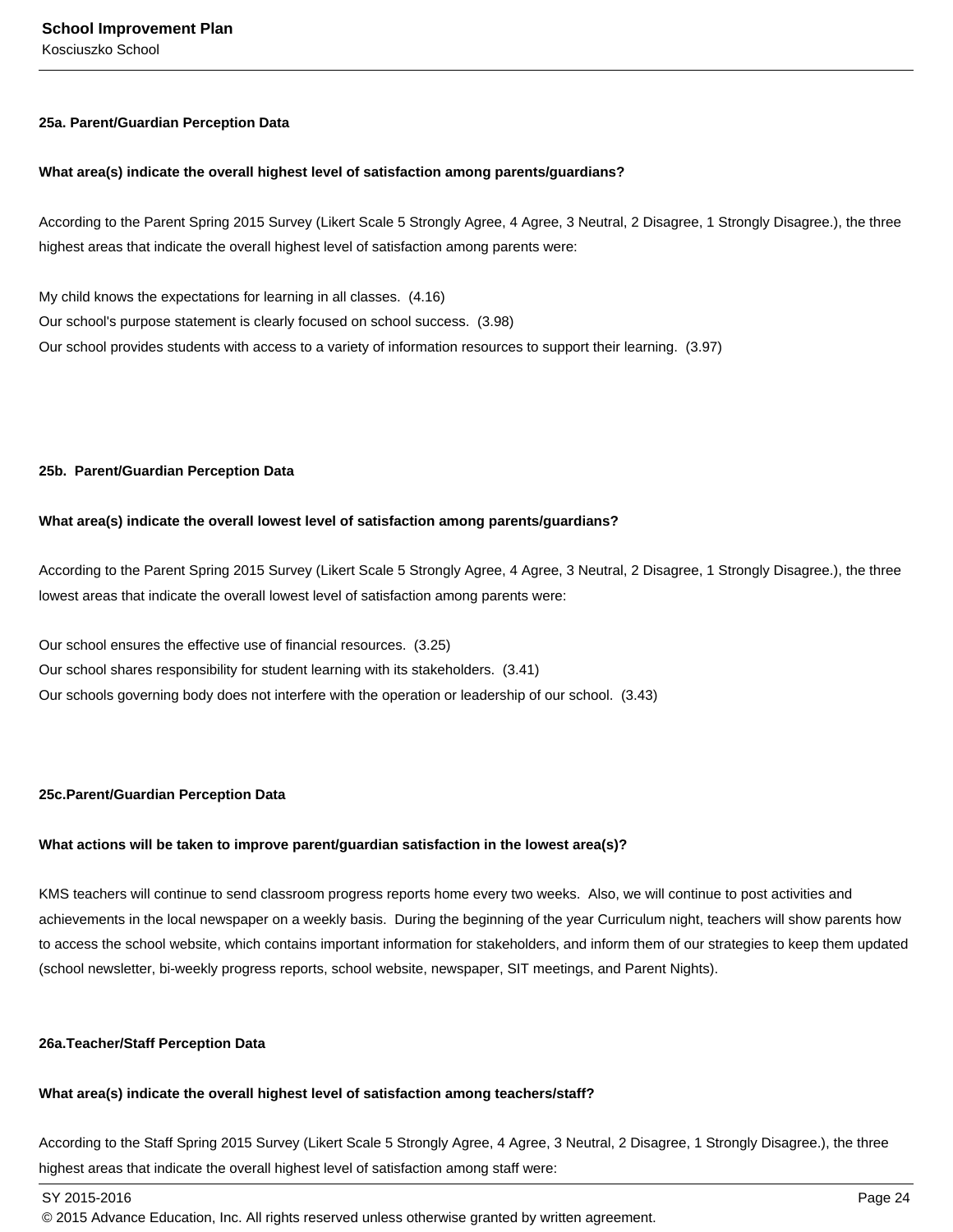## Kosciuszko School

#### **25a. Parent/Guardian Perception Data**

#### **What area(s) indicate the overall highest level of satisfaction among parents/guardians?**

According to the Parent Spring 2015 Survey (Likert Scale 5 Strongly Agree, 4 Agree, 3 Neutral, 2 Disagree, 1 Strongly Disagree.), the three highest areas that indicate the overall highest level of satisfaction among parents were:

My child knows the expectations for learning in all classes. (4.16) Our school's purpose statement is clearly focused on school success. (3.98) Our school provides students with access to a variety of information resources to support their learning. (3.97)

#### **25b. Parent/Guardian Perception Data**

#### **What area(s) indicate the overall lowest level of satisfaction among parents/guardians?**

According to the Parent Spring 2015 Survey (Likert Scale 5 Strongly Agree, 4 Agree, 3 Neutral, 2 Disagree, 1 Strongly Disagree.), the three lowest areas that indicate the overall lowest level of satisfaction among parents were:

Our school ensures the effective use of financial resources. (3.25) Our school shares responsibility for student learning with its stakeholders. (3.41) Our schools governing body does not interfere with the operation or leadership of our school. (3.43)

#### **25c. Parent/Guardian Perception Data**

#### **What actions will be taken to improve parent/guardian satisfaction in the lowest area(s)?**

KMS teachers will continue to send classroom progress reports home every two weeks. Also, we will continue to post activities and achievements in the local newspaper on a weekly basis. During the beginning of the year Curriculum night, teachers will show parents how to access the school website, which contains important information for stakeholders, and inform them of our strategies to keep them updated (school newsletter, bi-weekly progress reports, school website, newspaper, SIT meetings, and Parent Nights).

#### **26a. Teacher/Staff Perception Data**

### **What area(s) indicate the overall highest level of satisfaction among teachers/staff?**

According to the Staff Spring 2015 Survey (Likert Scale 5 Strongly Agree, 4 Agree, 3 Neutral, 2 Disagree, 1 Strongly Disagree.), the three highest areas that indicate the overall highest level of satisfaction among staff were:

SY 2015-2016 Page 24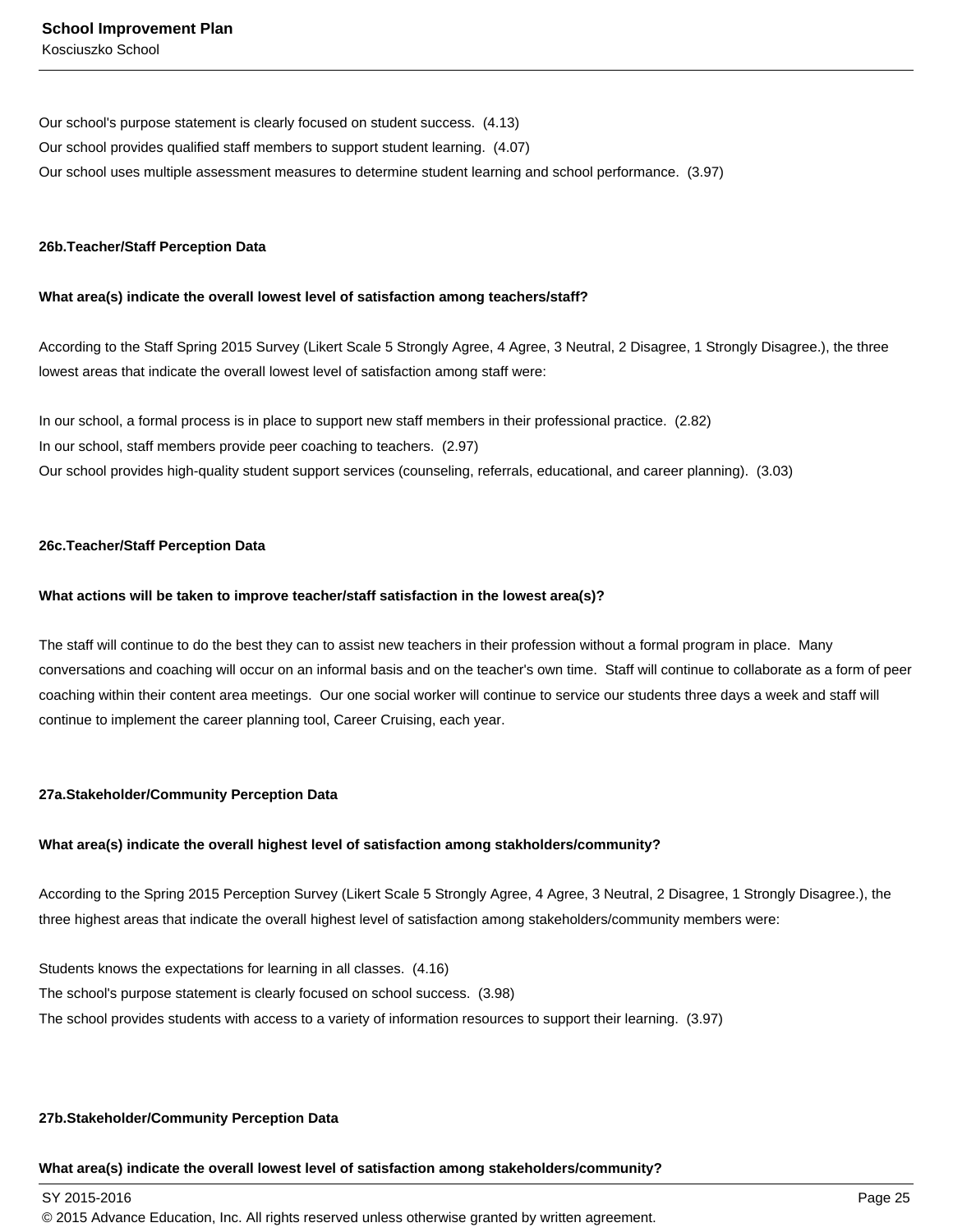Our school's purpose statement is clearly focused on student success. (4.13) Our school provides qualified staff members to support student learning. (4.07) Our school uses multiple assessment measures to determine student learning and school performance. (3.97)

#### **26b. Teacher/Staff Perception Data**

#### **What area(s) indicate the overall lowest level of satisfaction among teachers/staff?**

According to the Staff Spring 2015 Survey (Likert Scale 5 Strongly Agree, 4 Agree, 3 Neutral, 2 Disagree, 1 Strongly Disagree.), the three lowest areas that indicate the overall lowest level of satisfaction among staff were:

In our school, a formal process is in place to support new staff members in their professional practice. (2.82) In our school, staff members provide peer coaching to teachers. (2.97) Our school provides high-quality student support services (counseling, referrals, educational, and career planning). (3.03)

#### **26c. Teacher/Staff Perception Data**

#### **What actions will be taken to improve teacher/staff satisfaction in the lowest area(s)?**

The staff will continue to do the best they can to assist new teachers in their profession without a formal program in place. Many conversations and coaching will occur on an informal basis and on the teacher's own time. Staff will continue to collaborate as a form of peer coaching within their content area meetings. Our one social worker will continue to service our students three days a week and staff will continue to implement the career planning tool, Career Cruising, each year.

#### **27a. Stakeholder/Community Perception Data**

#### **What area(s) indicate the overall highest level of satisfaction among stakholders/community?**

According to the Spring 2015 Perception Survey (Likert Scale 5 Strongly Agree, 4 Agree, 3 Neutral, 2 Disagree, 1 Strongly Disagree.), the three highest areas that indicate the overall highest level of satisfaction among stakeholders/community members were:

Students knows the expectations for learning in all classes. (4.16) The school's purpose statement is clearly focused on school success. (3.98) The school provides students with access to a variety of information resources to support their learning. (3.97)

#### **27b. Stakeholder/Community Perception Data**

#### **What area(s) indicate the overall lowest level of satisfaction among stakeholders/community?**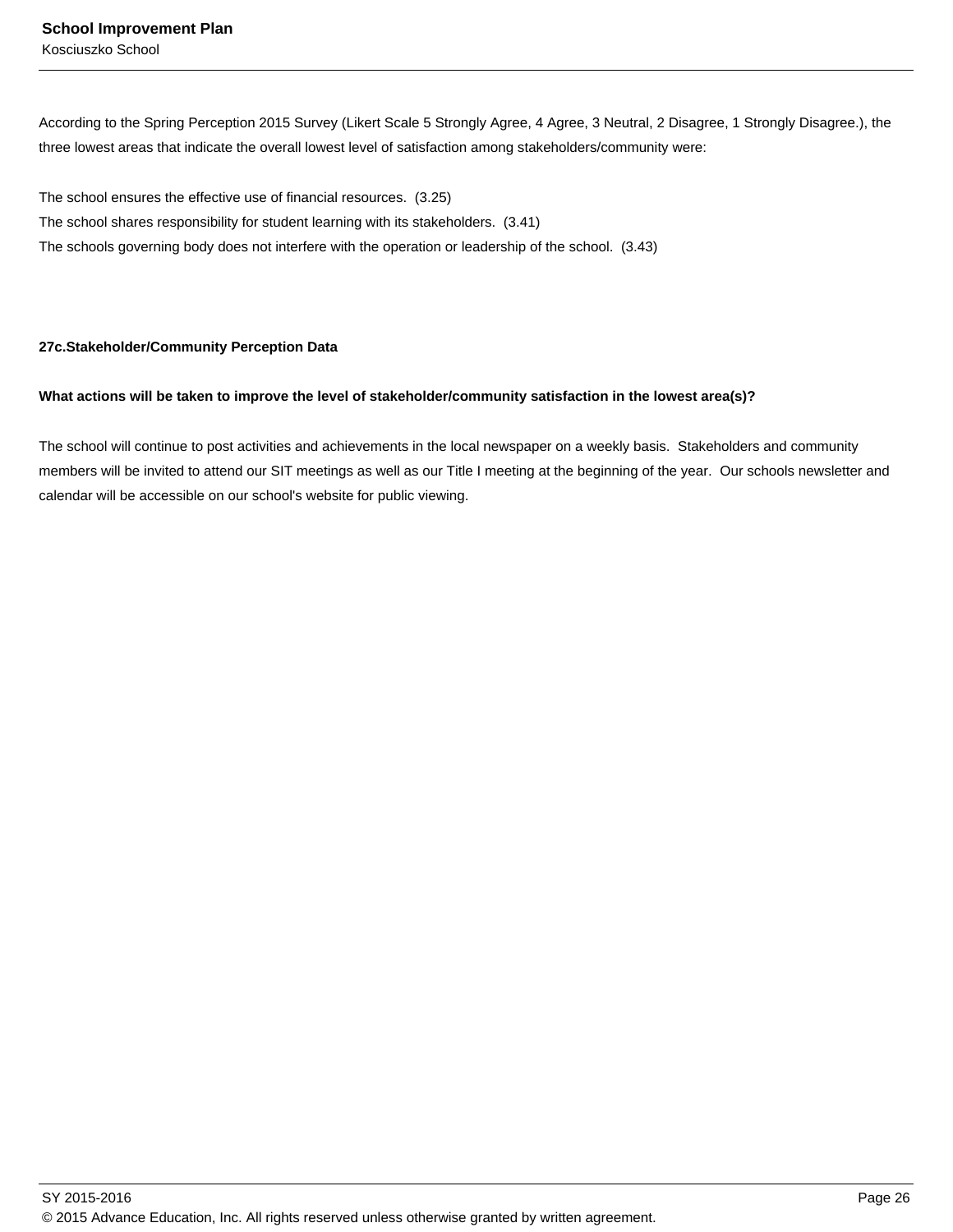According to the Spring Perception 2015 Survey (Likert Scale 5 Strongly Agree, 4 Agree, 3 Neutral, 2 Disagree, 1 Strongly Disagree.), the three lowest areas that indicate the overall lowest level of satisfaction among stakeholders/community were:

The school ensures the effective use of financial resources. (3.25) The school shares responsibility for student learning with its stakeholders. (3.41) The schools governing body does not interfere with the operation or leadership of the school. (3.43)

#### **27c. Stakeholder/Community Perception Data**

#### **What actions will be taken to improve the level of stakeholder/community satisfaction in the lowest area(s)?**

The school will continue to post activities and achievements in the local newspaper on a weekly basis. Stakeholders and community members will be invited to attend our SIT meetings as well as our Title I meeting at the beginning of the year. Our schools newsletter and calendar will be accessible on our school's website for public viewing.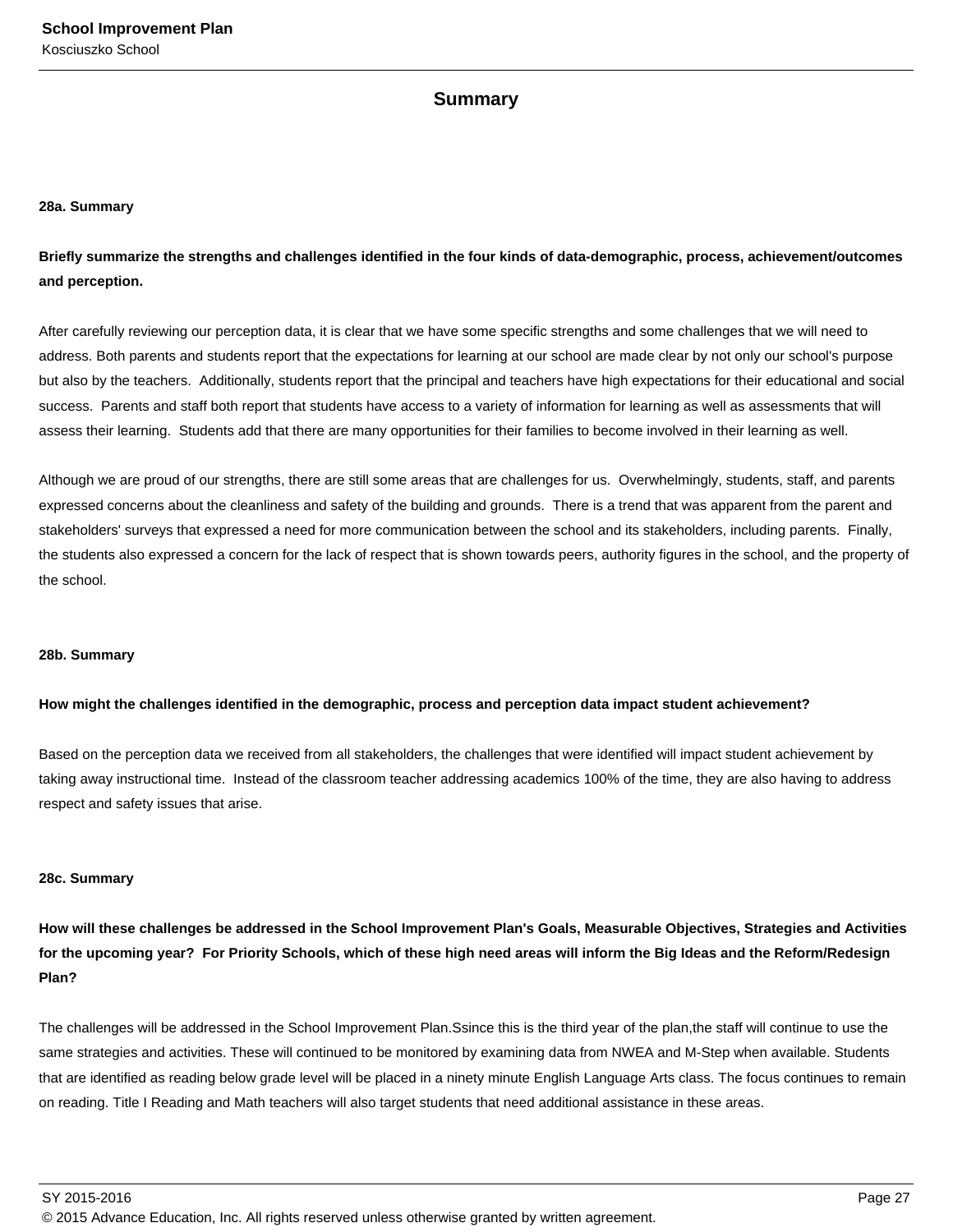### **Summary**

#### **28a. Summary**

**Briefly summarize the strengths and challenges identified in the four kinds of data-demographic, process, achievement/outcomes and perception.**

After carefully reviewing our perception data, it is clear that we have some specific strengths and some challenges that we will need to address. Both parents and students report that the expectations for learning at our school are made clear by not only our school's purpose but also by the teachers. Additionally, students report that the principal and teachers have high expectations for their educational and social success. Parents and staff both report that students have access to a variety of information for learning as well as assessments that will assess their learning. Students add that there are many opportunities for their families to become involved in their learning as well.

Although we are proud of our strengths, there are still some areas that are challenges for us. Overwhelmingly, students, staff, and parents expressed concerns about the cleanliness and safety of the building and grounds. There is a trend that was apparent from the parent and stakeholders' surveys that expressed a need for more communication between the school and its stakeholders, including parents. Finally, the students also expressed a concern for the lack of respect that is shown towards peers, authority figures in the school, and the property of the school.

#### **28b. Summary**

#### **How might the challenges identified in the demographic, process and perception data impact student achievement?**

Based on the perception data we received from all stakeholders, the challenges that were identified will impact student achievement by taking away instructional time. Instead of the classroom teacher addressing academics 100% of the time, they are also having to address respect and safety issues that arise.

#### **28c. Summary**

**How will these challenges be addressed in the School Improvement Plan's Goals, Measurable Objectives, Strategies and Activities for the upcoming year? For Priority Schools, which of these high need areas will inform the Big Ideas and the Reform/Redesign Plan?**

The challenges will be addressed in the School Improvement Plan.Ssince this is the third year of the plan,the staff will continue to use the same strategies and activities. These will continued to be monitored by examining data from NWEA and M-Step when available. Students that are identified as reading below grade level will be placed in a ninety minute English Language Arts class. The focus continues to remain on reading. Title I Reading and Math teachers will also target students that need additional assistance in these areas.

SY 2015-2016 Page 27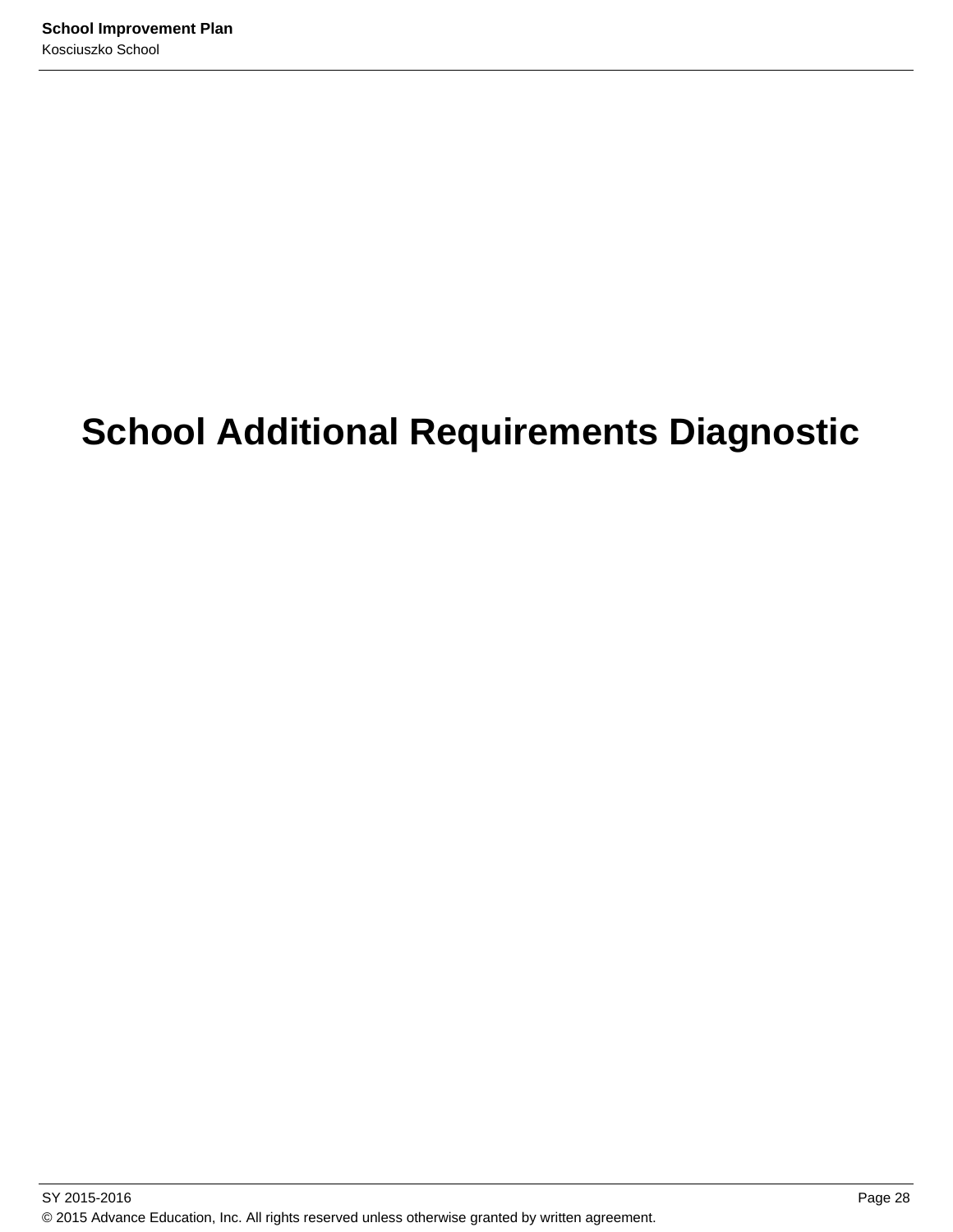# **School Additional Requirements Diagnostic**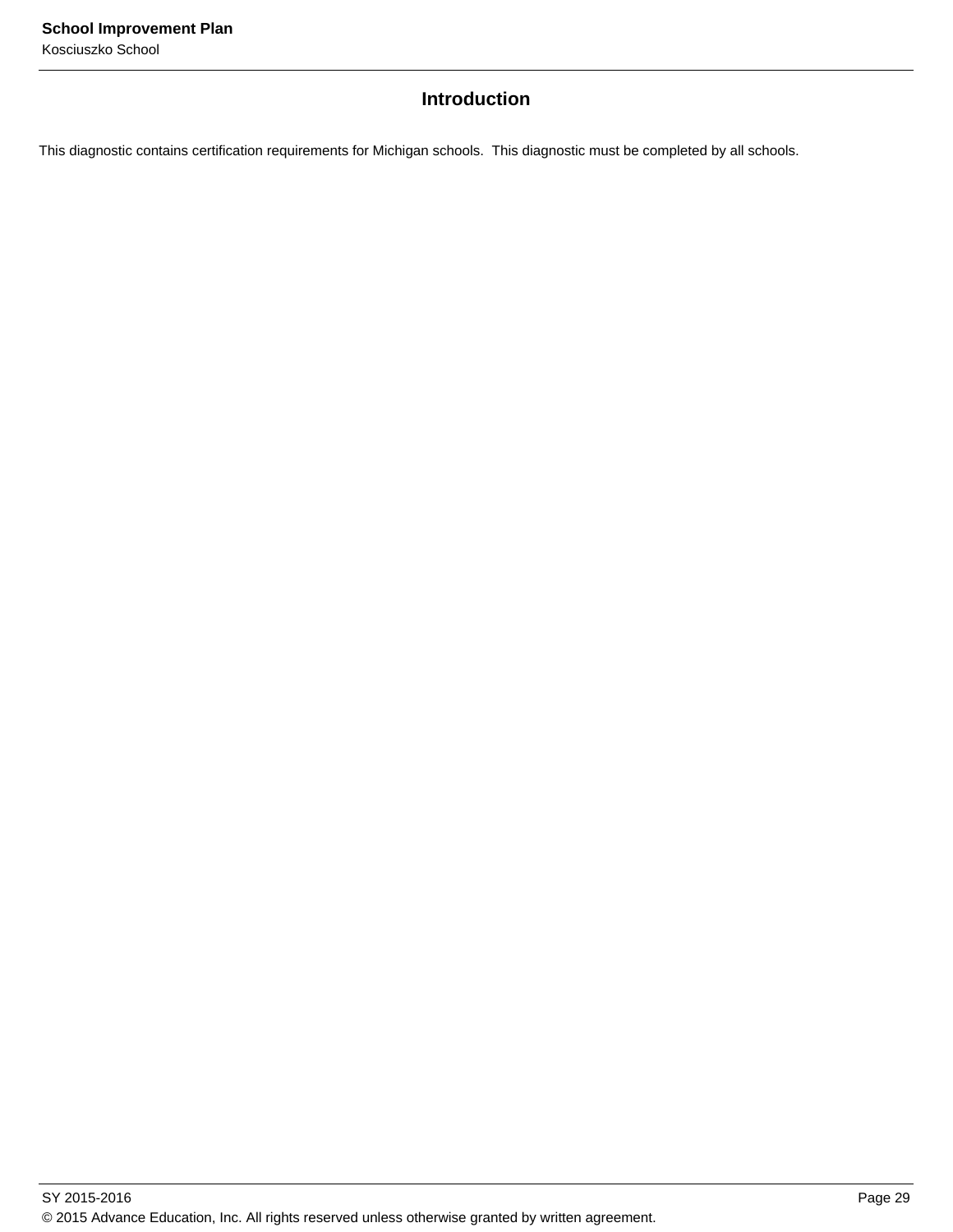## **Introduction**

This diagnostic contains certification requirements for Michigan schools. This diagnostic must be completed by all schools.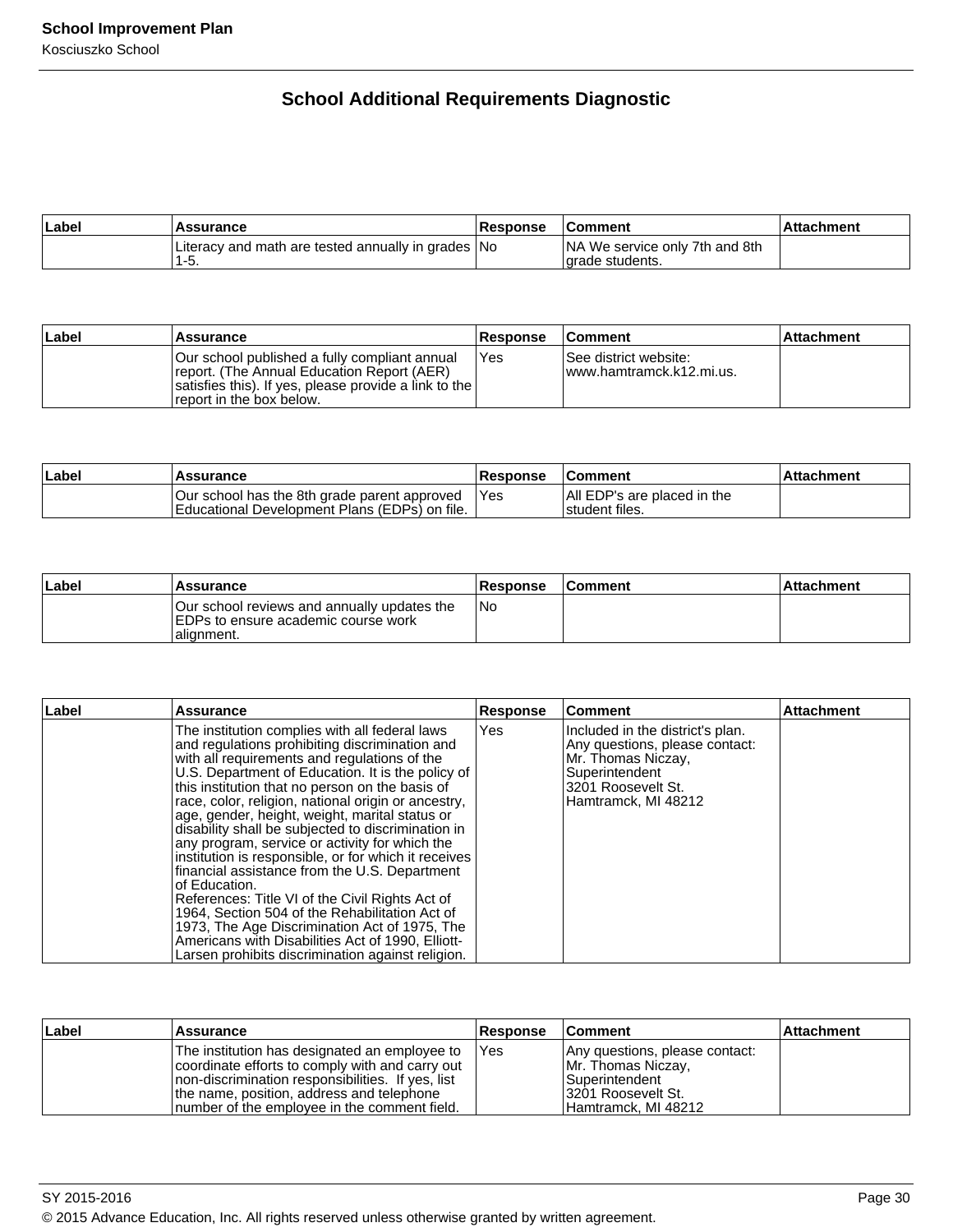## **School Additional Requirements Diagnostic**

| ∣Label | Assurance                                                  | <b>Response</b> | <b>Comment</b>                                            | Attachment |
|--------|------------------------------------------------------------|-----------------|-----------------------------------------------------------|------------|
|        | Literacy and math are tested annually in grades No<br>1-5. |                 | <b>NA We service only 7th and 8th</b><br>larade students. |            |

| ∣Label | Assurance                                                                                                                                                                         | <b>Response</b> | <b>Comment</b>                                     | <b>Attachment</b> |
|--------|-----------------------------------------------------------------------------------------------------------------------------------------------------------------------------------|-----------------|----------------------------------------------------|-------------------|
|        | Our school published a fully compliant annual<br>report. (The Annual Education Report (AER)<br>satisfies this). If yes, please provide a link to the<br>freport in the box below. | Yes             | See district website:<br>Iwww.hamtramck.k12.mi.us. |                   |

| Label | <b>Assurance</b>                                                                                      | <b>Response</b> | <b>Comment</b>                                   | ⊺Attachment |
|-------|-------------------------------------------------------------------------------------------------------|-----------------|--------------------------------------------------|-------------|
|       | Our school has the 8th grade parent approved<br><b>IEducational Development Plans (EDPs) on file.</b> | 'Yes            | IAII EDP's are placed in the<br>I student files. |             |

| Label | Assurance                                                                                          | Response | <b>Comment</b> | l Attachment |
|-------|----------------------------------------------------------------------------------------------------|----------|----------------|--------------|
|       | Our school reviews and annually updates the<br>IEDPs to ensure academic course work<br>lalignment. | INo.     |                |              |

| Label | Assurance                                                                                                                                                                                                                                                                                                                                                                                                                                                                                                                                                                                                                                                                                                                                                                                                                                                           | <b>Response</b> | ∣Comment                                                                                                                                                | <b>Attachment</b> |
|-------|---------------------------------------------------------------------------------------------------------------------------------------------------------------------------------------------------------------------------------------------------------------------------------------------------------------------------------------------------------------------------------------------------------------------------------------------------------------------------------------------------------------------------------------------------------------------------------------------------------------------------------------------------------------------------------------------------------------------------------------------------------------------------------------------------------------------------------------------------------------------|-----------------|---------------------------------------------------------------------------------------------------------------------------------------------------------|-------------------|
|       | The institution complies with all federal laws<br>and regulations prohibiting discrimination and<br>with all requirements and regulations of the<br>U.S. Department of Education. It is the policy of<br>this institution that no person on the basis of<br>race, color, religion, national origin or ancestry,<br>age, gender, height, weight, marital status or<br>disability shall be subjected to discrimination in<br>any program, service or activity for which the<br>institution is responsible, or for which it receives<br>financial assistance from the U.S. Department<br>of Education.<br>References: Title VI of the Civil Rights Act of<br>1964, Section 504 of the Rehabilitation Act of<br>1973, The Age Discrimination Act of 1975, The<br>Americans with Disabilities Act of 1990, Elliott-<br>Larsen prohibits discrimination against religion. | <b>Yes</b>      | Included in the district's plan.<br>Any questions, please contact:<br>Mr. Thomas Niczay,<br>Superintendent<br>3201 Roosevelt St.<br>Hamtramck, MI 48212 |                   |

| ∣Label | Assurance                                                                                                                                                                                                                                            | <b>Response</b> | <b>Comment</b>                                                                                                              | <b>Attachment</b> |
|--------|------------------------------------------------------------------------------------------------------------------------------------------------------------------------------------------------------------------------------------------------------|-----------------|-----------------------------------------------------------------------------------------------------------------------------|-------------------|
|        | The institution has designated an employee to<br>coordinate efforts to comply with and carry out<br>Inon-discrimination responsibilities. If yes, list<br>the name, position, address and telephone<br>Inumber of the employee in the comment field. | <b>IYes</b>     | Any questions, please contact:<br>Mr. Thomas Niczay,<br><b>Superintendent</b><br>13201 Roosevelt St.<br>Hamtramck, MI 48212 |                   |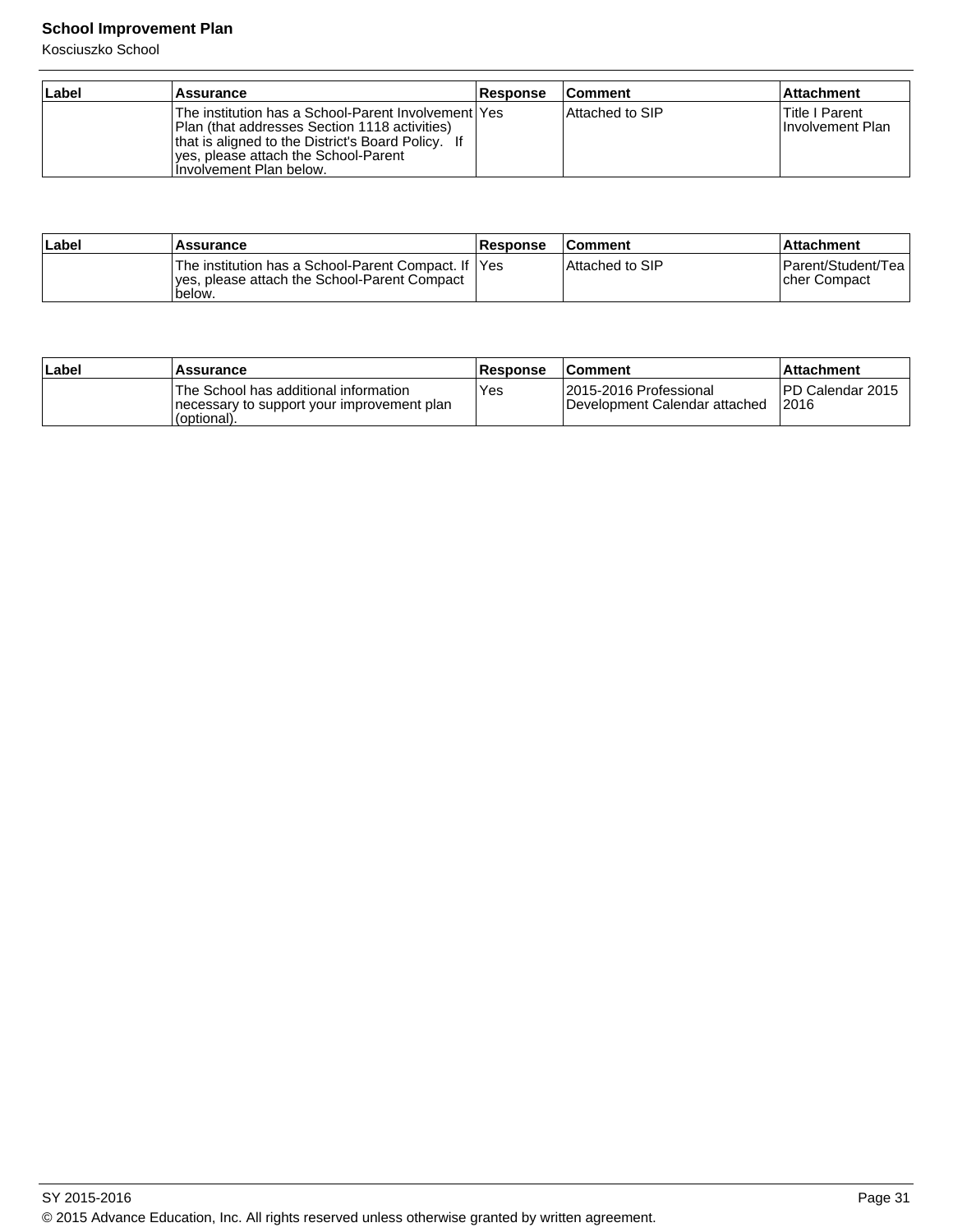## **School Improvement Plan**

Kosciuszko School

| ∣Label | <b>Assurance</b>                                                                                                                                                                                                                 | <b>Response</b> | <b>Comment</b>  | ∣Attachment                         |
|--------|----------------------------------------------------------------------------------------------------------------------------------------------------------------------------------------------------------------------------------|-----------------|-----------------|-------------------------------------|
|        | The institution has a School-Parent Involvement lYes<br>Plan (that addresses Section 1118 activities)<br>that is aligned to the District's Board Policy. If<br>Ives, please attach the School-Parent<br>Ilnvolvement Plan below. |                 | Attached to SIP | lTitle I Parent<br>Involvement Plan |

| ∣Label | Assurance                                                                                                       | <b>Response</b> | <b>Comment</b>    | ∣Attachment                         |
|--------|-----------------------------------------------------------------------------------------------------------------|-----------------|-------------------|-------------------------------------|
|        | The institution has a School-Parent Compact. If  Yes<br>yes, please attach the School-Parent Compact<br>'below. |                 | l Attached to SIP | Parent/Student/Tea<br>Icher Compact |

| ∣Label | Assurance                                                                                            | <b>Response</b> | <b>Comment</b>                                           | ⊺Attachment                |
|--------|------------------------------------------------------------------------------------------------------|-----------------|----------------------------------------------------------|----------------------------|
|        | The School has additional information<br>Inecessary to support your improvement plan<br>'(optional). | Yes             | 12015-2016 Professional<br>Development Calendar attached | IPD Calendar 2015<br>12016 |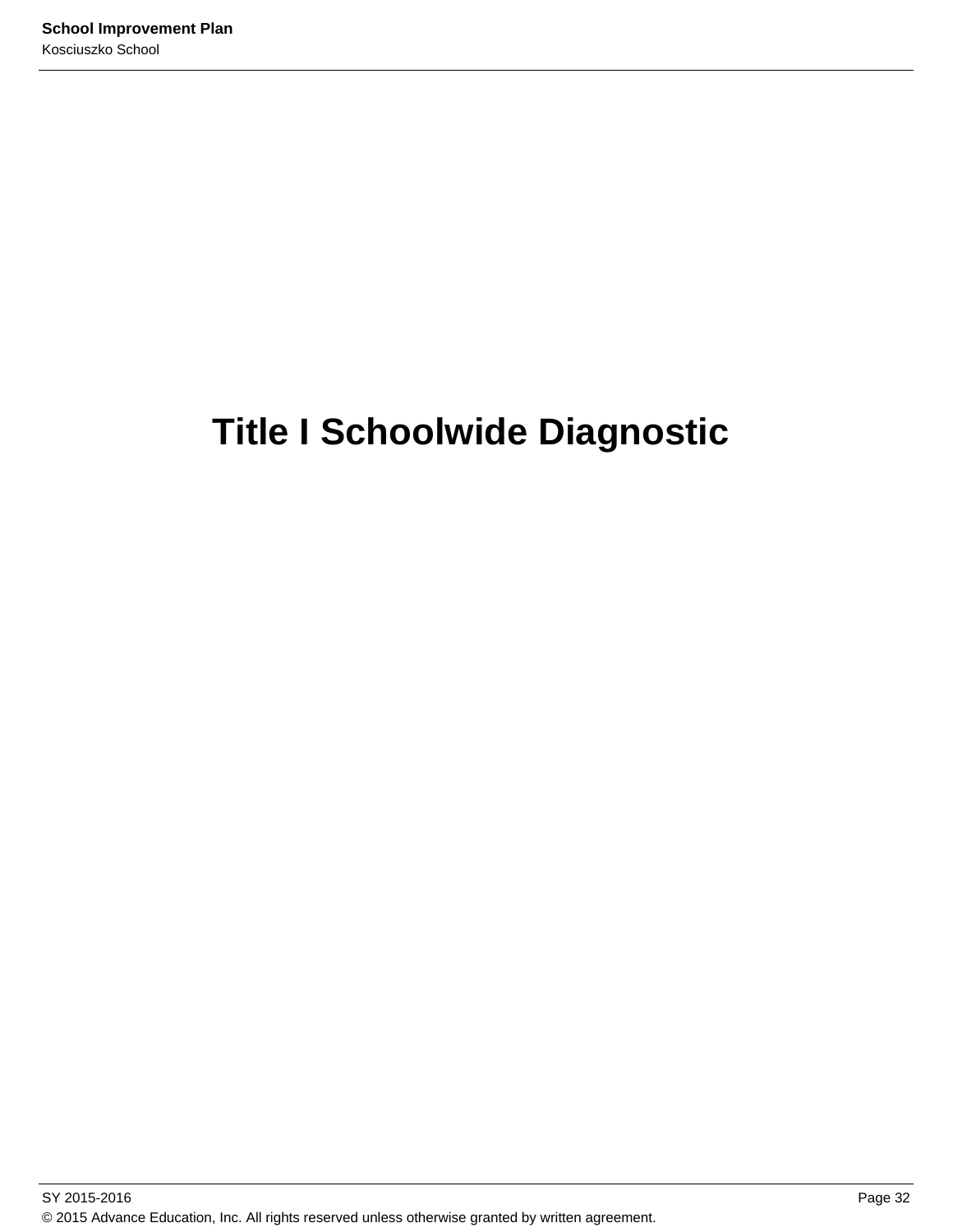# **Title I Schoolwide Diagnostic**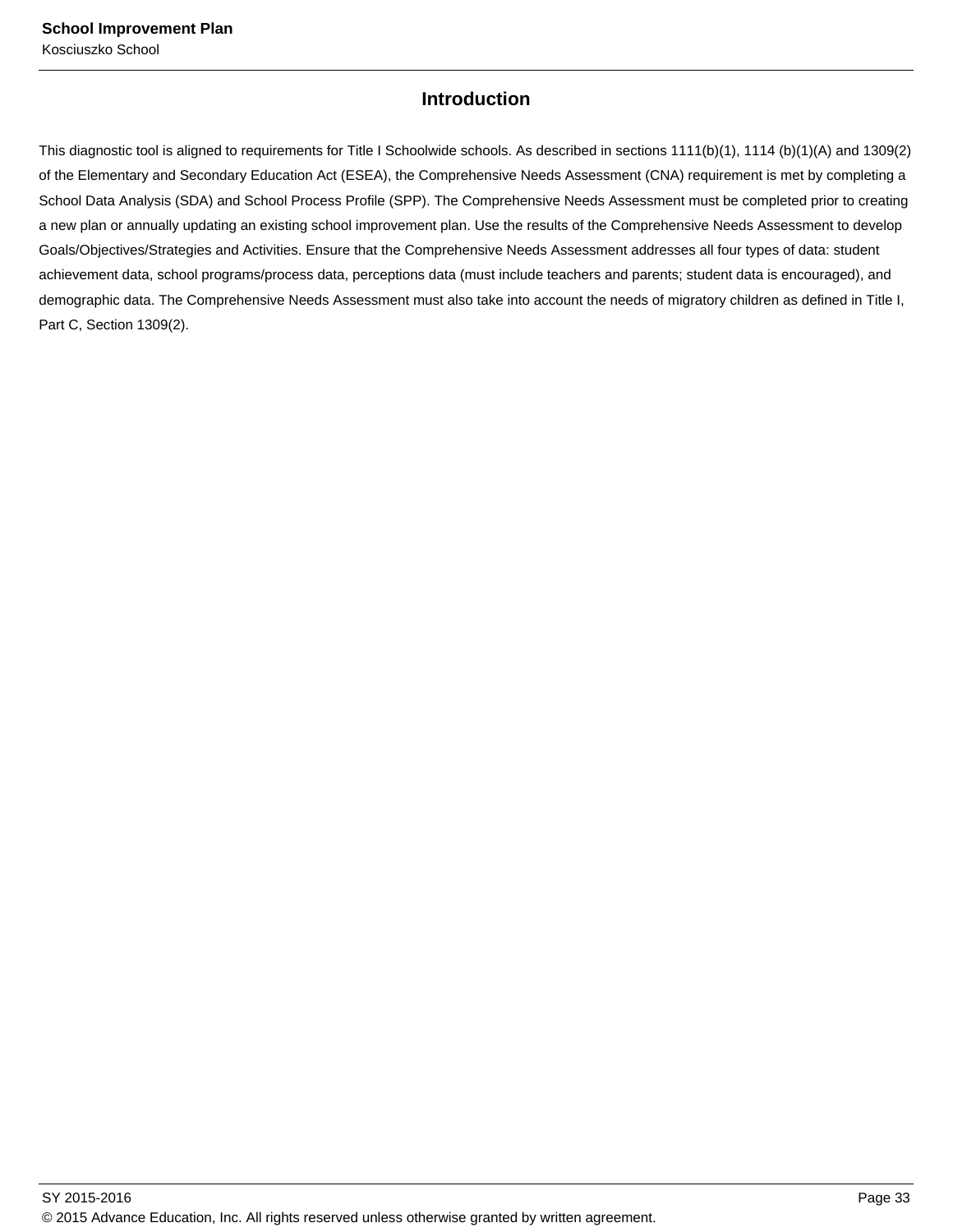### **Introduction**

This diagnostic tool is aligned to requirements for Title I Schoolwide schools. As described in sections 1111(b)(1), 1114 (b)(1)(A) and 1309(2) of the Elementary and Secondary Education Act (ESEA), the Comprehensive Needs Assessment (CNA) requirement is met by completing a School Data Analysis (SDA) and School Process Profile (SPP). The Comprehensive Needs Assessment must be completed prior to creating a new plan or annually updating an existing school improvement plan. Use the results of the Comprehensive Needs Assessment to develop Goals/Objectives/Strategies and Activities. Ensure that the Comprehensive Needs Assessment addresses all four types of data: student achievement data, school programs/process data, perceptions data (must include teachers and parents; student data is encouraged), and demographic data. The Comprehensive Needs Assessment must also take into account the needs of migratory children as defined in Title I, Part C, Section 1309(2).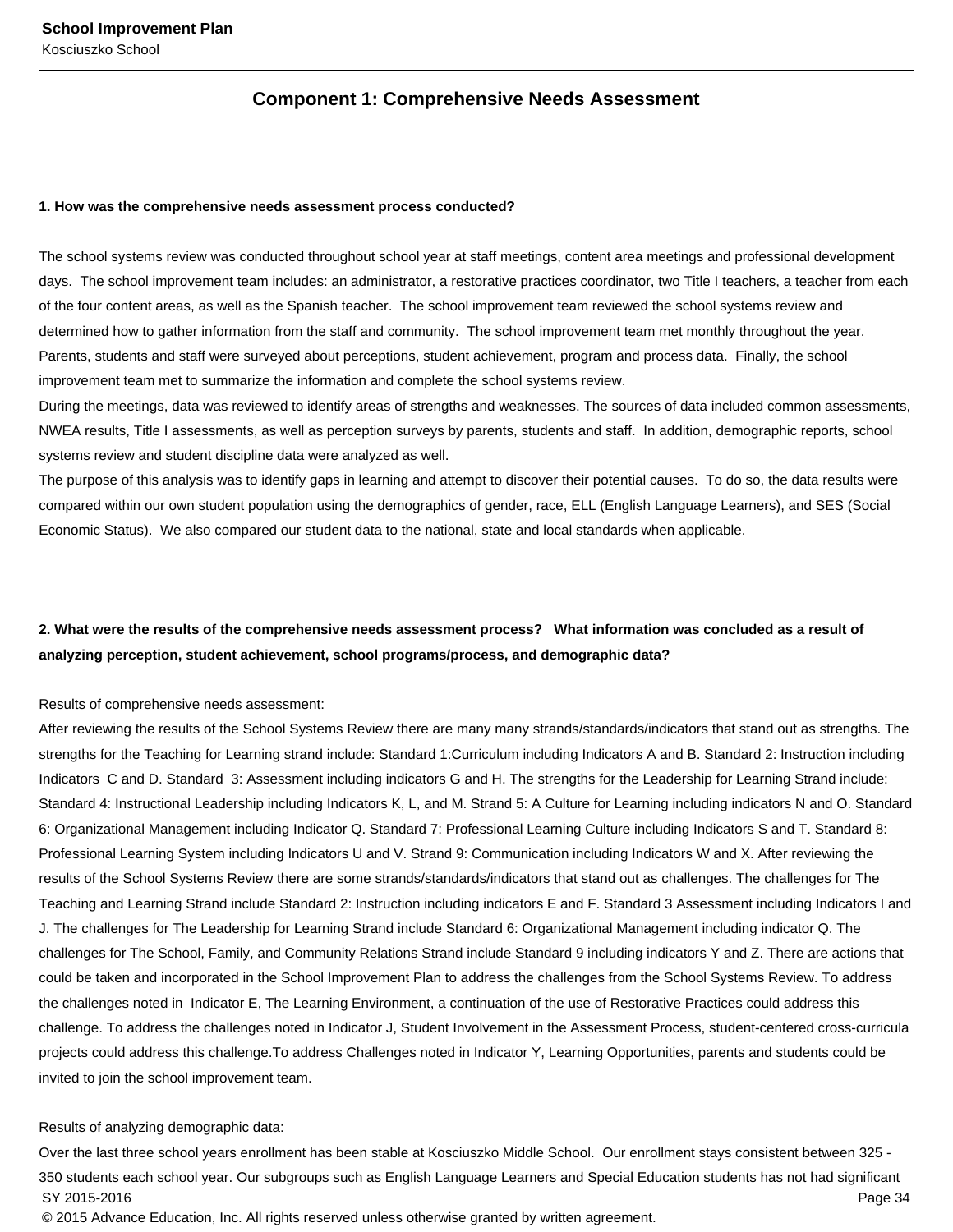### **Component 1: Comprehensive Needs Assessment**

#### **1. How was the comprehensive needs assessment process conducted?**

The school systems review was conducted throughout school year at staff meetings, content area meetings and professional development days. The school improvement team includes: an administrator, a restorative practices coordinator, two Title I teachers, a teacher from each of the four content areas, as well as the Spanish teacher. The school improvement team reviewed the school systems review and determined how to gather information from the staff and community. The school improvement team met monthly throughout the year. Parents, students and staff were surveyed about perceptions, student achievement, program and process data. Finally, the school improvement team met to summarize the information and complete the school systems review.

During the meetings, data was reviewed to identify areas of strengths and weaknesses. The sources of data included common assessments, NWEA results, Title I assessments, as well as perception surveys by parents, students and staff. In addition, demographic reports, school systems review and student discipline data were analyzed as well.

The purpose of this analysis was to identify gaps in learning and attempt to discover their potential causes. To do so, the data results were compared within our own student population using the demographics of gender, race, ELL (English Language Learners), and SES (Social Economic Status). We also compared our student data to the national, state and local standards when applicable.

### **2. What were the results of the comprehensive needs assessment process? What information was concluded as a result of analyzing perception, student achievement, school programs/process, and demographic data?**

#### Results of comprehensive needs assessment:

After reviewing the results of the School Systems Review there are many many strands/standards/indicators that stand out as strengths. The strengths for the Teaching for Learning strand include: Standard 1:Curriculum including Indicators A and B. Standard 2: Instruction including Indicators C and D. Standard 3: Assessment including indicators G and H. The strengths for the Leadership for Learning Strand include: Standard 4: Instructional Leadership including Indicators K, L, and M. Strand 5: A Culture for Learning including indicators N and O. Standard 6: Organizational Management including Indicator Q. Standard 7: Professional Learning Culture including Indicators S and T. Standard 8: Professional Learning System including Indicators U and V. Strand 9: Communication including Indicators W and X. After reviewing the results of the School Systems Review there are some strands/standards/indicators that stand out as challenges. The challenges for The Teaching and Learning Strand include Standard 2: Instruction including indicators E and F. Standard 3 Assessment including Indicators I and J. The challenges for The Leadership for Learning Strand include Standard 6: Organizational Management including indicator Q. The challenges for The School, Family, and Community Relations Strand include Standard 9 including indicators Y and Z. There are actions that could be taken and incorporated in the School Improvement Plan to address the challenges from the School Systems Review. To address the challenges noted in Indicator E, The Learning Environment, a continuation of the use of Restorative Practices could address this challenge. To address the challenges noted in Indicator J, Student Involvement in the Assessment Process, student-centered cross-curricula projects could address this challenge.To address Challenges noted in Indicator Y, Learning Opportunities, parents and students could be invited to join the school improvement team.

#### Results of analyzing demographic data:

Over the last three school years enrollment has been stable at Kosciuszko Middle School. Our enrollment stays consistent between 325 - 350 students each school year. Our subgroups such as English Language Learners and Special Education students has not had significant SY 2015-2016 Page 34 © 2015 Advance Education, Inc. All rights reserved unless otherwise granted by written agreement.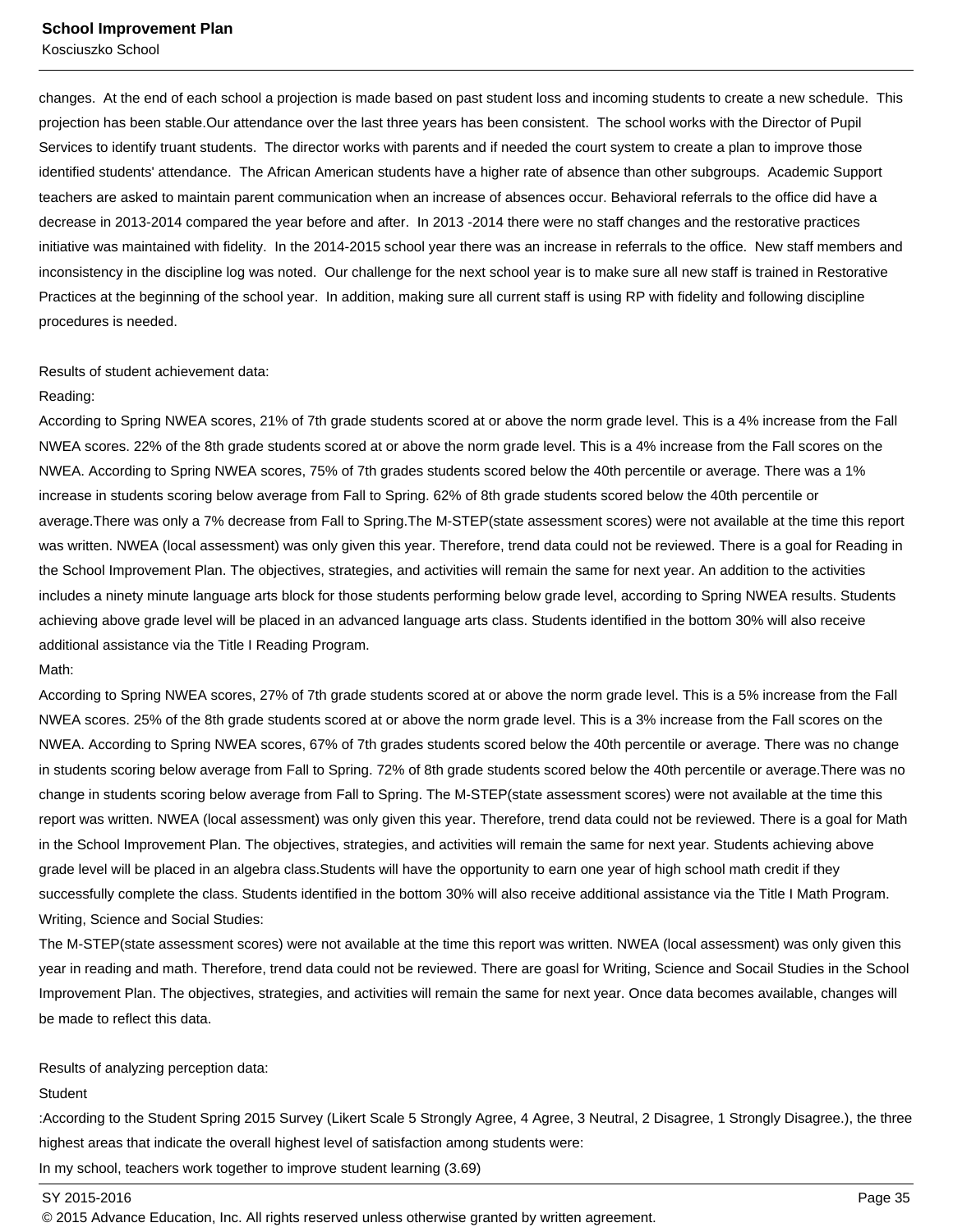changes. At the end of each school a projection is made based on past student loss and incoming students to create a new schedule. This projection has been stable.Our attendance over the last three years has been consistent. The school works with the Director of Pupil Services to identify truant students. The director works with parents and if needed the court system to create a plan to improve those identified students' attendance. The African American students have a higher rate of absence than other subgroups. Academic Support teachers are asked to maintain parent communication when an increase of absences occur. Behavioral referrals to the office did have a decrease in 2013-2014 compared the year before and after. In 2013 -2014 there were no staff changes and the restorative practices initiative was maintained with fidelity. In the 2014-2015 school year there was an increase in referrals to the office. New staff members and inconsistency in the discipline log was noted. Our challenge for the next school year is to make sure all new staff is trained in Restorative Practices at the beginning of the school year. In addition, making sure all current staff is using RP with fidelity and following discipline procedures is needed.

### Results of student achievement data:

#### Reading:

According to Spring NWEA scores, 21% of 7th grade students scored at or above the norm grade level. This is a 4% increase from the Fall NWEA scores. 22% of the 8th grade students scored at or above the norm grade level. This is a 4% increase from the Fall scores on the NWEA. According to Spring NWEA scores, 75% of 7th grades students scored below the 40th percentile or average. There was a 1% increase in students scoring below average from Fall to Spring. 62% of 8th grade students scored below the 40th percentile or average.There was only a 7% decrease from Fall to Spring.The M-STEP(state assessment scores) were not available at the time this report was written. NWEA (local assessment) was only given this year. Therefore, trend data could not be reviewed. There is a goal for Reading in the School Improvement Plan. The objectives, strategies, and activities will remain the same for next year. An addition to the activities includes a ninety minute language arts block for those students performing below grade level, according to Spring NWEA results. Students achieving above grade level will be placed in an advanced language arts class. Students identified in the bottom 30% will also receive additional assistance via the Title I Reading Program.

#### Math:

According to Spring NWEA scores, 27% of 7th grade students scored at or above the norm grade level. This is a 5% increase from the Fall NWEA scores. 25% of the 8th grade students scored at or above the norm grade level. This is a 3% increase from the Fall scores on the NWEA. According to Spring NWEA scores, 67% of 7th grades students scored below the 40th percentile or average. There was no change in students scoring below average from Fall to Spring. 72% of 8th grade students scored below the 40th percentile or average.There was no change in students scoring below average from Fall to Spring. The M-STEP(state assessment scores) were not available at the time this report was written. NWEA (local assessment) was only given this year. Therefore, trend data could not be reviewed. There is a goal for Math in the School Improvement Plan. The objectives, strategies, and activities will remain the same for next year. Students achieving above grade level will be placed in an algebra class.Students will have the opportunity to earn one year of high school math credit if they successfully complete the class. Students identified in the bottom 30% will also receive additional assistance via the Title I Math Program. Writing, Science and Social Studies:

The M-STEP(state assessment scores) were not available at the time this report was written. NWEA (local assessment) was only given this year in reading and math. Therefore, trend data could not be reviewed. There are goasl for Writing, Science and Socail Studies in the School Improvement Plan. The objectives, strategies, and activities will remain the same for next year. Once data becomes available, changes will be made to reflect this data.

#### Results of analyzing perception data:

#### **Student**

:According to the Student Spring 2015 Survey (Likert Scale 5 Strongly Agree, 4 Agree, 3 Neutral, 2 Disagree, 1 Strongly Disagree.), the three highest areas that indicate the overall highest level of satisfaction among students were:

In my school, teachers work together to improve student learning (3.69)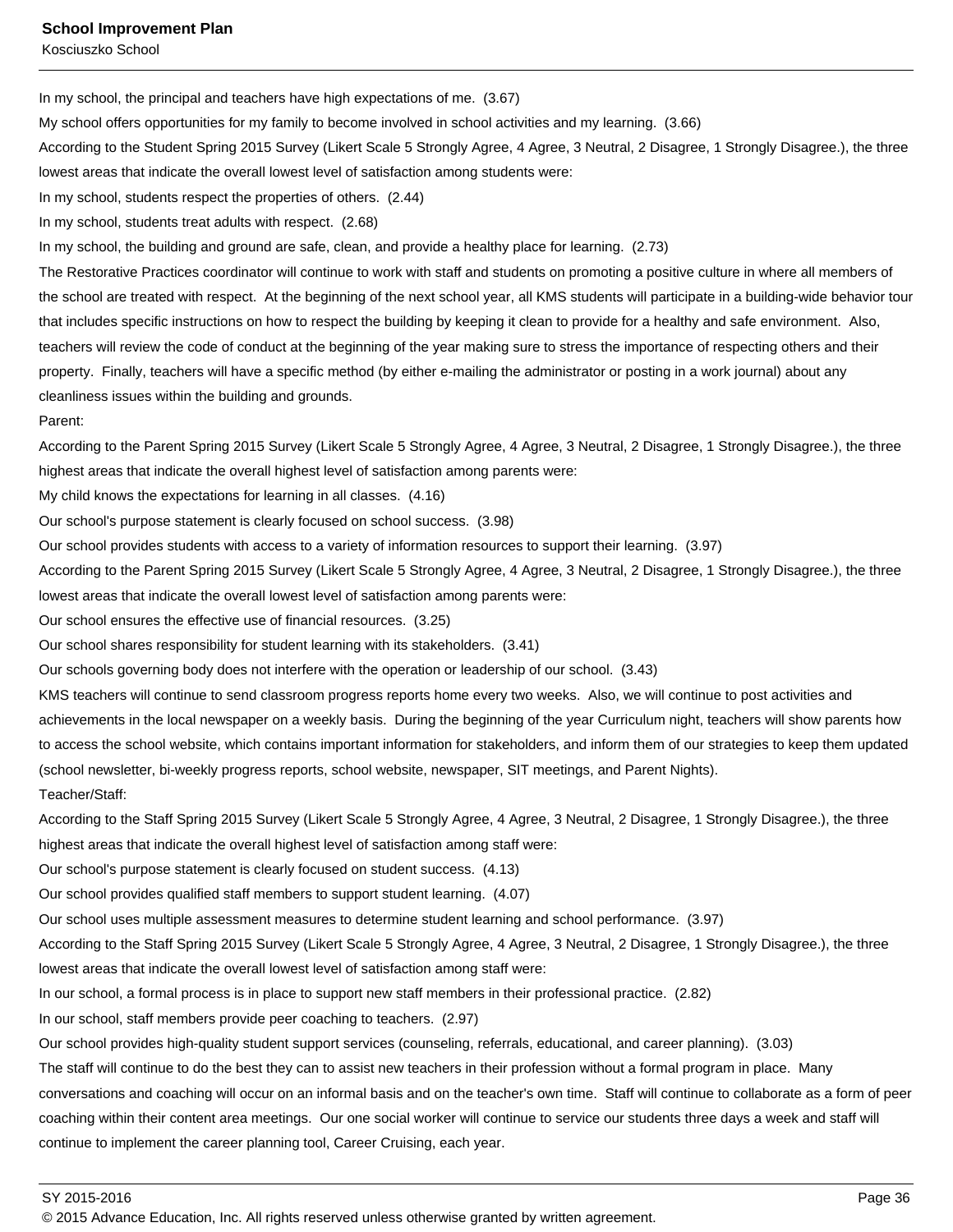**School Improvement Plan**

Kosciuszko School

In my school, the principal and teachers have high expectations of me. (3.67)

My school offers opportunities for my family to become involved in school activities and my learning. (3.66)

According to the Student Spring 2015 Survey (Likert Scale 5 Strongly Agree, 4 Agree, 3 Neutral, 2 Disagree, 1 Strongly Disagree.), the three lowest areas that indicate the overall lowest level of satisfaction among students were:

In my school, students respect the properties of others. (2.44)

In my school, students treat adults with respect. (2.68)

In my school, the building and ground are safe, clean, and provide a healthy place for learning. (2.73)

The Restorative Practices coordinator will continue to work with staff and students on promoting a positive culture in where all members of the school are treated with respect. At the beginning of the next school year, all KMS students will participate in a building-wide behavior tour that includes specific instructions on how to respect the building by keeping it clean to provide for a healthy and safe environment. Also, teachers will review the code of conduct at the beginning of the year making sure to stress the importance of respecting others and their property. Finally, teachers will have a specific method (by either e-mailing the administrator or posting in a work journal) about any cleanliness issues within the building and grounds.

### Parent:

According to the Parent Spring 2015 Survey (Likert Scale 5 Strongly Agree, 4 Agree, 3 Neutral, 2 Disagree, 1 Strongly Disagree.), the three highest areas that indicate the overall highest level of satisfaction among parents were:

My child knows the expectations for learning in all classes. (4.16)

Our school's purpose statement is clearly focused on school success. (3.98)

Our school provides students with access to a variety of information resources to support their learning. (3.97)

According to the Parent Spring 2015 Survey (Likert Scale 5 Strongly Agree, 4 Agree, 3 Neutral, 2 Disagree, 1 Strongly Disagree.), the three lowest areas that indicate the overall lowest level of satisfaction among parents were:

Our school ensures the effective use of financial resources. (3.25)

Our school shares responsibility for student learning with its stakeholders. (3.41)

Our schools governing body does not interfere with the operation or leadership of our school. (3.43)

KMS teachers will continue to send classroom progress reports home every two weeks. Also, we will continue to post activities and

achievements in the local newspaper on a weekly basis. During the beginning of the year Curriculum night, teachers will show parents how to access the school website, which contains important information for stakeholders, and inform them of our strategies to keep them updated (school newsletter, bi-weekly progress reports, school website, newspaper, SIT meetings, and Parent Nights). Teacher/Staff:

According to the Staff Spring 2015 Survey (Likert Scale 5 Strongly Agree, 4 Agree, 3 Neutral, 2 Disagree, 1 Strongly Disagree.), the three highest areas that indicate the overall highest level of satisfaction among staff were:

Our school's purpose statement is clearly focused on student success. (4.13)

Our school provides qualified staff members to support student learning. (4.07)

Our school uses multiple assessment measures to determine student learning and school performance. (3.97)

According to the Staff Spring 2015 Survey (Likert Scale 5 Strongly Agree, 4 Agree, 3 Neutral, 2 Disagree, 1 Strongly Disagree.), the three lowest areas that indicate the overall lowest level of satisfaction among staff were:

In our school, a formal process is in place to support new staff members in their professional practice. (2.82)

In our school, staff members provide peer coaching to teachers. (2.97)

Our school provides high-quality student support services (counseling, referrals, educational, and career planning). (3.03)

The staff will continue to do the best they can to assist new teachers in their profession without a formal program in place. Many

conversations and coaching will occur on an informal basis and on the teacher's own time. Staff will continue to collaborate as a form of peer coaching within their content area meetings. Our one social worker will continue to service our students three days a week and staff will continue to implement the career planning tool, Career Cruising, each year.

SY 2015-2016 Page 36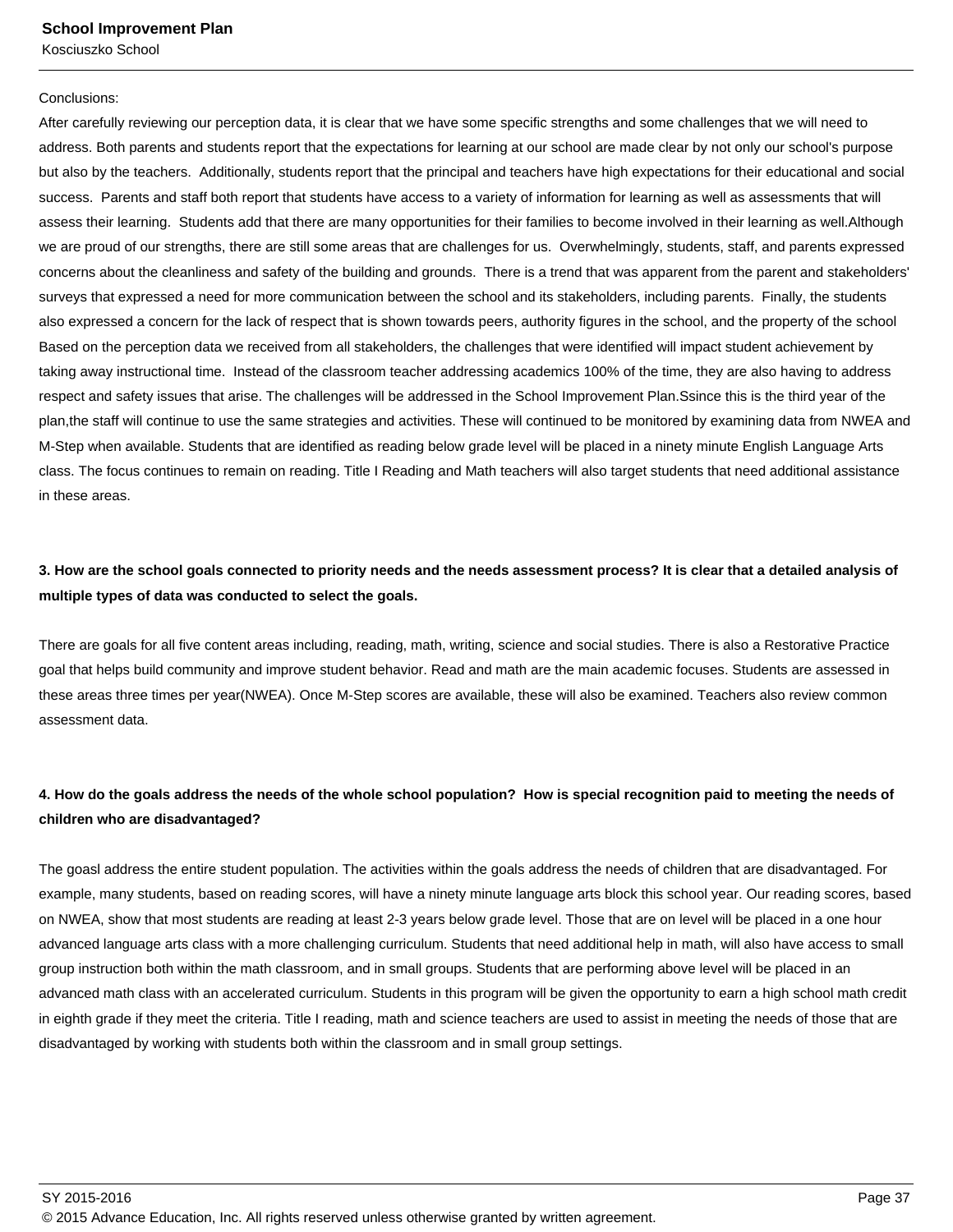#### Conclusions:

After carefully reviewing our perception data, it is clear that we have some specific strengths and some challenges that we will need to address. Both parents and students report that the expectations for learning at our school are made clear by not only our school's purpose but also by the teachers. Additionally, students report that the principal and teachers have high expectations for their educational and social success. Parents and staff both report that students have access to a variety of information for learning as well as assessments that will assess their learning. Students add that there are many opportunities for their families to become involved in their learning as well.Although we are proud of our strengths, there are still some areas that are challenges for us. Overwhelmingly, students, staff, and parents expressed concerns about the cleanliness and safety of the building and grounds. There is a trend that was apparent from the parent and stakeholders' surveys that expressed a need for more communication between the school and its stakeholders, including parents. Finally, the students also expressed a concern for the lack of respect that is shown towards peers, authority figures in the school, and the property of the school Based on the perception data we received from all stakeholders, the challenges that were identified will impact student achievement by taking away instructional time. Instead of the classroom teacher addressing academics 100% of the time, they are also having to address respect and safety issues that arise. The challenges will be addressed in the School Improvement Plan.Ssince this is the third year of the plan,the staff will continue to use the same strategies and activities. These will continued to be monitored by examining data from NWEA and M-Step when available. Students that are identified as reading below grade level will be placed in a ninety minute English Language Arts class. The focus continues to remain on reading. Title I Reading and Math teachers will also target students that need additional assistance in these areas.

### **3. How are the school goals connected to priority needs and the needs assessment process? It is clear that a detailed analysis of multiple types of data was conducted to select the goals.**

There are goals for all five content areas including, reading, math, writing, science and social studies. There is also a Restorative Practice goal that helps build community and improve student behavior. Read and math are the main academic focuses. Students are assessed in these areas three times per year(NWEA). Once M-Step scores are available, these will also be examined. Teachers also review common assessment data.

### **4. How do the goals address the needs of the whole school population? How is special recognition paid to meeting the needs of children who are disadvantaged?**

The goasl address the entire student population. The activities within the goals address the needs of children that are disadvantaged. For example, many students, based on reading scores, will have a ninety minute language arts block this school year. Our reading scores, based on NWEA, show that most students are reading at least 2-3 years below grade level. Those that are on level will be placed in a one hour advanced language arts class with a more challenging curriculum. Students that need additional help in math, will also have access to small group instruction both within the math classroom, and in small groups. Students that are performing above level will be placed in an advanced math class with an accelerated curriculum. Students in this program will be given the opportunity to earn a high school math credit in eighth grade if they meet the criteria. Title I reading, math and science teachers are used to assist in meeting the needs of those that are disadvantaged by working with students both within the classroom and in small group settings.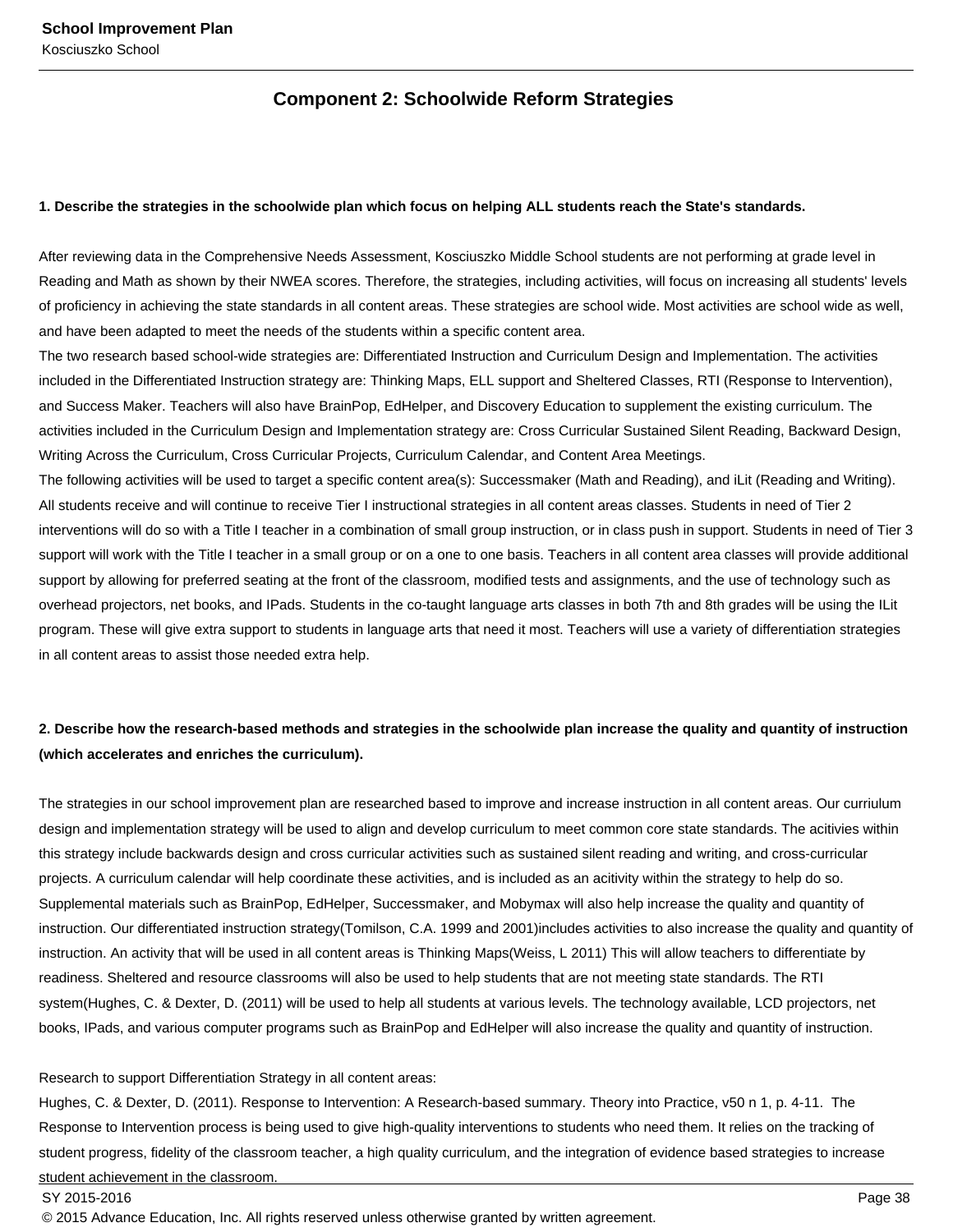### **Component 2: Schoolwide Reform Strategies**

### **1. Describe the strategies in the schoolwide plan which focus on helping ALL students reach the State's standards.**

After reviewing data in the Comprehensive Needs Assessment, Kosciuszko Middle School students are not performing at grade level in Reading and Math as shown by their NWEA scores. Therefore, the strategies, including activities, will focus on increasing all students' levels of proficiency in achieving the state standards in all content areas. These strategies are school wide. Most activities are school wide as well, and have been adapted to meet the needs of the students within a specific content area.

The two research based school-wide strategies are: Differentiated Instruction and Curriculum Design and Implementation. The activities included in the Differentiated Instruction strategy are: Thinking Maps, ELL support and Sheltered Classes, RTI (Response to Intervention), and Success Maker. Teachers will also have BrainPop, EdHelper, and Discovery Education to supplement the existing curriculum. The activities included in the Curriculum Design and Implementation strategy are: Cross Curricular Sustained Silent Reading, Backward Design, Writing Across the Curriculum, Cross Curricular Projects, Curriculum Calendar, and Content Area Meetings.

The following activities will be used to target a specific content area(s): Successmaker (Math and Reading), and iLit (Reading and Writing). All students receive and will continue to receive Tier I instructional strategies in all content areas classes. Students in need of Tier 2 interventions will do so with a Title I teacher in a combination of small group instruction, or in class push in support. Students in need of Tier 3 support will work with the Title I teacher in a small group or on a one to one basis. Teachers in all content area classes will provide additional support by allowing for preferred seating at the front of the classroom, modified tests and assignments, and the use of technology such as overhead projectors, net books, and IPads. Students in the co-taught language arts classes in both 7th and 8th grades will be using the ILit program. These will give extra support to students in language arts that need it most. Teachers will use a variety of differentiation strategies in all content areas to assist those needed extra help.

### **2. Describe how the research-based methods and strategies in the schoolwide plan increase the quality and quantity of instruction (which accelerates and enriches the curriculum).**

The strategies in our school improvement plan are researched based to improve and increase instruction in all content areas. Our curriulum design and implementation strategy will be used to align and develop curriculum to meet common core state standards. The acitivies within this strategy include backwards design and cross curricular activities such as sustained silent reading and writing, and cross-curricular projects. A curriculum calendar will help coordinate these activities, and is included as an acitivity within the strategy to help do so. Supplemental materials such as BrainPop, EdHelper, Successmaker, and Mobymax will also help increase the quality and quantity of instruction. Our differentiated instruction strategy(Tomilson, C.A. 1999 and 2001)includes activities to also increase the quality and quantity of instruction. An activity that will be used in all content areas is Thinking Maps(Weiss, L 2011) This will allow teachers to differentiate by readiness. Sheltered and resource classrooms will also be used to help students that are not meeting state standards. The RTI system(Hughes, C. & Dexter, D. (2011) will be used to help all students at various levels. The technology available, LCD projectors, net books, IPads, and various computer programs such as BrainPop and EdHelper will also increase the quality and quantity of instruction.

#### Research to support Differentiation Strategy in all content areas:

Hughes, C. & Dexter, D. (2011). Response to Intervention: A Research-based summary. Theory into Practice, v50 n 1, p. 4-11. The Response to Intervention process is being used to give high-quality interventions to students who need them. It relies on the tracking of student progress, fidelity of the classroom teacher, a high quality curriculum, and the integration of evidence based strategies to increase student achievement in the classroom.

SY 2015-2016 Page 38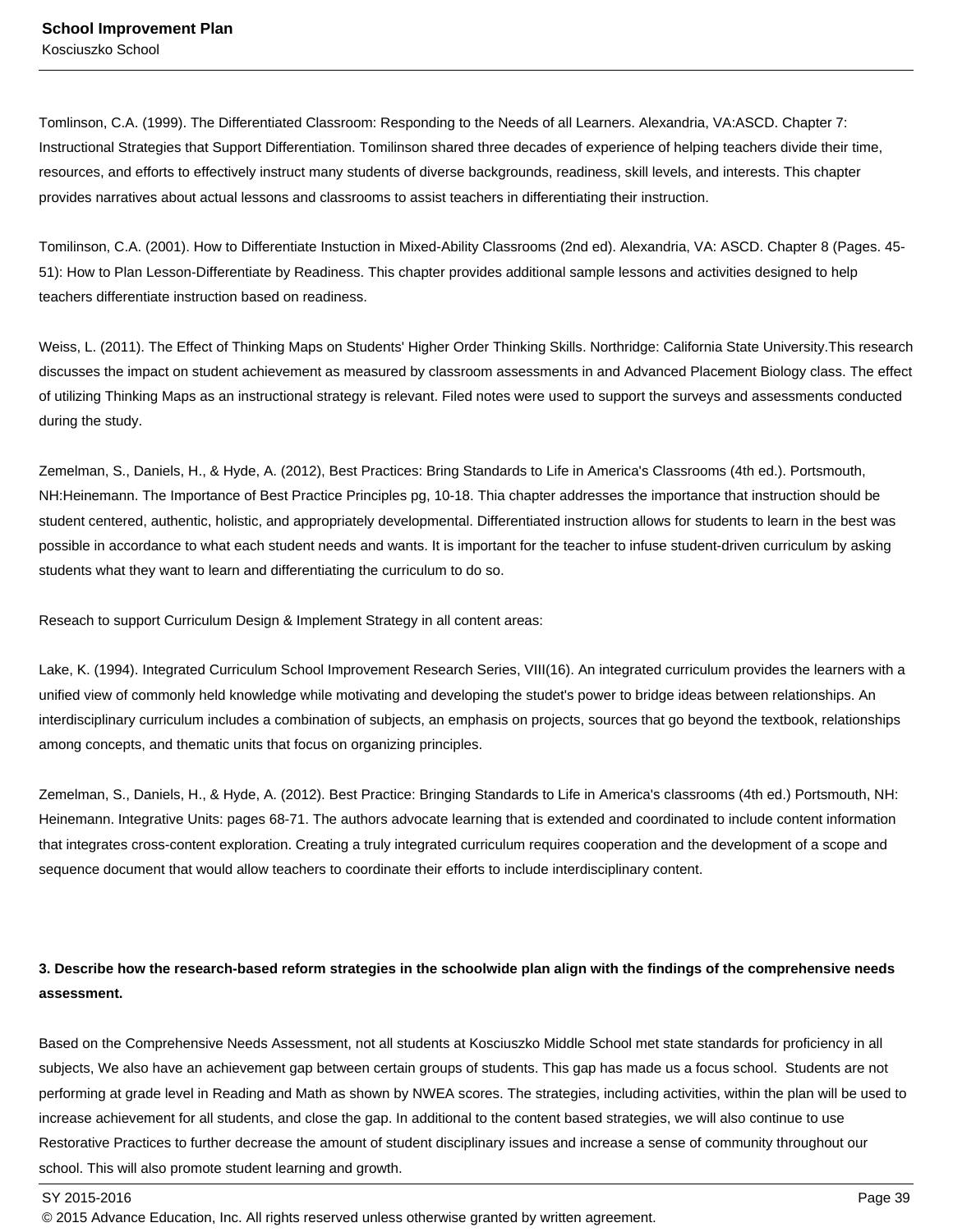Tomlinson, C.A. (1999). The Differentiated Classroom: Responding to the Needs of all Learners. Alexandria, VA:ASCD. Chapter 7: Instructional Strategies that Support Differentiation. Tomilinson shared three decades of experience of helping teachers divide their time, resources, and efforts to effectively instruct many students of diverse backgrounds, readiness, skill levels, and interests. This chapter provides narratives about actual lessons and classrooms to assist teachers in differentiating their instruction.

Tomilinson, C.A. (2001). How to Differentiate Instuction in Mixed-Ability Classrooms (2nd ed). Alexandria, VA: ASCD. Chapter 8 (Pages. 45- 51): How to Plan Lesson-Differentiate by Readiness. This chapter provides additional sample lessons and activities designed to help teachers differentiate instruction based on readiness.

Weiss, L. (2011). The Effect of Thinking Maps on Students' Higher Order Thinking Skills. Northridge: California State University.This research discusses the impact on student achievement as measured by classroom assessments in and Advanced Placement Biology class. The effect of utilizing Thinking Maps as an instructional strategy is relevant. Filed notes were used to support the surveys and assessments conducted during the study.

Zemelman, S., Daniels, H., & Hyde, A. (2012), Best Practices: Bring Standards to Life in America's Classrooms (4th ed.). Portsmouth, NH:Heinemann. The Importance of Best Practice Principles pg, 10-18. Thia chapter addresses the importance that instruction should be student centered, authentic, holistic, and appropriately developmental. Differentiated instruction allows for students to learn in the best was possible in accordance to what each student needs and wants. It is important for the teacher to infuse student-driven curriculum by asking students what they want to learn and differentiating the curriculum to do so.

Reseach to support Curriculum Design & Implement Strategy in all content areas:

Lake, K. (1994). Integrated Curriculum School Improvement Research Series, VIII(16). An integrated curriculum provides the learners with a unified view of commonly held knowledge while motivating and developing the studet's power to bridge ideas between relationships. An interdisciplinary curriculum includes a combination of subjects, an emphasis on projects, sources that go beyond the textbook, relationships among concepts, and thematic units that focus on organizing principles.

Zemelman, S., Daniels, H., & Hyde, A. (2012). Best Practice: Bringing Standards to Life in America's classrooms (4th ed.) Portsmouth, NH: Heinemann. Integrative Units: pages 68-71. The authors advocate learning that is extended and coordinated to include content information that integrates cross-content exploration. Creating a truly integrated curriculum requires cooperation and the development of a scope and sequence document that would allow teachers to coordinate their efforts to include interdisciplinary content.

### **3. Describe how the research-based reform strategies in the schoolwide plan align with the findings of the comprehensive needs assessment.**

Based on the Comprehensive Needs Assessment, not all students at Kosciuszko Middle School met state standards for proficiency in all subjects, We also have an achievement gap between certain groups of students. This gap has made us a focus school. Students are not performing at grade level in Reading and Math as shown by NWEA scores. The strategies, including activities, within the plan will be used to increase achievement for all students, and close the gap. In additional to the content based strategies, we will also continue to use Restorative Practices to further decrease the amount of student disciplinary issues and increase a sense of community throughout our school. This will also promote student learning and growth.

SY 2015-2016 Page 39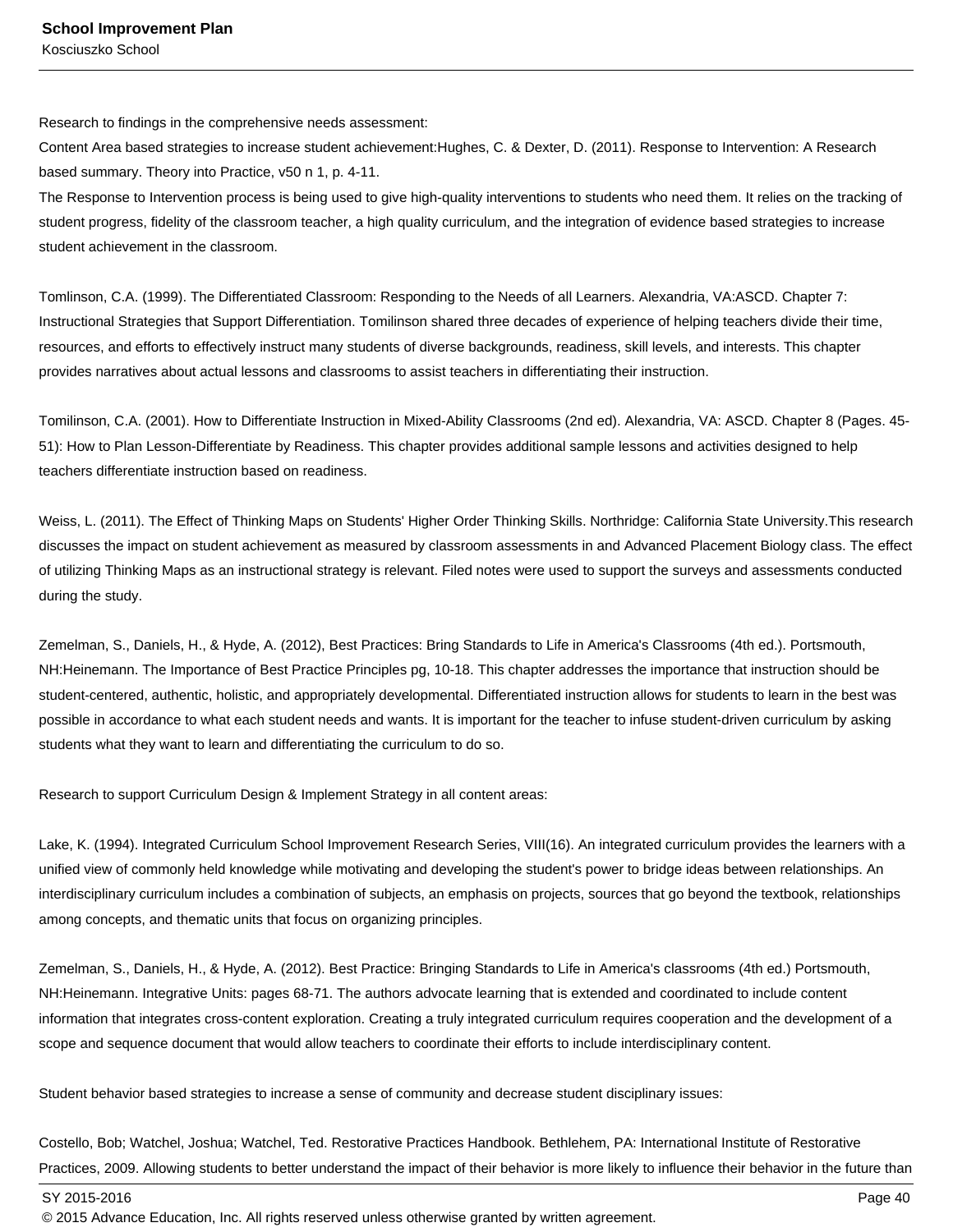Research to findings in the comprehensive needs assessment:

Content Area based strategies to increase student achievement:Hughes, C. & Dexter, D. (2011). Response to Intervention: A Research based summary. Theory into Practice, v50 n 1, p. 4-11.

The Response to Intervention process is being used to give high-quality interventions to students who need them. It relies on the tracking of student progress, fidelity of the classroom teacher, a high quality curriculum, and the integration of evidence based strategies to increase student achievement in the classroom.

Tomlinson, C.A. (1999). The Differentiated Classroom: Responding to the Needs of all Learners. Alexandria, VA:ASCD. Chapter 7: Instructional Strategies that Support Differentiation. Tomilinson shared three decades of experience of helping teachers divide their time, resources, and efforts to effectively instruct many students of diverse backgrounds, readiness, skill levels, and interests. This chapter provides narratives about actual lessons and classrooms to assist teachers in differentiating their instruction.

Tomilinson, C.A. (2001). How to Differentiate Instruction in Mixed-Ability Classrooms (2nd ed). Alexandria, VA: ASCD. Chapter 8 (Pages. 45- 51): How to Plan Lesson-Differentiate by Readiness. This chapter provides additional sample lessons and activities designed to help teachers differentiate instruction based on readiness.

Weiss, L. (2011). The Effect of Thinking Maps on Students' Higher Order Thinking Skills. Northridge: California State University.This research discusses the impact on student achievement as measured by classroom assessments in and Advanced Placement Biology class. The effect of utilizing Thinking Maps as an instructional strategy is relevant. Filed notes were used to support the surveys and assessments conducted during the study.

Zemelman, S., Daniels, H., & Hyde, A. (2012), Best Practices: Bring Standards to Life in America's Classrooms (4th ed.). Portsmouth, NH:Heinemann. The Importance of Best Practice Principles pg, 10-18. This chapter addresses the importance that instruction should be student-centered, authentic, holistic, and appropriately developmental. Differentiated instruction allows for students to learn in the best was possible in accordance to what each student needs and wants. It is important for the teacher to infuse student-driven curriculum by asking students what they want to learn and differentiating the curriculum to do so.

Research to support Curriculum Design & Implement Strategy in all content areas:

Lake, K. (1994). Integrated Curriculum School Improvement Research Series, VIII(16). An integrated curriculum provides the learners with a unified view of commonly held knowledge while motivating and developing the student's power to bridge ideas between relationships. An interdisciplinary curriculum includes a combination of subjects, an emphasis on projects, sources that go beyond the textbook, relationships among concepts, and thematic units that focus on organizing principles.

Zemelman, S., Daniels, H., & Hyde, A. (2012). Best Practice: Bringing Standards to Life in America's classrooms (4th ed.) Portsmouth, NH:Heinemann. Integrative Units: pages 68-71. The authors advocate learning that is extended and coordinated to include content information that integrates cross-content exploration. Creating a truly integrated curriculum requires cooperation and the development of a scope and sequence document that would allow teachers to coordinate their efforts to include interdisciplinary content.

Student behavior based strategies to increase a sense of community and decrease student disciplinary issues:

Costello, Bob; Watchel, Joshua; Watchel, Ted. Restorative Practices Handbook. Bethlehem, PA: International Institute of Restorative Practices, 2009. Allowing students to better understand the impact of their behavior is more likely to influence their behavior in the future than

SY 2015-2016 Page 40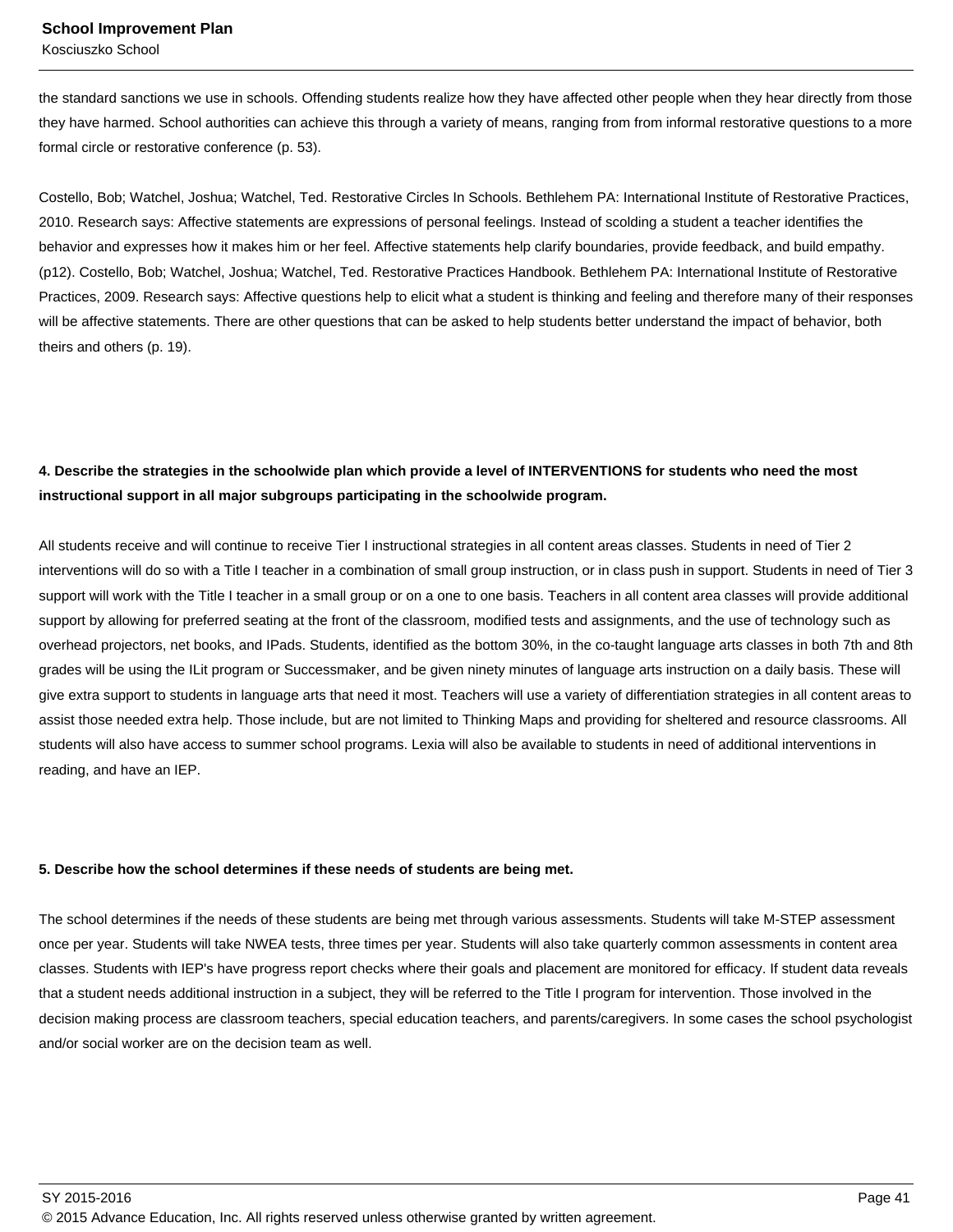the standard sanctions we use in schools. Offending students realize how they have affected other people when they hear directly from those they have harmed. School authorities can achieve this through a variety of means, ranging from from informal restorative questions to a more formal circle or restorative conference (p. 53).

Costello, Bob; Watchel, Joshua; Watchel, Ted. Restorative Circles In Schools. Bethlehem PA: International Institute of Restorative Practices, 2010. Research says: Affective statements are expressions of personal feelings. Instead of scolding a student a teacher identifies the behavior and expresses how it makes him or her feel. Affective statements help clarify boundaries, provide feedback, and build empathy. (p12). Costello, Bob; Watchel, Joshua; Watchel, Ted. Restorative Practices Handbook. Bethlehem PA: International Institute of Restorative Practices, 2009. Research says: Affective questions help to elicit what a student is thinking and feeling and therefore many of their responses will be affective statements. There are other questions that can be asked to help students better understand the impact of behavior, both theirs and others (p. 19).

### **4. Describe the strategies in the schoolwide plan which provide a level of INTERVENTIONS for students who need the most instructional support in all major subgroups participating in the schoolwide program.**

All students receive and will continue to receive Tier I instructional strategies in all content areas classes. Students in need of Tier 2 interventions will do so with a Title I teacher in a combination of small group instruction, or in class push in support. Students in need of Tier 3 support will work with the Title I teacher in a small group or on a one to one basis. Teachers in all content area classes will provide additional support by allowing for preferred seating at the front of the classroom, modified tests and assignments, and the use of technology such as overhead projectors, net books, and IPads. Students, identified as the bottom 30%, in the co-taught language arts classes in both 7th and 8th grades will be using the ILit program or Successmaker, and be given ninety minutes of language arts instruction on a daily basis. These will give extra support to students in language arts that need it most. Teachers will use a variety of differentiation strategies in all content areas to assist those needed extra help. Those include, but are not limited to Thinking Maps and providing for sheltered and resource classrooms. All students will also have access to summer school programs. Lexia will also be available to students in need of additional interventions in reading, and have an IEP.

### **5. Describe how the school determines if these needs of students are being met.**

The school determines if the needs of these students are being met through various assessments. Students will take M-STEP assessment once per year. Students will take NWEA tests, three times per year. Students will also take quarterly common assessments in content area classes. Students with IEP's have progress report checks where their goals and placement are monitored for efficacy. If student data reveals that a student needs additional instruction in a subject, they will be referred to the Title I program for intervention. Those involved in the decision making process are classroom teachers, special education teachers, and parents/caregivers. In some cases the school psychologist and/or social worker are on the decision team as well.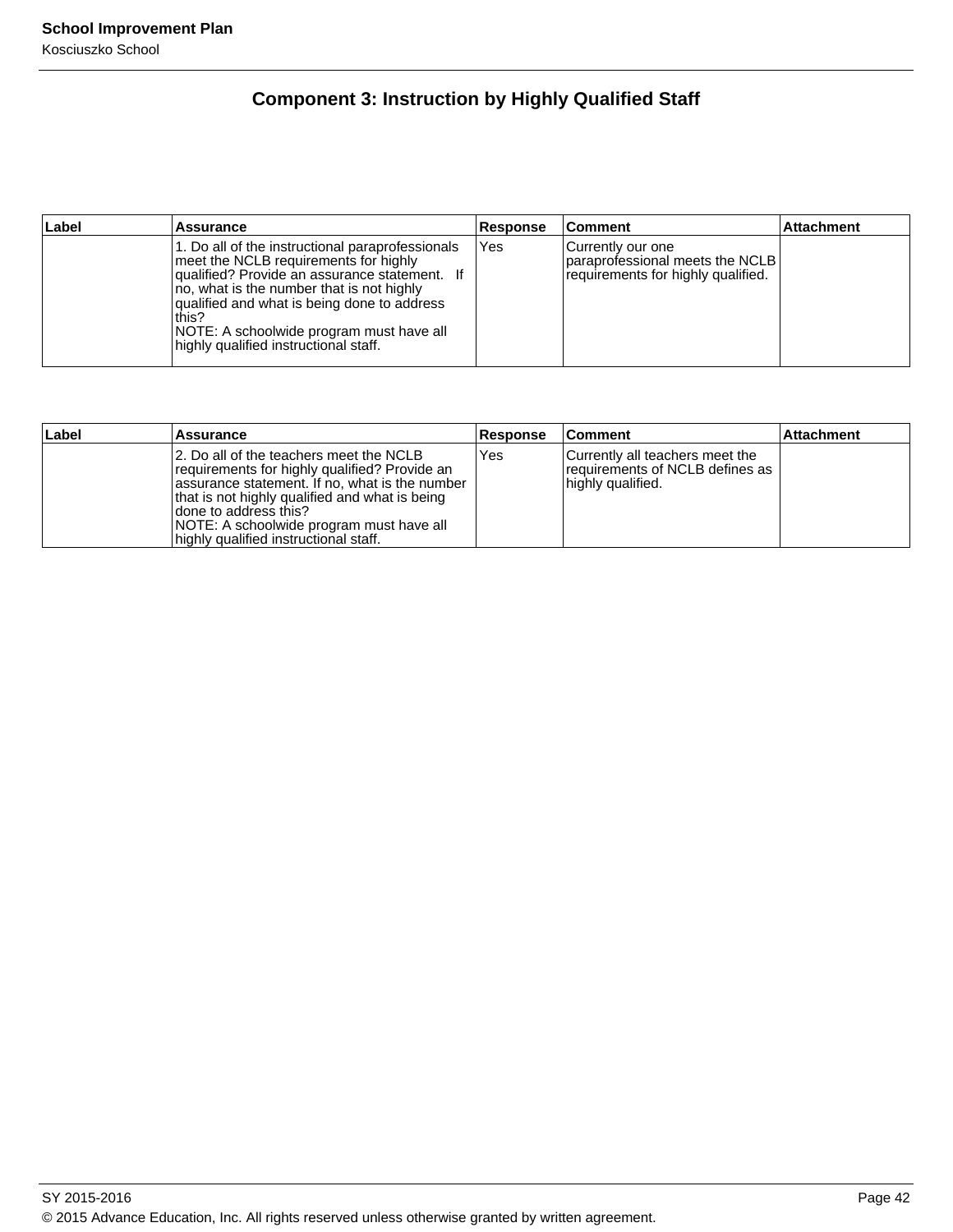## **Component 3: Instruction by Highly Qualified Staff**

| Label | <b>Assurance</b>                                                                                                                                                                                                                                                                                                                     | Response | ∣Comment                                                                                        | <b>Attachment</b> |
|-------|--------------------------------------------------------------------------------------------------------------------------------------------------------------------------------------------------------------------------------------------------------------------------------------------------------------------------------------|----------|-------------------------------------------------------------------------------------------------|-------------------|
|       | 1. Do all of the instructional paraprofessionals<br>meet the NCLB requirements for highly<br>qualified? Provide an assurance statement. If<br>no, what is the number that is not highly<br>qualified and what is being done to address<br>this?<br>NOTE: A schoolwide program must have all<br>highly qualified instructional staff. | Yes      | l Currently our one<br>Iparaprofessional meets the NCLB I<br>requirements for highly qualified. |                   |

| Label | Assurance                                                                                                                                                                                                                                                                                                    | <b>Response</b> | <b>Comment</b>                                                                          | ∣Attachment |
|-------|--------------------------------------------------------------------------------------------------------------------------------------------------------------------------------------------------------------------------------------------------------------------------------------------------------------|-----------------|-----------------------------------------------------------------------------------------|-------------|
|       | 12. Do all of the teachers meet the NCLB<br>requirements for highly qualified? Provide an<br>assurance statement. If no, what is the number<br>that is not highly qualified and what is being<br>Idone to address this?<br>NOTE: A schoolwide program must have all<br>highly qualified instructional staff. | Yes             | Currently all teachers meet the<br>requirements of NCLB defines as<br>highly qualified. |             |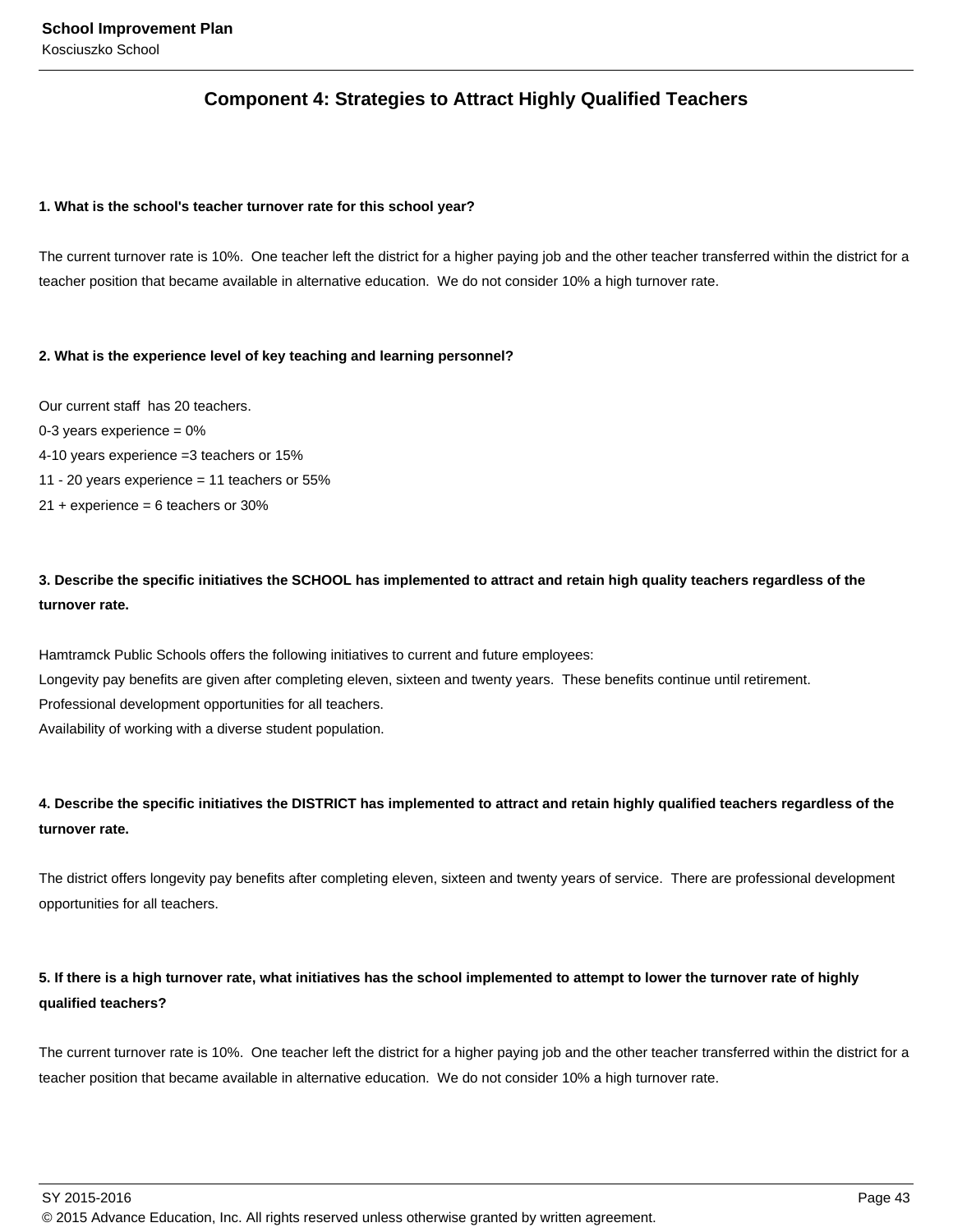### **Component 4: Strategies to Attract Highly Qualified Teachers**

### **1. What is the school's teacher turnover rate for this school year?**

The current turnover rate is 10%. One teacher left the district for a higher paying job and the other teacher transferred within the district for a teacher position that became available in alternative education. We do not consider 10% a high turnover rate.

### **2. What is the experience level of key teaching and learning personnel?**

Our current staff has 20 teachers.

- 0-3 years experience  $= 0\%$
- 4-10 years experience =3 teachers or 15%
- 11 20 years experience = 11 teachers or 55%
- $21 +$  experience = 6 teachers or 30%

### **3. Describe the specific initiatives the SCHOOL has implemented to attract and retain high quality teachers regardless of the turnover rate.**

Hamtramck Public Schools offers the following initiatives to current and future employees: Longevity pay benefits are given after completing eleven, sixteen and twenty years. These benefits continue until retirement. Professional development opportunities for all teachers. Availability of working with a diverse student population.

### **4. Describe the specific initiatives the DISTRICT has implemented to attract and retain highly qualified teachers regardless of the turnover rate.**

The district offers longevity pay benefits after completing eleven, sixteen and twenty years of service. There are professional development opportunities for all teachers.

### **5. If there is a high turnover rate, what initiatives has the school implemented to attempt to lower the turnover rate of highly qualified teachers?**

The current turnover rate is 10%. One teacher left the district for a higher paying job and the other teacher transferred within the district for a teacher position that became available in alternative education. We do not consider 10% a high turnover rate.

SY 2015-2016 Page 43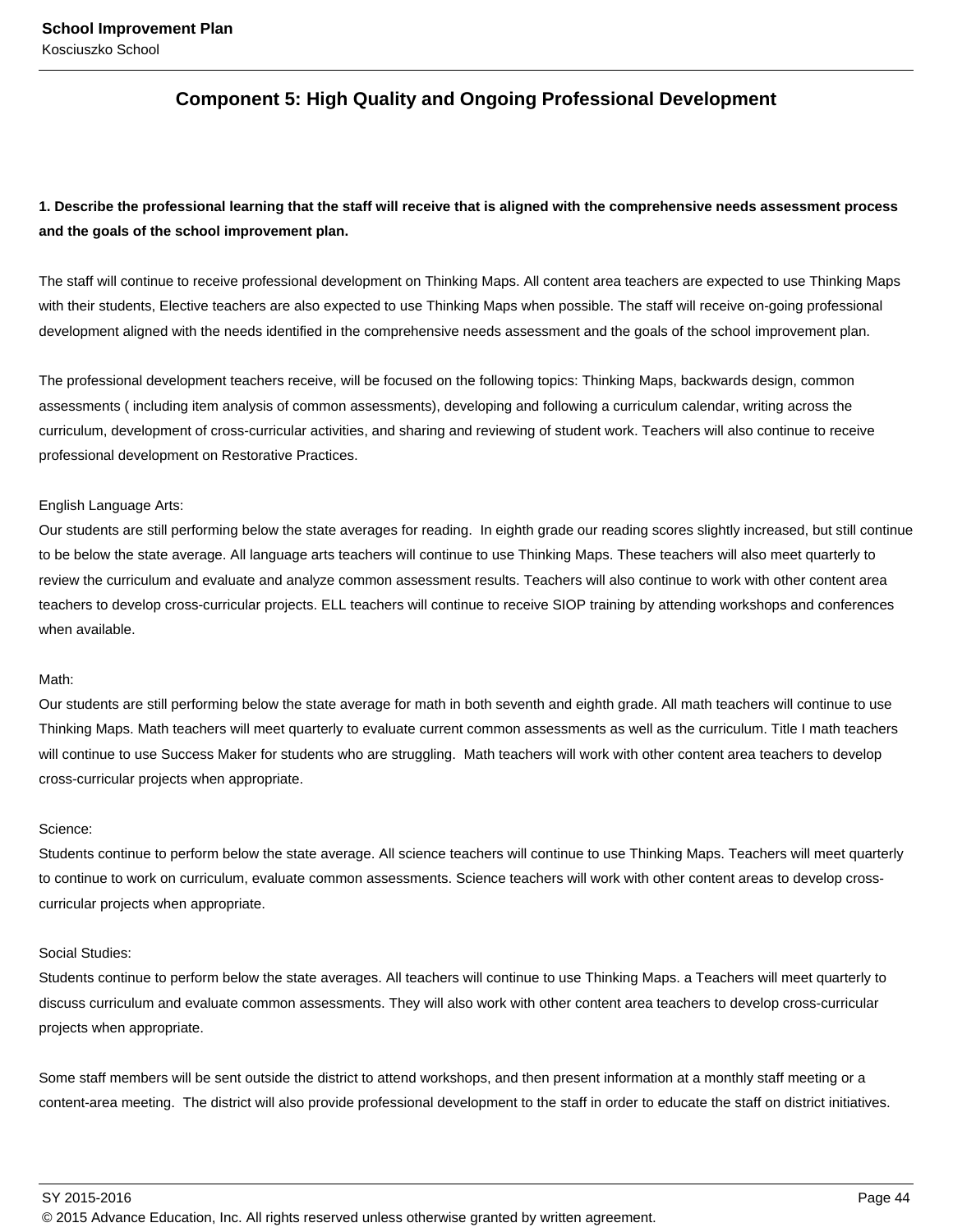### **Component 5: High Quality and Ongoing Professional Development**

### **1. Describe the professional learning that the staff will receive that is aligned with the comprehensive needs assessment process and the goals of the school improvement plan.**

The staff will continue to receive professional development on Thinking Maps. All content area teachers are expected to use Thinking Maps with their students, Elective teachers are also expected to use Thinking Maps when possible. The staff will receive on-going professional development aligned with the needs identified in the comprehensive needs assessment and the goals of the school improvement plan.

The professional development teachers receive, will be focused on the following topics: Thinking Maps, backwards design, common assessments ( including item analysis of common assessments), developing and following a curriculum calendar, writing across the curriculum, development of cross-curricular activities, and sharing and reviewing of student work. Teachers will also continue to receive professional development on Restorative Practices.

#### English Language Arts:

Our students are still performing below the state averages for reading. In eighth grade our reading scores slightly increased, but still continue to be below the state average. All language arts teachers will continue to use Thinking Maps. These teachers will also meet quarterly to review the curriculum and evaluate and analyze common assessment results. Teachers will also continue to work with other content area teachers to develop cross-curricular projects. ELL teachers will continue to receive SIOP training by attending workshops and conferences when available.

### Math:

Our students are still performing below the state average for math in both seventh and eighth grade. All math teachers will continue to use Thinking Maps. Math teachers will meet quarterly to evaluate current common assessments as well as the curriculum. Title I math teachers will continue to use Success Maker for students who are struggling. Math teachers will work with other content area teachers to develop cross-curricular projects when appropriate.

#### Science:

Students continue to perform below the state average. All science teachers will continue to use Thinking Maps. Teachers will meet quarterly to continue to work on curriculum, evaluate common assessments. Science teachers will work with other content areas to develop crosscurricular projects when appropriate.

### Social Studies:

Students continue to perform below the state averages. All teachers will continue to use Thinking Maps. a Teachers will meet quarterly to discuss curriculum and evaluate common assessments. They will also work with other content area teachers to develop cross-curricular projects when appropriate.

Some staff members will be sent outside the district to attend workshops, and then present information at a monthly staff meeting or a content-area meeting. The district will also provide professional development to the staff in order to educate the staff on district initiatives.

SY 2015-2016 Page 44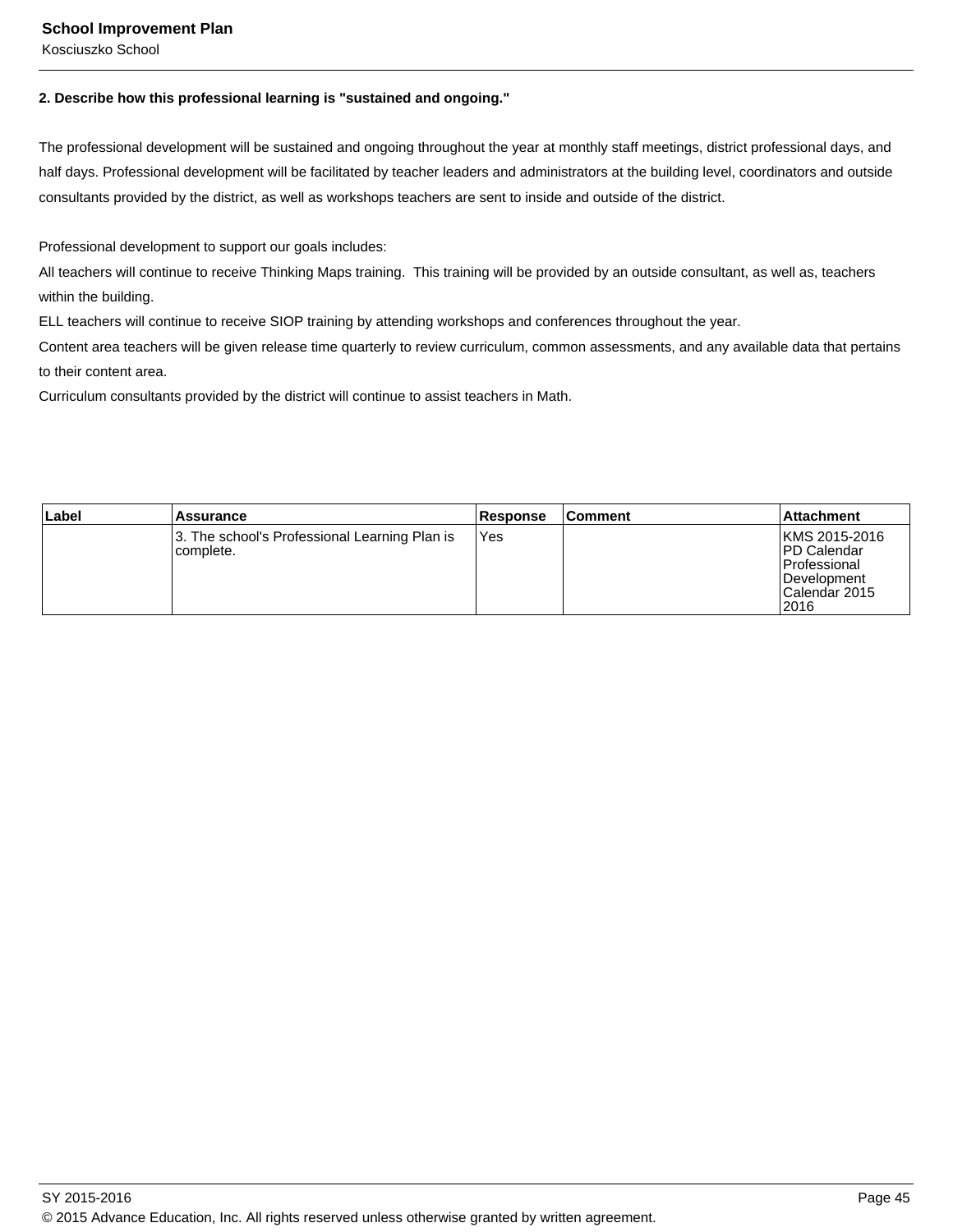### **School Improvement Plan**

Kosciuszko School

### **2. Describe how this professional learning is "sustained and ongoing."**

The professional development will be sustained and ongoing throughout the year at monthly staff meetings, district professional days, and half days. Professional development will be facilitated by teacher leaders and administrators at the building level, coordinators and outside consultants provided by the district, as well as workshops teachers are sent to inside and outside of the district.

Professional development to support our goals includes:

All teachers will continue to receive Thinking Maps training. This training will be provided by an outside consultant, as well as, teachers within the building.

ELL teachers will continue to receive SIOP training by attending workshops and conferences throughout the year.

Content area teachers will be given release time quarterly to review curriculum, common assessments, and any available data that pertains to their content area.

Curriculum consultants provided by the district will continue to assist teachers in Math.

| Label | Assurance                                                   | Response | <b>Comment</b> | ∣Attachment                                                                                           |
|-------|-------------------------------------------------------------|----------|----------------|-------------------------------------------------------------------------------------------------------|
|       | 3. The school's Professional Learning Plan is<br>Icomplete. | Yes      |                | KMS 2015-2016<br><b>IPD Calendar</b><br><b>Professional</b><br>IDevelopment<br>ICalendar 2015<br>2016 |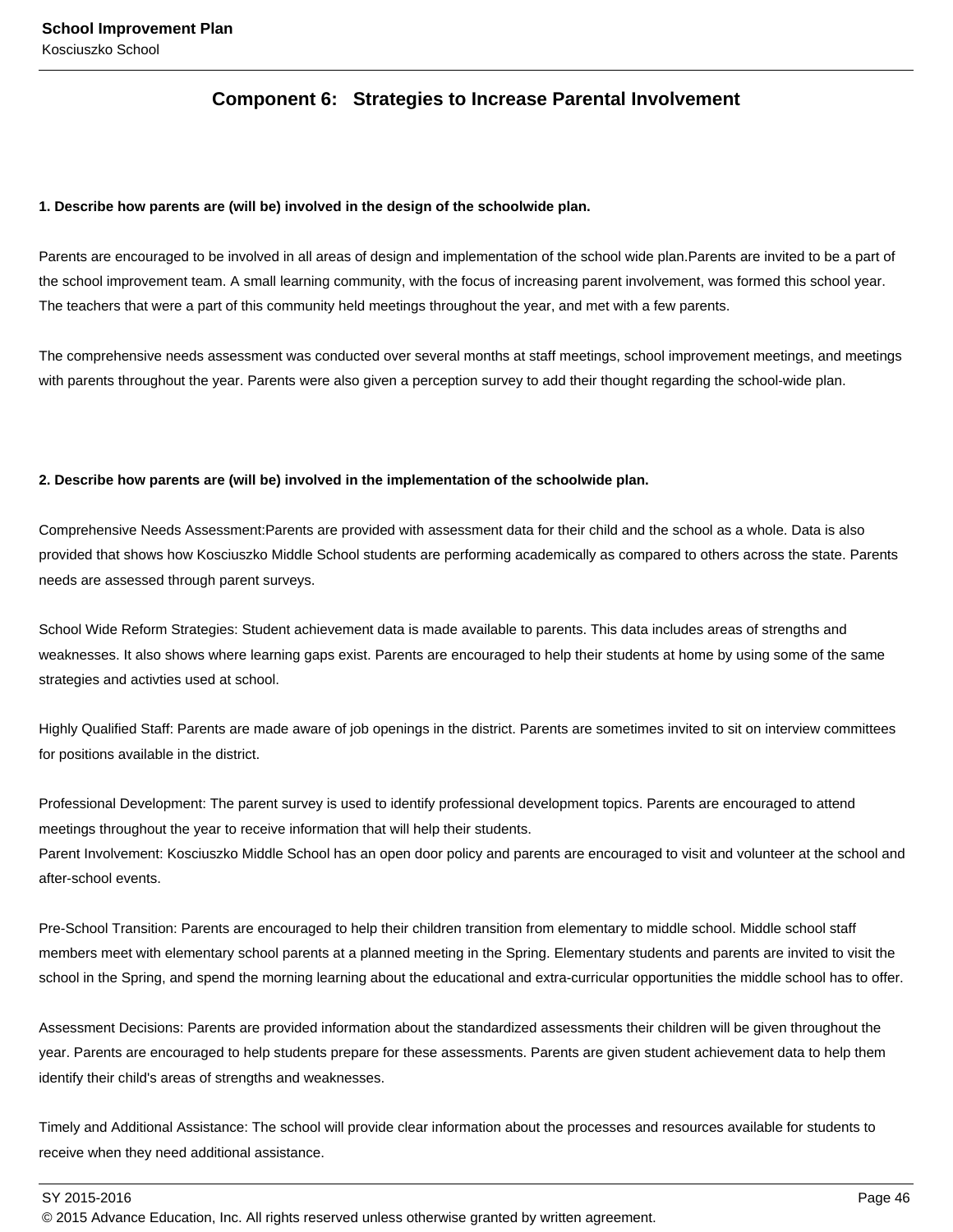### **Component 6: Strategies to Increase Parental Involvement**

### **1. Describe how parents are (will be) involved in the design of the schoolwide plan.**

Parents are encouraged to be involved in all areas of design and implementation of the school wide plan.Parents are invited to be a part of the school improvement team. A small learning community, with the focus of increasing parent involvement, was formed this school year. The teachers that were a part of this community held meetings throughout the year, and met with a few parents.

The comprehensive needs assessment was conducted over several months at staff meetings, school improvement meetings, and meetings with parents throughout the year. Parents were also given a perception survey to add their thought regarding the school-wide plan.

### **2. Describe how parents are (will be) involved in the implementation of the schoolwide plan.**

Comprehensive Needs Assessment:Parents are provided with assessment data for their child and the school as a whole. Data is also provided that shows how Kosciuszko Middle School students are performing academically as compared to others across the state. Parents needs are assessed through parent surveys.

School Wide Reform Strategies: Student achievement data is made available to parents. This data includes areas of strengths and weaknesses. It also shows where learning gaps exist. Parents are encouraged to help their students at home by using some of the same strategies and activties used at school.

Highly Qualified Staff: Parents are made aware of job openings in the district. Parents are sometimes invited to sit on interview committees for positions available in the district.

Professional Development: The parent survey is used to identify professional development topics. Parents are encouraged to attend meetings throughout the year to receive information that will help their students. Parent Involvement: Kosciuszko Middle School has an open door policy and parents are encouraged to visit and volunteer at the school and after-school events.

Pre-School Transition: Parents are encouraged to help their children transition from elementary to middle school. Middle school staff members meet with elementary school parents at a planned meeting in the Spring. Elementary students and parents are invited to visit the school in the Spring, and spend the morning learning about the educational and extra-curricular opportunities the middle school has to offer.

Assessment Decisions: Parents are provided information about the standardized assessments their children will be given throughout the year. Parents are encouraged to help students prepare for these assessments. Parents are given student achievement data to help them identify their child's areas of strengths and weaknesses.

Timely and Additional Assistance: The school will provide clear information about the processes and resources available for students to receive when they need additional assistance.

SY 2015-2016 Page 46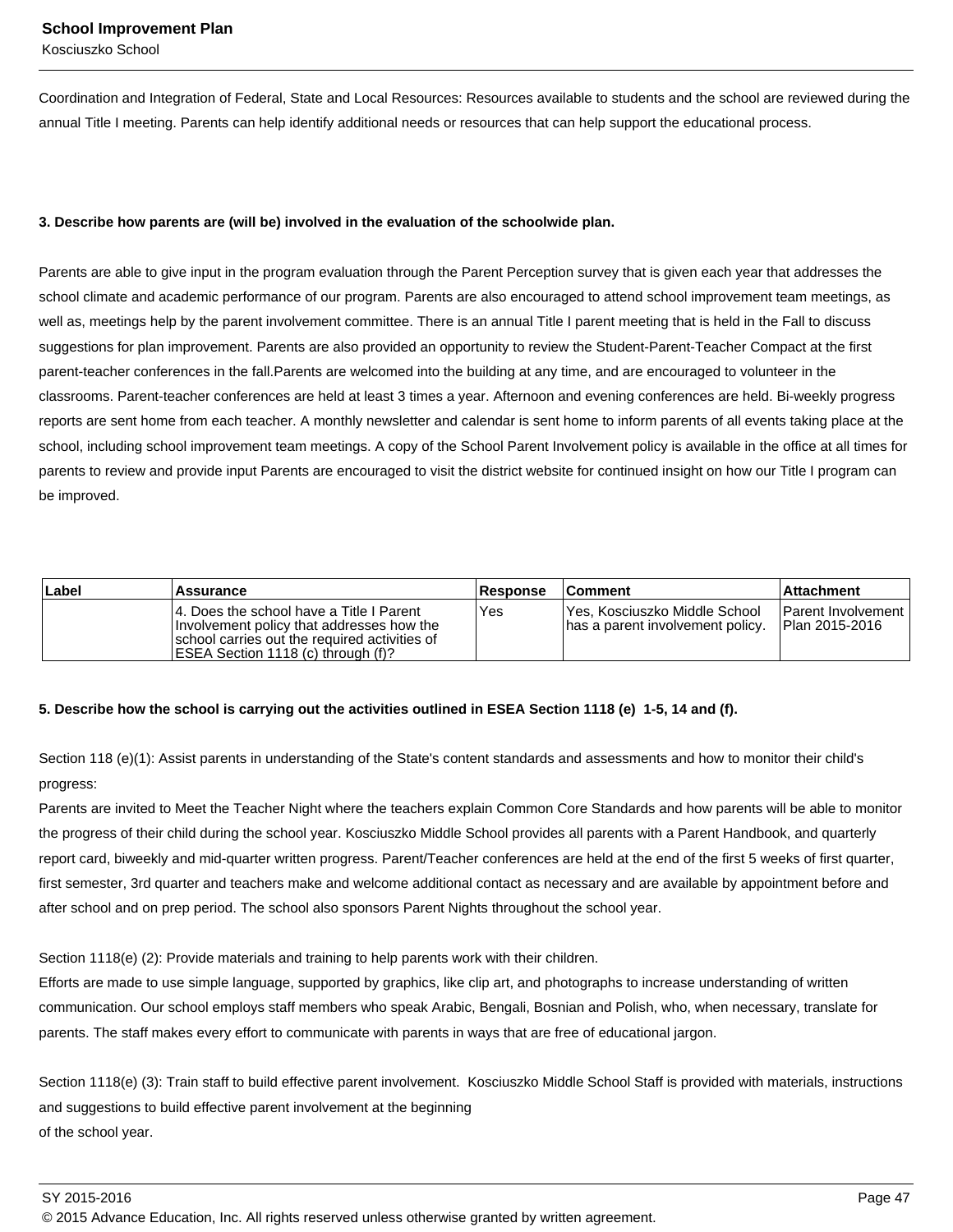Coordination and Integration of Federal, State and Local Resources: Resources available to students and the school are reviewed during the annual Title I meeting. Parents can help identify additional needs or resources that can help support the educational process.

### **3. Describe how parents are (will be) involved in the evaluation of the schoolwide plan.**

Parents are able to give input in the program evaluation through the Parent Perception survey that is given each year that addresses the school climate and academic performance of our program. Parents are also encouraged to attend school improvement team meetings, as well as, meetings help by the parent involvement committee. There is an annual Title I parent meeting that is held in the Fall to discuss suggestions for plan improvement. Parents are also provided an opportunity to review the Student-Parent-Teacher Compact at the first parent-teacher conferences in the fall.Parents are welcomed into the building at any time, and are encouraged to volunteer in the classrooms. Parent-teacher conferences are held at least 3 times a year. Afternoon and evening conferences are held. Bi-weekly progress reports are sent home from each teacher. A monthly newsletter and calendar is sent home to inform parents of all events taking place at the school, including school improvement team meetings. A copy of the School Parent Involvement policy is available in the office at all times for parents to review and provide input Parents are encouraged to visit the district website for continued insight on how our Title I program can be improved.

| Label | Assurance                                                                                                                                                                      | <b>Response</b> | <b>Comment</b>                                                    | ∣Attachment∶                                  |
|-------|--------------------------------------------------------------------------------------------------------------------------------------------------------------------------------|-----------------|-------------------------------------------------------------------|-----------------------------------------------|
|       | 14. Does the school have a Title I Parent<br>Involvement policy that addresses how the<br>school carries out the required activities of<br>IESEA Section 1118 (c) through (f)? | Yes             | Yes, Kosciuszko Middle School<br>has a parent involvement policy. | <b>IParent Involvement</b><br>IPlan 2015-2016 |

### **5. Describe how the school is carrying out the activities outlined in ESEA Section 1118 (e) 1-5, 14 and (f).**

Section 118 (e)(1): Assist parents in understanding of the State's content standards and assessments and how to monitor their child's progress:

Parents are invited to Meet the Teacher Night where the teachers explain Common Core Standards and how parents will be able to monitor the progress of their child during the school year. Kosciuszko Middle School provides all parents with a Parent Handbook, and quarterly report card, biweekly and mid-quarter written progress. Parent/Teacher conferences are held at the end of the first 5 weeks of first quarter, first semester, 3rd quarter and teachers make and welcome additional contact as necessary and are available by appointment before and after school and on prep period. The school also sponsors Parent Nights throughout the school year.

Section 1118(e) (2): Provide materials and training to help parents work with their children.

Efforts are made to use simple language, supported by graphics, like clip art, and photographs to increase understanding of written communication. Our school employs staff members who speak Arabic, Bengali, Bosnian and Polish, who, when necessary, translate for parents. The staff makes every effort to communicate with parents in ways that are free of educational jargon.

Section 1118(e) (3): Train staff to build effective parent involvement. Kosciuszko Middle School Staff is provided with materials, instructions and suggestions to build effective parent involvement at the beginning of the school year.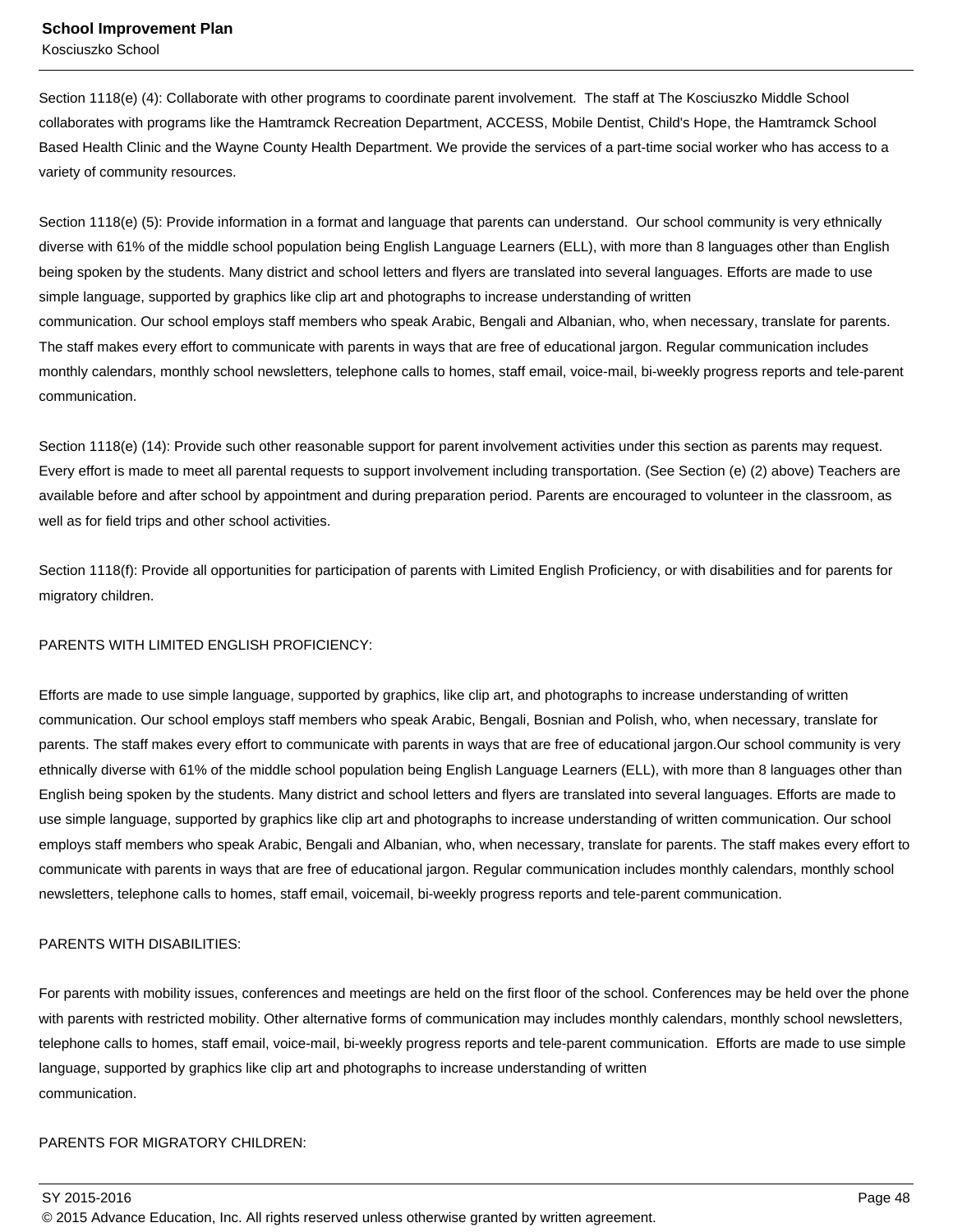Section 1118(e) (4): Collaborate with other programs to coordinate parent involvement. The staff at The Kosciuszko Middle School collaborates with programs like the Hamtramck Recreation Department, ACCESS, Mobile Dentist, Child's Hope, the Hamtramck School Based Health Clinic and the Wayne County Health Department. We provide the services of a part-time social worker who has access to a variety of community resources.

Section 1118(e) (5): Provide information in a format and language that parents can understand. Our school community is very ethnically diverse with 61% of the middle school population being English Language Learners (ELL), with more than 8 languages other than English being spoken by the students. Many district and school letters and flyers are translated into several languages. Efforts are made to use simple language, supported by graphics like clip art and photographs to increase understanding of written communication. Our school employs staff members who speak Arabic, Bengali and Albanian, who, when necessary, translate for parents. The staff makes every effort to communicate with parents in ways that are free of educational jargon. Regular communication includes monthly calendars, monthly school newsletters, telephone calls to homes, staff email, voice-mail, bi-weekly progress reports and tele-parent communication.

Section 1118(e) (14): Provide such other reasonable support for parent involvement activities under this section as parents may request. Every effort is made to meet all parental requests to support involvement including transportation. (See Section (e) (2) above) Teachers are available before and after school by appointment and during preparation period. Parents are encouraged to volunteer in the classroom, as well as for field trips and other school activities.

Section 1118(f): Provide all opportunities for participation of parents with Limited English Proficiency, or with disabilities and for parents for migratory children.

### PARENTS WITH LIMITED ENGLISH PROFICIENCY:

Efforts are made to use simple language, supported by graphics, like clip art, and photographs to increase understanding of written communication. Our school employs staff members who speak Arabic, Bengali, Bosnian and Polish, who, when necessary, translate for parents. The staff makes every effort to communicate with parents in ways that are free of educational jargon.Our school community is very ethnically diverse with 61% of the middle school population being English Language Learners (ELL), with more than 8 languages other than English being spoken by the students. Many district and school letters and flyers are translated into several languages. Efforts are made to use simple language, supported by graphics like clip art and photographs to increase understanding of written communication. Our school employs staff members who speak Arabic, Bengali and Albanian, who, when necessary, translate for parents. The staff makes every effort to communicate with parents in ways that are free of educational jargon. Regular communication includes monthly calendars, monthly school newsletters, telephone calls to homes, staff email, voicemail, bi-weekly progress reports and tele-parent communication.

### PARENTS WITH DISABILITIES:

For parents with mobility issues, conferences and meetings are held on the first floor of the school. Conferences may be held over the phone with parents with restricted mobility. Other alternative forms of communication may includes monthly calendars, monthly school newsletters, telephone calls to homes, staff email, voice-mail, bi-weekly progress reports and tele-parent communication. Efforts are made to use simple language, supported by graphics like clip art and photographs to increase understanding of written communication.

### PARENTS FOR MIGRATORY CHILDREN: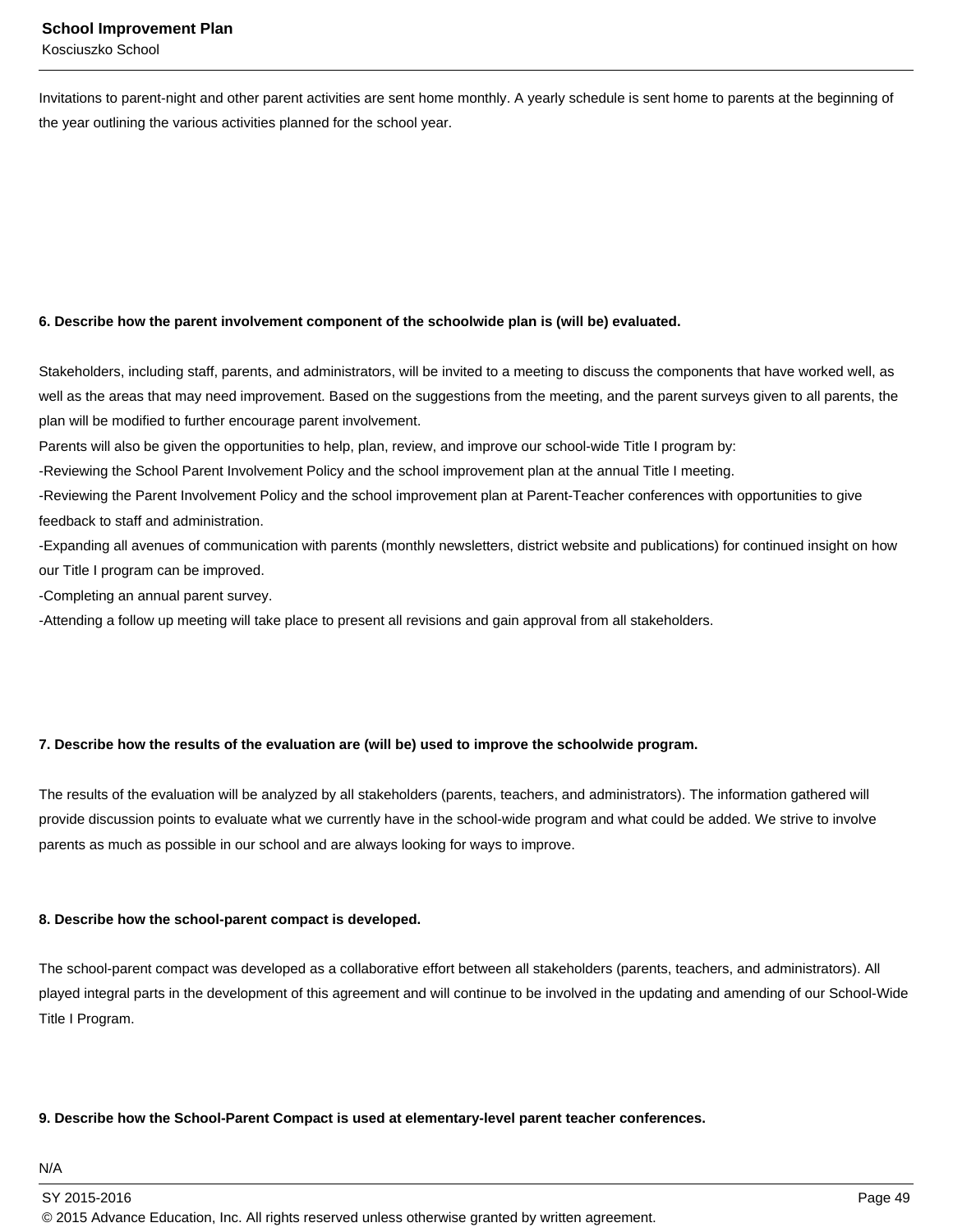Invitations to parent-night and other parent activities are sent home monthly. A yearly schedule is sent home to parents at the beginning of the year outlining the various activities planned for the school year.

### **6. Describe how the parent involvement component of the schoolwide plan is (will be) evaluated.**

Stakeholders, including staff, parents, and administrators, will be invited to a meeting to discuss the components that have worked well, as well as the areas that may need improvement. Based on the suggestions from the meeting, and the parent surveys given to all parents, the plan will be modified to further encourage parent involvement.

Parents will also be given the opportunities to help, plan, review, and improve our school-wide Title I program by:

-Reviewing the School Parent Involvement Policy and the school improvement plan at the annual Title I meeting.

-Reviewing the Parent Involvement Policy and the school improvement plan at Parent-Teacher conferences with opportunities to give feedback to staff and administration.

-Expanding all avenues of communication with parents (monthly newsletters, district website and publications) for continued insight on how our Title I program can be improved.

-Completing an annual parent survey.

-Attending a follow up meeting will take place to present all revisions and gain approval from all stakeholders.

### **7. Describe how the results of the evaluation are (will be) used to improve the schoolwide program.**

The results of the evaluation will be analyzed by all stakeholders (parents, teachers, and administrators). The information gathered will provide discussion points to evaluate what we currently have in the school-wide program and what could be added. We strive to involve parents as much as possible in our school and are always looking for ways to improve.

### **8. Describe how the school-parent compact is developed.**

The school-parent compact was developed as a collaborative effort between all stakeholders (parents, teachers, and administrators). All played integral parts in the development of this agreement and will continue to be involved in the updating and amending of our School-Wide Title I Program.

### **9. Describe how the School-Parent Compact is used at elementary-level parent teacher conferences.**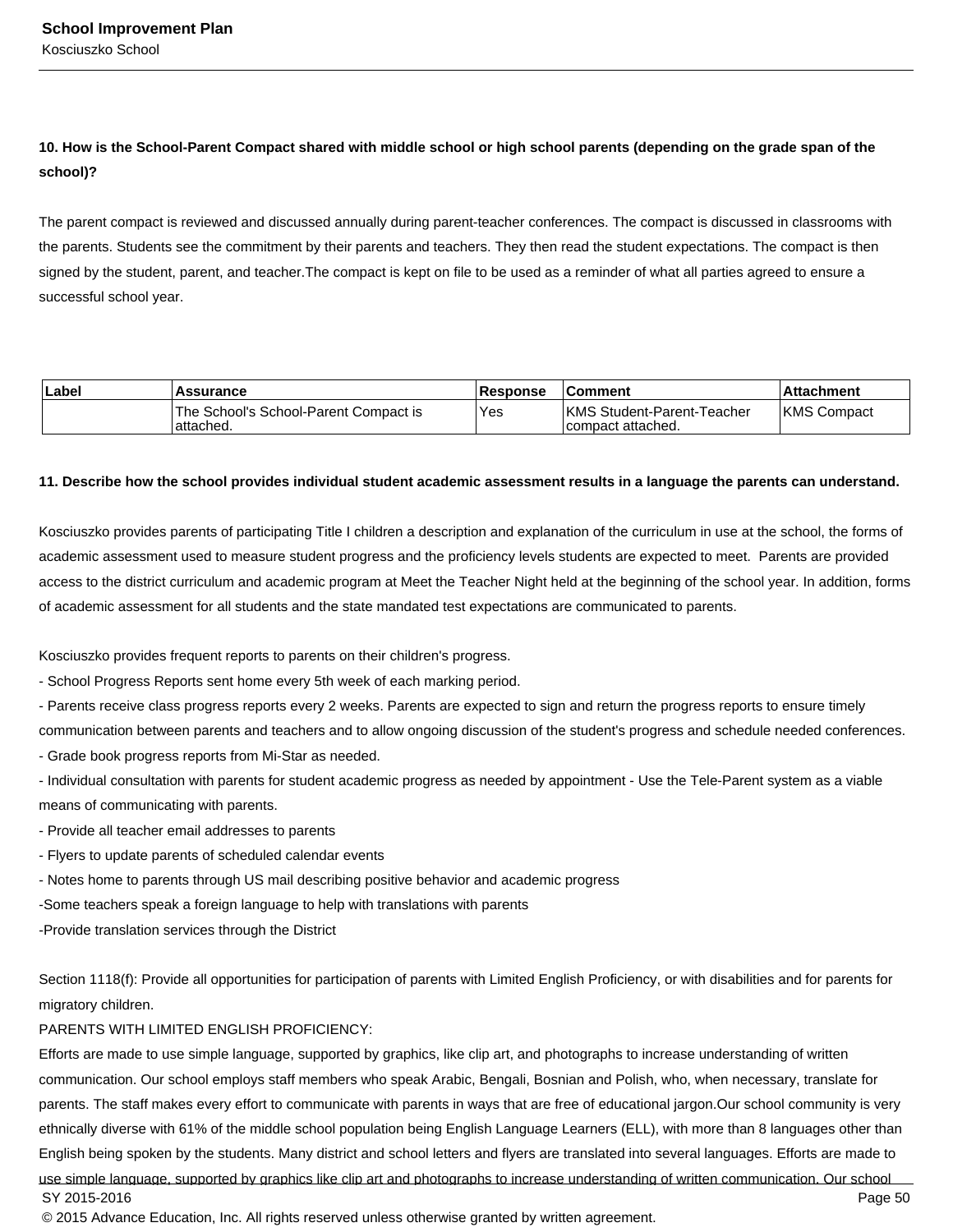### **10. How is the School-Parent Compact shared with middle school or high school parents (depending on the grade span of the school)?**

The parent compact is reviewed and discussed annually during parent-teacher conferences. The compact is discussed in classrooms with the parents. Students see the commitment by their parents and teachers. They then read the student expectations. The compact is then signed by the student, parent, and teacher.The compact is kept on file to be used as a reminder of what all parties agreed to ensure a successful school year.

| ∣Label | <b>Assurance</b>                                     | <b>Response</b> | <b>Comment</b>                                          | l Attachment       |
|--------|------------------------------------------------------|-----------------|---------------------------------------------------------|--------------------|
|        | 'The School's School-Parent Compact is<br>'attached. | <b>Yes</b>      | <b>IKMS Student-Parent-Teacher</b><br>compact attached. | <b>KMS Compact</b> |

### **11. Describe how the school provides individual student academic assessment results in a language the parents can understand.**

Kosciuszko provides parents of participating Title I children a description and explanation of the curriculum in use at the school, the forms of academic assessment used to measure student progress and the proficiency levels students are expected to meet. Parents are provided access to the district curriculum and academic program at Meet the Teacher Night held at the beginning of the school year. In addition, forms of academic assessment for all students and the state mandated test expectations are communicated to parents.

Kosciuszko provides frequent reports to parents on their children's progress.

- School Progress Reports sent home every 5th week of each marking period.

- Parents receive class progress reports every 2 weeks. Parents are expected to sign and return the progress reports to ensure timely

communication between parents and teachers and to allow ongoing discussion of the student's progress and schedule needed conferences.

- Grade book progress reports from Mi-Star as needed.

- Individual consultation with parents for student academic progress as needed by appointment - Use the Tele-Parent system as a viable means of communicating with parents.

- Provide all teacher email addresses to parents

- Flyers to update parents of scheduled calendar events

- Notes home to parents through US mail describing positive behavior and academic progress

-Some teachers speak a foreign language to help with translations with parents

-Provide translation services through the District

Section 1118(f): Provide all opportunities for participation of parents with Limited English Proficiency, or with disabilities and for parents for migratory children.

### PARENTS WITH LIMITED ENGLISH PROFICIENCY:

Efforts are made to use simple language, supported by graphics, like clip art, and photographs to increase understanding of written communication. Our school employs staff members who speak Arabic, Bengali, Bosnian and Polish, who, when necessary, translate for parents. The staff makes every effort to communicate with parents in ways that are free of educational jargon.Our school community is very ethnically diverse with 61% of the middle school population being English Language Learners (ELL), with more than 8 languages other than English being spoken by the students. Many district and school letters and flyers are translated into several languages. Efforts are made to use simple language, supported by graphics like clip art and photographs to increase understanding of written communication. Our school SY 2015-2016 Page 50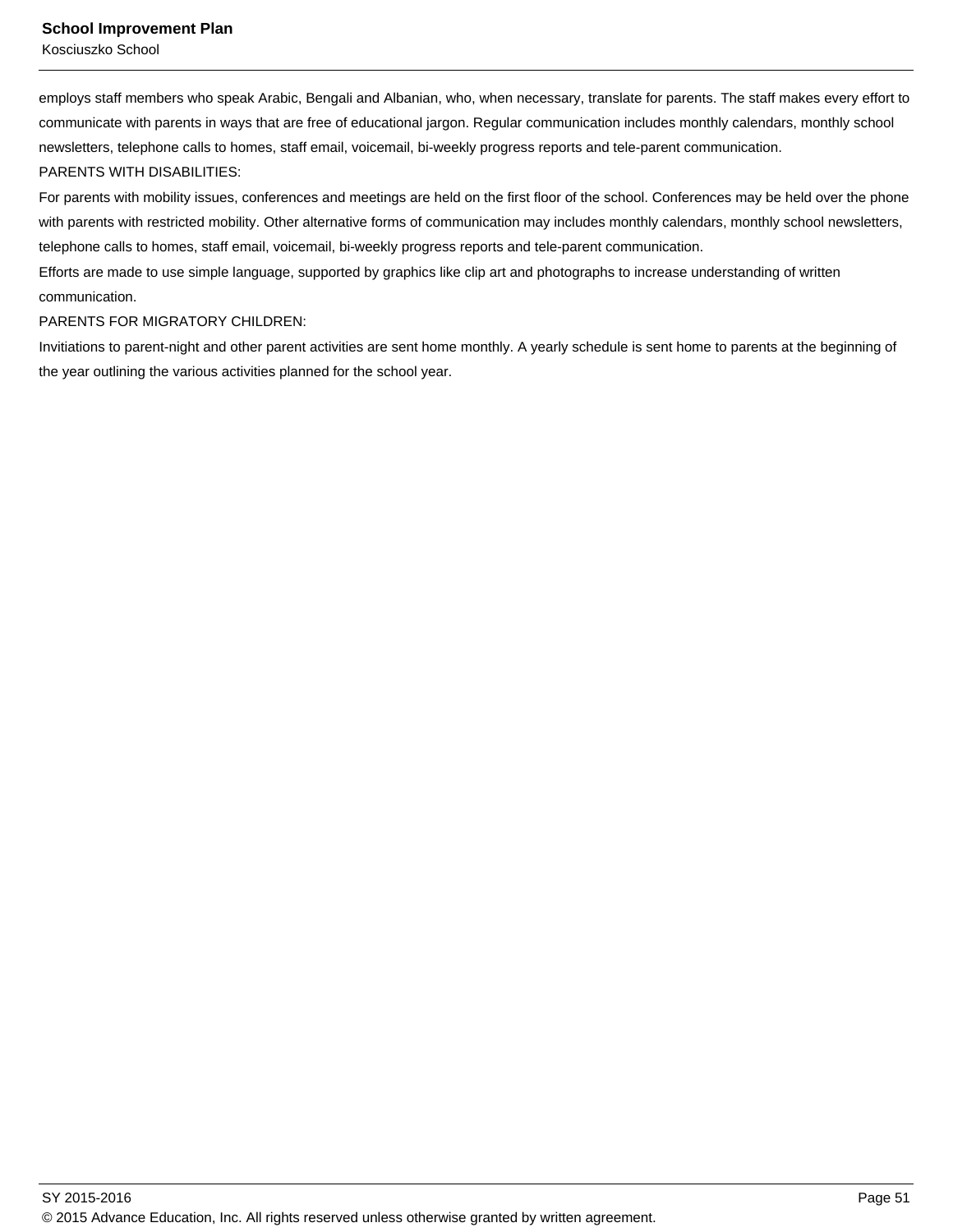employs staff members who speak Arabic, Bengali and Albanian, who, when necessary, translate for parents. The staff makes every effort to communicate with parents in ways that are free of educational jargon. Regular communication includes monthly calendars, monthly school newsletters, telephone calls to homes, staff email, voicemail, bi-weekly progress reports and tele-parent communication. PARENTS WITH DISABILITIES:

For parents with mobility issues, conferences and meetings are held on the first floor of the school. Conferences may be held over the phone with parents with restricted mobility. Other alternative forms of communication may includes monthly calendars, monthly school newsletters, telephone calls to homes, staff email, voicemail, bi-weekly progress reports and tele-parent communication.

Efforts are made to use simple language, supported by graphics like clip art and photographs to increase understanding of written communication.

### PARENTS FOR MIGRATORY CHILDREN:

Invitiations to parent-night and other parent activities are sent home monthly. A yearly schedule is sent home to parents at the beginning of the year outlining the various activities planned for the school year.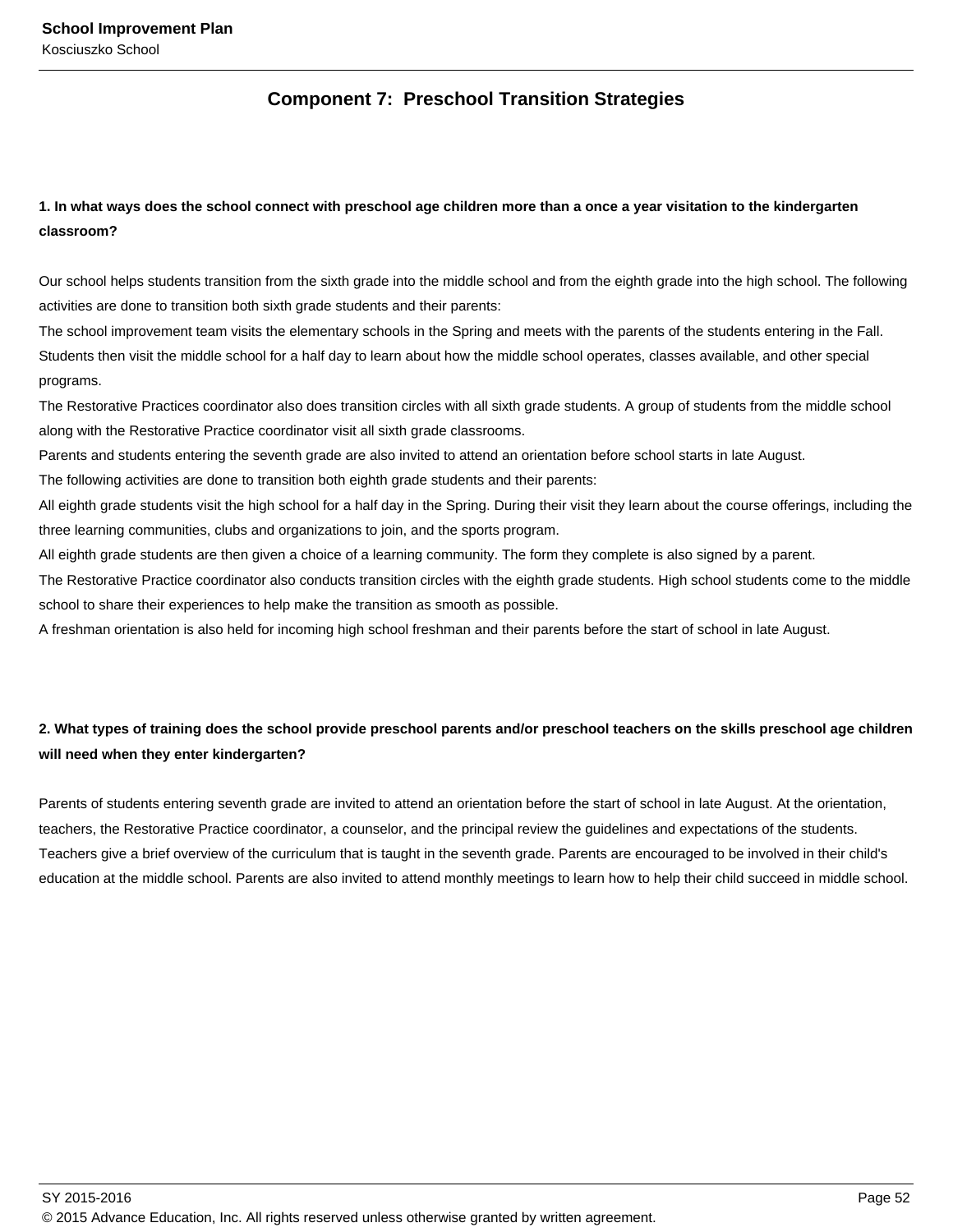### **Component 7: Preschool Transition Strategies**

### **1. In what ways does the school connect with preschool age children more than a once a year visitation to the kindergarten classroom?**

Our school helps students transition from the sixth grade into the middle school and from the eighth grade into the high school. The following activities are done to transition both sixth grade students and their parents:

The school improvement team visits the elementary schools in the Spring and meets with the parents of the students entering in the Fall. Students then visit the middle school for a half day to learn about how the middle school operates, classes available, and other special programs.

The Restorative Practices coordinator also does transition circles with all sixth grade students. A group of students from the middle school along with the Restorative Practice coordinator visit all sixth grade classrooms.

Parents and students entering the seventh grade are also invited to attend an orientation before school starts in late August.

The following activities are done to transition both eighth grade students and their parents:

All eighth grade students visit the high school for a half day in the Spring. During their visit they learn about the course offerings, including the three learning communities, clubs and organizations to join, and the sports program.

All eighth grade students are then given a choice of a learning community. The form they complete is also signed by a parent.

The Restorative Practice coordinator also conducts transition circles with the eighth grade students. High school students come to the middle school to share their experiences to help make the transition as smooth as possible.

A freshman orientation is also held for incoming high school freshman and their parents before the start of school in late August.

### **2. What types of training does the school provide preschool parents and/or preschool teachers on the skills preschool age children will need when they enter kindergarten?**

Parents of students entering seventh grade are invited to attend an orientation before the start of school in late August. At the orientation, teachers, the Restorative Practice coordinator, a counselor, and the principal review the guidelines and expectations of the students. Teachers give a brief overview of the curriculum that is taught in the seventh grade. Parents are encouraged to be involved in their child's education at the middle school. Parents are also invited to attend monthly meetings to learn how to help their child succeed in middle school.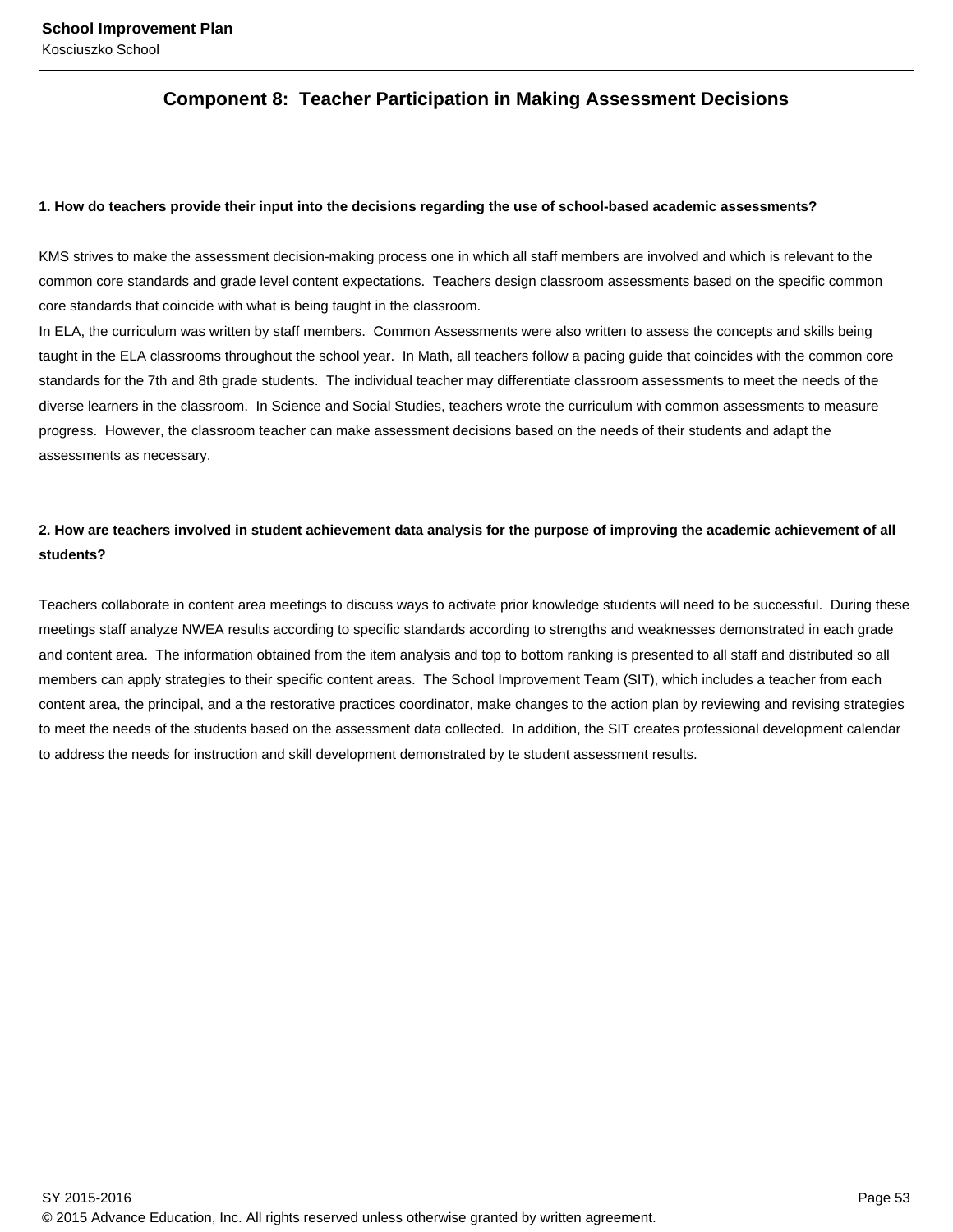### **Component 8: Teacher Participation in Making Assessment Decisions**

### **1. How do teachers provide their input into the decisions regarding the use of school-based academic assessments?**

KMS strives to make the assessment decision-making process one in which all staff members are involved and which is relevant to the common core standards and grade level content expectations. Teachers design classroom assessments based on the specific common core standards that coincide with what is being taught in the classroom.

In ELA, the curriculum was written by staff members. Common Assessments were also written to assess the concepts and skills being taught in the ELA classrooms throughout the school year. In Math, all teachers follow a pacing guide that coincides with the common core standards for the 7th and 8th grade students. The individual teacher may differentiate classroom assessments to meet the needs of the diverse learners in the classroom. In Science and Social Studies, teachers wrote the curriculum with common assessments to measure progress. However, the classroom teacher can make assessment decisions based on the needs of their students and adapt the assessments as necessary.

### **2. How are teachers involved in student achievement data analysis for the purpose of improving the academic achievement of all students?**

Teachers collaborate in content area meetings to discuss ways to activate prior knowledge students will need to be successful. During these meetings staff analyze NWEA results according to specific standards according to strengths and weaknesses demonstrated in each grade and content area. The information obtained from the item analysis and top to bottom ranking is presented to all staff and distributed so all members can apply strategies to their specific content areas. The School Improvement Team (SIT), which includes a teacher from each content area, the principal, and a the restorative practices coordinator, make changes to the action plan by reviewing and revising strategies to meet the needs of the students based on the assessment data collected. In addition, the SIT creates professional development calendar to address the needs for instruction and skill development demonstrated by te student assessment results.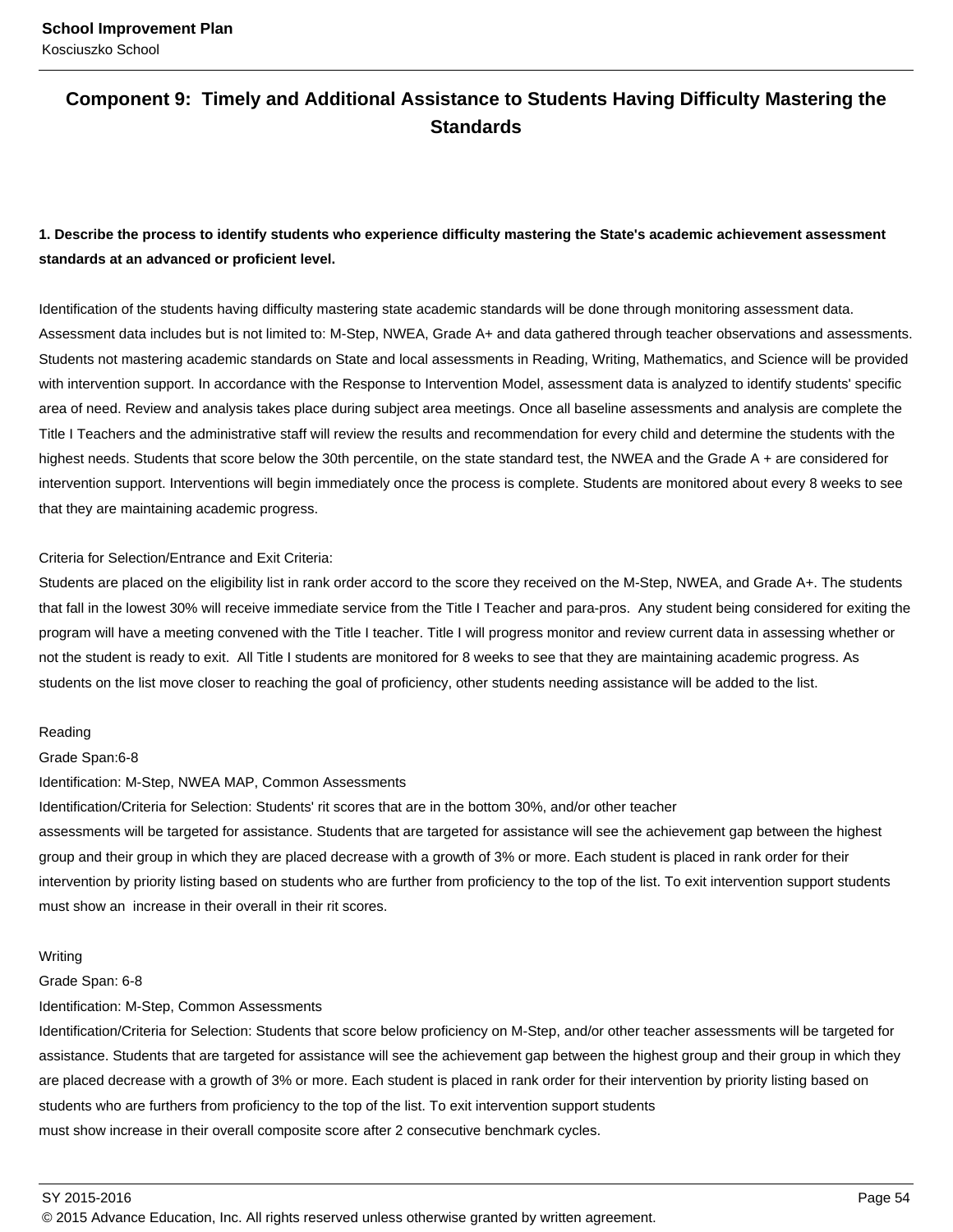### **Component 9: Timely and Additional Assistance to Students Having Difficulty Mastering the Standards**

### **1. Describe the process to identify students who experience difficulty mastering the State's academic achievement assessment standards at an advanced or proficient level.**

Identification of the students having difficulty mastering state academic standards will be done through monitoring assessment data. Assessment data includes but is not limited to: M-Step, NWEA, Grade A+ and data gathered through teacher observations and assessments. Students not mastering academic standards on State and local assessments in Reading, Writing, Mathematics, and Science will be provided with intervention support. In accordance with the Response to Intervention Model, assessment data is analyzed to identify students' specific area of need. Review and analysis takes place during subject area meetings. Once all baseline assessments and analysis are complete the Title I Teachers and the administrative staff will review the results and recommendation for every child and determine the students with the highest needs. Students that score below the 30th percentile, on the state standard test, the NWEA and the Grade A + are considered for intervention support. Interventions will begin immediately once the process is complete. Students are monitored about every 8 weeks to see that they are maintaining academic progress.

### Criteria for Selection/Entrance and Exit Criteria:

Students are placed on the eligibility list in rank order accord to the score they received on the M-Step, NWEA, and Grade A+. The students that fall in the lowest 30% will receive immediate service from the Title I Teacher and para-pros. Any student being considered for exiting the program will have a meeting convened with the Title I teacher. Title I will progress monitor and review current data in assessing whether or not the student is ready to exit. All Title I students are monitored for 8 weeks to see that they are maintaining academic progress. As students on the list move closer to reaching the goal of proficiency, other students needing assistance will be added to the list.

#### Reading

#### Grade Span:6-8

#### Identification: M-Step, NWEA MAP, Common Assessments

Identification/Criteria for Selection: Students' rit scores that are in the bottom 30%, and/or other teacher

assessments will be targeted for assistance. Students that are targeted for assistance will see the achievement gap between the highest group and their group in which they are placed decrease with a growth of 3% or more. Each student is placed in rank order for their intervention by priority listing based on students who are further from proficiency to the top of the list. To exit intervention support students must show an increase in their overall in their rit scores.

#### Writing

#### Grade Span: 6-8

Identification: M-Step, Common Assessments

Identification/Criteria for Selection: Students that score below proficiency on M-Step, and/or other teacher assessments will be targeted for assistance. Students that are targeted for assistance will see the achievement gap between the highest group and their group in which they are placed decrease with a growth of 3% or more. Each student is placed in rank order for their intervention by priority listing based on students who are furthers from proficiency to the top of the list. To exit intervention support students must show increase in their overall composite score after 2 consecutive benchmark cycles.

SY 2015-2016 Page 54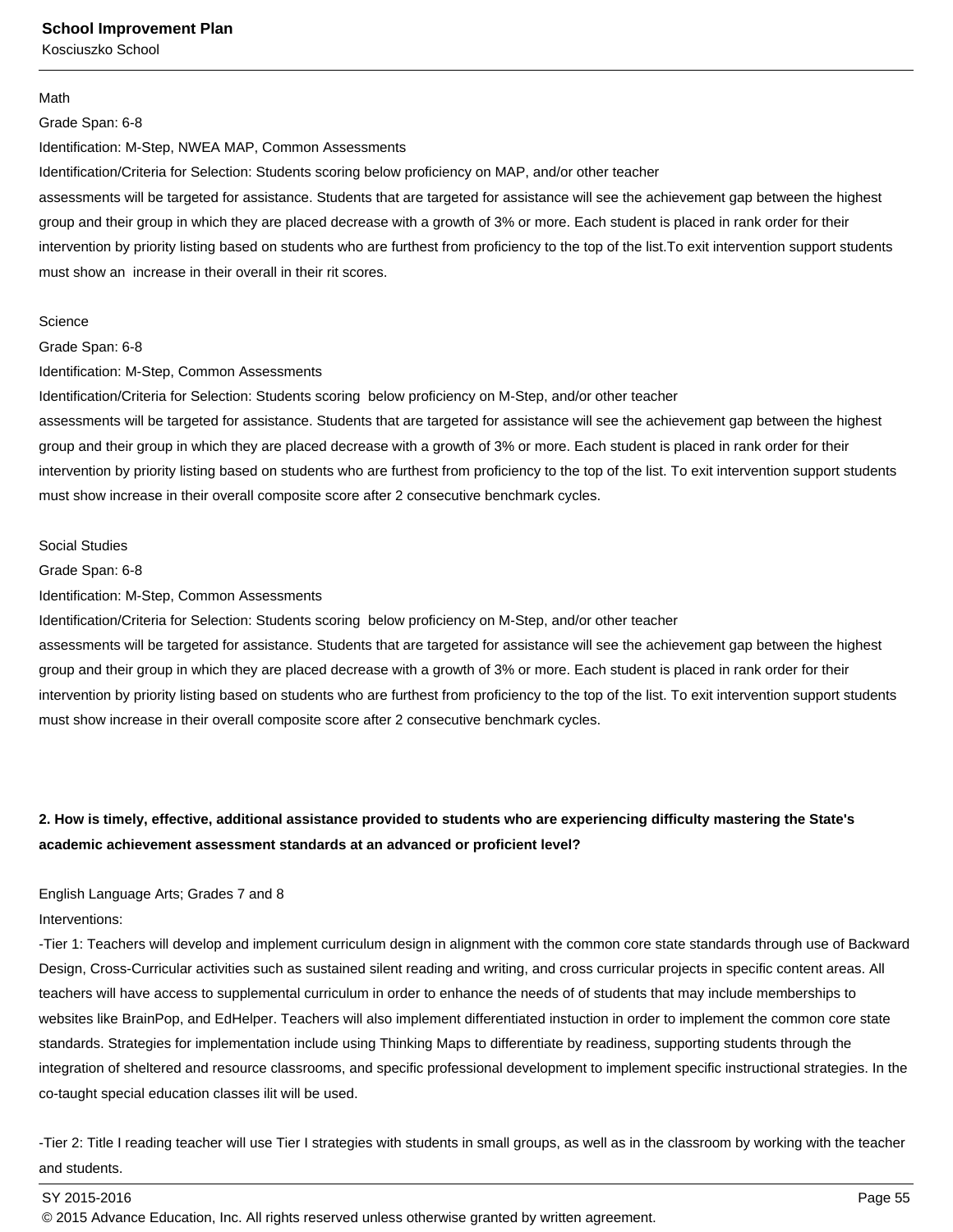#### Math

#### Grade Span: 6-8

Identification: M-Step, NWEA MAP, Common Assessments

Identification/Criteria for Selection: Students scoring below proficiency on MAP, and/or other teacher

assessments will be targeted for assistance. Students that are targeted for assistance will see the achievement gap between the highest group and their group in which they are placed decrease with a growth of 3% or more. Each student is placed in rank order for their intervention by priority listing based on students who are furthest from proficiency to the top of the list.To exit intervention support students must show an increase in their overall in their rit scores.

#### **Science**

Grade Span: 6-8

Identification: M-Step, Common Assessments

Identification/Criteria for Selection: Students scoring below proficiency on M-Step, and/or other teacher

assessments will be targeted for assistance. Students that are targeted for assistance will see the achievement gap between the highest group and their group in which they are placed decrease with a growth of 3% or more. Each student is placed in rank order for their intervention by priority listing based on students who are furthest from proficiency to the top of the list. To exit intervention support students must show increase in their overall composite score after 2 consecutive benchmark cycles.

#### Social Studies

Grade Span: 6-8

Identification: M-Step, Common Assessments

Identification/Criteria for Selection: Students scoring below proficiency on M-Step, and/or other teacher

assessments will be targeted for assistance. Students that are targeted for assistance will see the achievement gap between the highest group and their group in which they are placed decrease with a growth of 3% or more. Each student is placed in rank order for their intervention by priority listing based on students who are furthest from proficiency to the top of the list. To exit intervention support students must show increase in their overall composite score after 2 consecutive benchmark cycles.

### **2. How is timely, effective, additional assistance provided to students who are experiencing difficulty mastering the State's academic achievement assessment standards at an advanced or proficient level?**

### English Language Arts; Grades 7 and 8

Interventions:

-Tier 1: Teachers will develop and implement curriculum design in alignment with the common core state standards through use of Backward Design, Cross-Curricular activities such as sustained silent reading and writing, and cross curricular projects in specific content areas. All teachers will have access to supplemental curriculum in order to enhance the needs of of students that may include memberships to websites like BrainPop, and EdHelper. Teachers will also implement differentiated instuction in order to implement the common core state standards. Strategies for implementation include using Thinking Maps to differentiate by readiness, supporting students through the integration of sheltered and resource classrooms, and specific professional development to implement specific instructional strategies. In the co-taught special education classes ilit will be used.

-Tier 2: Title I reading teacher will use Tier I strategies with students in small groups, as well as in the classroom by working with the teacher and students.

### SY 2015-2016 Page 55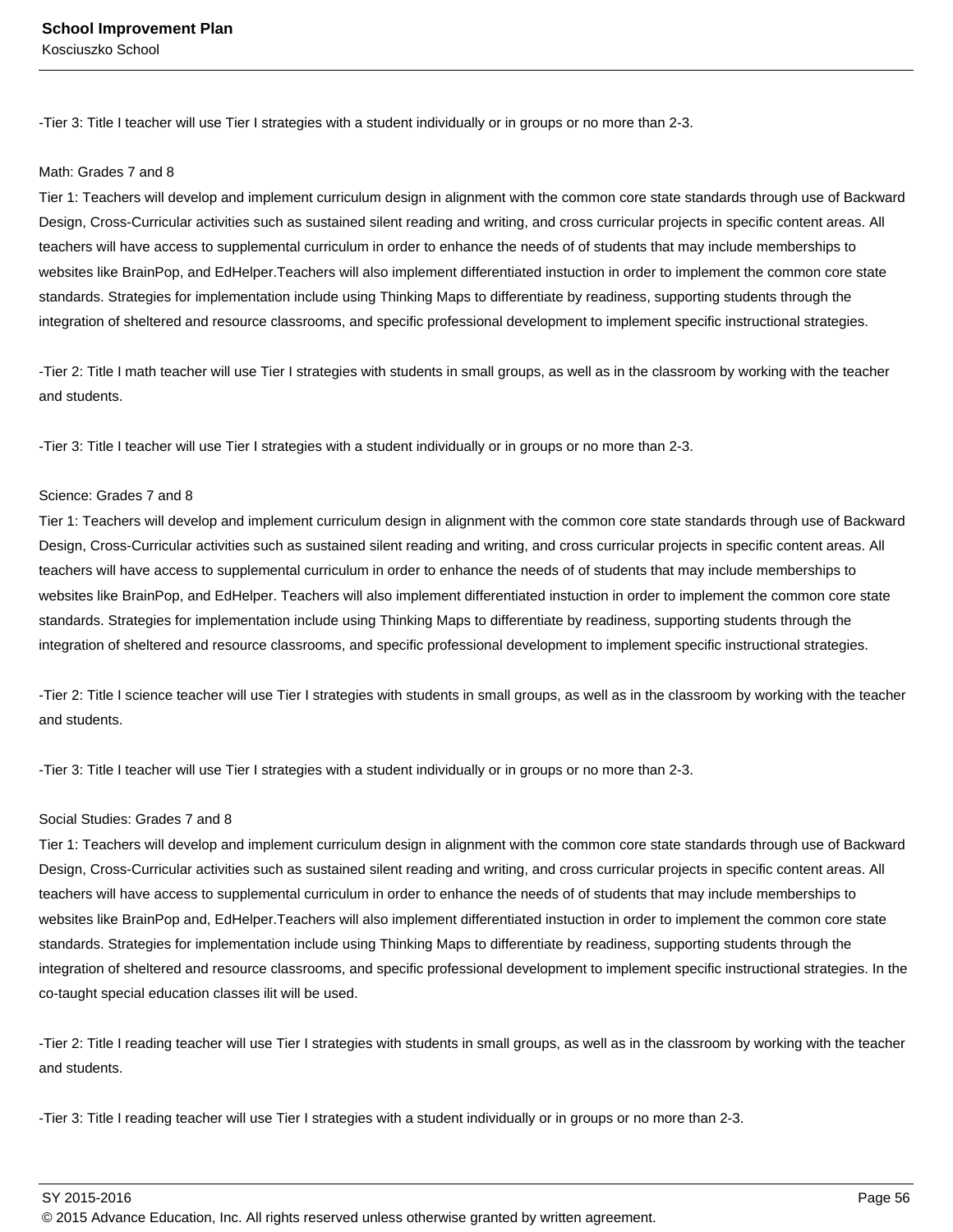-Tier 3: Title I teacher will use Tier I strategies with a student individually or in groups or no more than 2-3.

#### Math: Grades 7 and 8

Tier 1: Teachers will develop and implement curriculum design in alignment with the common core state standards through use of Backward Design, Cross-Curricular activities such as sustained silent reading and writing, and cross curricular projects in specific content areas. All teachers will have access to supplemental curriculum in order to enhance the needs of of students that may include memberships to websites like BrainPop, and EdHelper.Teachers will also implement differentiated instuction in order to implement the common core state standards. Strategies for implementation include using Thinking Maps to differentiate by readiness, supporting students through the integration of sheltered and resource classrooms, and specific professional development to implement specific instructional strategies.

-Tier 2: Title I math teacher will use Tier I strategies with students in small groups, as well as in the classroom by working with the teacher and students.

-Tier 3: Title I teacher will use Tier I strategies with a student individually or in groups or no more than 2-3.

#### Science: Grades 7 and 8

Tier 1: Teachers will develop and implement curriculum design in alignment with the common core state standards through use of Backward Design, Cross-Curricular activities such as sustained silent reading and writing, and cross curricular projects in specific content areas. All teachers will have access to supplemental curriculum in order to enhance the needs of of students that may include memberships to websites like BrainPop, and EdHelper. Teachers will also implement differentiated instuction in order to implement the common core state standards. Strategies for implementation include using Thinking Maps to differentiate by readiness, supporting students through the integration of sheltered and resource classrooms, and specific professional development to implement specific instructional strategies.

-Tier 2: Title I science teacher will use Tier I strategies with students in small groups, as well as in the classroom by working with the teacher and students.

-Tier 3: Title I teacher will use Tier I strategies with a student individually or in groups or no more than 2-3.

### Social Studies: Grades 7 and 8

Tier 1: Teachers will develop and implement curriculum design in alignment with the common core state standards through use of Backward Design, Cross-Curricular activities such as sustained silent reading and writing, and cross curricular projects in specific content areas. All teachers will have access to supplemental curriculum in order to enhance the needs of of students that may include memberships to websites like BrainPop and, EdHelper.Teachers will also implement differentiated instuction in order to implement the common core state standards. Strategies for implementation include using Thinking Maps to differentiate by readiness, supporting students through the integration of sheltered and resource classrooms, and specific professional development to implement specific instructional strategies. In the co-taught special education classes ilit will be used.

-Tier 2: Title I reading teacher will use Tier I strategies with students in small groups, as well as in the classroom by working with the teacher and students.

-Tier 3: Title I reading teacher will use Tier I strategies with a student individually or in groups or no more than 2-3.

SY 2015-2016 Page 56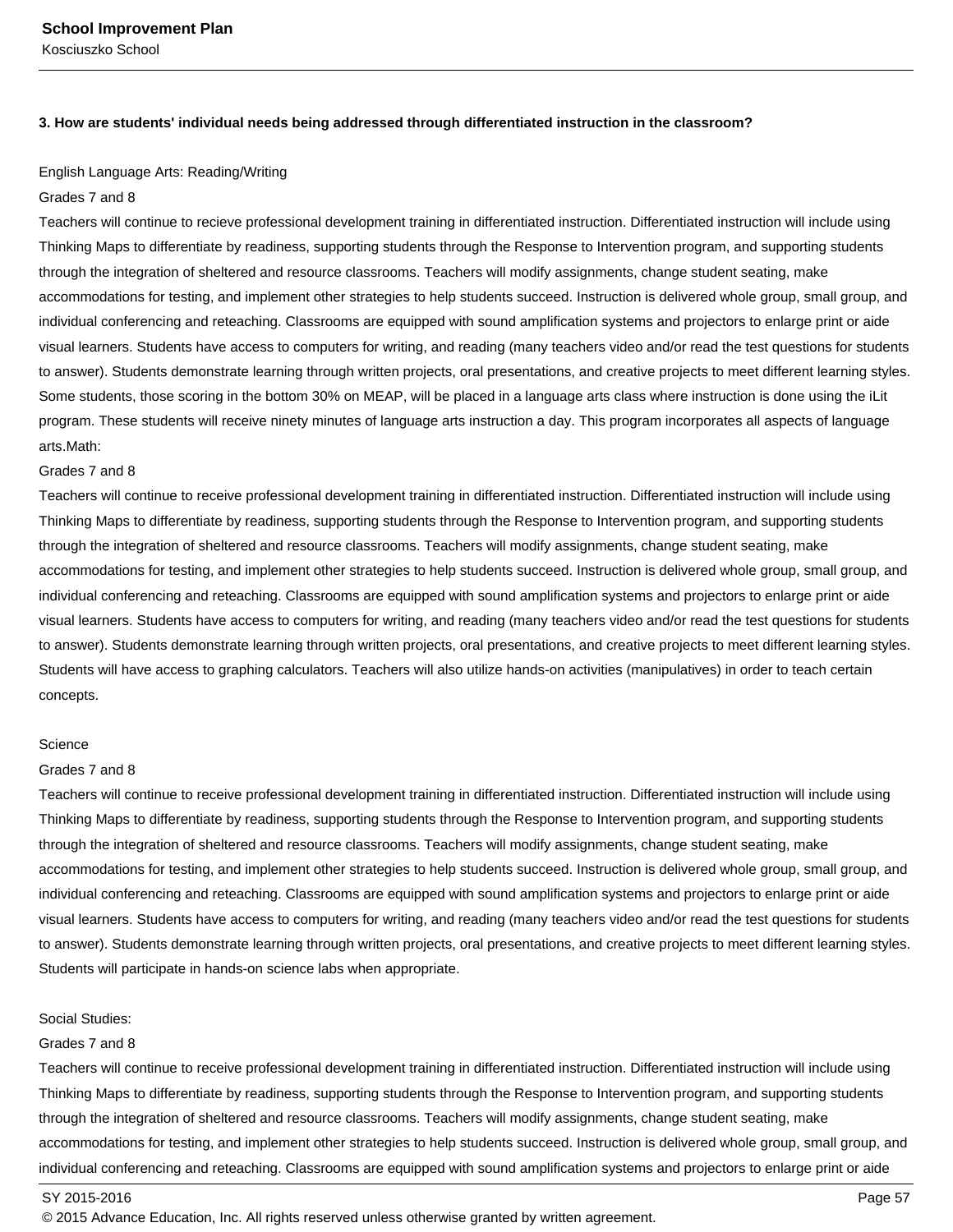#### **3. How are students' individual needs being addressed through differentiated instruction in the classroom?**

### English Language Arts: Reading/Writing

#### Grades 7 and 8

Teachers will continue to recieve professional development training in differentiated instruction. Differentiated instruction will include using Thinking Maps to differentiate by readiness, supporting students through the Response to Intervention program, and supporting students through the integration of sheltered and resource classrooms. Teachers will modify assignments, change student seating, make accommodations for testing, and implement other strategies to help students succeed. Instruction is delivered whole group, small group, and individual conferencing and reteaching. Classrooms are equipped with sound amplification systems and projectors to enlarge print or aide visual learners. Students have access to computers for writing, and reading (many teachers video and/or read the test questions for students to answer). Students demonstrate learning through written projects, oral presentations, and creative projects to meet different learning styles. Some students, those scoring in the bottom 30% on MEAP, will be placed in a language arts class where instruction is done using the iLit program. These students will receive ninety minutes of language arts instruction a day. This program incorporates all aspects of language arts.Math:

#### Grades 7 and 8

Teachers will continue to receive professional development training in differentiated instruction. Differentiated instruction will include using Thinking Maps to differentiate by readiness, supporting students through the Response to Intervention program, and supporting students through the integration of sheltered and resource classrooms. Teachers will modify assignments, change student seating, make accommodations for testing, and implement other strategies to help students succeed. Instruction is delivered whole group, small group, and individual conferencing and reteaching. Classrooms are equipped with sound amplification systems and projectors to enlarge print or aide visual learners. Students have access to computers for writing, and reading (many teachers video and/or read the test questions for students to answer). Students demonstrate learning through written projects, oral presentations, and creative projects to meet different learning styles. Students will have access to graphing calculators. Teachers will also utilize hands-on activities (manipulatives) in order to teach certain concepts.

### **Science**

### Grades 7 and 8

Teachers will continue to receive professional development training in differentiated instruction. Differentiated instruction will include using Thinking Maps to differentiate by readiness, supporting students through the Response to Intervention program, and supporting students through the integration of sheltered and resource classrooms. Teachers will modify assignments, change student seating, make accommodations for testing, and implement other strategies to help students succeed. Instruction is delivered whole group, small group, and individual conferencing and reteaching. Classrooms are equipped with sound amplification systems and projectors to enlarge print or aide visual learners. Students have access to computers for writing, and reading (many teachers video and/or read the test questions for students to answer). Students demonstrate learning through written projects, oral presentations, and creative projects to meet different learning styles. Students will participate in hands-on science labs when appropriate.

#### Social Studies:

#### Grades 7 and 8

Teachers will continue to receive professional development training in differentiated instruction. Differentiated instruction will include using Thinking Maps to differentiate by readiness, supporting students through the Response to Intervention program, and supporting students through the integration of sheltered and resource classrooms. Teachers will modify assignments, change student seating, make accommodations for testing, and implement other strategies to help students succeed. Instruction is delivered whole group, small group, and individual conferencing and reteaching. Classrooms are equipped with sound amplification systems and projectors to enlarge print or aide

#### SY 2015-2016 Page 57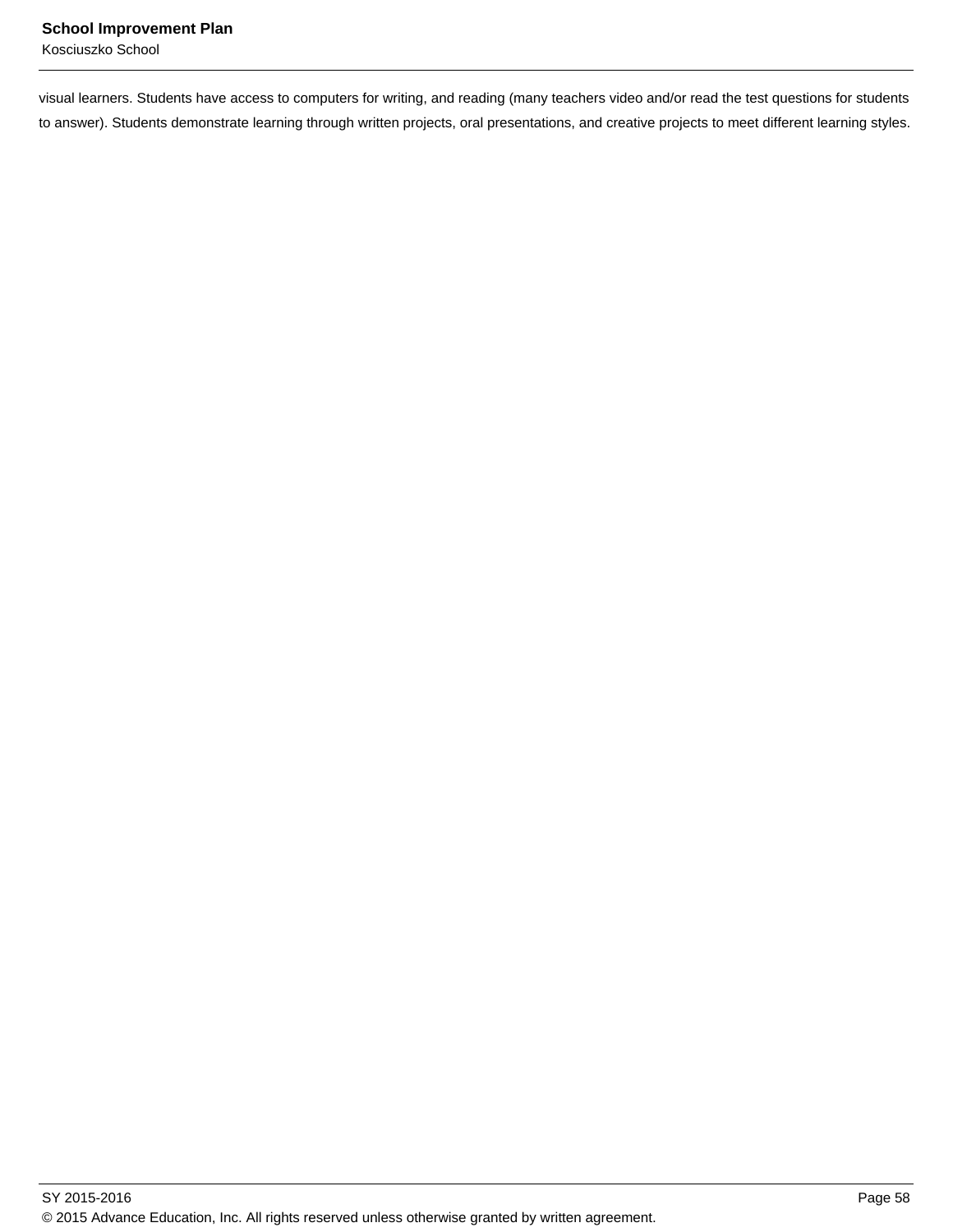visual learners. Students have access to computers for writing, and reading (many teachers video and/or read the test questions for students to answer). Students demonstrate learning through written projects, oral presentations, and creative projects to meet different learning styles.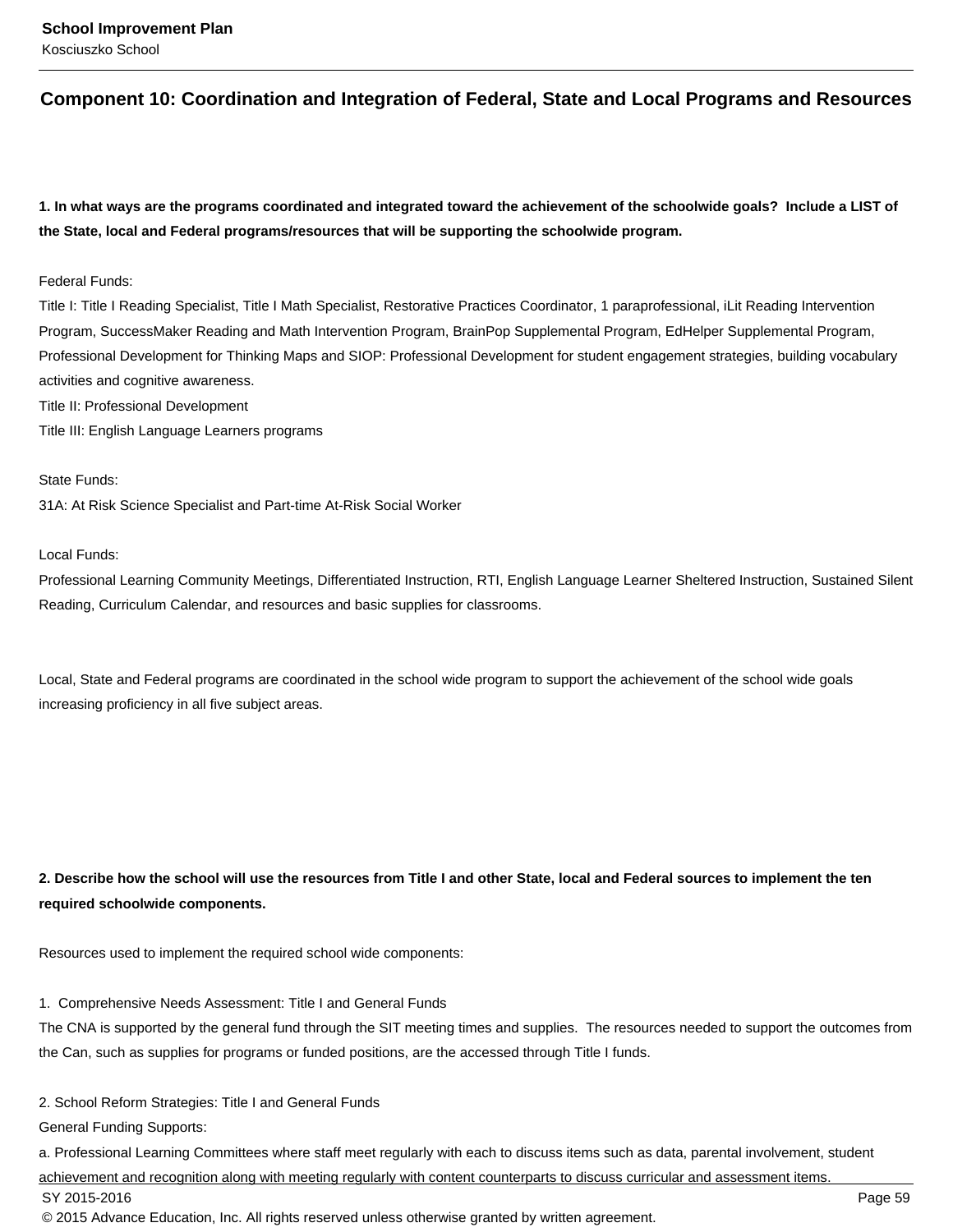### **Component 10: Coordination and Integration of Federal, State and Local Programs and Resources**

**1. In what ways are the programs coordinated and integrated toward the achievement of the schoolwide goals? Include a LIST of the State, local and Federal programs/resources that will be supporting the schoolwide program.**

### Federal Funds:

Title I: Title I Reading Specialist, Title I Math Specialist, Restorative Practices Coordinator, 1 paraprofessional, iLit Reading Intervention Program, SuccessMaker Reading and Math Intervention Program, BrainPop Supplemental Program, EdHelper Supplemental Program, Professional Development for Thinking Maps and SIOP: Professional Development for student engagement strategies, building vocabulary activities and cognitive awareness.

Title II: Professional Development

Title III: English Language Learners programs

State Funds:

31A: At Risk Science Specialist and Part-time At-Risk Social Worker

Local Funds:

Professional Learning Community Meetings, Differentiated Instruction, RTI, English Language Learner Sheltered Instruction, Sustained Silent Reading, Curriculum Calendar, and resources and basic supplies for classrooms.

Local, State and Federal programs are coordinated in the school wide program to support the achievement of the school wide goals increasing proficiency in all five subject areas.

**2. Describe how the school will use the resources from Title I and other State, local and Federal sources to implement the ten required schoolwide components.**

Resources used to implement the required school wide components:

1. Comprehensive Needs Assessment: Title I and General Funds

The CNA is supported by the general fund through the SIT meeting times and supplies. The resources needed to support the outcomes from the Can, such as supplies for programs or funded positions, are the accessed through Title I funds.

2. School Reform Strategies: Title I and General Funds

General Funding Supports:

a. Professional Learning Committees where staff meet regularly with each to discuss items such as data, parental involvement, student

achievement and recognition along with meeting regularly with content counterparts to discuss curricular and assessment items.

SY 2015-2016 Page 59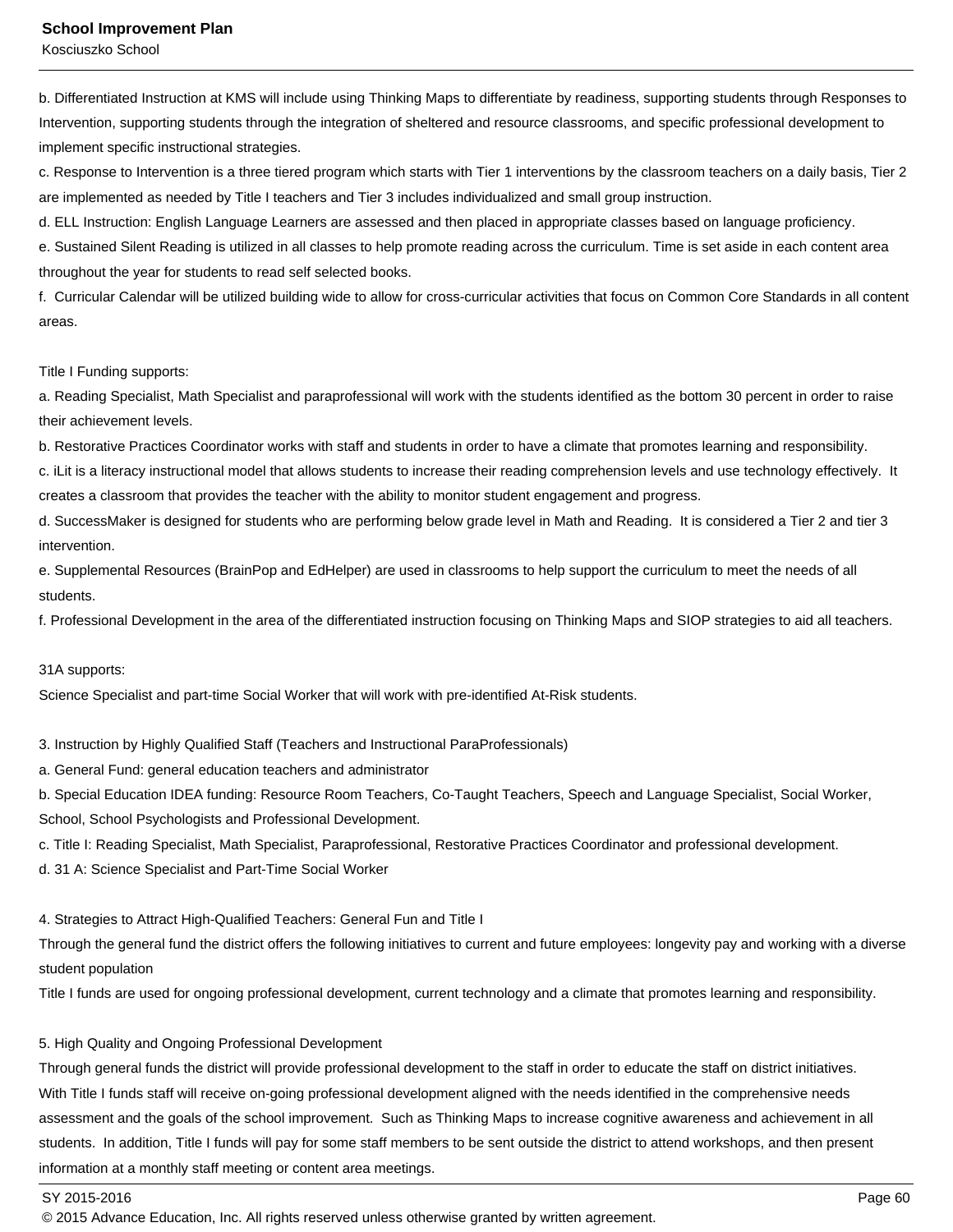#### **School Improvement Plan**

Kosciuszko School

b. Differentiated Instruction at KMS will include using Thinking Maps to differentiate by readiness, supporting students through Responses to Intervention, supporting students through the integration of sheltered and resource classrooms, and specific professional development to implement specific instructional strategies.

c. Response to Intervention is a three tiered program which starts with Tier 1 interventions by the classroom teachers on a daily basis, Tier 2 are implemented as needed by Title I teachers and Tier 3 includes individualized and small group instruction.

d. ELL Instruction: English Language Learners are assessed and then placed in appropriate classes based on language proficiency.

e. Sustained Silent Reading is utilized in all classes to help promote reading across the curriculum. Time is set aside in each content area throughout the year for students to read self selected books.

f. Curricular Calendar will be utilized building wide to allow for cross-curricular activities that focus on Common Core Standards in all content areas.

Title I Funding supports:

a. Reading Specialist, Math Specialist and paraprofessional will work with the students identified as the bottom 30 percent in order to raise their achievement levels.

b. Restorative Practices Coordinator works with staff and students in order to have a climate that promotes learning and responsibility.

c. iLit is a literacy instructional model that allows students to increase their reading comprehension levels and use technology effectively. It creates a classroom that provides the teacher with the ability to monitor student engagement and progress.

d. SuccessMaker is designed for students who are performing below grade level in Math and Reading. It is considered a Tier 2 and tier 3 intervention.

e. Supplemental Resources (BrainPop and EdHelper) are used in classrooms to help support the curriculum to meet the needs of all students.

f. Professional Development in the area of the differentiated instruction focusing on Thinking Maps and SIOP strategies to aid all teachers.

31A supports:

Science Specialist and part-time Social Worker that will work with pre-identified At-Risk students.

3. Instruction by Highly Qualified Staff (Teachers and Instructional ParaProfessionals)

a. General Fund: general education teachers and administrator

b. Special Education IDEA funding: Resource Room Teachers, Co-Taught Teachers, Speech and Language Specialist, Social Worker,

School, School Psychologists and Professional Development.

c. Title I: Reading Specialist, Math Specialist, Paraprofessional, Restorative Practices Coordinator and professional development.

d. 31 A: Science Specialist and Part-Time Social Worker

4. Strategies to Attract High-Qualified Teachers: General Fun and Title I

Through the general fund the district offers the following initiatives to current and future employees: longevity pay and working with a diverse student population

Title I funds are used for ongoing professional development, current technology and a climate that promotes learning and responsibility.

5. High Quality and Ongoing Professional Development

Through general funds the district will provide professional development to the staff in order to educate the staff on district initiatives. With Title I funds staff will receive on-going professional development aligned with the needs identified in the comprehensive needs assessment and the goals of the school improvement. Such as Thinking Maps to increase cognitive awareness and achievement in all students. In addition, Title I funds will pay for some staff members to be sent outside the district to attend workshops, and then present information at a monthly staff meeting or content area meetings.

SY 2015-2016 Page 60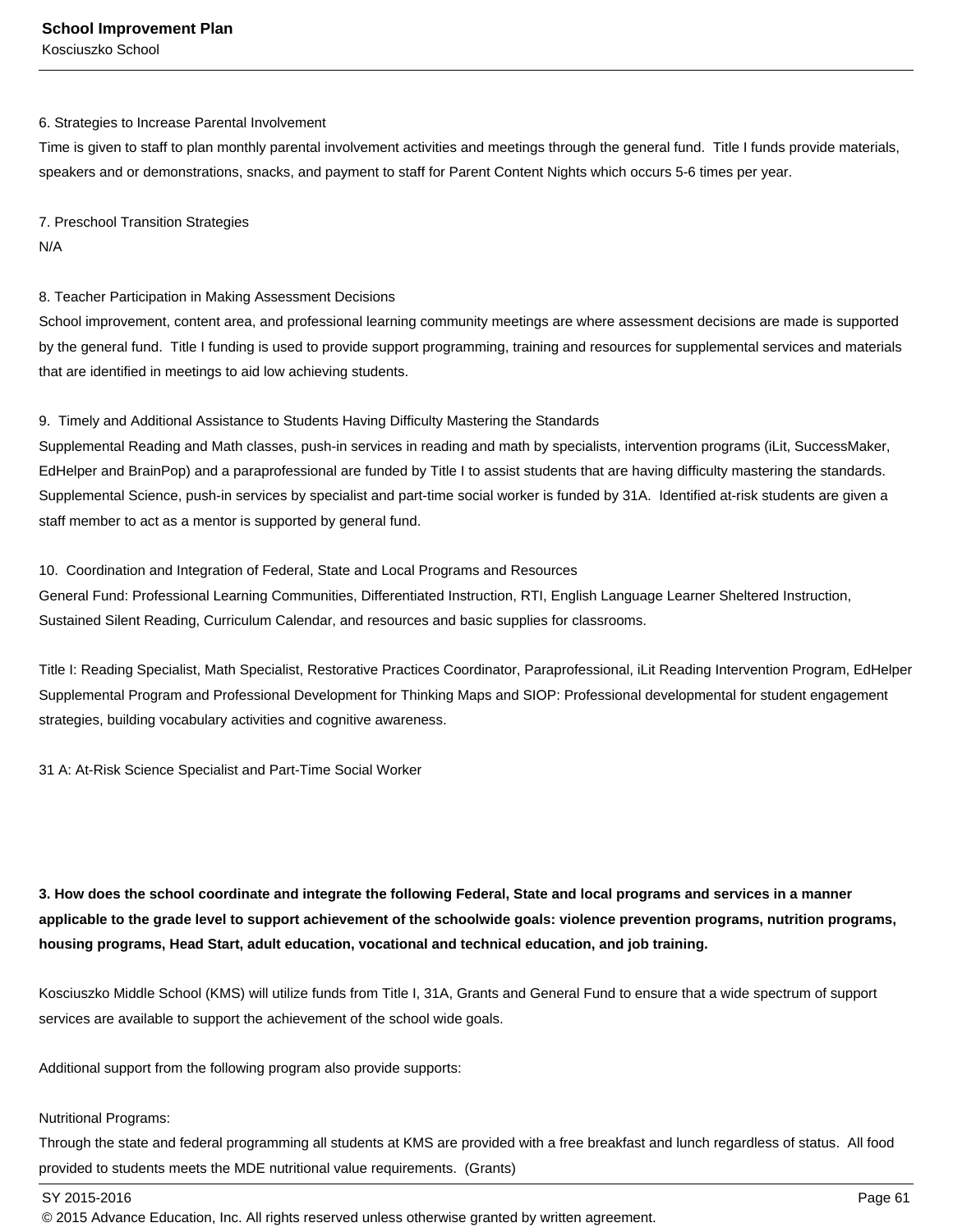#### 6. Strategies to Increase Parental Involvement

Time is given to staff to plan monthly parental involvement activities and meetings through the general fund. Title I funds provide materials, speakers and or demonstrations, snacks, and payment to staff for Parent Content Nights which occurs 5-6 times per year.

7. Preschool Transition Strategies N/A

8. Teacher Participation in Making Assessment Decisions

School improvement, content area, and professional learning community meetings are where assessment decisions are made is supported by the general fund. Title I funding is used to provide support programming, training and resources for supplemental services and materials that are identified in meetings to aid low achieving students.

### 9. Timely and Additional Assistance to Students Having Difficulty Mastering the Standards

Supplemental Reading and Math classes, push-in services in reading and math by specialists, intervention programs (iLit, SuccessMaker, EdHelper and BrainPop) and a paraprofessional are funded by Title I to assist students that are having difficulty mastering the standards. Supplemental Science, push-in services by specialist and part-time social worker is funded by 31A. Identified at-risk students are given a staff member to act as a mentor is supported by general fund.

#### 10. Coordination and Integration of Federal, State and Local Programs and Resources

General Fund: Professional Learning Communities, Differentiated Instruction, RTI, English Language Learner Sheltered Instruction, Sustained Silent Reading, Curriculum Calendar, and resources and basic supplies for classrooms.

Title I: Reading Specialist, Math Specialist, Restorative Practices Coordinator, Paraprofessional, iLit Reading Intervention Program, EdHelper Supplemental Program and Professional Development for Thinking Maps and SIOP: Professional developmental for student engagement strategies, building vocabulary activities and cognitive awareness.

31 A: At-Risk Science Specialist and Part-Time Social Worker

**3. How does the school coordinate and integrate the following Federal, State and local programs and services in a manner applicable to the grade level to support achievement of the schoolwide goals: violence prevention programs, nutrition programs, housing programs, Head Start, adult education, vocational and technical education, and job training.** 

Kosciuszko Middle School (KMS) will utilize funds from Title I, 31A, Grants and General Fund to ensure that a wide spectrum of support services are available to support the achievement of the school wide goals.

Additional support from the following program also provide supports:

### Nutritional Programs:

Through the state and federal programming all students at KMS are provided with a free breakfast and lunch regardless of status. All food provided to students meets the MDE nutritional value requirements. (Grants)

SY 2015-2016 Page 61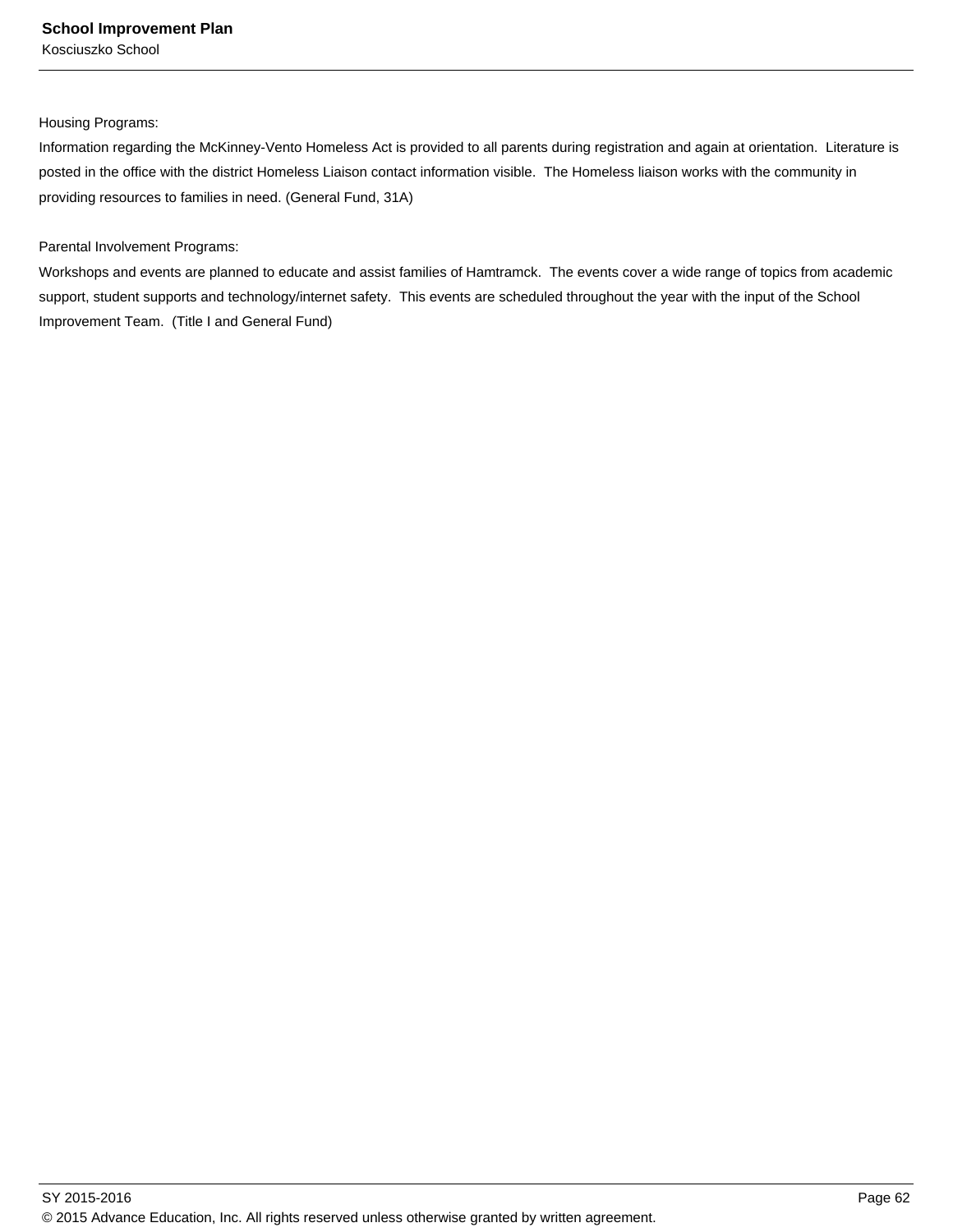Housing Programs:

Information regarding the McKinney-Vento Homeless Act is provided to all parents during registration and again at orientation. Literature is posted in the office with the district Homeless Liaison contact information visible. The Homeless liaison works with the community in providing resources to families in need. (General Fund, 31A)

### Parental Involvement Programs:

Workshops and events are planned to educate and assist families of Hamtramck. The events cover a wide range of topics from academic support, student supports and technology/internet safety. This events are scheduled throughout the year with the input of the School Improvement Team. (Title I and General Fund)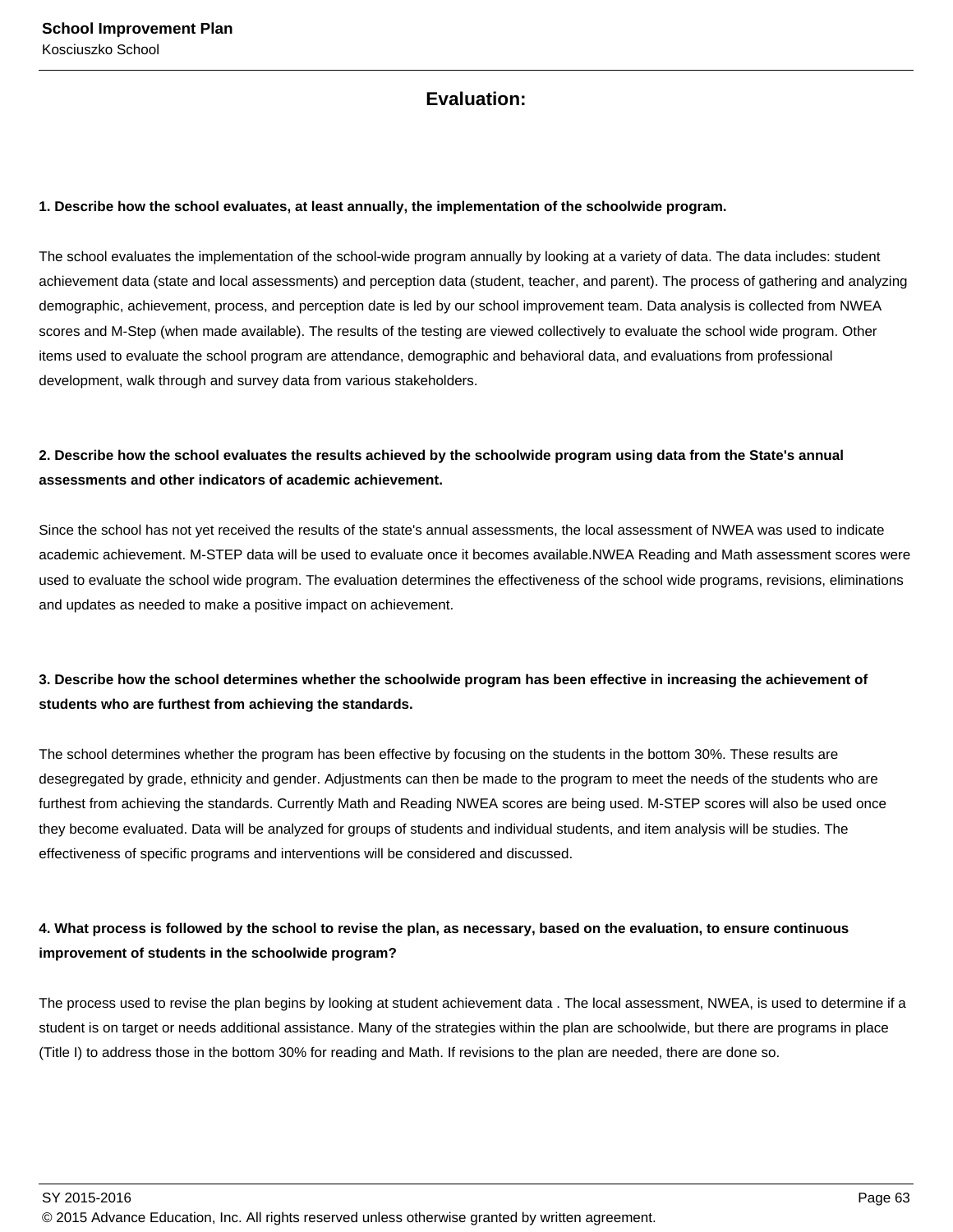### **Evaluation:**

### **1. Describe how the school evaluates, at least annually, the implementation of the schoolwide program.**

The school evaluates the implementation of the school-wide program annually by looking at a variety of data. The data includes: student achievement data (state and local assessments) and perception data (student, teacher, and parent). The process of gathering and analyzing demographic, achievement, process, and perception date is led by our school improvement team. Data analysis is collected from NWEA scores and M-Step (when made available). The results of the testing are viewed collectively to evaluate the school wide program. Other items used to evaluate the school program are attendance, demographic and behavioral data, and evaluations from professional development, walk through and survey data from various stakeholders.

### **2. Describe how the school evaluates the results achieved by the schoolwide program using data from the State's annual assessments and other indicators of academic achievement.**

Since the school has not yet received the results of the state's annual assessments, the local assessment of NWEA was used to indicate academic achievement. M-STEP data will be used to evaluate once it becomes available.NWEA Reading and Math assessment scores were used to evaluate the school wide program. The evaluation determines the effectiveness of the school wide programs, revisions, eliminations and updates as needed to make a positive impact on achievement.

### **3. Describe how the school determines whether the schoolwide program has been effective in increasing the achievement of students who are furthest from achieving the standards.**

The school determines whether the program has been effective by focusing on the students in the bottom 30%. These results are desegregated by grade, ethnicity and gender. Adjustments can then be made to the program to meet the needs of the students who are furthest from achieving the standards. Currently Math and Reading NWEA scores are being used. M-STEP scores will also be used once they become evaluated. Data will be analyzed for groups of students and individual students, and item analysis will be studies. The effectiveness of specific programs and interventions will be considered and discussed.

### **4. What process is followed by the school to revise the plan, as necessary, based on the evaluation, to ensure continuous improvement of students in the schoolwide program?**

The process used to revise the plan begins by looking at student achievement data . The local assessment, NWEA, is used to determine if a student is on target or needs additional assistance. Many of the strategies within the plan are schoolwide, but there are programs in place (Title I) to address those in the bottom 30% for reading and Math. If revisions to the plan are needed, there are done so.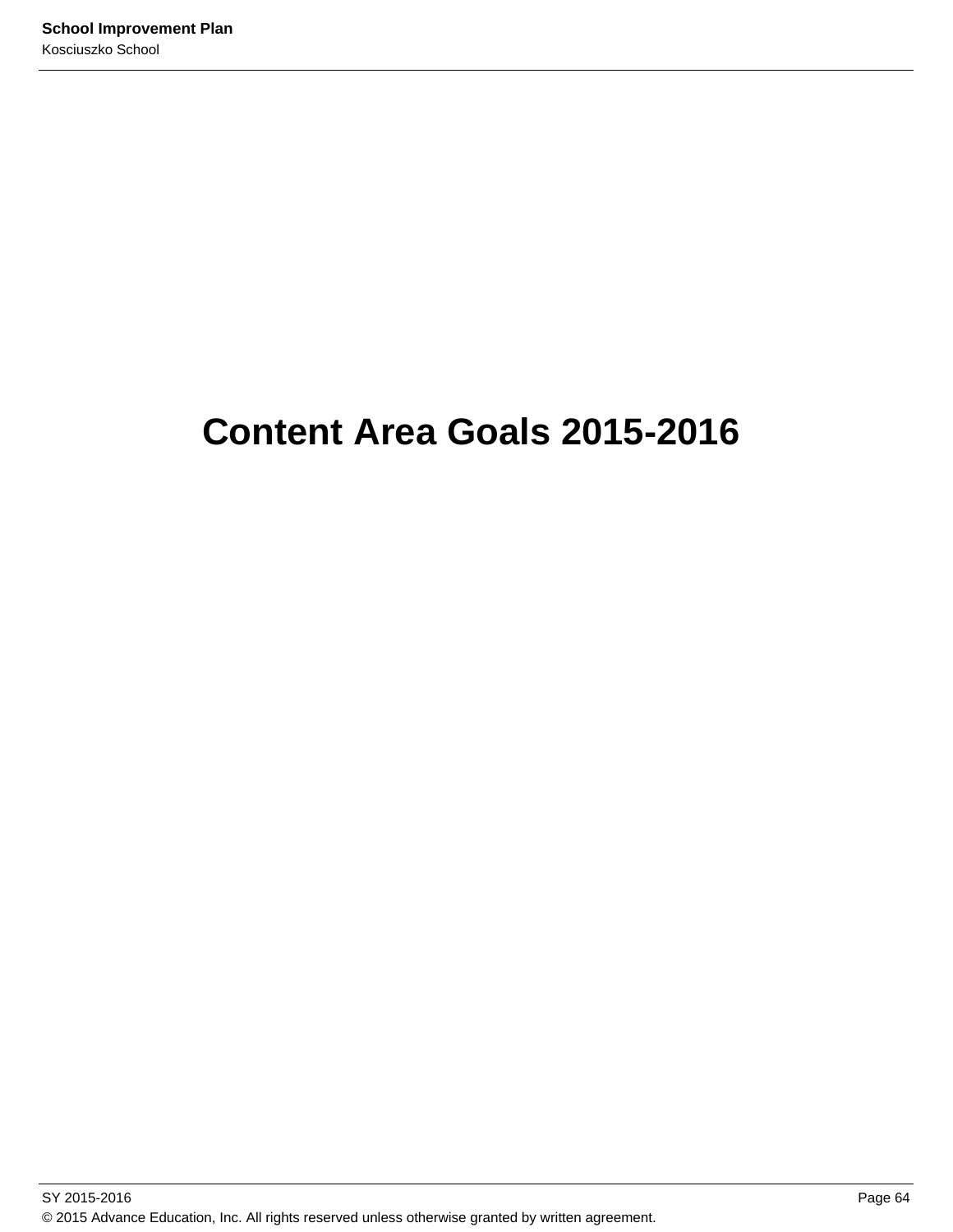# **Content Area Goals 2015-2016**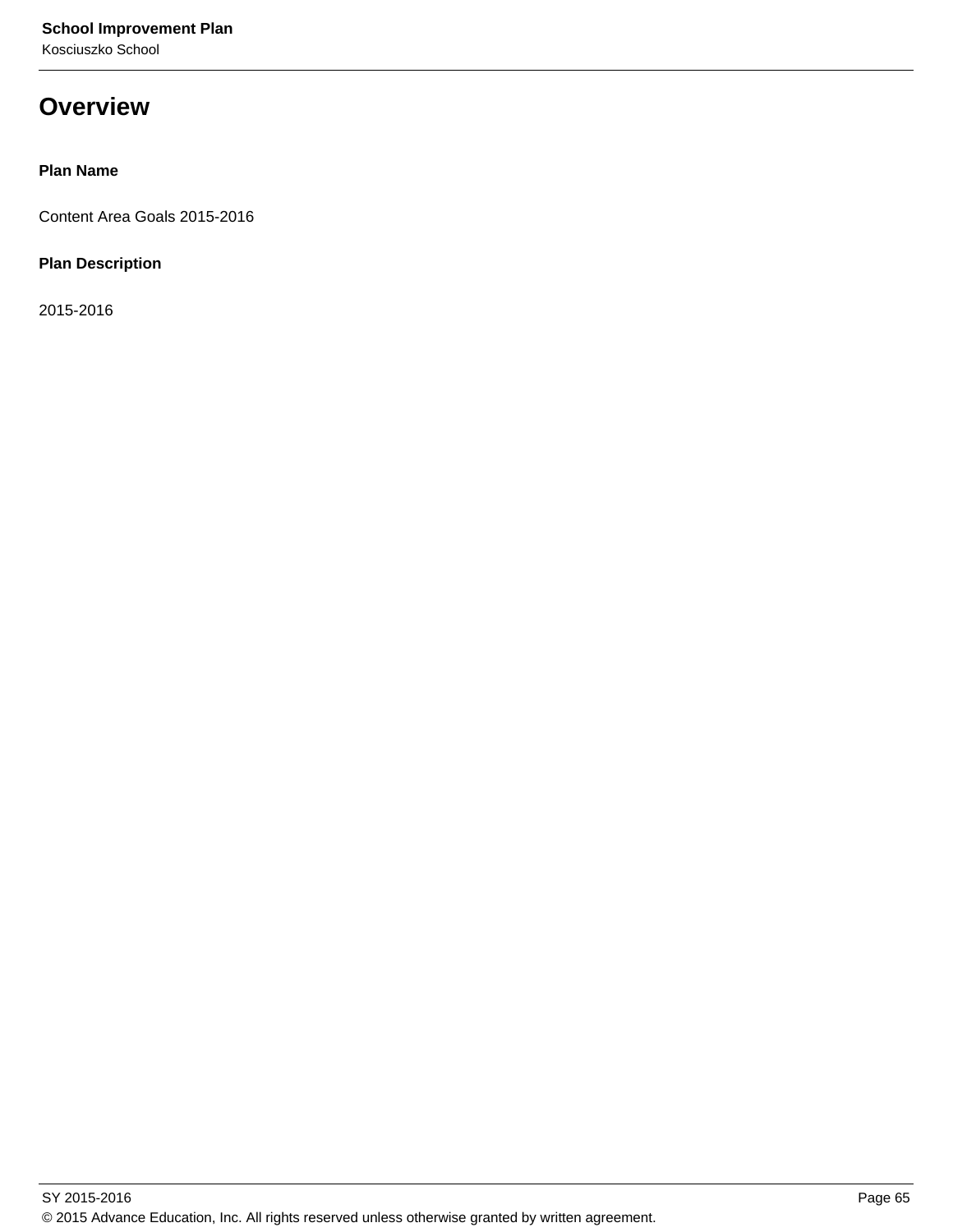# **Overview**

### **Plan Name**

Content Area Goals 2015-2016

### **Plan Description**

2015-2016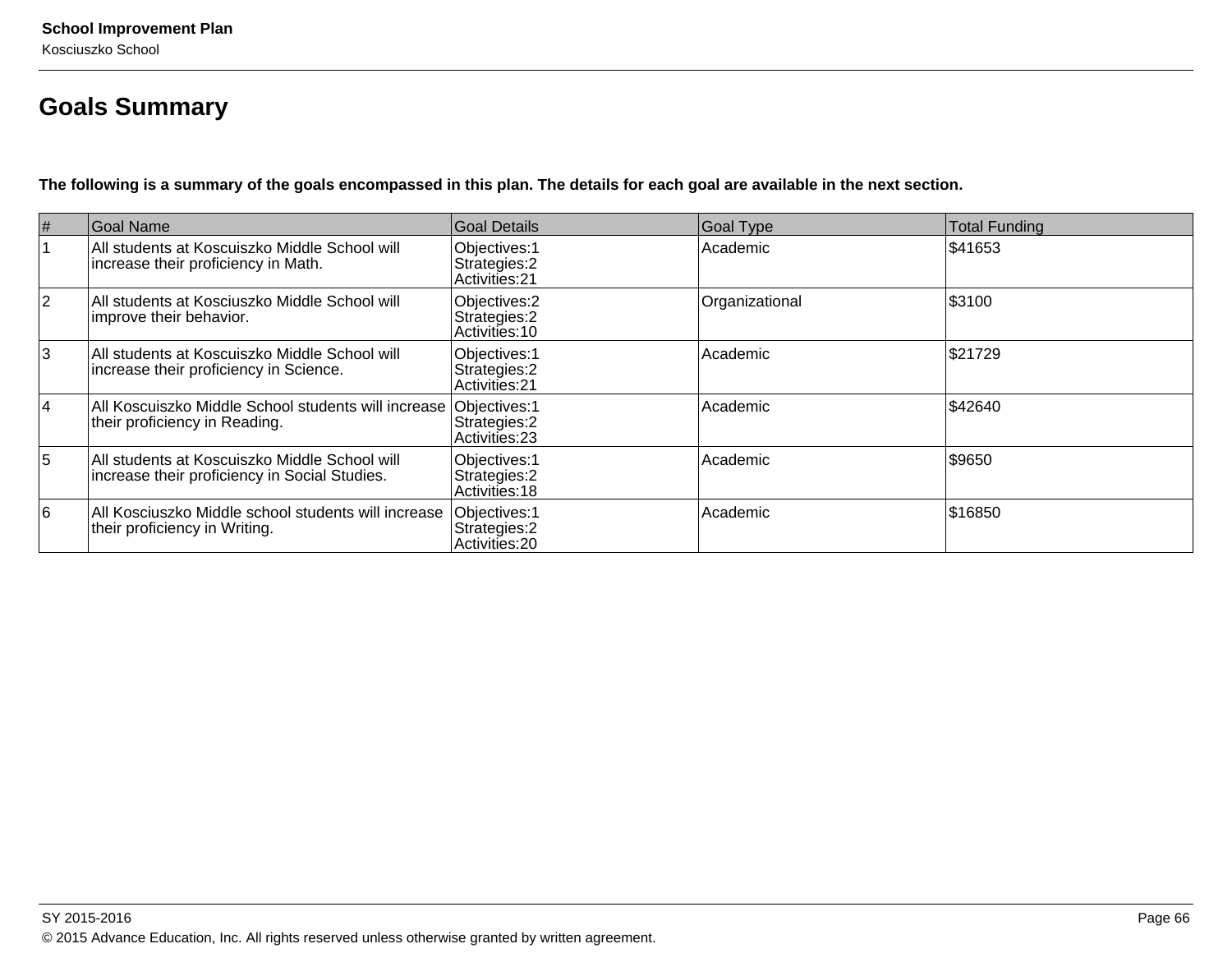# **Goals Summary**

**The following is a summary of the goals encompassed in this plan. The details for each goal are available in the next section.**

| #              | Goal Name                                                                                          | Goal Details                                     | <b>Goal Type</b> | Total Funding |
|----------------|----------------------------------------------------------------------------------------------------|--------------------------------------------------|------------------|---------------|
|                | All students at Koscuiszko Middle School will<br>increase their proficiency in Math.               | Objectives: 1<br>Strategies: 2<br>Activities: 21 | Academic         | \$41653       |
| $ 2\rangle$    | All students at Kosciuszko Middle School will<br>improve their behavior.                           | Objectives: 2<br>Strategies: 2<br>Activities: 10 | Organizational   | \$3100        |
| 3              | All students at Koscuiszko Middle School will<br>increase their proficiency in Science.            | Objectives: 1<br>Strategies: 2<br>Activities: 21 | Academic         | \$21729       |
| 14             | All Koscuiszko Middle School students will increase Objectives: 1<br>their proficiency in Reading. | Strategies: 2<br>Activities: 23                  | Academic         | \$42640       |
| $\overline{5}$ | All students at Koscuiszko Middle School will<br>increase their proficiency in Social Studies.     | Objectives: 1<br>Strategies: 2<br>Activities: 18 | Academic         | \$9650        |
| 16             | All Kosciuszko Middle school students will increase<br>their proficiency in Writing.               | Objectives: 1<br>Strategies: 2<br>Activities: 20 | Academic         | \$16850       |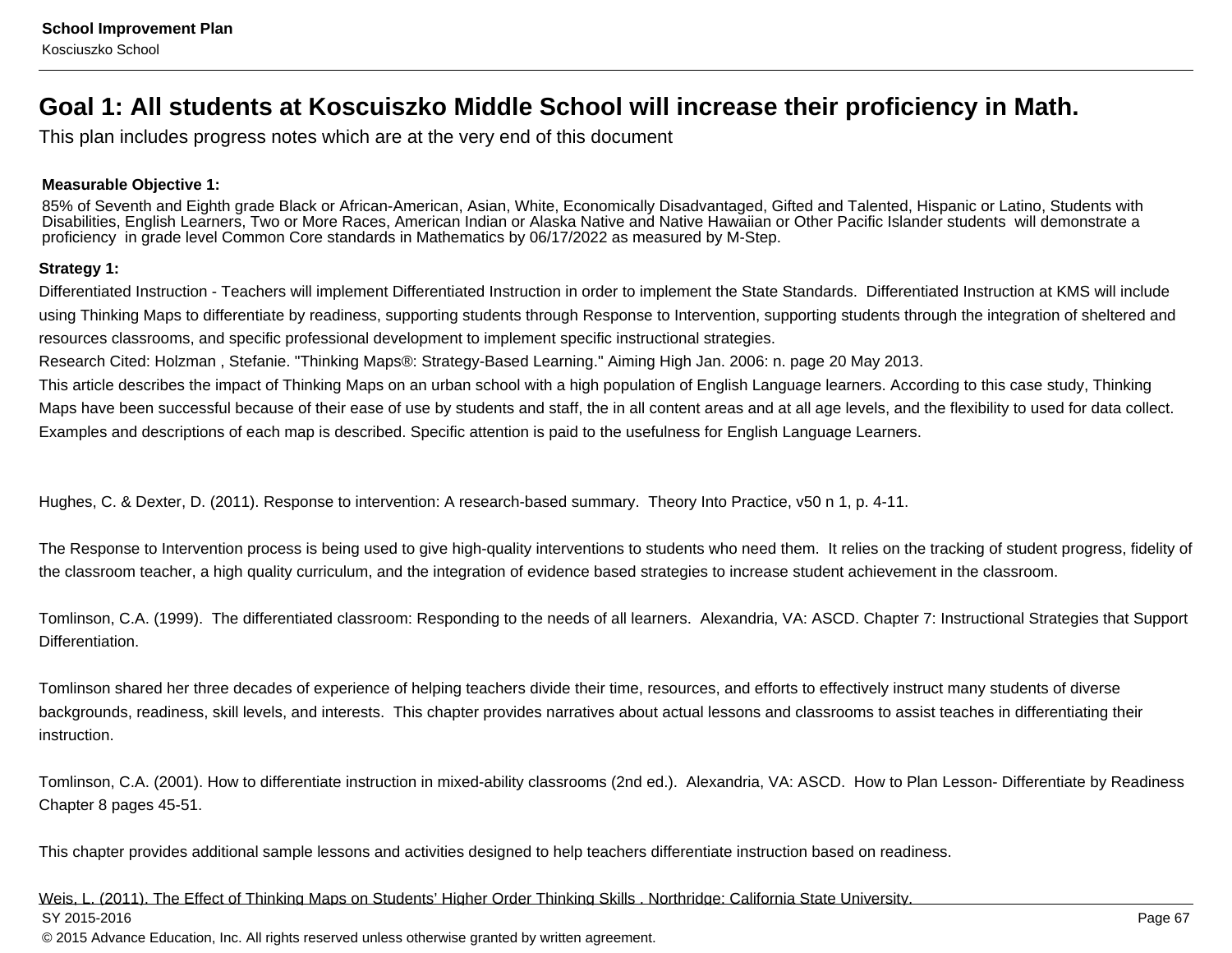# **Goal 1: All students at Koscuiszko Middle School will increase their proficiency in Math.**

This plan includes progress notes which are at the very end of this document

### **Measurable Objective 1:**

85% of Seventh and Eighth grade Black or African-American, Asian, White, Economically Disadvantaged, Gifted and Talented, Hispanic or Latino, Students with Disabilities, English Learners, Two or More Races, American Indian or Alaska Native and Native Hawaiian or Other Pacific Islander students will demonstrate aproficiency in grade level Common Core standards in Mathematics by 06/17/2022 as measured by M-Step.

### **Strategy 1:**

Differentiated Instruction - Teachers will implement Differentiated Instruction in order to implement the State Standards. Differentiated Instruction at KMS will includeusing Thinking Maps to differentiate by readiness, supporting students through Response to Intervention, supporting students through the integration of sheltered andresources classrooms, and specific professional development to implement specific instructional strategies.

Research Cited: Holzman , Stefanie. "Thinking Maps®: Strategy-Based Learning." Aiming High Jan. 2006: n. page 20 May 2013.

This article describes the impact of Thinking Maps on an urban school with a high population of English Language learners. According to this case study, Thinking Maps have been successful because of their ease of use by students and staff, the in all content areas and at all age levels, and the flexibility to used for data collect.Examples and descriptions of each map is described. Specific attention is paid to the usefulness for English Language Learners.

Hughes, C. & Dexter, D. (2011). Response to intervention: A research-based summary. Theory Into Practice, v50 n 1, p. 4-11.

The Response to Intervention process is being used to give high-quality interventions to students who need them. It relies on the tracking of student progress, fidelity ofthe classroom teacher, a high quality curriculum, and the integration of evidence based strategies to increase student achievement in the classroom.

Tomlinson, C.A. (1999). The differentiated classroom: Responding to the needs of all learners. Alexandria, VA: ASCD. Chapter 7: Instructional Strategies that SupportDifferentiation.

Tomlinson shared her three decades of experience of helping teachers divide their time, resources, and efforts to effectively instruct many students of diversebackgrounds, readiness, skill levels, and interests. This chapter provides narratives about actual lessons and classrooms to assist teaches in differentiating theirinstruction.

Tomlinson, C.A. (2001). How to differentiate instruction in mixed-ability classrooms (2nd ed.). Alexandria, VA: ASCD. How to Plan Lesson- Differentiate by ReadinessChapter 8 pages 45-51.

This chapter provides additional sample lessons and activities designed to help teachers differentiate instruction based on readiness.

#### Weis, L. (2011). The Effect of Thinking Maps on Students' Higher Order Thinking Skills . Northridge: California State University.SY 2015-2016en and the state of the state of the state of the state of the state of the state of the state of the Page 67  $\,$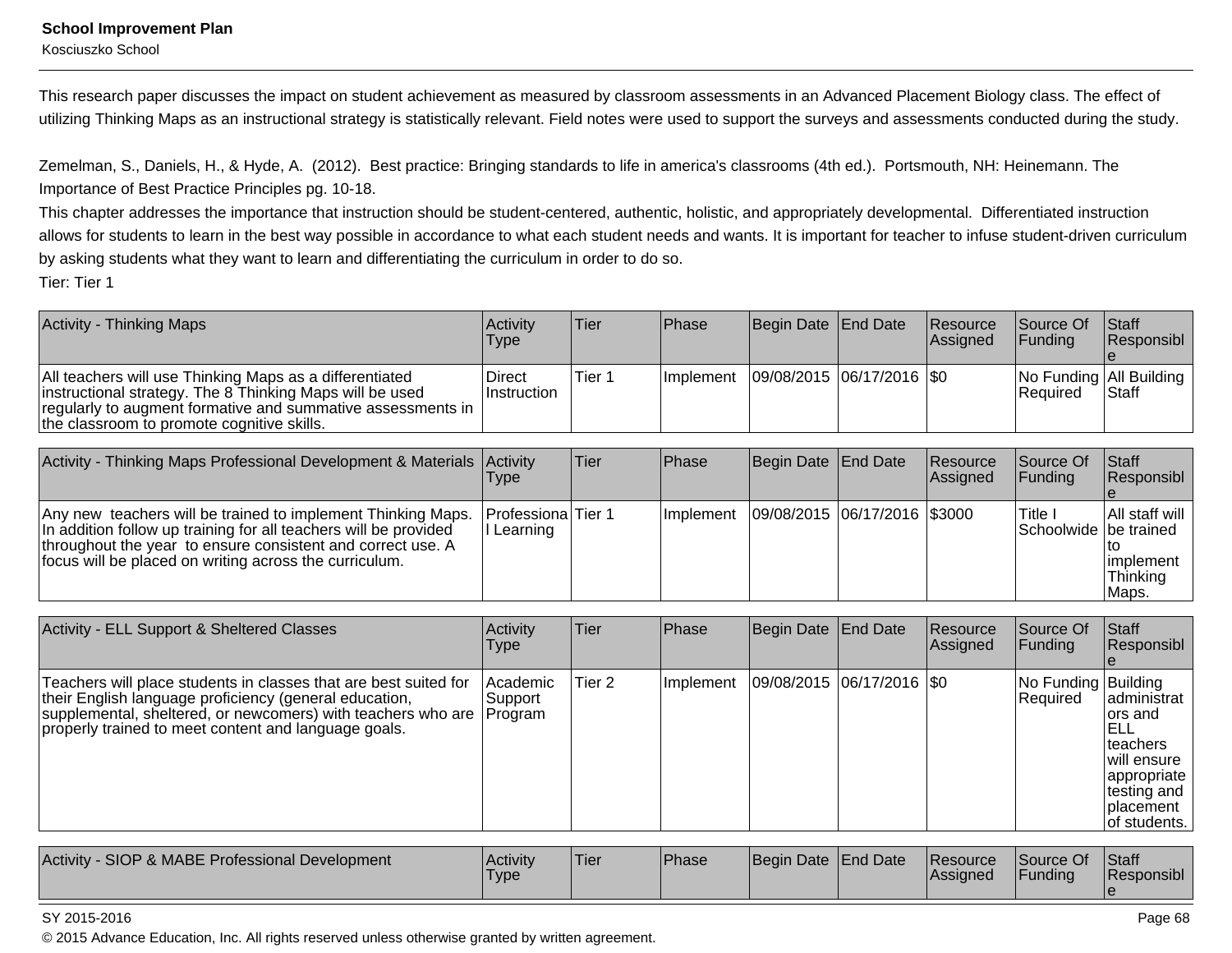### **School Improvement Plan**

Kosciuszko School

This research paper discusses the impact on student achievement as measured by classroom assessments in an Advanced Placement Biology class. The effect ofutilizing Thinking Maps as an instructional strategy is statistically relevant. Field notes were used to support the surveys and assessments conducted during the study.

Zemelman, S., Daniels, H., & Hyde, A. (2012). Best practice: Bringing standards to life in america's classrooms (4th ed.). Portsmouth, NH: Heinemann. TheImportance of Best Practice Principles pg. 10-18.

This chapter addresses the importance that instruction should be student-centered, authentic, holistic, and appropriately developmental. Differentiated instruction allows for students to learn in the best way possible in accordance to what each student needs and wants. It is important for teacher to infuse student-driven curriculumby asking students what they want to learn and differentiating the curriculum in order to do so. Tier: Tier 1

| Activity - Thinking Maps                                                                                                                                                                                                         | Activitv<br><b>Type</b>      | Tier   | <b>IPhase</b>     | Begin Date End Date         | <b>Resource</b><br>Assigned | <b>Source Of</b><br><b>IFundina</b> | <b>Staff</b><br>Responsibl                  |
|----------------------------------------------------------------------------------------------------------------------------------------------------------------------------------------------------------------------------------|------------------------------|--------|-------------------|-----------------------------|-----------------------------|-------------------------------------|---------------------------------------------|
| All teachers will use Thinking Maps as a differentiated<br>instructional strategy. The 8 Thinking Maps will be used<br>regularly to augment formative and summative assessments in<br>the classroom to promote cognitive skills. | Direct<br><b>Instruction</b> | Tier 1 | <b>Ilmplement</b> | 09/08/2015  06/17/2016  \$0 |                             | <b>Required</b>                     | No Funding   All Building  <br><b>Staff</b> |

| Activity - Thinking Maps Professional Development & Materials Activity                                                                                                                                                                                    | l ype                            | Tier | <b>IPhase</b> | Begin Date   End Date        | Resource<br><b>Assigned</b> | Source Of<br><b>IFunding</b>       | Staff<br>Responsibl                                 |
|-----------------------------------------------------------------------------------------------------------------------------------------------------------------------------------------------------------------------------------------------------------|----------------------------------|------|---------------|------------------------------|-----------------------------|------------------------------------|-----------------------------------------------------|
| Any new teachers will be trained to implement Thinking Maps.<br>In addition follow up training for all teachers will be provided<br>throughout the year to ensure consistent and correct use. A<br>focus will be placed on writing across the curriculum. | Professiona   Tier 1<br>Learning |      | Ilmplement    | 09/08/2015 06/17/2016 \$3000 |                             | Title i<br>Schoolwide   be trained | All staff will<br>limplement<br> Thinking<br>IMaps. |

| Activity - ELL Support & Sheltered Classes                                                                                                                                                                                                                   | Activity<br>Type       | lTier  | <b>Phase</b> | Begin Date End Date           | Resource<br>Assigned | <b>Source Of</b><br><b>Funding</b> | <b>Staff</b><br>Responsibl                                                                                               |
|--------------------------------------------------------------------------------------------------------------------------------------------------------------------------------------------------------------------------------------------------------------|------------------------|--------|--------------|-------------------------------|----------------------|------------------------------------|--------------------------------------------------------------------------------------------------------------------------|
| Teachers will place students in classes that are best suited for<br>their English language proficiency (general education,<br>supplemental, sheltered, or newcomers) with teachers who are   Program<br>properly trained to meet content and language goals. | l Academic<br> Support | Tier 2 | Implement    | $ 09/08/2015 06/17/2016 $ \$0 |                      | No Funding Building<br>Required    | ladministrat<br>lors and<br>IELL<br>Iteachers<br>will ensure<br>appropriate<br>testing and<br> placement<br>of students. |

| Activity<br>SIOP & MABE Professional Development<br><b>Activity</b><br>'Tier<br>Type | Begin Date End Date<br>'Phase | <b>Resource</b><br><b>Assigned</b> | $\bigcap$<br><b>Source Of</b><br>Funding | <b>Staff</b><br>Responsibl |
|--------------------------------------------------------------------------------------|-------------------------------|------------------------------------|------------------------------------------|----------------------------|
|--------------------------------------------------------------------------------------|-------------------------------|------------------------------------|------------------------------------------|----------------------------|

### SY 2015-2016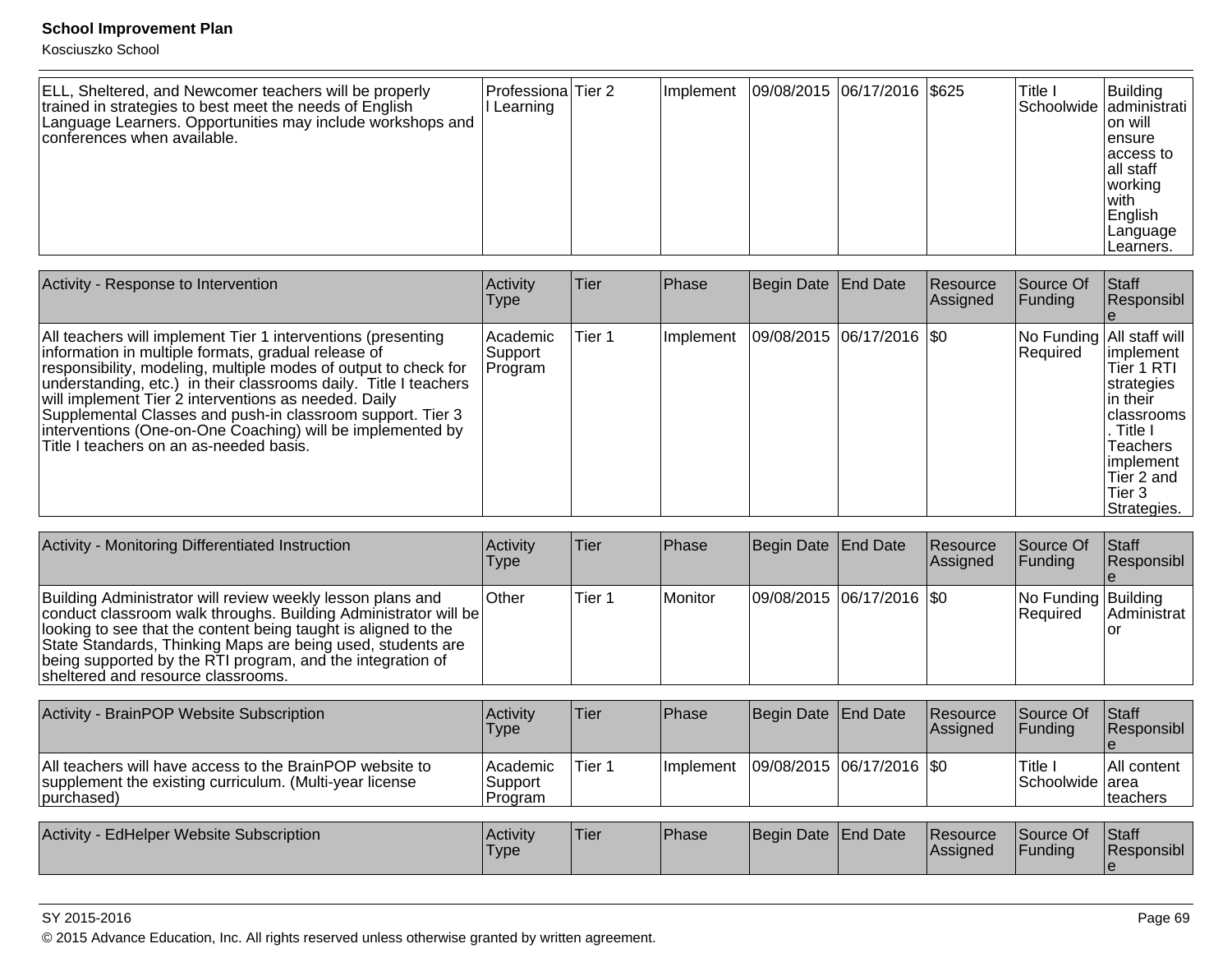Kosciuszko School

| ELL, Sheltered, and Newcomer teachers will be properly<br>trained in strategies to best meet the needs of English<br>Language Learners. Opportunities may include workshops and<br>conferences when available. | Professiona Tier 2<br>Learning |  | l Implement |  | 09/08/2015 06/17/2016   \$625 |  | 'Title I | Building<br>Schoolwide administrati<br>Ion will<br>lensure<br>laccess to<br>lall staff<br>working<br>l with<br>English<br> Language<br>ILearners. |
|----------------------------------------------------------------------------------------------------------------------------------------------------------------------------------------------------------------|--------------------------------|--|-------------|--|-------------------------------|--|----------|---------------------------------------------------------------------------------------------------------------------------------------------------|
|----------------------------------------------------------------------------------------------------------------------------------------------------------------------------------------------------------------|--------------------------------|--|-------------|--|-------------------------------|--|----------|---------------------------------------------------------------------------------------------------------------------------------------------------|

| Activity - Response to Intervention                                                                                                                                                                                                                                                                                                                                                                                                                                                       | Activity<br><b>Type</b>        | Tier   | Phase     | Begin Date End Date         | <b>Resource</b><br>Assigned | lSource Of<br> Funding                   | <b>Staff</b><br>Responsibl                                                                                                                               |
|-------------------------------------------------------------------------------------------------------------------------------------------------------------------------------------------------------------------------------------------------------------------------------------------------------------------------------------------------------------------------------------------------------------------------------------------------------------------------------------------|--------------------------------|--------|-----------|-----------------------------|-----------------------------|------------------------------------------|----------------------------------------------------------------------------------------------------------------------------------------------------------|
| All teachers will implement Tier 1 interventions (presenting<br>information in multiple formats, gradual release of<br>responsibility, modeling, multiple modes of output to check for<br>understanding, etc.) in their classrooms daily. Title I teachers<br>will implement Tier 2 interventions as needed. Daily<br>Supplemental Classes and push-in classroom support. Tier 3<br>interventions (One-on-One Coaching) will be implemented by<br>Title I teachers on an as-needed basis. | Academic<br>Support<br>Program | Tier 1 | Implement | 09/08/2015  06/17/2016  \$0 |                             | No Funding   All staff will<br> Required | limplement<br>Tier 1 RTI<br>strategies<br>lin their<br>Iclassrooms<br>. Title I<br><b>Teachers</b><br>implement<br>lTier 2 and<br>lTier 3<br>Strategies. |

| Activity - Monitoring Differentiated Instruction                                                                                                                                                                                                                                                                                                                   | <b>Activity</b><br><b>Type</b> | ∣Tier  | Phase          | Begin Date End Date       | Resource<br>Assigned | Source Of<br>IFundina             | <b>IStaff</b><br><b>Responsibl</b> |
|--------------------------------------------------------------------------------------------------------------------------------------------------------------------------------------------------------------------------------------------------------------------------------------------------------------------------------------------------------------------|--------------------------------|--------|----------------|---------------------------|----------------------|-----------------------------------|------------------------------------|
| Building Administrator will review weekly lesson plans and<br>conduct classroom walk throughs. Building Administrator will be<br>looking to see that the content being taught is aligned to the<br>State Standards, Thinking Maps are being used, students are<br>being supported by the RTI program, and the integration of<br>sheltered and resource classrooms. | <b>Other</b>                   | Tier 1 | <b>Monitor</b> | 09/08/2015 06/17/2016 \$0 |                      | No Funding Building<br>l Reauired | <b>Administrat</b>                 |

| Activity - BrainPOP Website Subscription                                                                                           | Activitv<br>Type                 | Tier   | <b>Phase</b> | Begin Date End Date     | <b>Resource</b><br><b>Assigned</b> | Source Of<br><b>IFundina</b> | <b>Staff</b><br><b>Responsibl</b> |
|------------------------------------------------------------------------------------------------------------------------------------|----------------------------------|--------|--------------|-------------------------|------------------------------------|------------------------------|-----------------------------------|
| All teachers will have access to the BrainPOP website to<br>supplement the existing curriculum. (Multi-year license<br>(purchased) | l Academic<br>Support<br>Program | Tier 1 | Ilmplement   | 09/08/2015 06/17/2016 0 |                                    | Title I<br>Schoolwide area   | <b>All content</b><br>Iteachers   |
| Activity - EdHelper Website Subscription                                                                                           | Activity<br>Type                 | Tier   | Phase        | Begin Date End Date     | <b>Resource</b><br><b>Assigned</b> | Source Of<br><b>IFundina</b> | <b>Staff</b><br><b>Responsibl</b> |

#### SY 2015-2016

© 2015 Advance Education, Inc. All rights reserved unless otherwise granted by written agreement.

e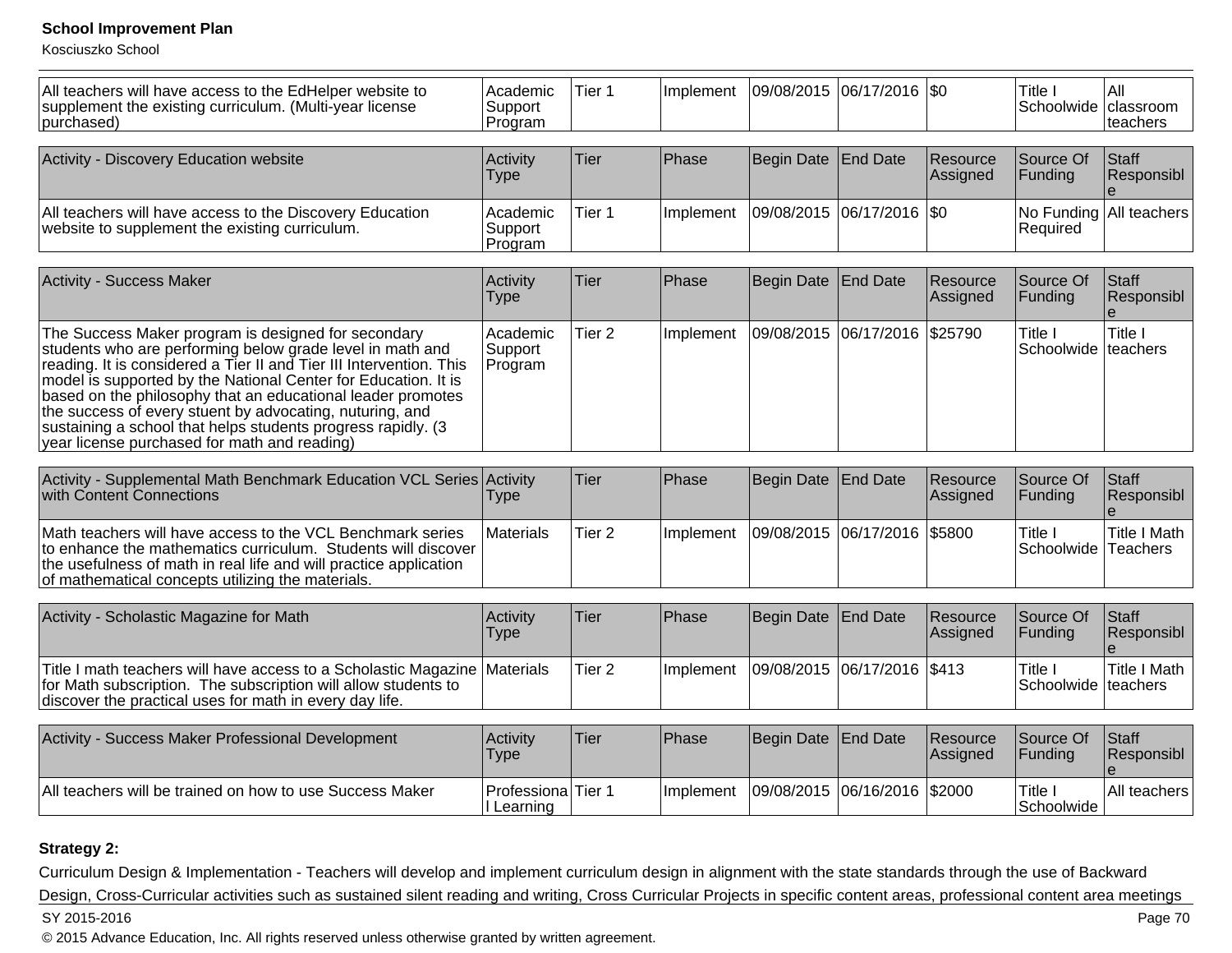Kosciuszko School

| All teachers will have access to the EdHelper website to<br>supplement the existing curriculum. (Multi-year license<br>purchased)                                                                                                                                                                                                                                                                                                                                                                     | Academic<br>Support<br>Program                | Tier <sub>1</sub> | Implement | 09/08/2015 06/17/2016 \$0     |                    |                      | Title I<br>Schoolwide            | All<br>classroom<br>teachers                 |
|-------------------------------------------------------------------------------------------------------------------------------------------------------------------------------------------------------------------------------------------------------------------------------------------------------------------------------------------------------------------------------------------------------------------------------------------------------------------------------------------------------|-----------------------------------------------|-------------------|-----------|-------------------------------|--------------------|----------------------|----------------------------------|----------------------------------------------|
| Activity - Discovery Education website                                                                                                                                                                                                                                                                                                                                                                                                                                                                | Activity<br>Type                              | Tier              | Phase     | <b>Begin Date</b>             | <b>End Date</b>    | Resource<br>Assigned | Source Of<br>Funding             | Staff<br>Responsibl                          |
| All teachers will have access to the Discovery Education<br>website to supplement the existing curriculum.                                                                                                                                                                                                                                                                                                                                                                                            | Academic<br>Support<br>Program                | Tier 1            | Implement | 09/08/2015                    | $ 06/17/2016 $ \$0 |                      | Required                         | No Funding All teachers                      |
| <b>Activity - Success Maker</b>                                                                                                                                                                                                                                                                                                                                                                                                                                                                       | Activity<br>Type                              | Tier              | Phase     | <b>Begin Date</b>             | End Date           | Resource<br>Assigned | Source Of<br>Funding             | Staff<br>Responsibl<br>$\theta$              |
| The Success Maker program is designed for secondary<br>students who are performing below grade level in math and<br>reading. It is considered a Tier II and Tier III Intervention. This<br>model is supported by the National Center for Education. It is<br>based on the philosophy that an educational leader promotes<br>the success of every stuent by advocating, nuturing, and<br>sustaining a school that helps students progress rapidly. (3)<br>year license purchased for math and reading) | Academic<br>Support<br>Program                | Tier <sub>2</sub> | Implement | 09/08/2015                    | 06/17/2016 \$25790 |                      | Title I<br>Schoolwide            | Title I<br>lteachers                         |
| Activity - Supplemental Math Benchmark Education VCL Series Activity<br>with Content Connections                                                                                                                                                                                                                                                                                                                                                                                                      | <b>Type</b>                                   | Tier              | Phase     | <b>Begin Date</b>             | <b>End Date</b>    | Resource<br>Assigned | Source Of<br>Funding             | Staff<br>Responsibl                          |
| Math teachers will have access to the VCL Benchmark series<br>to enhance the mathematics curriculum. Students will discover<br>the usefulness of math in real life and will practice application<br>of mathematical concepts utilizing the materials.                                                                                                                                                                                                                                                 | Materials                                     | Tier <sub>2</sub> | Implement | 09/08/2015                    | 06/17/2016         | \$5800               | Title I<br>Schoolwide            | <b>Title I Math</b><br>Teachers              |
| Activity - Scholastic Magazine for Math                                                                                                                                                                                                                                                                                                                                                                                                                                                               | Activity<br><b>Type</b>                       | Tier              | Phase     | <b>Begin Date</b>             | <b>End Date</b>    | Resource<br>Assigned | Source Of<br>Funding             | Staff<br>Responsibl<br>$\boldsymbol{\Theta}$ |
| Title I math teachers will have access to a Scholastic Magazine<br>for Math subscription. The subscription will allow students to<br>discover the practical uses for math in every day life.                                                                                                                                                                                                                                                                                                          | Materials                                     | Tier 2            | Implement | 09/08/2015  06/17/2016  \$413 |                    |                      | Title I<br>Schoolwide   teachers | Title I Math                                 |
| Activity - Success Maker Professional Development                                                                                                                                                                                                                                                                                                                                                                                                                                                     | Activity<br><b>Type</b>                       | Tier              | Phase     | <b>Begin Date</b>             | <b>End Date</b>    | Resource<br>Assigned | Source Of<br>Funding             | Staff<br>Responsibl<br>$\boldsymbol{\Theta}$ |
| All teachers will be trained on how to use Success Maker                                                                                                                                                                                                                                                                                                                                                                                                                                              | Professiona <sup> </sup> Tier 1<br>I Learning |                   | Implement | 09/08/2015 06/16/2016         |                    | \$2000               | Title I<br>Schoolwide            | All teachers                                 |

### **Strategy 2:**

Curriculum Design & Implementation - Teachers will develop and implement curriculum design in alignment with the state standards through the use of Backward Design, Cross-Curricular activities such as sustained silent reading and writing, Cross Curricular Projects in specific content areas, professional content area meetingsPage 70 SY 2015-2016estimate the contract of the contract of the contract of the contract of the contract of the contract of the contract of the contract of the contract of the contract of the contract of the contract of the contract of the c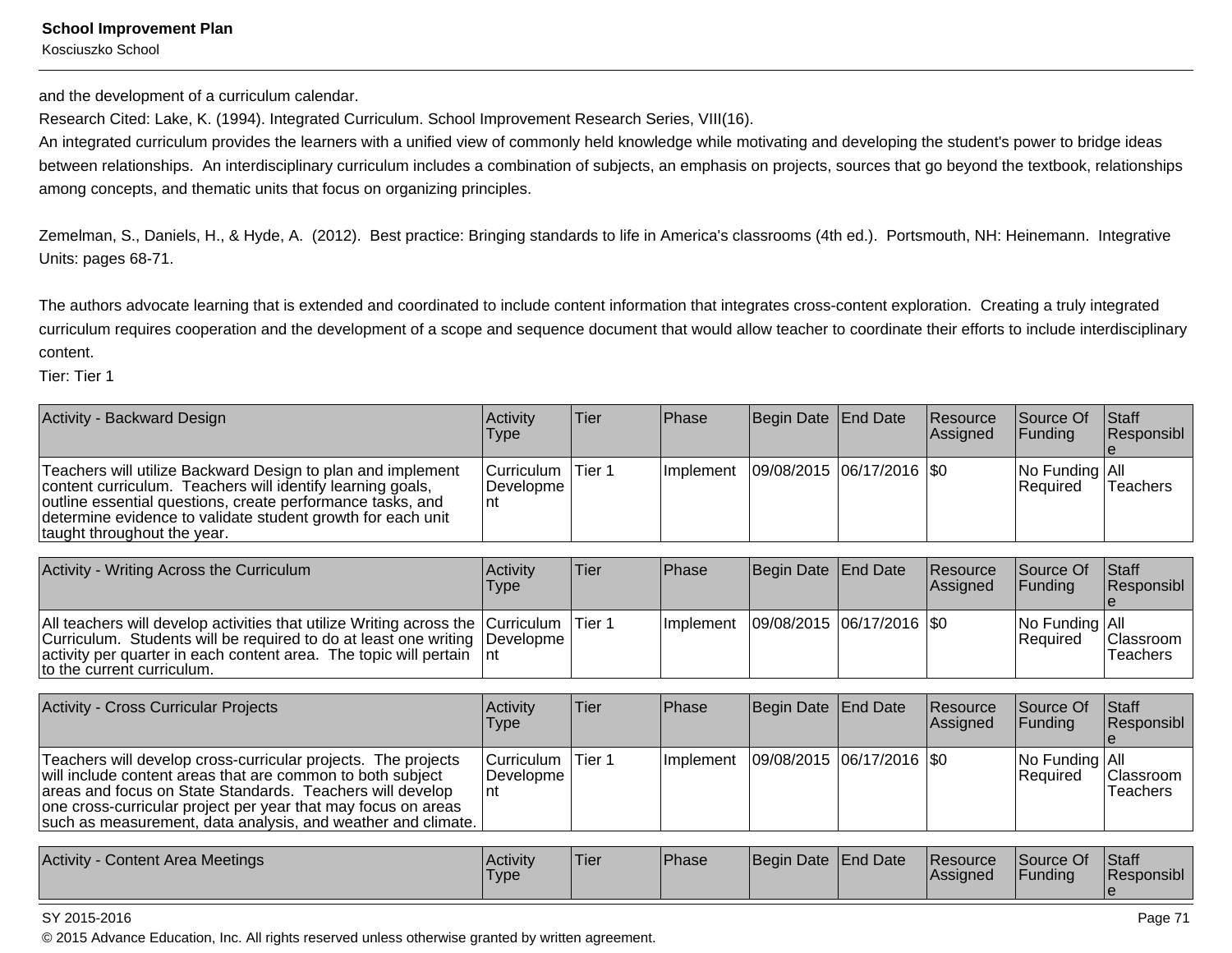Kosciuszko School

and the development of a curriculum calendar.

Research Cited: Lake, K. (1994). Integrated Curriculum. School Improvement Research Series, VIII(16).

An integrated curriculum provides the learners with a unified view of commonly held knowledge while motivating and developing the student's power to bridge ideasbetween relationships. An interdisciplinary curriculum includes a combination of subjects, an emphasis on projects, sources that go beyond the textbook, relationshipsamong concepts, and thematic units that focus on organizing principles.

Zemelman, S., Daniels, H., & Hyde, A. (2012). Best practice: Bringing standards to life in America's classrooms (4th ed.). Portsmouth, NH: Heinemann. IntegrativeUnits: pages 68-71.

The authors advocate learning that is extended and coordinated to include content information that integrates cross-content exploration. Creating a truly integrated curriculum requires cooperation and the development of a scope and sequence document that would allow teacher to coordinate their efforts to include interdisciplinarycontent.

Tier: Tier 1

| Activity - Backward Design                                                                                                                                                                                                                                                            | Activity<br><b>Type</b>          | Tier | <b>IPhase</b> | Begin Date End Date         | Resource<br>Assigned | <b>Source Of</b><br><b>IFunding</b> | <b>Staff</b><br>Responsibl |
|---------------------------------------------------------------------------------------------------------------------------------------------------------------------------------------------------------------------------------------------------------------------------------------|----------------------------------|------|---------------|-----------------------------|----------------------|-------------------------------------|----------------------------|
| Teachers will utilize Backward Design to plan and implement<br>content curriculum. Teachers will identify learning goals,<br>outline essential questions, create performance tasks, and<br>determine evidence to validate student growth for each unit<br>taught throughout the year. | Curriculum   Tier 1<br>Developme |      | l Implement   | 09/08/2015  06/17/2016  \$0 |                      | No Funding All<br><b>Required</b>   | Teachers                   |

| Activity - Writing Across the Curriculum                                                                                                                                                                                                                                           | <b>Activity</b><br>Type | Tier | <b>IPhase</b>     | Begin Date End Date         | <b>Resource</b><br><b>Assigned</b> | Source Of<br><b>IFunding</b>                      | <b>Staff</b><br><b>Responsibl</b> |
|------------------------------------------------------------------------------------------------------------------------------------------------------------------------------------------------------------------------------------------------------------------------------------|-------------------------|------|-------------------|-----------------------------|------------------------------------|---------------------------------------------------|-----------------------------------|
| All teachers will develop activities that utilize Writing across the Curriculum Tier 1<br>Curriculum. Students will be required to do at least one writing Developme<br>$ $ activity per quarter in each content area. The topic will pertain $ $ nt<br>to the current curriculum. |                         |      | <b>Ilmplement</b> | 09/08/2015  06/17/2016  \$0 |                                    | $\vert$ No Funding $\vert$ All<br><b>Required</b> | Classroom<br><b>Teachers</b>      |

| <b>Activity - Cross Curricular Projects</b>                                                                                                                                                                                                                                                                               | <b>Activity</b><br><b>Type</b>           | Tier | <b>IPhase</b> | Begin Date End Date         | <b>Resource</b><br><b>Assigned</b> | <b>Source Of</b><br><b>IFunding</b> | Staff<br>Responsibl          |
|---------------------------------------------------------------------------------------------------------------------------------------------------------------------------------------------------------------------------------------------------------------------------------------------------------------------------|------------------------------------------|------|---------------|-----------------------------|------------------------------------|-------------------------------------|------------------------------|
| Teachers will develop cross-curricular projects. The projects<br>will include content areas that are common to both subject<br>areas and focus on State Standards. Teachers will develop<br>one cross-curricular project per year that may focus on areas<br>such as measurement, data analysis, and weather and climate. | Curriculum   Tier 1<br>Developme<br>l nt |      | Ilmplement    | 09/08/2015  06/17/2016  \$0 |                                    | No Funding All<br><b>Required</b>   | Classroom<br><b>Teachers</b> |

| Activity<br>/ - Content Area Meetings | <b>Activity</b><br>Type | <b>Tier</b> | <b>Phase</b> | Begin Date End Date |  | <b>Resource</b><br> Assigned | $\bigcap$<br>Source Of<br>Funding | <b>Staff</b><br>Responsibl |
|---------------------------------------|-------------------------|-------------|--------------|---------------------|--|------------------------------|-----------------------------------|----------------------------|
|---------------------------------------|-------------------------|-------------|--------------|---------------------|--|------------------------------|-----------------------------------|----------------------------|

#### SY 2015-2016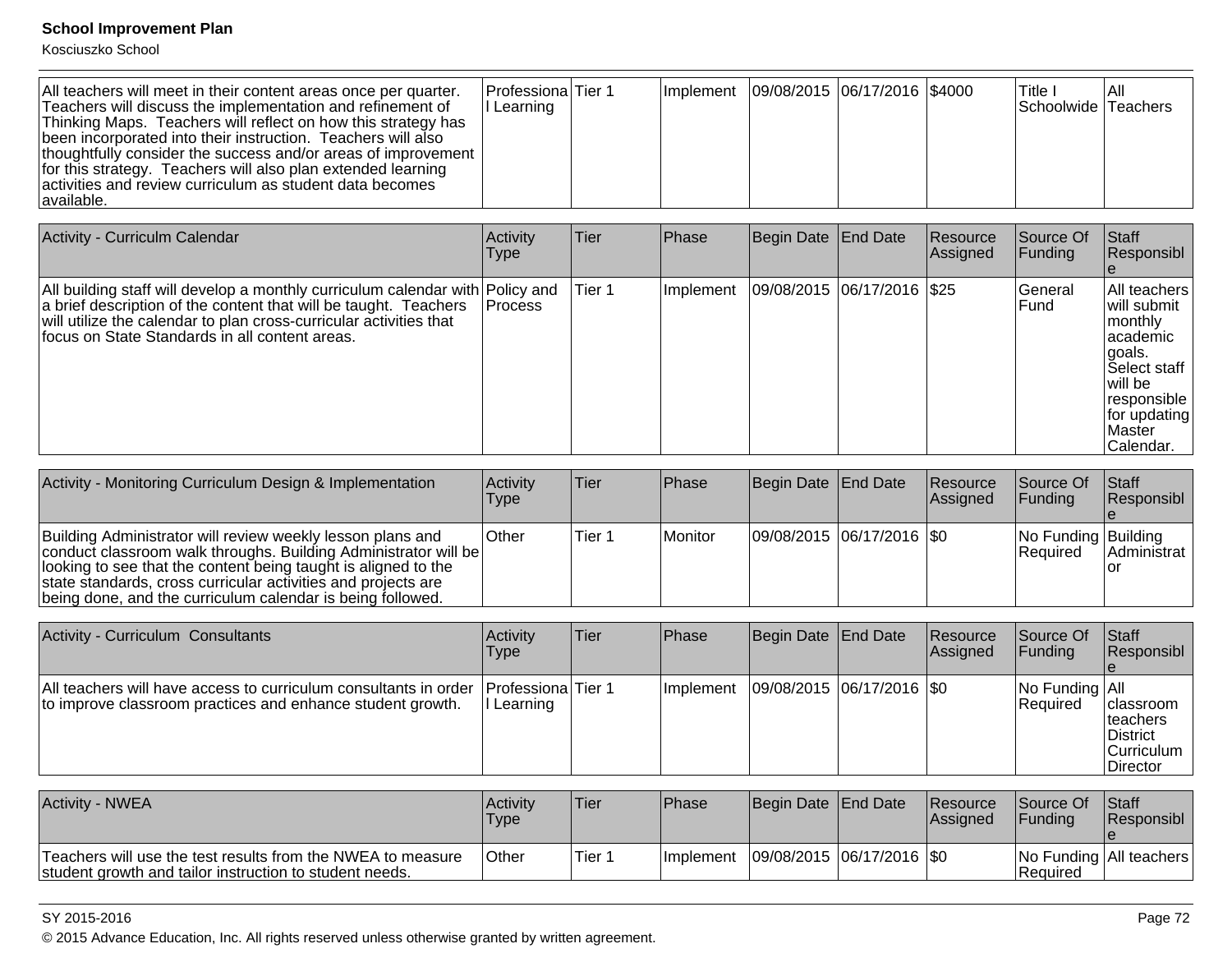Kosciuszko School

| Activity - Curriculm Calendar                                                                                                                                                                                                                                             | Activity<br><b>Type</b> | Tier   | Phase     | Begin Date End Date        | Resource<br>Assigned | Source Of<br>Funding | <b>Staff</b><br>Responsibl                                                                                                                        |
|---------------------------------------------------------------------------------------------------------------------------------------------------------------------------------------------------------------------------------------------------------------------------|-------------------------|--------|-----------|----------------------------|----------------------|----------------------|---------------------------------------------------------------------------------------------------------------------------------------------------|
| All building staff will develop a monthly curriculum calendar with Policy and<br>a brief description of the content that will be taught. Teachers<br>will utilize the calendar to plan cross-curricular activities that<br>focus on State Standards in all content areas. | <b>Process</b>          | Tier 1 | Implement | 09/08/2015 06/17/2016 \$25 |                      | lGeneral<br>lFund    | All teachers<br>lwill submit<br>monthly<br>lacademic<br>lgoals.<br>lSelect staff<br>will be<br>responsible<br>for updating<br>Master<br>Calendar. |

| Activity - Monitoring Curriculum Design & Implementation                                                                                                                                                                                                                                                                       | Activity<br><b>Type</b> | lTier  | Phase          | Begin Date End Date           | <b>Resource</b><br><b>Assigned</b> | Source Of<br><b>IFunding</b>      | <b>Staff</b><br>Responsibl |
|--------------------------------------------------------------------------------------------------------------------------------------------------------------------------------------------------------------------------------------------------------------------------------------------------------------------------------|-------------------------|--------|----------------|-------------------------------|------------------------------------|-----------------------------------|----------------------------|
| Building Administrator will review weekly lesson plans and<br>conduct classroom walk throughs. Building Administrator will be<br>looking to see that the content being taught is aligned to the<br>state standards, cross curricular activities and projects are<br>being done, and the curriculum calendar is being followed. | <b>Other</b>            | Tier 1 | <b>Monitor</b> | $ 09/08/2015 06/17/2016 $ \$0 |                                    | No Funding Building<br>l Reauired | IAdministrat               |

| Activity - Curriculum Consultants                                                                                                                   | Activity<br>Type | lTier. | <b>IPhase</b> | Begin Date   End Date       | Resource<br><b>Assigned</b> | Source Of<br> Funding                             | <b>Staff</b><br>Responsibl                                                         |
|-----------------------------------------------------------------------------------------------------------------------------------------------------|------------------|--------|---------------|-----------------------------|-----------------------------|---------------------------------------------------|------------------------------------------------------------------------------------|
| All teachers will have access to curriculum consultants in order   Professiona Tier 1<br>to improve classroom practices and enhance student growth. | I Learning       |        | Ilmplement    | 09/08/2015  06/17/2016  \$0 |                             | $\vert$ No Funding $\vert$ All<br><b>Required</b> | classroom<br><b>Iteachers</b><br><b>IDistrict</b><br><b>Curriculum</b><br>Director |

| Activity - NWEA                                                                                                        | Activity<br>Type | 'Tier  | <b>IPhase</b>     | Begin Date End Date |                               | <b>Resource</b><br><b>Assigned</b> | Source Of<br><b>IFundina</b> | <b>Staff</b><br><b>Responsibl</b> |
|------------------------------------------------------------------------------------------------------------------------|------------------|--------|-------------------|---------------------|-------------------------------|------------------------------------|------------------------------|-----------------------------------|
| Teachers will use the test results from the NWEA to measure<br>student growth and tailor instruction to student needs. | <b>Other</b>     | Tier 1 | <b>Ilmplement</b> |                     | $ 09/08/2015 06/17/2016 $ \$0 |                                    | <b>IRequired</b>             | No Funding   All teachers         |

SY 2015-2016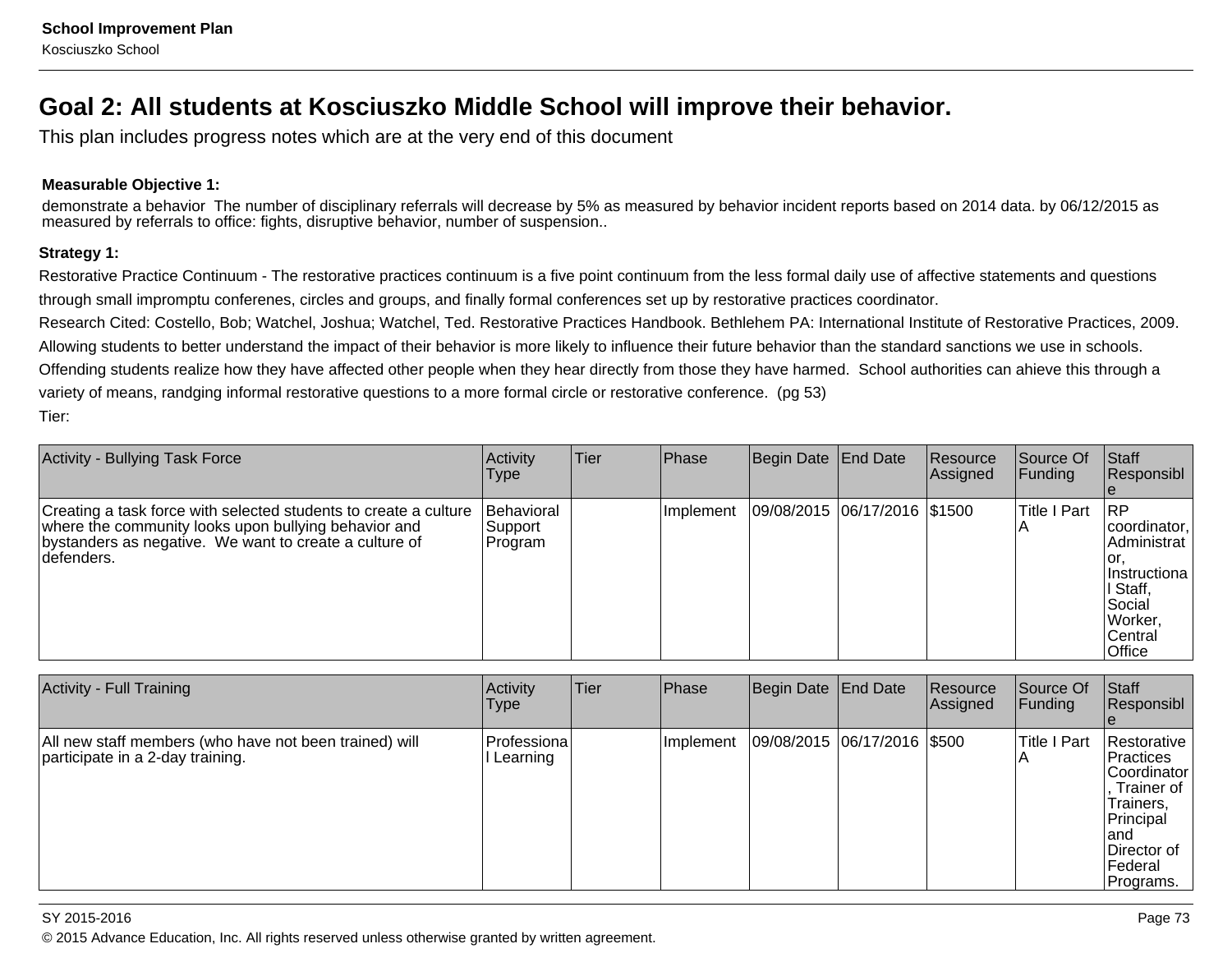## **Goal 2: All students at Kosciuszko Middle School will improve their behavior.**

This plan includes progress notes which are at the very end of this document

### **Measurable Objective 1:**

demonstrate a behavior The number of disciplinary referrals will decrease by 5% as measured by behavior incident reports based on 2014 data. by 06/12/2015 asmeasured by referrals to office: fights, disruptive behavior, number of suspension..

### **Strategy 1:**

Restorative Practice Continuum - The restorative practices continuum is a five point continuum from the less formal daily use of affective statements and questionsthrough small impromptu conferenes, circles and groups, and finally formal conferences set up by restorative practices coordinator.

Research Cited: Costello, Bob; Watchel, Joshua; Watchel, Ted. Restorative Practices Handbook. Bethlehem PA: International Institute of Restorative Practices, 2009.Allowing students to better understand the impact of their behavior is more likely to influence their future behavior than the standard sanctions we use in schools.Offending students realize how they have affected other people when they hear directly from those they have harmed. School authorities can ahieve this through avariety of means, randging informal restorative questions to a more formal circle or restorative conference. (pg 53)Tier:

| <b>Activity - Bullying Task Force</b>                                                                                                                                                             | <b>Activity</b><br>Type           | Tier | Phase     | Begin Date End Date          | Resource<br>Assigned | Source Of<br> Funding | <b>Staff</b><br>Responsibl                                                                                                 |
|---------------------------------------------------------------------------------------------------------------------------------------------------------------------------------------------------|-----------------------------------|------|-----------|------------------------------|----------------------|-----------------------|----------------------------------------------------------------------------------------------------------------------------|
| Creating a task force with selected students to create a culture<br>where the community looks upon bullying behavior and<br>bystanders as negative. We want to create a culture of<br>Idefenders. | Behavioral<br>Support<br>∣Program |      | Implement | 09/08/2015 06/17/2016 \$1500 |                      | <b>Title I Part</b>   | <b>IRP</b><br>coordinator,<br>Administrat<br>lor.<br>I Instructiona<br>I Staff,<br>Social<br>Worker,<br>Central<br> Office |

| Activity - Full Training                                                                   | Activity<br>'Type       | <b>Tier</b> | Phase     | Begin Date End Date         | Resource<br>Assigned | Source Of<br><b>Funding</b> | Staff<br>Responsibl                                                                                                            |
|--------------------------------------------------------------------------------------------|-------------------------|-------------|-----------|-----------------------------|----------------------|-----------------------------|--------------------------------------------------------------------------------------------------------------------------------|
| All new staff members (who have not been trained) will<br>participate in a 2-day training. | Professiona<br>Learning |             | Implement | 09/08/2015 06/17/2016 \$500 |                      | <b>Title I Part</b>         | Restorative<br>Practices<br>Coordinator<br>Trainer of<br>Trainers,<br>Principal<br>land<br>Director of<br>Federal<br>Programs. |

SY 2015-2016estimate the contract of the contract of the contract of the contract of the contract of the contract of the contract of the contract of the contract of the contract of the contract of the contract of the contract of the c © 2015 Advance Education, Inc. All rights reserved unless otherwise granted by written agreement.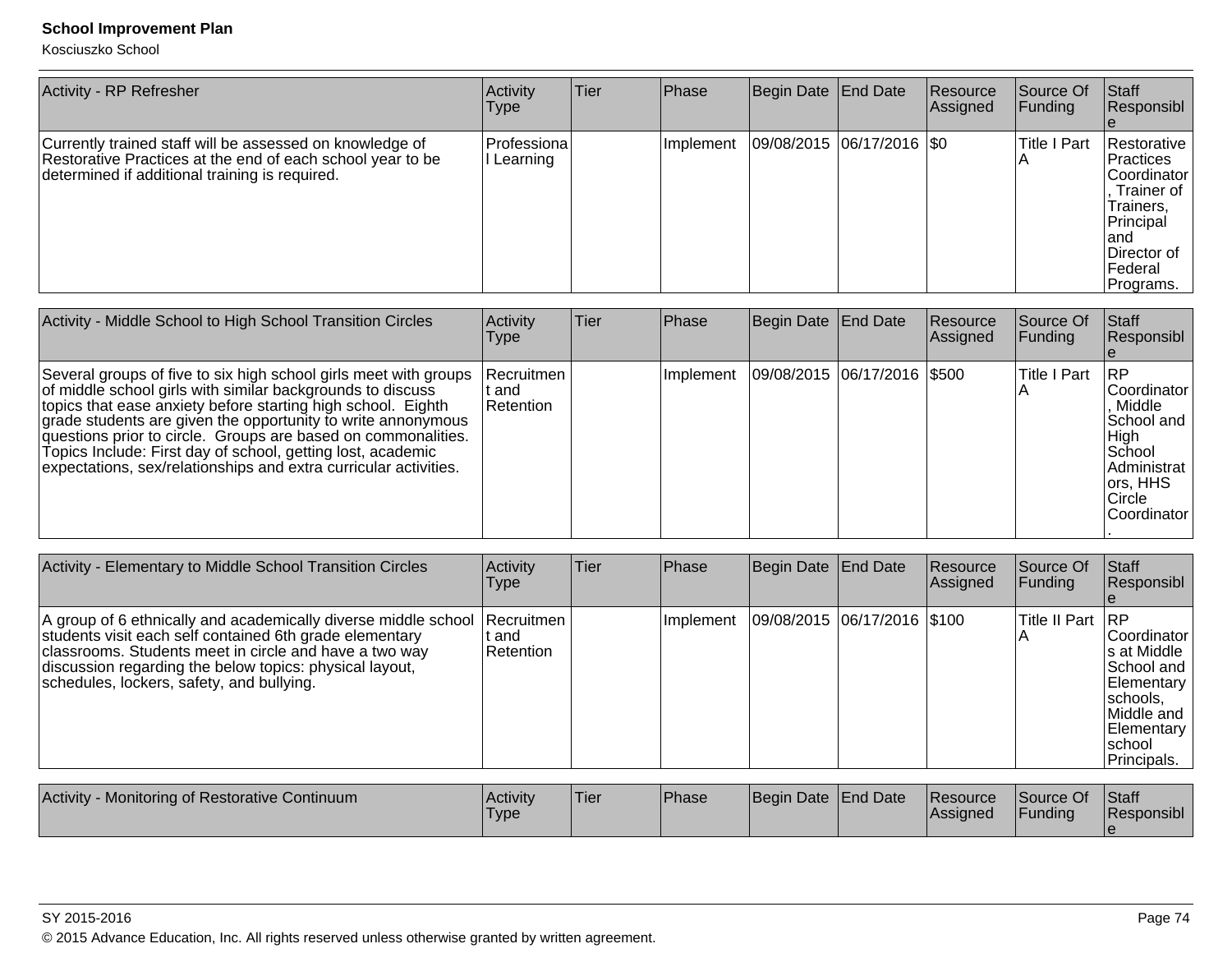| <b>Activity - RP Refresher</b>                                                                                                                                           | Activity<br>l ype          | <b>Tier</b> | Phase      | Begin Date End Date       | <b>Resource</b><br>Assigned | lSource Of<br> Funding | Staff<br>Responsibl                                                                                                                  |
|--------------------------------------------------------------------------------------------------------------------------------------------------------------------------|----------------------------|-------------|------------|---------------------------|-----------------------------|------------------------|--------------------------------------------------------------------------------------------------------------------------------------|
| Currently trained staff will be assessed on knowledge of<br>Restorative Practices at the end of each school year to be<br>determined if additional training is required. | lProfessiona l<br>Learning |             | Ilmplement | 09/08/2015 06/17/2016 \$0 |                             | <b>Title I Part</b>    | Restorative  <br> Practices<br> Coordinator  <br>Trainer of<br>Trainers,<br>Principal<br>land<br>Director of<br>Federal<br>Programs. |

| Activity - Middle School to High School Transition Circles                                                                                                                                                                                                                                                                                                                                                                                                         | Activity<br>Type                   | Tier | Phase     | Begin Date End Date |                             | <b>Resource</b><br>Assigned | Source Of<br><b>Funding</b> | <b>Staff</b><br>Responsibl                                                                                                |
|--------------------------------------------------------------------------------------------------------------------------------------------------------------------------------------------------------------------------------------------------------------------------------------------------------------------------------------------------------------------------------------------------------------------------------------------------------------------|------------------------------------|------|-----------|---------------------|-----------------------------|-----------------------------|-----------------------------|---------------------------------------------------------------------------------------------------------------------------|
| Several groups of five to six high school girls meet with groups<br>of middle school girls with similar backgrounds to discuss<br>topics that ease anxiety before starting high school. Eighth<br>grade students are given the opportunity to write annonymous<br>questions prior to circle. Groups are based on commonalities.<br>Topics Include: First day of school, getting lost, academic<br>expectations, sex/relationships and extra curricular activities. | l Recruitmen<br>t and<br>Retention |      | Implement |                     | 09/08/2015 06/17/2016 \$500 |                             | <b>Title I Part</b>         | <b>IRP</b><br>lCoordinator<br>Middle<br>School and<br>High<br>School<br>Administrat<br>ors, HHS<br>Circle<br>lCoordinator |

| Activity - Elementary to Middle School Transition Circles                                                                                                                                                                                                                                   | Activity<br>l ype                              | Tier        | Phase         | Begin Date   End Date       | Resource<br> Assigned | Source Of<br> Funding  | <b>Staff</b><br>Responsibl                                                                                                    |
|---------------------------------------------------------------------------------------------------------------------------------------------------------------------------------------------------------------------------------------------------------------------------------------------|------------------------------------------------|-------------|---------------|-----------------------------|-----------------------|------------------------|-------------------------------------------------------------------------------------------------------------------------------|
| A group of 6 ethnically and academically diverse middle school<br>students visit each self contained 6th grade elementary<br>classrooms. Students meet in circle and have a two way<br>discussion regarding the below topics: physical layout,<br>schedules, lockers, safety, and bullying. | <b>Recruitmen</b><br>t and<br><b>Retention</b> |             | Ilmplement    | 09/08/2015 06/17/2016 \$100 |                       | Title II Part   RP     | lCoordinator<br>∣s at Middle<br>lSchool and<br>Elementary<br> schools,<br>lMiddle and<br>Elementary<br>Ischool<br>Principals. |
| Activity - Monitoring of Restorative Continuum                                                                                                                                                                                                                                              | <b>Activity</b>                                | <b>Tier</b> | <b>IPhase</b> | Begin Date LEnd Date        | Resource              | <b>Source Of Staff</b> |                                                                                                                               |

| Activity - Monitoring of Restorative Continuum | <b>Activity</b><br><b>Type</b> | 'Tier | <b>Phase</b> | Begin Date End Date |  | <b>Resource</b><br><b>Assigned</b> | Source Of<br><b>IFunding</b> | Staff<br><b>Responsibl</b> |
|------------------------------------------------|--------------------------------|-------|--------------|---------------------|--|------------------------------------|------------------------------|----------------------------|
|------------------------------------------------|--------------------------------|-------|--------------|---------------------|--|------------------------------------|------------------------------|----------------------------|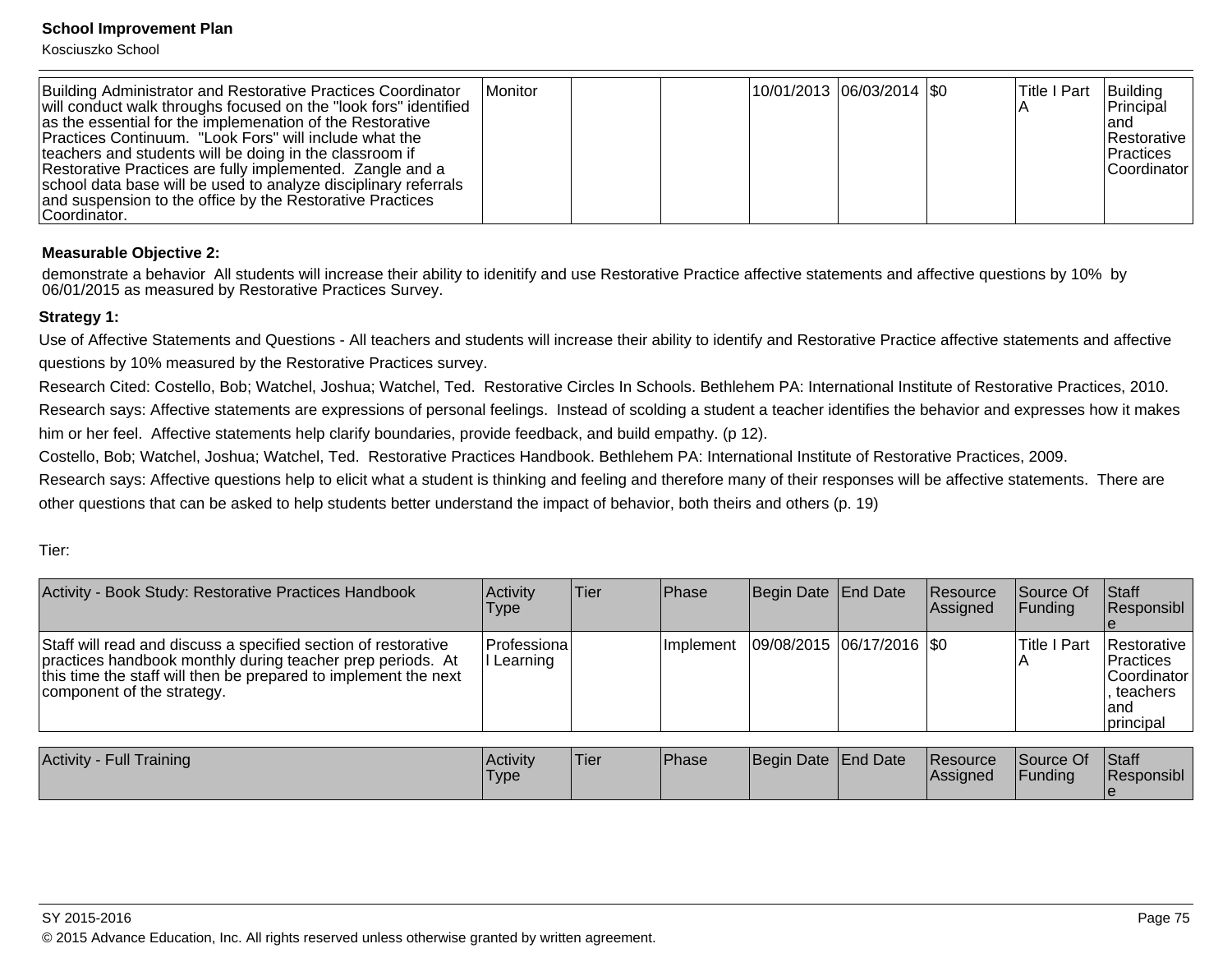Kosciuszko School

| Building Administrator and Restorative Practices Coordinator<br>will conduct walk throughs focused on the "look fors" identified<br>as the essential for the implemenation of the Restorative<br>Practices Continuum. "Look Fors" will include what the<br>teachers and students will be doing in the classroom if<br>Restorative Practices are fully implemented. Zangle and a<br>school data base will be used to analyze disciplinary referrals<br>and suspension to the office by the Restorative Practices<br>Coordinator. | Monitor |  |  |  | 10/01/2013  06/03/2014  \$0 |  | <b>Title I Part</b> | Building<br> Principal<br>land<br><b>Restorative</b><br><b>IPractices</b><br><b>Coordinator</b> |
|---------------------------------------------------------------------------------------------------------------------------------------------------------------------------------------------------------------------------------------------------------------------------------------------------------------------------------------------------------------------------------------------------------------------------------------------------------------------------------------------------------------------------------|---------|--|--|--|-----------------------------|--|---------------------|-------------------------------------------------------------------------------------------------|
|---------------------------------------------------------------------------------------------------------------------------------------------------------------------------------------------------------------------------------------------------------------------------------------------------------------------------------------------------------------------------------------------------------------------------------------------------------------------------------------------------------------------------------|---------|--|--|--|-----------------------------|--|---------------------|-------------------------------------------------------------------------------------------------|

### **Measurable Objective 2:**

demonstrate a behavior All students will increase their ability to idenitify and use Restorative Practice affective statements and affective questions by 10% by06/01/2015 as measured by Restorative Practices Survey.

### **Strategy 1:**

Use of Affective Statements and Questions - All teachers and students will increase their ability to identify and Restorative Practice affective statements and affectivequestions by 10% measured by the Restorative Practices survey.

Research Cited: Costello, Bob; Watchel, Joshua; Watchel, Ted. Restorative Circles In Schools. Bethlehem PA: International Institute of Restorative Practices, 2010.Research says: Affective statements are expressions of personal feelings. Instead of scolding a student a teacher identifies the behavior and expresses how it makeshim or her feel. Affective statements help clarify boundaries, provide feedback, and build empathy. (p 12).

Costello, Bob; Watchel, Joshua; Watchel, Ted. Restorative Practices Handbook. Bethlehem PA: International Institute of Restorative Practices, 2009.

Research says: Affective questions help to elicit what a student is thinking and feeling and therefore many of their responses will be affective statements. There areother questions that can be asked to help students better understand the impact of behavior, both theirs and others (p. 19)

Tier:

| Activity - Book Study: Restorative Practices Handbook                                                                                                                                                                         | Activity<br>Type        | Tier | Phase      | Begin Date End Date           | <b>Resource</b><br><b>Assigned</b> | Source Of<br><b>IFunding</b> | Staff<br><b>Responsibl</b>                                                               |
|-------------------------------------------------------------------------------------------------------------------------------------------------------------------------------------------------------------------------------|-------------------------|------|------------|-------------------------------|------------------------------------|------------------------------|------------------------------------------------------------------------------------------|
| Staff will read and discuss a specified section of restorative<br>practices handbook monthly during teacher prep periods. At<br>this time the staff will then be prepared to implement the next<br>component of the strategy. | Professiona<br>Learning |      | Ilmplement | $ 09/08/2015 06/17/2016 $ \$0 |                                    | <b>Title I Part</b>          | <b>Restorative</b><br>Practices<br><b>Coordinator</b><br>. teachers<br>land<br>principal |
|                                                                                                                                                                                                                               |                         |      |            |                               |                                    |                              |                                                                                          |

| <b>Activity - Full Training</b> | <b>Activity</b><br>'Type | 'Tier | <b>Phase</b> | Begin Date End Date |  | Resource<br><b>IAssianed</b> | Source Of<br>Funding | <b>Staff</b><br>Responsibl |
|---------------------------------|--------------------------|-------|--------------|---------------------|--|------------------------------|----------------------|----------------------------|
|---------------------------------|--------------------------|-------|--------------|---------------------|--|------------------------------|----------------------|----------------------------|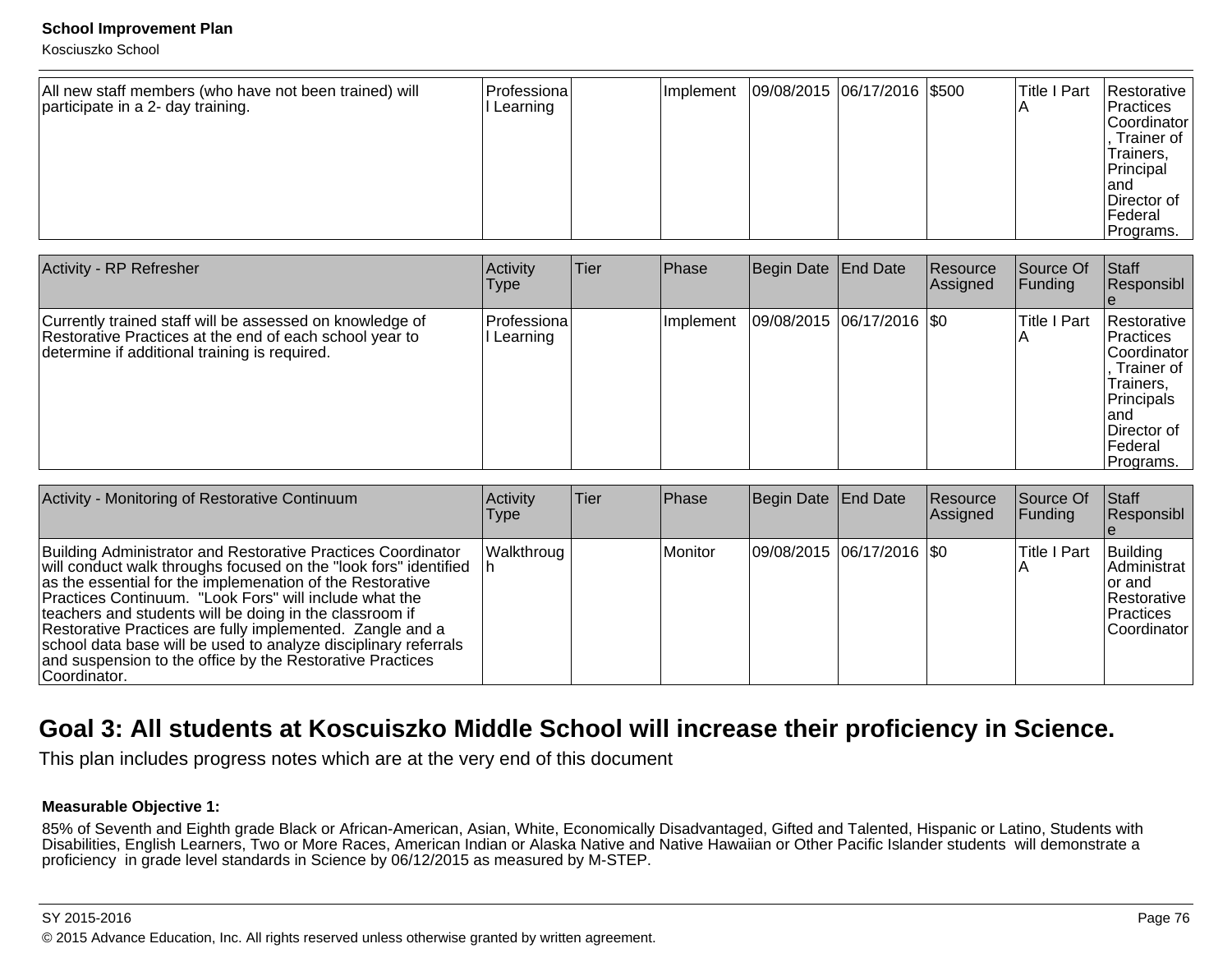Kosciuszko School

| All new staff members (who have not been trained) will<br>participate in a 2- day training. | Professiona<br>l Learning | Implement | 09/08/2015 06/17/2016 \$500 |  |  | Title I Part | Restorative<br>Practices<br> Coordinator <br>Trainer of<br>Trainers,<br>Principal<br>land<br>Director of<br>lFederal<br>Programs. |
|---------------------------------------------------------------------------------------------|---------------------------|-----------|-----------------------------|--|--|--------------|-----------------------------------------------------------------------------------------------------------------------------------|
|---------------------------------------------------------------------------------------------|---------------------------|-----------|-----------------------------|--|--|--------------|-----------------------------------------------------------------------------------------------------------------------------------|

| <b>Activity - RP Refresher</b>                                                                                                                                       | Activity<br>Type         | Tier | <b>Phase</b> | Begin Date End Date       | Resource<br>Assigned | Source Of<br><b>Funding</b>         | <b>Staff</b><br>Responsibl                                                                                                          |
|----------------------------------------------------------------------------------------------------------------------------------------------------------------------|--------------------------|------|--------------|---------------------------|----------------------|-------------------------------------|-------------------------------------------------------------------------------------------------------------------------------------|
| Currently trained staff will be assessed on knowledge of<br>Restorative Practices at the end of each school year to<br>determine if additional training is required. | Professiona <br>Learning |      | Ilmplement   | 09/08/2015 06/17/2016 \$0 |                      | <b>Title I Part</b><br>$\mathsf{A}$ | lRestorative<br> Practices <br>Coordinator<br>Trainer of<br>Trainers,<br>Principals<br>land<br>Director of<br>lFederal<br>Programs. |

| Activity - Monitoring of Restorative Continuum                                                                                                                                                                                                                                                                                                                                                                                                                                                                                   | Activity<br>Type | Tier | <b>Phase</b> | Begin Date End Date |                           | <b>Resource</b><br>Assigned | <b>Source Of</b><br><b>Funding</b> | <b>Staff</b><br>Responsibl                                                    |
|----------------------------------------------------------------------------------------------------------------------------------------------------------------------------------------------------------------------------------------------------------------------------------------------------------------------------------------------------------------------------------------------------------------------------------------------------------------------------------------------------------------------------------|------------------|------|--------------|---------------------|---------------------------|-----------------------------|------------------------------------|-------------------------------------------------------------------------------|
| Building Administrator and Restorative Practices Coordinator<br>will conduct walk throughs focused on the "look fors" identified<br>as the essential for the implemenation of the Restorative<br>Practices Continuum. "Look Fors" will include what the<br>teachers and students will be doing in the classroom if<br>Restorative Practices are fully implemented. Zangle and a<br>school data base will be used to analyze disciplinary referrals<br>and suspension to the office by the Restorative Practices<br>∣Coordinator. | Walkthroug       |      | Monitor      |                     | 09/08/2015 06/17/2016 \$0 |                             | lTitle I Part                      | Building<br>Administrat<br>for and<br>Restorative<br>Practices<br>Coordinator |

## **Goal 3: All students at Koscuiszko Middle School will increase their proficiency in Science.**

This plan includes progress notes which are at the very end of this document

### **Measurable Objective 1:**

85% of Seventh and Eighth grade Black or African-American, Asian, White, Economically Disadvantaged, Gifted and Talented, Hispanic or Latino, Students with<br>Disabilities, English Learners, Two or More Races, American Indian proficiency in grade level standards in Science by 06/12/2015 as measured by M-STEP.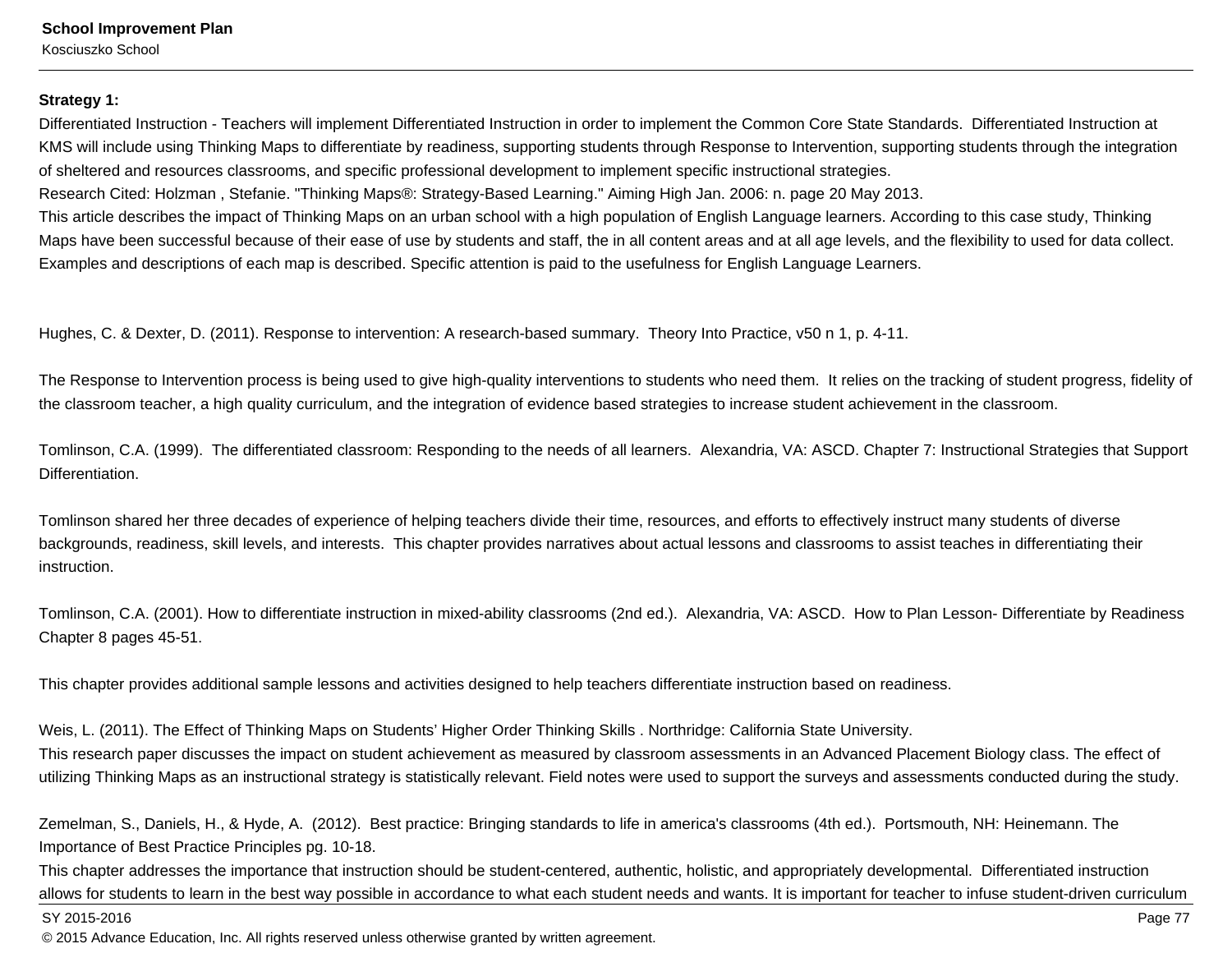## **Strategy 1:**

Differentiated Instruction - Teachers will implement Differentiated Instruction in order to implement the Common Core State Standards. Differentiated Instruction atKMS will include using Thinking Maps to differentiate by readiness, supporting students through Response to Intervention, supporting students through the integrationof sheltered and resources classrooms, and specific professional development to implement specific instructional strategies.

Research Cited: Holzman , Stefanie. "Thinking Maps®: Strategy-Based Learning." Aiming High Jan. 2006: n. page 20 May 2013.

This article describes the impact of Thinking Maps on an urban school with a high population of English Language learners. According to this case study, ThinkingMaps have been successful because of their ease of use by students and staff, the in all content areas and at all age levels, and the flexibility to used for data collect.Examples and descriptions of each map is described. Specific attention is paid to the usefulness for English Language Learners.

Hughes, C. & Dexter, D. (2011). Response to intervention: A research-based summary. Theory Into Practice, v50 n 1, p. 4-11.

The Response to Intervention process is being used to give high-quality interventions to students who need them. It relies on the tracking of student progress, fidelity ofthe classroom teacher, a high quality curriculum, and the integration of evidence based strategies to increase student achievement in the classroom.

Tomlinson, C.A. (1999). The differentiated classroom: Responding to the needs of all learners. Alexandria, VA: ASCD. Chapter 7: Instructional Strategies that SupportDifferentiation.

Tomlinson shared her three decades of experience of helping teachers divide their time, resources, and efforts to effectively instruct many students of diverse backgrounds, readiness, skill levels, and interests. This chapter provides narratives about actual lessons and classrooms to assist teaches in differentiating theirinstruction.

Tomlinson, C.A. (2001). How to differentiate instruction in mixed-ability classrooms (2nd ed.). Alexandria, VA: ASCD. How to Plan Lesson- Differentiate by ReadinessChapter 8 pages 45-51.

This chapter provides additional sample lessons and activities designed to help teachers differentiate instruction based on readiness.

Weis, L. (2011). The Effect of Thinking Maps on Students' Higher Order Thinking Skills . Northridge: California State University.

This research paper discusses the impact on student achievement as measured by classroom assessments in an Advanced Placement Biology class. The effect ofutilizing Thinking Maps as an instructional strategy is statistically relevant. Field notes were used to support the surveys and assessments conducted during the study.

Zemelman, S., Daniels, H., & Hyde, A. (2012). Best practice: Bringing standards to life in america's classrooms (4th ed.). Portsmouth, NH: Heinemann. TheImportance of Best Practice Principles pg. 10-18.

This chapter addresses the importance that instruction should be student-centered, authentic, holistic, and appropriately developmental. Differentiated instructionallows for students to learn in the best way possible in accordance to what each student needs and wants. It is important for teacher to infuse student-driven curriculum

#### SY 2015-2016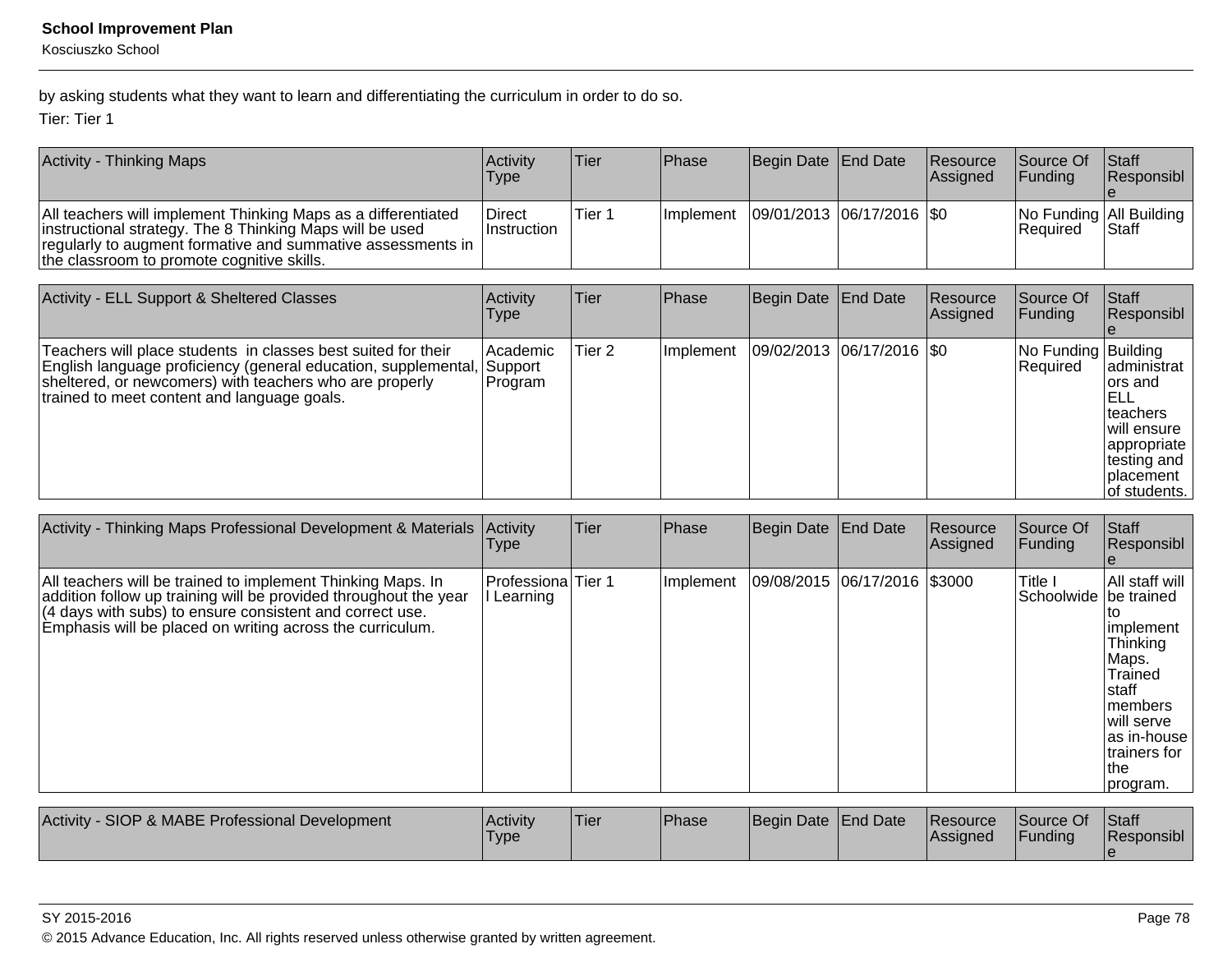Kosciuszko School

by asking students what they want to learn and differentiating the curriculum in order to do so.

Tier: Tier 1

| <b>Activity - Thinking Maps</b>                                                                                                                                                                                                        | Activity<br>Type        | 'Tier  | <b>Phase</b> | Begin Date End Date                       | <b>Resource</b><br><b>Assigned</b> | Source Of<br><b>IFunding</b> | <b>Staff</b><br>Responsibl                  |
|----------------------------------------------------------------------------------------------------------------------------------------------------------------------------------------------------------------------------------------|-------------------------|--------|--------------|-------------------------------------------|------------------------------------|------------------------------|---------------------------------------------|
| All teachers will implement Thinking Maps as a differentiated<br>instructional strategy. The 8 Thinking Maps will be used<br>regularly to augment formative and summative assessments in<br>the classroom to promote cognitive skills. | Direct<br>l Instruction | Tier 1 |              | Implement   09/01/2013   06/17/2016   \$0 |                                    | <b>Required</b>              | No Funding   All Building  <br><b>Staff</b> |

| Activity - ELL Support & Sheltered Classes                                                                                                                                                                                                | Activity<br><b>Type</b>         | Tier   | <b>Phase</b> | Begin Date   End Date |                             | Resource<br>Assigned | Source Of<br> Fundina           | <b>Staff</b><br>Responsibl                                                                                                 |
|-------------------------------------------------------------------------------------------------------------------------------------------------------------------------------------------------------------------------------------------|---------------------------------|--------|--------------|-----------------------|-----------------------------|----------------------|---------------------------------|----------------------------------------------------------------------------------------------------------------------------|
| Teachers will place students in classes best suited for their<br>English language proficiency (general education, supplemental,<br>sheltered, or newcomers) with teachers who are properly<br>trained to meet content and language goals. | Academic <br>Support<br>Program | Tier 2 | Implement    |                       | 09/02/2013 06/17/2016   \$0 |                      | No Funding Building<br>Required | administrat<br>lors and<br>IELL<br>Iteachers<br> will ensure<br>appropriate<br>∣testing and<br>Iplacement<br>lof students. |

| Activity - Thinking Maps Professional Development & Materials                                                                                                                                                                                            | Activity<br>Type                 | Tier | Phase     | Begin Date          | <b>End Date</b>    | Resource<br>Assigned | Source Of<br><b>Funding</b>        | Staff<br>Responsibl                                                                                                                                      |
|----------------------------------------------------------------------------------------------------------------------------------------------------------------------------------------------------------------------------------------------------------|----------------------------------|------|-----------|---------------------|--------------------|----------------------|------------------------------------|----------------------------------------------------------------------------------------------------------------------------------------------------------|
| All teachers will be trained to implement Thinking Maps. In<br>addition follow up training will be provided throughout the year<br>(4 days with subs) to ensure consistent and correct use.<br>Emphasis will be placed on writing across the curriculum. | Professiona Tier 1<br>I Learning |      | Implement | 09/08/2015          | 06/17/2016 \\$3000 |                      | Title I<br>Schoolwide   be trained | All staff will<br>implement<br><b>Thinking</b><br>Maps.<br>Trained<br>staff<br>Imembers<br>will serve<br>as in-house<br>trainers for<br>lthe<br>program. |
| Activity - SIOP & MABE Professional Development                                                                                                                                                                                                          | Activity<br>Type                 | Tier | Phase     | Begin Date End Date |                    | Resource<br>Assigned | Source Of<br> Funding              | Staff<br>Responsibl<br>le                                                                                                                                |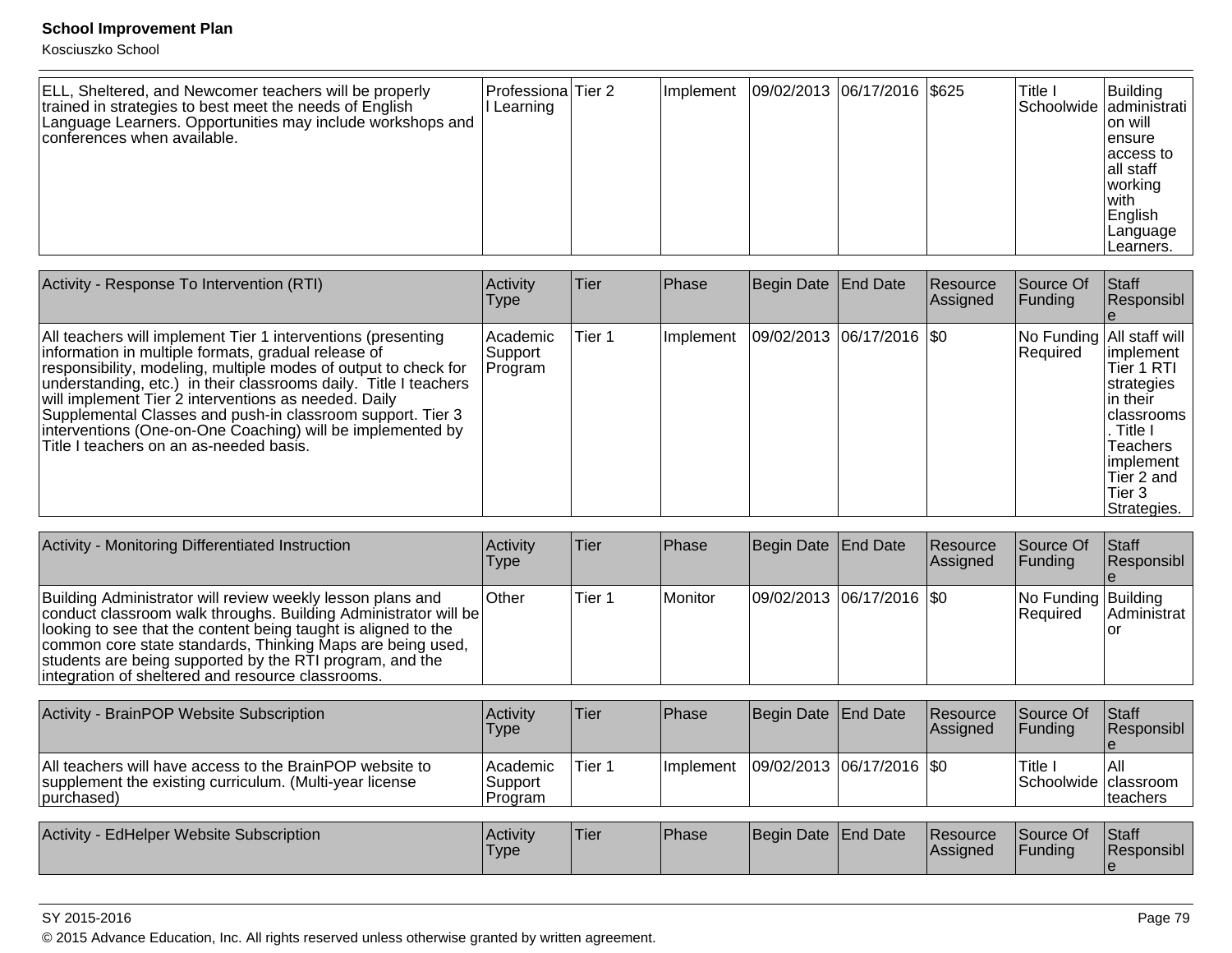Kosciuszko School

| ELL, Sheltered, and Newcomer teachers will be properly<br>trained in strategies to best meet the needs of English<br>Language Learners. Opportunities may include workshops and<br>conferences when available. | Professiona Tier 2<br>Learning |  | l Implement |  | 09/02/2013  06/17/2016  \$625 |  | 'Title I | Building<br>Schoolwide administrati<br>Ion will<br>lensure<br>laccess to<br>lall staff<br>working<br>l with<br>English<br> Language<br>ILearners. |
|----------------------------------------------------------------------------------------------------------------------------------------------------------------------------------------------------------------|--------------------------------|--|-------------|--|-------------------------------|--|----------|---------------------------------------------------------------------------------------------------------------------------------------------------|
|----------------------------------------------------------------------------------------------------------------------------------------------------------------------------------------------------------------|--------------------------------|--|-------------|--|-------------------------------|--|----------|---------------------------------------------------------------------------------------------------------------------------------------------------|

| Activity - Response To Intervention (RTI)                                                                                                                                                                                                                                                                                                                                                                                                                                                 | Activity<br><b>Type</b>        | Tier   | Phase     | Begin Date End Date         | <b>Resource</b><br>Assigned | lSource Of<br> Funding | <b>Staff</b><br>Responsibl                                                                                                                                                              |
|-------------------------------------------------------------------------------------------------------------------------------------------------------------------------------------------------------------------------------------------------------------------------------------------------------------------------------------------------------------------------------------------------------------------------------------------------------------------------------------------|--------------------------------|--------|-----------|-----------------------------|-----------------------------|------------------------|-----------------------------------------------------------------------------------------------------------------------------------------------------------------------------------------|
| All teachers will implement Tier 1 interventions (presenting<br>information in multiple formats, gradual release of<br>responsibility, modeling, multiple modes of output to check for<br>understanding, etc.) in their classrooms daily. Title I teachers<br>will implement Tier 2 interventions as needed. Daily<br>Supplemental Classes and push-in classroom support. Tier 3<br>interventions (One-on-One Coaching) will be implemented by<br>Title I teachers on an as-needed basis. | Academic<br>Support<br>Program | Tier 1 | Implement | 09/02/2013  06/17/2016  \$0 |                             | Required               | No Funding   All staff will<br>limplement<br>Tier 1 RTI<br>strategies<br>lin their<br>Iclassrooms<br>. Title I<br><b>Teachers</b><br>implement<br>lTier 2 and<br>lTier 3<br>Strategies. |

| Activity - Monitoring Differentiated Instruction                                                                                                                                                                                                                                                                                                                               | <b>Activity</b><br><b>Type</b> | ∣Tier  | Phase          | Begin Date End Date |                               | Resource<br>Assigned | Source Of<br>IFundina             | <b>IStaff</b><br><b>Responsibl</b> |
|--------------------------------------------------------------------------------------------------------------------------------------------------------------------------------------------------------------------------------------------------------------------------------------------------------------------------------------------------------------------------------|--------------------------------|--------|----------------|---------------------|-------------------------------|----------------------|-----------------------------------|------------------------------------|
| Building Administrator will review weekly lesson plans and<br>conduct classroom walk throughs. Building Administrator will be<br>looking to see that the content being taught is aligned to the<br>common core state standards, Thinking Maps are being used,<br>students are being supported by the RTI program, and the<br>integration of sheltered and resource classrooms. | <b>Other</b>                   | Tier 1 | <b>Monitor</b> |                     | $ 09/02/2013 06/17/2016 $ \$0 |                      | No Funding Building<br>l Reauired | <b>Administrat</b>                 |

| Activity - BrainPOP Website Subscription                                                                                           | Activity<br>Type                  | <b>Tier</b> | <b>Phase</b>      | Begin Date   End Date         | <b>Resource</b><br><b>Assigned</b> | Source Of<br><b>IFundina</b>     | <b>Staff</b><br><b>Responsibl</b> |
|------------------------------------------------------------------------------------------------------------------------------------|-----------------------------------|-------------|-------------------|-------------------------------|------------------------------------|----------------------------------|-----------------------------------|
| All teachers will have access to the BrainPOP website to<br>supplement the existing curriculum. (Multi-year license<br>(purchased) | l Academic<br>Support<br>IProgram | Tier 1      | <b>Ilmplement</b> | $ 09/02/2013 06/17/2016 $ \$0 |                                    | 'Title<br>Schoolwide   classroom | IAII<br>Iteachers                 |
| Activity - EdHelper Website Subscription                                                                                           | Activity<br><b>Type</b>           | <b>Tier</b> | Phase             | Begin Date End Date           | <b>Resource</b><br>Assigned        | Source Of<br><b>Funding</b>      | <b>Staff</b><br><b>Responsibl</b> |

#### SY 2015-2016

© 2015 Advance Education, Inc. All rights reserved unless otherwise granted by written agreement.

e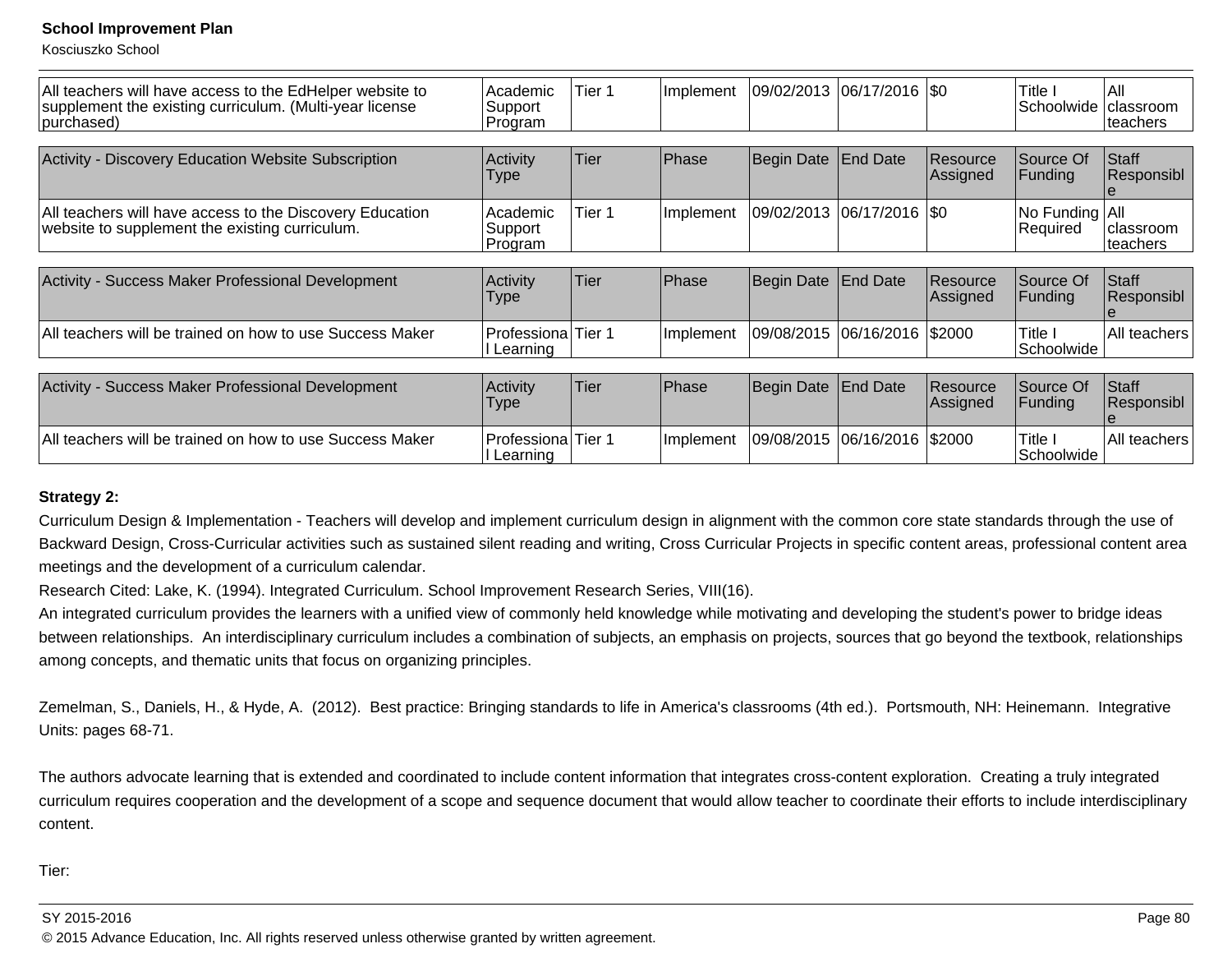Kosciuszko School

| All teachers will have access to the EdHelper website to<br>supplement the existing curriculum. (Multi-year license<br>purchased) | Academic <br>Support<br> Program  | Tier <sub>1</sub> | Implement | 09/02/2013 | $ 06/17/2016 $ \$0    |                      | Title I<br>Schoolwide        | IAII<br>Iclassroom<br>lteachers |
|-----------------------------------------------------------------------------------------------------------------------------------|-----------------------------------|-------------------|-----------|------------|-----------------------|----------------------|------------------------------|---------------------------------|
| Activity - Discovery Education Website Subscription                                                                               | Activity<br><b>Type</b>           | Tier              | Phase     | Begin Date | End Date              | Resource<br>Assigned | Source Of<br>Funding         | Staff<br>Responsibl             |
| All teachers will have access to the Discovery Education<br>website to supplement the existing curriculum.                        | Academic <br>Support<br>Program   | Tier <sub>1</sub> | Implement | 09/02/2013 | 06/17/2016   \$0      |                      | No Funding   All<br>Required | classroom<br>lteachers          |
| Activity - Success Maker Professional Development                                                                                 | Activity<br>Type                  | Tier              | Phase     | Begin Date | End Date              | Resource<br>Assigned | Source Of<br>Funding         | Staff<br>Responsibl<br>Ie.      |
| All teachers will be trained on how to use Success Maker                                                                          | Professiona Tier 1<br>II Learning |                   | Implement | 09/08/2015 | $ 06/16/2016 $ \$2000 |                      | Title I<br>Schoolwide        | All teachers                    |
| Activity - Success Maker Professional Development                                                                                 | Activity<br><b>Type</b>           | Tier              | Phase     | Begin Date | <b>End Date</b>       | Resource<br>Assigned | Source Of<br>Funding         | <b>Staff</b><br> Responsibl     |
| All teachers will be trained on how to use Success Maker                                                                          | Professiona<br>II Learning        | Tier 1            | Implement | 09/08/2015 | 06/16/2016            | \$2000               | Title I<br>Schoolwide        | All teachers                    |

### **Strategy 2:**

Curriculum Design & Implementation - Teachers will develop and implement curriculum design in alignment with the common core state standards through the use ofBackward Design, Cross-Curricular activities such as sustained silent reading and writing, Cross Curricular Projects in specific content areas, professional content areameetings and the development of a curriculum calendar.

Research Cited: Lake, K. (1994). Integrated Curriculum. School Improvement Research Series, VIII(16).

An integrated curriculum provides the learners with a unified view of commonly held knowledge while motivating and developing the student's power to bridge ideasbetween relationships. An interdisciplinary curriculum includes a combination of subjects, an emphasis on projects, sources that go beyond the textbook, relationships among concepts, and thematic units that focus on organizing principles.

Zemelman, S., Daniels, H., & Hyde, A. (2012). Best practice: Bringing standards to life in America's classrooms (4th ed.). Portsmouth, NH: Heinemann. IntegrativeUnits: pages 68-71.

The authors advocate learning that is extended and coordinated to include content information that integrates cross-content exploration. Creating a truly integrated curriculum requires cooperation and the development of a scope and sequence document that would allow teacher to coordinate their efforts to include interdisciplinarycontent.

Tier: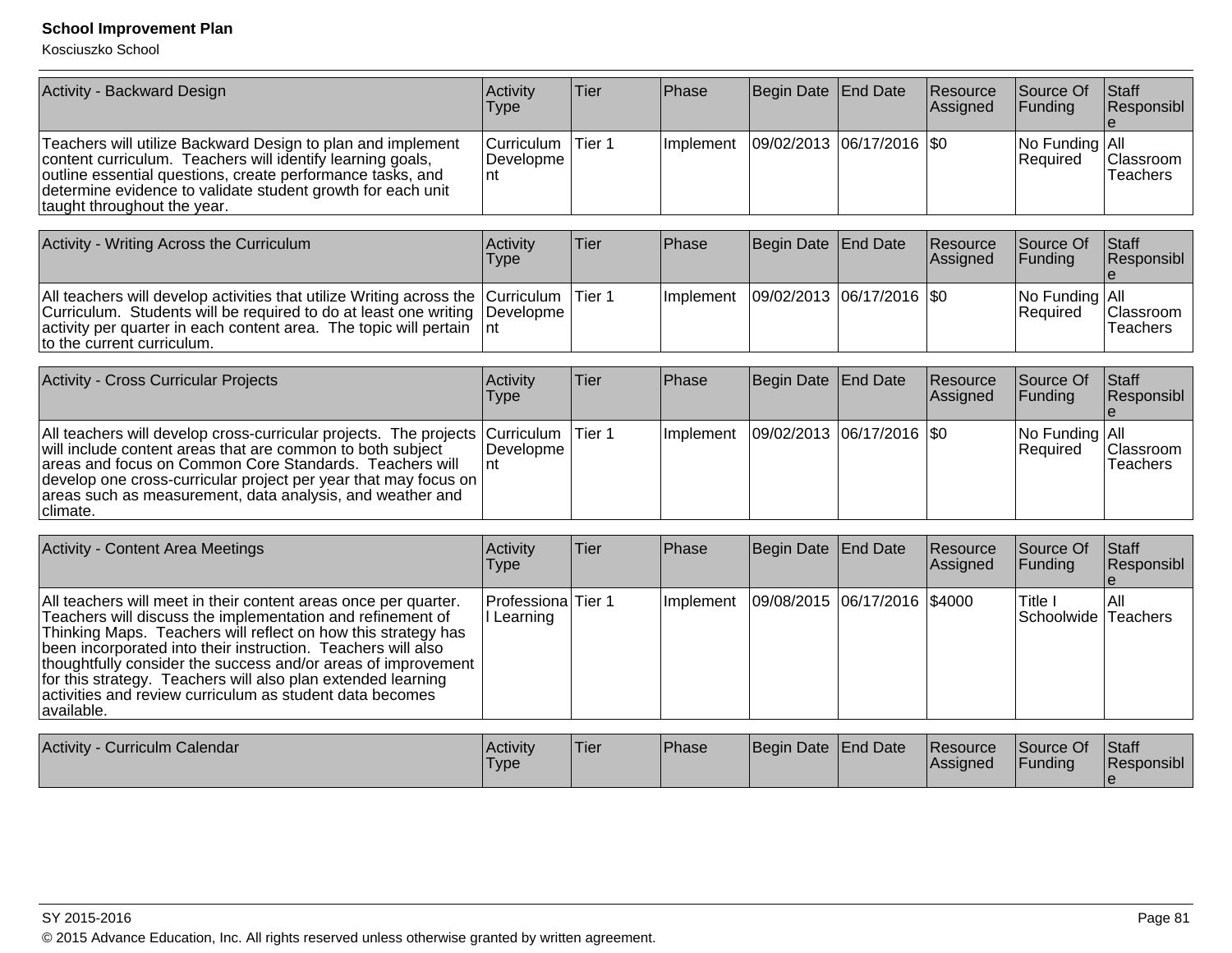| Activity - Backward Design                                                                                                                                                                                                                                                            | Activitv<br>Type                        | Tier | <b>Phase</b> | Begin Date End Date         | <b>Resource</b><br>Assigned | <b>Source Of</b><br><b>Funding</b> | Staff<br>Responsibl   |
|---------------------------------------------------------------------------------------------------------------------------------------------------------------------------------------------------------------------------------------------------------------------------------------|-----------------------------------------|------|--------------|-----------------------------|-----------------------------|------------------------------------|-----------------------|
| Teachers will utilize Backward Design to plan and implement<br>content curriculum. Teachers will identify learning goals,<br>outline essential questions, create performance tasks, and<br>determine evidence to validate student growth for each unit<br>taught throughout the year. | Curriculum   Tier 1<br>Developme<br>∣nt |      | Ilmplement   | 09/02/2013  06/17/2016  \$0 |                             | No Funding All<br><b>Required</b>  | Classroom<br>Teachers |

| Activity - Writing Across the Curriculum                                                                                                                                                                                                                                           | <b>Activity</b><br>Type | Tier | <b>IPhase</b>     | Begin Date End Date         | <b>Resource</b><br><b>Assigned</b> | <b>Source Of</b><br><b>IFunding</b> | <b>Staff</b><br>Responsibl   |
|------------------------------------------------------------------------------------------------------------------------------------------------------------------------------------------------------------------------------------------------------------------------------------|-------------------------|------|-------------------|-----------------------------|------------------------------------|-------------------------------------|------------------------------|
| All teachers will develop activities that utilize Writing across the Curriculum Tier 1<br>Curriculum. Students will be required to do at least one writing Developme<br>$ $ activity per quarter in each content area. The topic will pertain $ $ nt<br>to the current curriculum. |                         |      | <b>Ilmplement</b> | 09/02/2013  06/17/2016  \$0 |                                    | $ No$ Funding $ All$<br>Required    | Classroom<br><b>Teachers</b> |

| <b>Activity - Cross Curricular Projects</b>                                                                                                                                                                                                                                                                                                           | <b>Activity</b><br>Type         | lTier   | <b>IPhase</b> | Begin Date End Date           | <b>Resource</b><br>Assigned | <b>Source Of</b><br><b>IFunding</b>     | <b>Staff</b><br>Responsibl   |
|-------------------------------------------------------------------------------------------------------------------------------------------------------------------------------------------------------------------------------------------------------------------------------------------------------------------------------------------------------|---------------------------------|---------|---------------|-------------------------------|-----------------------------|-----------------------------------------|------------------------------|
| All teachers will develop cross-curricular projects. The projects   Curriculum  <br>will include content areas that are common to both subject<br>areas and focus on Common Core Standards. Teachers will<br>develop one cross-curricular project per year that may focus on<br>areas such as measurement, data analysis, and weather and<br>climate. | <i><b>IDevelopme</b></i><br>Int | ⊺Tier 1 | Ilmplement    | $ 09/02/2013 06/17/2016 $ \$0 |                             | $ No$ Funding $ All$<br><b>Required</b> | <b>Classroom</b><br>Teachers |

| <b>Activity - Content Area Meetings</b>                                                                                                                                                                                                                                                                                                                                                                                                                                   | Activity<br>Type                        | ∣Tier∶ | <b>Phase</b>     | Begin Date End Date          | Resource<br>Assigned | Source Of<br><b>Funding</b>                 | Staff<br>Responsibl |
|---------------------------------------------------------------------------------------------------------------------------------------------------------------------------------------------------------------------------------------------------------------------------------------------------------------------------------------------------------------------------------------------------------------------------------------------------------------------------|-----------------------------------------|--------|------------------|------------------------------|----------------------|---------------------------------------------|---------------------|
| All teachers will meet in their content areas once per quarter.<br>Teachers will discuss the implementation and refinement of<br>Thinking Maps. Teachers will reflect on how this strategy has<br>been incorporated into their instruction. Teachers will also<br>thoughtfully consider the success and/or areas of improvement<br>for this strategy. Teachers will also plan extended learning<br>activities and review curriculum as student data becomes<br>available. | <b>Professiona</b> Tier 1<br>l Learning |        | <b>Implement</b> | 09/08/2015 06/17/2016 \$4000 |                      | <sup>1</sup> Title 1<br>Schoolwide Teachers | IAII                |

| Activity<br>Curriculm Calendar | <b>Activity</b><br>Type | Tier | <b>Phase</b> | Begin Date End Date | <b>Resource</b><br><b>IAssigned</b> | Source Of<br><b>Funding</b> | <b>Staff</b><br>Responsibl |
|--------------------------------|-------------------------|------|--------------|---------------------|-------------------------------------|-----------------------------|----------------------------|
|                                |                         |      |              |                     |                                     |                             |                            |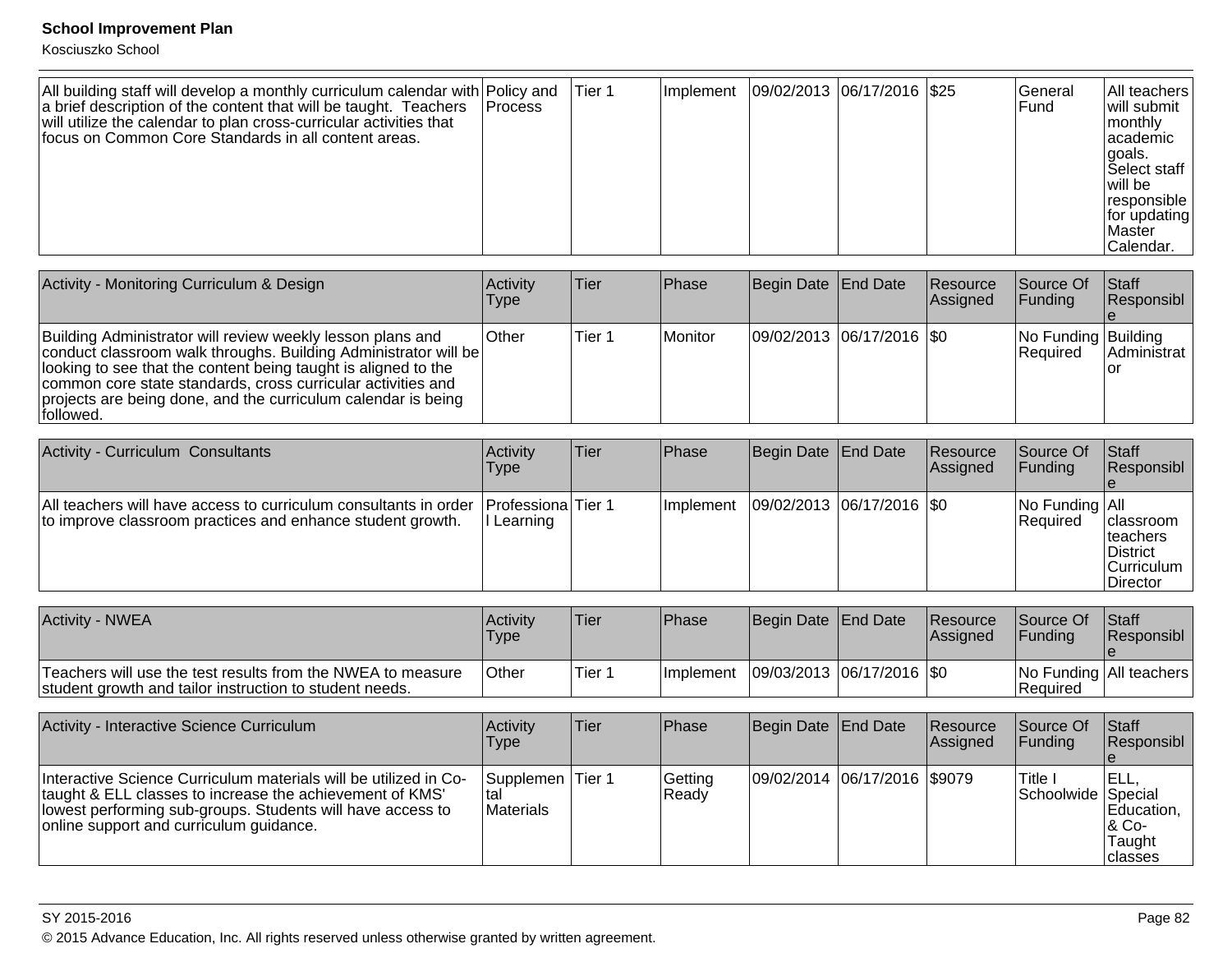Kosciuszko School

| All building staff will develop a monthly curriculum calendar with Policy and<br>a brief description of the content that will be taught. Teachers<br>will utilize the calendar to plan cross-curricular activities that<br>focus on Common Core Standards in all content areas. | <b>IProcess</b> | lTier 1 | ∣Implement |  | 09/02/2013  06/17/2016  \$25 |  | <b>IGeneral</b><br><b>Fund</b> | <b>All teachers</b><br>will submit<br>monthly<br>lacademic<br>lgoals.<br>Select staff<br>l will be<br>responsible<br> for updating <br><b>Master</b><br>Calendar. |
|---------------------------------------------------------------------------------------------------------------------------------------------------------------------------------------------------------------------------------------------------------------------------------|-----------------|---------|------------|--|------------------------------|--|--------------------------------|-------------------------------------------------------------------------------------------------------------------------------------------------------------------|
|---------------------------------------------------------------------------------------------------------------------------------------------------------------------------------------------------------------------------------------------------------------------------------|-----------------|---------|------------|--|------------------------------|--|--------------------------------|-------------------------------------------------------------------------------------------------------------------------------------------------------------------|

| Activity - Monitoring Curriculum & Design                                                                                                                                                                                                                                                                                                      | Activity<br>Type | Tier   | <b>IPhase</b>  | Begin Date End Date |                             | Resource<br>Assigned | Source Of<br><b>IFunding</b>            | Staff<br>Responsibl |
|------------------------------------------------------------------------------------------------------------------------------------------------------------------------------------------------------------------------------------------------------------------------------------------------------------------------------------------------|------------------|--------|----------------|---------------------|-----------------------------|----------------------|-----------------------------------------|---------------------|
| Building Administrator will review weekly lesson plans and<br>conduct classroom walk throughs. Building Administrator will be<br>llooking to see that the content being taught is aligned to the<br>common core state standards, cross curricular activities and<br>projects are being done, and the curriculum calendar is being<br>followed. | <b>Other</b>     | Tier 1 | <b>Monitor</b> |                     | 09/02/2013 06/17/2016   \$0 |                      | No Funding Building<br><b>IRequired</b> | Administrat         |

| <b>Activity - Curriculum Consultants</b>                                                                                                          | <b>Activity</b><br>Type | Tier | <b>IPhase</b> | Begin Date   End Date |                               | Resource<br><b>Assigned</b> | <b>Source Of</b><br>IFundina            | <b>IStaff</b><br>Responsibl                                                                 |
|---------------------------------------------------------------------------------------------------------------------------------------------------|-------------------------|------|---------------|-----------------------|-------------------------------|-----------------------------|-----------------------------------------|---------------------------------------------------------------------------------------------|
| All teachers will have access to curriculum consultants in order Professiona Tier 1<br>to improve classroom practices and enhance student growth. | Learning                |      | Ilmplement    |                       | $ 09/02/2013 06/17/2016 $ \$0 |                             | $ No$ Funding $ All$<br><b>Required</b> | <b>Iclassroom</b><br> teachers<br><b>IDistrict</b><br><b>Curriculum</b><br><b>IDirector</b> |

| Activity - NWEA                                                                                                        | Activity<br><b>Type</b> | 'Tier   | <b>Phase</b>      | Begin Date End Date |                             | Resource<br><b>Assigned</b> | <b>Source Of</b><br><b>IFundina</b> | <b>Staff</b><br><b>Responsibl</b> |
|------------------------------------------------------------------------------------------------------------------------|-------------------------|---------|-------------------|---------------------|-----------------------------|-----------------------------|-------------------------------------|-----------------------------------|
| Teachers will use the test results from the NWEA to measure<br>student growth and tailor instruction to student needs. | ∣Other                  | ∣Tier 1 | <b>Ilmplement</b> |                     | 09/03/2013  06/17/2016  \$0 |                             | l Reauired                          | No Funding   All teachers         |

| Activity - Interactive Science Curriculum                                                                                                                                                                                               | Activity<br><b>Type</b>               | Tier   | <b>IPhase</b>    | Begin Date End Date          | <b>Resource</b><br>Assigned | Source Of<br>IFundina         | Staff<br>Responsibl                                 |
|-----------------------------------------------------------------------------------------------------------------------------------------------------------------------------------------------------------------------------------------|---------------------------------------|--------|------------------|------------------------------|-----------------------------|-------------------------------|-----------------------------------------------------|
| Interactive Science Curriculum materials will be utilized in Co-<br>Itaught & ELL classes to increase the achievement of KMS'<br>llowest performing sub-groups. Students will have access to<br>online support and curriculum guidance. | <b>Supplemen</b><br>Ital<br>Materials | Tier 1 | Gettina<br>Ready | 09/02/2014 06/17/2016 \$9079 |                             | Title I<br>Schoolwide Special | JELL,<br>Education.<br> & Co-<br>Taught<br> classes |

### SY 2015-2016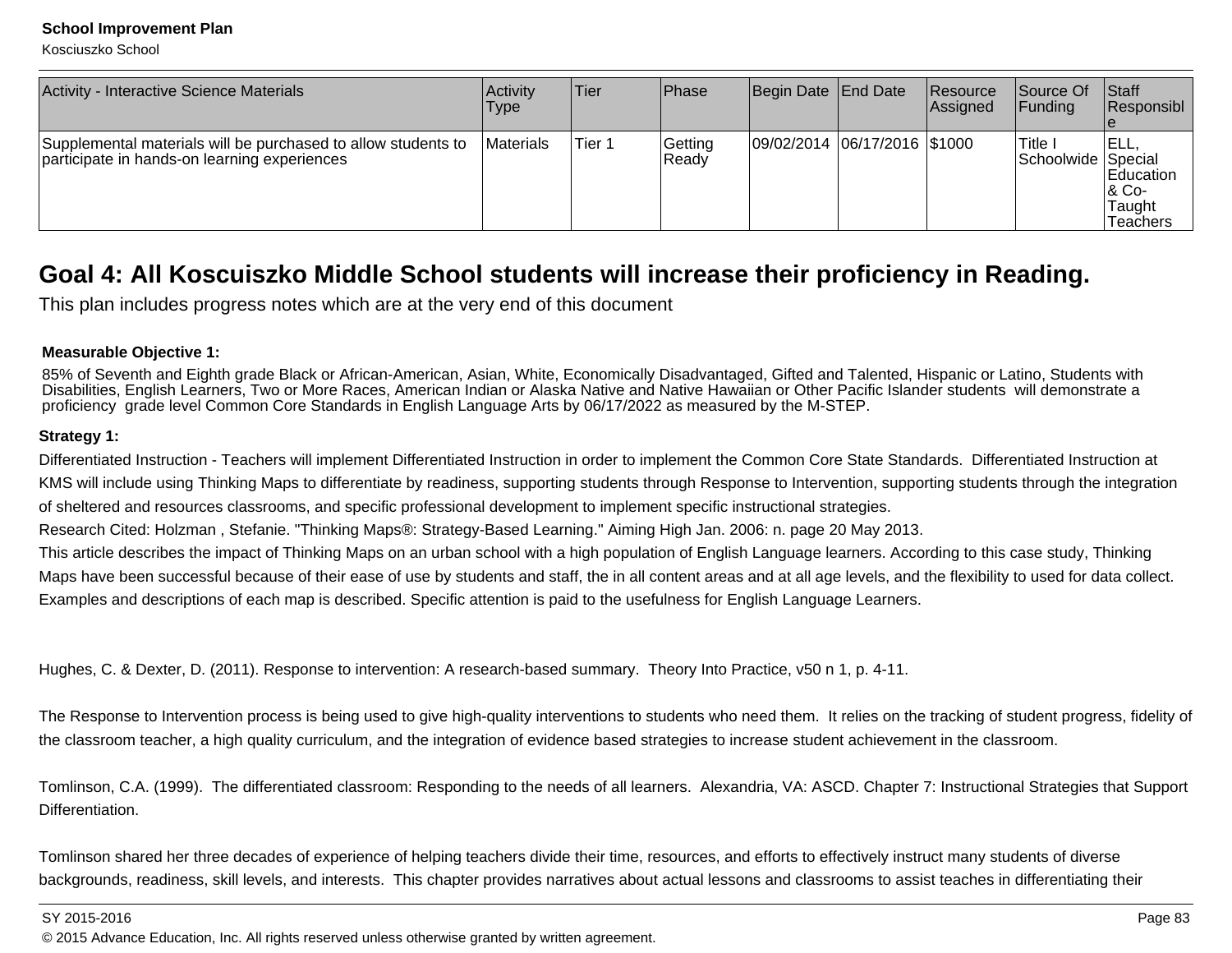Kosciuszko School

| Activity - Interactive Science Materials                                                                      | <b>Activity</b><br>Type | lTier. | <b>IPhase</b>    | Begin Date End Date          | Resource<br><b>Assigned</b> | Source Of<br>IFundina        | $\vert$ Staff<br>Responsibl                               |
|---------------------------------------------------------------------------------------------------------------|-------------------------|--------|------------------|------------------------------|-----------------------------|------------------------------|-----------------------------------------------------------|
| Supplemental materials will be purchased to allow students to<br>participate in hands-on learning experiences | <b>IMaterials</b>       | Tier 1 | Getting<br>Ready | 09/02/2014 06/17/2016 \$1000 |                             | 'Title<br>Schoolwide Special | IELL<br><b>IEducation</b><br>1& Co-<br>Taught<br>Teachers |

## **Goal 4: All Koscuiszko Middle School students will increase their proficiency in Reading.**

This plan includes progress notes which are at the very end of this document

### **Measurable Objective 1:**

85% of Seventh and Eighth grade Black or African-American, Asian, White, Economically Disadvantaged, Gifted and Talented, Hispanic or Latino, Students with Disabilities, English Learners, Two or More Races, American Indian or Alaska Native and Native Hawaiian or Other Pacific Islander students will demonstrate aproficiency grade level Common Core Standards in English Language Arts by 06/17/2022 as measured by the M-STEP.

### **Strategy 1:**

Differentiated Instruction - Teachers will implement Differentiated Instruction in order to implement the Common Core State Standards. Differentiated Instruction atKMS will include using Thinking Maps to differentiate by readiness, supporting students through Response to Intervention, supporting students through the integrationof sheltered and resources classrooms, and specific professional development to implement specific instructional strategies.

Research Cited: Holzman , Stefanie. "Thinking Maps®: Strategy-Based Learning." Aiming High Jan. 2006: n. page 20 May 2013.

This article describes the impact of Thinking Maps on an urban school with a high population of English Language learners. According to this case study, Thinking Maps have been successful because of their ease of use by students and staff, the in all content areas and at all age levels, and the flexibility to used for data collect.Examples and descriptions of each map is described. Specific attention is paid to the usefulness for English Language Learners.

Hughes, C. & Dexter, D. (2011). Response to intervention: A research-based summary. Theory Into Practice, v50 n 1, p. 4-11.

The Response to Intervention process is being used to give high-quality interventions to students who need them. It relies on the tracking of student progress, fidelity ofthe classroom teacher, a high quality curriculum, and the integration of evidence based strategies to increase student achievement in the classroom.

Tomlinson, C.A. (1999). The differentiated classroom: Responding to the needs of all learners. Alexandria, VA: ASCD. Chapter 7: Instructional Strategies that SupportDifferentiation.

Tomlinson shared her three decades of experience of helping teachers divide their time, resources, and efforts to effectively instruct many students of diversebackgrounds, readiness, skill levels, and interests. This chapter provides narratives about actual lessons and classrooms to assist teaches in differentiating their

SY 2015-2016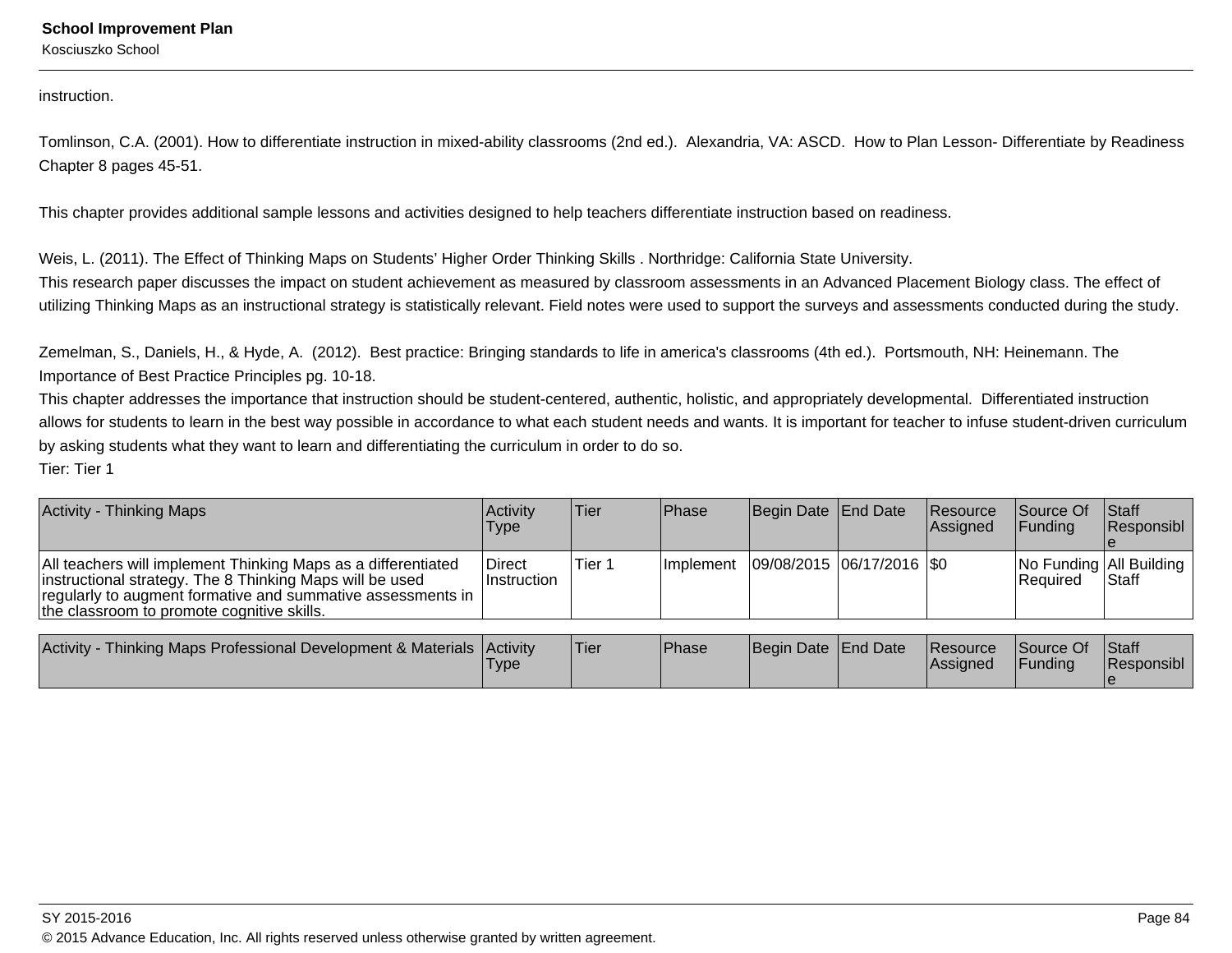Kosciuszko School

instruction.

Tomlinson, C.A. (2001). How to differentiate instruction in mixed-ability classrooms (2nd ed.). Alexandria, VA: ASCD. How to Plan Lesson- Differentiate by ReadinessChapter 8 pages 45-51.

This chapter provides additional sample lessons and activities designed to help teachers differentiate instruction based on readiness.

Weis, L. (2011). The Effect of Thinking Maps on Students' Higher Order Thinking Skills . Northridge: California State University.

This research paper discusses the impact on student achievement as measured by classroom assessments in an Advanced Placement Biology class. The effect ofutilizing Thinking Maps as an instructional strategy is statistically relevant. Field notes were used to support the surveys and assessments conducted during the study.

Zemelman, S., Daniels, H., & Hyde, A. (2012). Best practice: Bringing standards to life in america's classrooms (4th ed.). Portsmouth, NH: Heinemann. TheImportance of Best Practice Principles pg. 10-18.

This chapter addresses the importance that instruction should be student-centered, authentic, holistic, and appropriately developmental. Differentiated instruction allows for students to learn in the best way possible in accordance to what each student needs and wants. It is important for teacher to infuse student-driven curriculumby asking students what they want to learn and differentiating the curriculum in order to do so. Tier: Tier 1

| <b>Activity - Thinking Maps</b>                                                                                                                                                                                                        | ∣Activit∨<br>Type                   | Tier   | <b>IPhase</b> | Begin Date End Date           | <b>Resource</b><br>Assigned | <b>Source Of</b><br>IFundina | <b>Staff</b><br>Responsibl                  |
|----------------------------------------------------------------------------------------------------------------------------------------------------------------------------------------------------------------------------------------|-------------------------------------|--------|---------------|-------------------------------|-----------------------------|------------------------------|---------------------------------------------|
| All teachers will implement Thinking Maps as a differentiated<br>instructional strategy. The 8 Thinking Maps will be used<br>regularly to augment formative and summative assessments in<br>the classroom to promote cognitive skills. | <b>Direct</b><br><b>Instruction</b> | Tier 1 | Ilmplement    | $ 09/08/2015 06/17/2016 $ \$0 |                             | l Reauired                   | No Funding   All Building  <br><b>Staff</b> |

| Activity -<br>· Thinking Maps Professional Development & Materials   Activity | <b>Type</b> | 'Tier | Phase | Begin Date   End Date | <b>Resource</b><br>lAssianed | Source Of<br><b>IFunding</b> | <b>Staff</b><br>Responsibl |
|-------------------------------------------------------------------------------|-------------|-------|-------|-----------------------|------------------------------|------------------------------|----------------------------|
|                                                                               |             |       |       |                       |                              |                              |                            |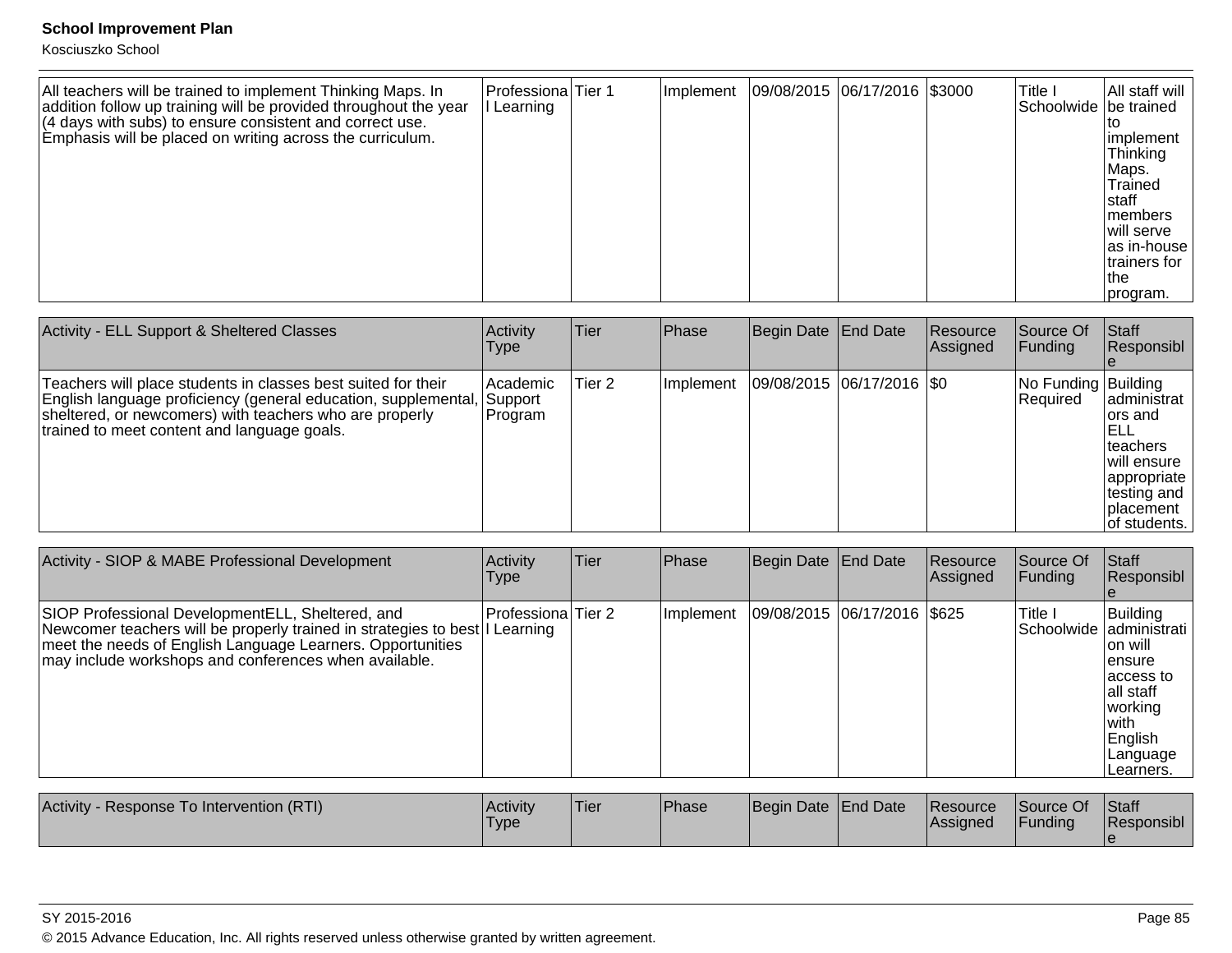| All teachers will be trained to implement Thinking Maps. In<br>addition follow up training will be provided throughout the year | Professiona Tier 1<br>Learning | Implement | 09/08/2015 06/17/2016 \$3000 | Title I<br>Schoolwide be trained | All staff will                                                                                                                     |
|---------------------------------------------------------------------------------------------------------------------------------|--------------------------------|-----------|------------------------------|----------------------------------|------------------------------------------------------------------------------------------------------------------------------------|
| $(4$ days with subs) to ensure consistent and correct use.<br>Emphasis will be placed on writing across the curriculum.         |                                |           |                              |                                  | implement<br>Thinking<br>Maps.<br>Trained<br>Istaff<br>Imembers<br>Iwill serve<br>as in-house<br>trainers for<br>Ithe<br> program. |

| Activity - ELL Support & Sheltered Classes                                                                                                                                                                                                 | Activity<br>Type                 | Tier   | Phase     | Begin Date   End Date       | Resource<br>Assigned | Source Of<br><b>Funding</b>     | <b>Staff</b><br>Responsibl                                                                                                 |
|--------------------------------------------------------------------------------------------------------------------------------------------------------------------------------------------------------------------------------------------|----------------------------------|--------|-----------|-----------------------------|----------------------|---------------------------------|----------------------------------------------------------------------------------------------------------------------------|
| Teachers will place students in classes best suited for their<br> English language proficiency (general education, supplemental,<br>sheltered, or newcomers) with teachers who are properly<br>trained to meet content and language goals. | l Academic<br>Support<br>Program | Tier 2 | Implement | 09/08/2015 06/17/2016   \$0 |                      | No Funding Building<br>Required | ladministrat<br>lors and<br>IELL<br>Iteachers<br>will ensure<br> appropriate<br>∣testing and<br>Iplacement<br>of students. |

| Activity - SIOP & MABE Professional Development                                                                                                                                                                                                         | Activity<br>Type   | <b>Tier</b> | <b>Phase</b> | Begin Date End Date |                             | Resource<br>Assigned | Source Of<br>Funding | <b>Staff</b><br>Responsibl                                                                                                                          |
|---------------------------------------------------------------------------------------------------------------------------------------------------------------------------------------------------------------------------------------------------------|--------------------|-------------|--------------|---------------------|-----------------------------|----------------------|----------------------|-----------------------------------------------------------------------------------------------------------------------------------------------------|
| SIOP Professional Development ELL, Sheltered, and<br>Newcomer teachers will be properly trained in strategies to best I Learning<br>meet the needs of English Language Learners. Opportunities<br>may include workshops and conferences when available. | Professiona Tier 2 |             | Implement    |                     | 09/08/2015 06/17/2016 \$625 |                      | lTitle I             | Building<br>Schoolwide   administrati<br>Ton will<br>lensure<br>laccess to<br>lall staff<br> working <br>lwith.<br>English<br>Language<br>Learners. |

| Activity<br>- Response To Intervention (RTI) | <b>Activity</b><br><b>Type</b> | Tier | <b>Phase</b> | Begin Date End Date | <b>Resource</b><br><b>Assigned</b> | Source Of<br>Funding | Staff<br>Responsibl |
|----------------------------------------------|--------------------------------|------|--------------|---------------------|------------------------------------|----------------------|---------------------|
|                                              |                                |      |              |                     |                                    |                      |                     |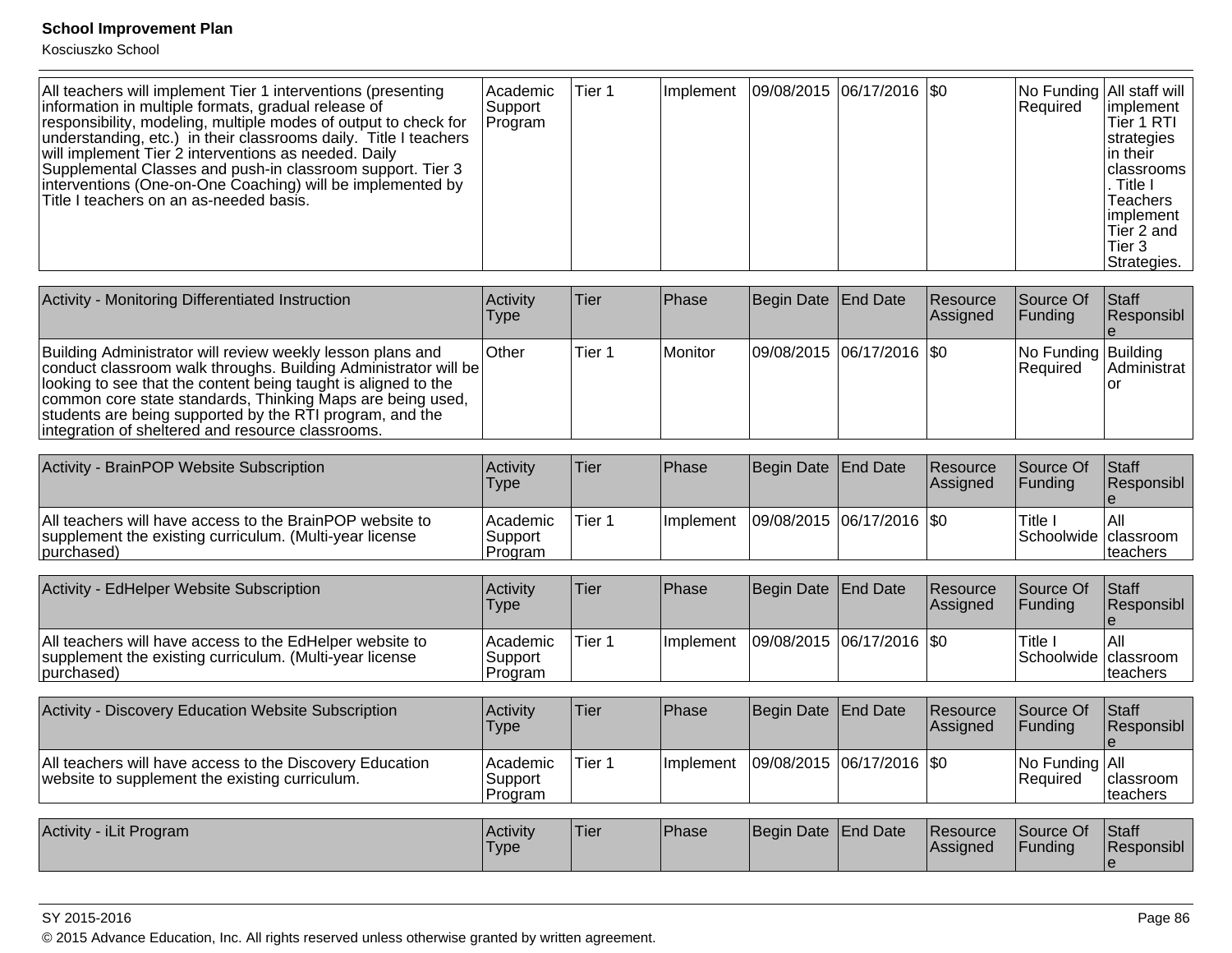Kosciuszko School

| All teachers will implement Tier 1 interventions (presenting<br>information in multiple formats, gradual release of<br>responsibility, modeling, multiple modes of output to check for<br>understanding, etc.) in their classrooms daily. Title I teachers<br>will implement Tier 2 interventions as needed. Daily<br>Supplemental Classes and push-in classroom support. Tier 3<br>interventions (One-on-One Coaching) will be implemented by<br>Title I teachers on an as-needed basis. | l Academic<br>Support<br>Program | Tier 1 | Implement   09/08/2015   06/17/2016   \$0 |  |  |  | No Funding All staff will<br>Required | limplement<br>Tier 1 RTI<br>strategies<br>lin their l<br><b>I</b> classrooms<br>. Title I<br><b>Teachers</b><br>limplement<br>Tier 2 and<br>Tier 3<br>Strategies. |
|-------------------------------------------------------------------------------------------------------------------------------------------------------------------------------------------------------------------------------------------------------------------------------------------------------------------------------------------------------------------------------------------------------------------------------------------------------------------------------------------|----------------------------------|--------|-------------------------------------------|--|--|--|---------------------------------------|-------------------------------------------------------------------------------------------------------------------------------------------------------------------|
|-------------------------------------------------------------------------------------------------------------------------------------------------------------------------------------------------------------------------------------------------------------------------------------------------------------------------------------------------------------------------------------------------------------------------------------------------------------------------------------------|----------------------------------|--------|-------------------------------------------|--|--|--|---------------------------------------|-------------------------------------------------------------------------------------------------------------------------------------------------------------------|

| Activity - Monitoring Differentiated Instruction                                                                                                                                                                                                                                                                                                                               | <b>Activity</b><br>Type | lTier  | Phase   | Begin Date End Date         | <b>Resource</b><br><b>Assigned</b> | <b>Source Of</b><br> Funding           | <b>Staff</b><br>Responsibl |
|--------------------------------------------------------------------------------------------------------------------------------------------------------------------------------------------------------------------------------------------------------------------------------------------------------------------------------------------------------------------------------|-------------------------|--------|---------|-----------------------------|------------------------------------|----------------------------------------|----------------------------|
| Building Administrator will review weekly lesson plans and<br>conduct classroom walk throughs. Building Administrator will be<br>looking to see that the content being taught is aligned to the<br>common core state standards, Thinking Maps are being used,<br>students are being supported by the RTI program, and the<br>integration of sheltered and resource classrooms. | ∣Other                  | Tier 1 | Monitor | 09/08/2015 06/17/2016   \$0 |                                    | No Funding Building<br><b>Required</b> | Administrat                |

| Activity - BrainPOP Website Subscription                                                                                          | Activity<br>Type                 | Tier   | Phase            | Begin Date End Date         | <b>Resource</b><br><b>IAssigned</b> | Source Of<br>IFundina           | <b>Staff</b><br><b>Responsibl</b> |
|-----------------------------------------------------------------------------------------------------------------------------------|----------------------------------|--------|------------------|-----------------------------|-------------------------------------|---------------------------------|-----------------------------------|
| All teachers will have access to the BrainPOP website to<br>supplement the existing curriculum. (Multi-year license<br>purchased) | l Academic<br>Support<br>Program | Tier 1 | <b>Implement</b> | 09/08/2015  06/17/2016  \$0 |                                     | Title<br>Schoolwide   classroom | lAll<br>Iteachers                 |

| Activity - EdHelper Website Subscription                                                                                          | Activity<br>Type                      | Tier   | <b>Phase</b>      | Begin Date End Date |                             | Resource<br><b>Assigned</b> | Source Of<br><b>IFundina</b>  | <b>Staff</b><br><b>Responsibl</b> |
|-----------------------------------------------------------------------------------------------------------------------------------|---------------------------------------|--------|-------------------|---------------------|-----------------------------|-----------------------------|-------------------------------|-----------------------------------|
| All teachers will have access to the EdHelper website to<br>supplement the existing curriculum. (Multi-year license<br>purchased) | <b>Academic</b><br>Support<br>Program | Tier 1 | <b>Ilmplement</b> |                     | 09/08/2015  06/17/2016  \$0 |                             | Title<br>Schoolwide classroom | l All<br>Iteachers                |

| Activity - Discovery Education Website Subscription                                                        | Activity<br>Type                 | lTier       | Phase             | Begin Date   End Date     | <b>Resource</b><br>Assigned | Source Of<br><b>Funding</b>  | Staff<br>Responsibl           |
|------------------------------------------------------------------------------------------------------------|----------------------------------|-------------|-------------------|---------------------------|-----------------------------|------------------------------|-------------------------------|
| All teachers will have access to the Discovery Education<br>website to supplement the existing curriculum. | Academic <br>Support<br> Program | Tier 1      | <b>Ilmplement</b> | 09/08/2015 06/17/2016 \$0 |                             | No Funding   All<br>Required | <b>classroom</b><br>Iteachers |
| Activity - iLit Program                                                                                    | <b>Activity</b><br><b>Type</b>   | <b>Tier</b> | Phase             | Begin Date End Date       | <b>Resource</b><br>Assigned | Source Of<br><b>IFunding</b> | <b>Staff</b><br>Responsibl    |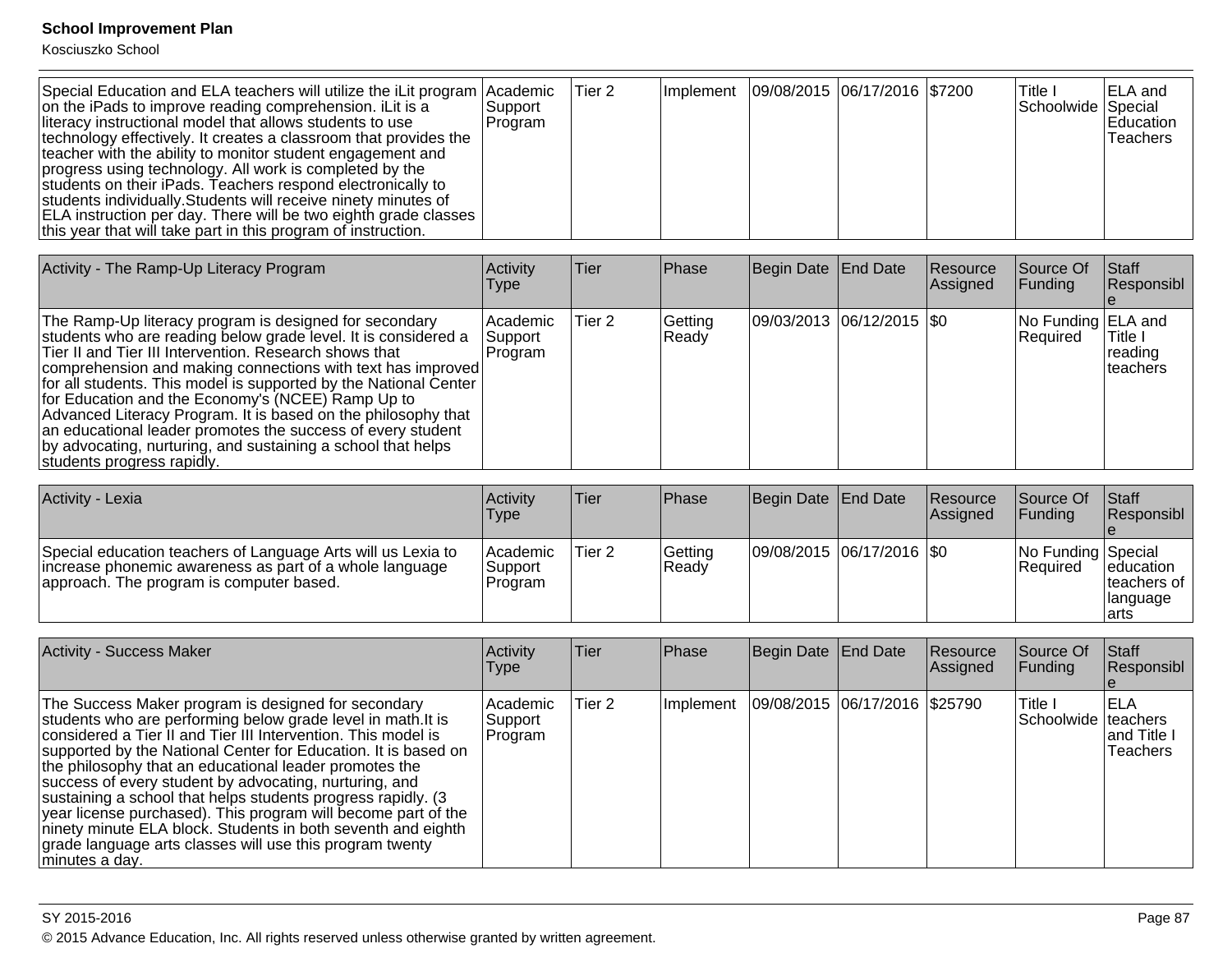Kosciuszko School

| Special Education and ELA teachers will utilize the iLit program<br>on the iPads to improve reading comprehension. iLit is a<br>literacy instructional model that allows students to use<br>technology effectively. It creates a classroom that provides the<br>teacher with the ability to monitor student engagement and<br>progress using technology. All work is completed by the<br>students on their iPads. Teachers respond electronically to<br>students individually. Students will receive ninety minutes of<br>ELA instruction per day. There will be two eighth grade classes<br>this year that will take part in this program of instruction. | Academic<br>Support<br>Program | Tier <sub>2</sub> | Implement        | 09/08/2015        | 06/17/2016 \$7200  |                      | Title I<br>Schoolwide Special  | ELA and<br>Education<br>Teachers                  |
|------------------------------------------------------------------------------------------------------------------------------------------------------------------------------------------------------------------------------------------------------------------------------------------------------------------------------------------------------------------------------------------------------------------------------------------------------------------------------------------------------------------------------------------------------------------------------------------------------------------------------------------------------------|--------------------------------|-------------------|------------------|-------------------|--------------------|----------------------|--------------------------------|---------------------------------------------------|
| Activity - The Ramp-Up Literacy Program                                                                                                                                                                                                                                                                                                                                                                                                                                                                                                                                                                                                                    | Activity<br><b>Type</b>        | Tier              | Phase            | <b>Begin Date</b> | End Date           | Resource<br>Assigned | Source Of<br>Funding           | <b>Staff</b><br>Responsibl<br>$\mathbf{e}$        |
| The Ramp-Up literacy program is designed for secondary<br>students who are reading below grade level. It is considered a<br>Tier II and Tier III Intervention. Research shows that<br>comprehension and making connections with text has improved<br>for all students. This model is supported by the National Center<br>for Education and the Economy's (NCEE) Ramp Up to<br>Advanced Literacy Program. It is based on the philosophy that<br>an educational leader promotes the success of every student<br>by advocating, nurturing, and sustaining a school that helps<br>students progress rapidly.                                                   | Academic<br>Support<br>Program | Tier <sub>2</sub> | Getting<br>Ready | 09/03/2013        | 06/12/2015 \\$0    |                      | No Funding ELA and<br>Required | Title I<br>reading<br>teachers                    |
| Activity - Lexia                                                                                                                                                                                                                                                                                                                                                                                                                                                                                                                                                                                                                                           | Activity<br><b>Type</b>        | Tier              | Phase            | <b>Begin Date</b> | <b>End Date</b>    | Resource<br>Assigned | Source Of<br>Funding           | <b>Staff</b><br>Responsibl                        |
| Special education teachers of Language Arts will us Lexia to<br>increase phonemic awareness as part of a whole language<br>approach. The program is computer based.                                                                                                                                                                                                                                                                                                                                                                                                                                                                                        | Academic<br>Support<br>Program | Tier <sub>2</sub> | Getting<br>Ready | 09/08/2015        | $ 06/17/2016 $ \$0 |                      | No Funding Special<br>Required | education<br>teachers of<br>language<br>arts      |
| <b>Activity - Success Maker</b>                                                                                                                                                                                                                                                                                                                                                                                                                                                                                                                                                                                                                            | Activity<br><b>Type</b>        | Tier              | Phase            | <b>Begin Date</b> | <b>End Date</b>    | Resource<br>Assigned | Source Of<br>Funding           | <b>Staff</b><br>Responsibl<br>e                   |
| The Success Maker program is designed for secondary<br>students who are performing below grade level in math. It is<br>considered a Tier II and Tier III Intervention. This model is<br>supported by the National Center for Education. It is based on<br>the philosophy that an educational leader promotes the<br>success of every student by advocating, nurturing, and<br>sustaining a school that helps students progress rapidly. (3)<br>year license purchased). This program will become part of the<br>ninety minute ELA block. Students in both seventh and eighth<br>grade language arts classes will use this program twenty<br>minutes a day. | Academic<br>Support<br>Program | Tier <sub>2</sub> | Implement        | 09/08/2015        | 06/17/2016         | \$25790              | Title I<br>Schoolwide          | <b>ELA</b><br>teachers<br>and Title I<br>Teachers |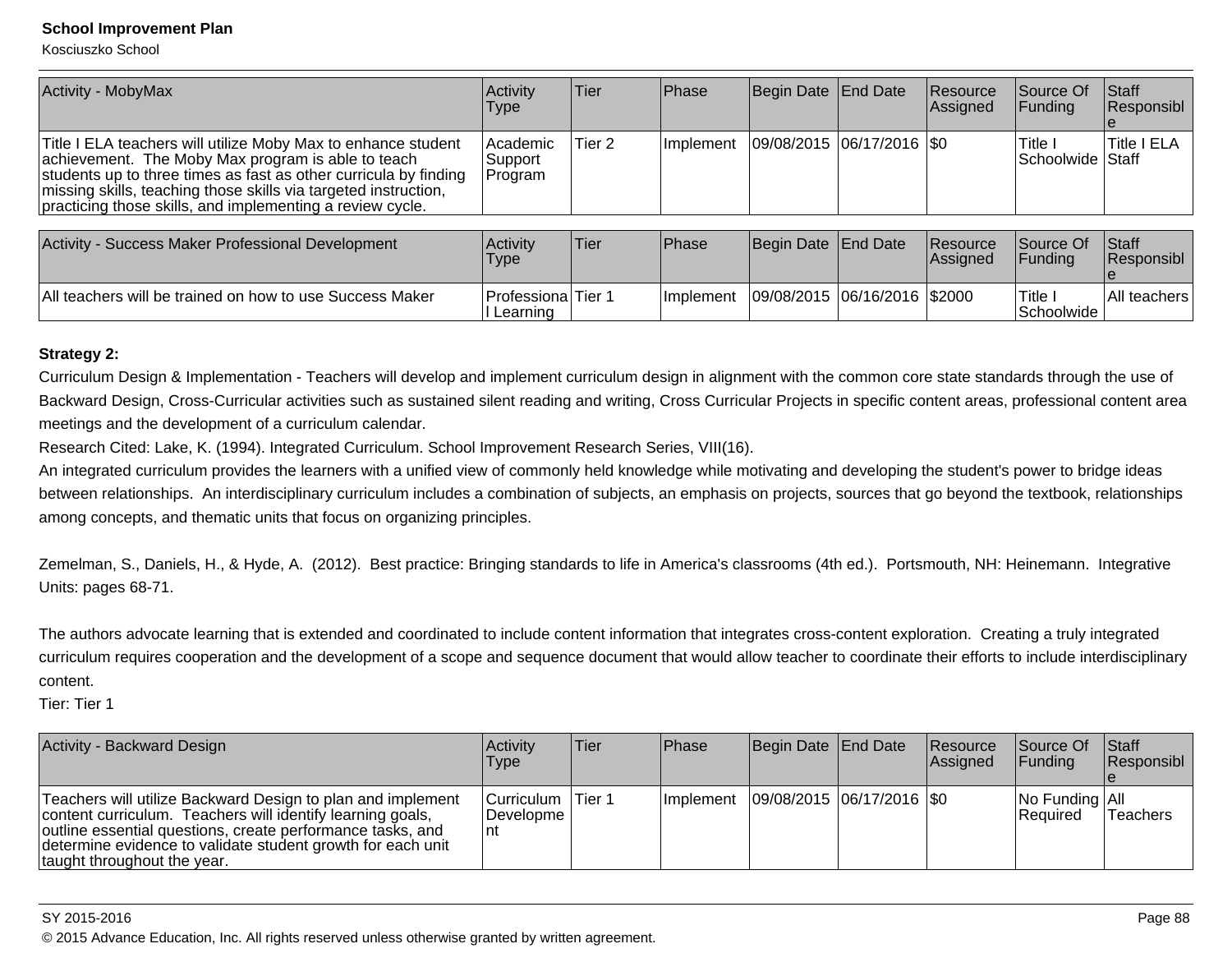All teachers will be trained on how to use Success Maker

Kosciuszko School

| <b>Activity - MobyMax</b>                                                                                                                                                                                                                                                                                               | Activity<br><b>Type</b>          | Tier        | Phase      | Begin Date End Date         | Resource<br>Assigned | Source Of<br> Funding          | <b>Staff</b><br>Responsibl |
|-------------------------------------------------------------------------------------------------------------------------------------------------------------------------------------------------------------------------------------------------------------------------------------------------------------------------|----------------------------------|-------------|------------|-----------------------------|----------------------|--------------------------------|----------------------------|
| Title I ELA teachers will utilize Moby Max to enhance student<br>achievement. The Moby Max program is able to teach<br>students up to three times as fast as other curricula by finding<br>missing skills, teaching those skills via targeted instruction,<br>practicing those skills, and implementing a review cycle. | l Academic<br>Support<br>Program | Tier 2      | Ilmplement | 09/08/2015 06/17/2016   \$0 |                      | lTitle I<br>ISchoolwide IStaff | <b>Title I ELA</b>         |
|                                                                                                                                                                                                                                                                                                                         |                                  |             |            |                             |                      |                                |                            |
| Activity - Success Maker Professional Development                                                                                                                                                                                                                                                                       | Activity<br><b>Type</b>          | <b>Tier</b> | Phase      | Begin Date End Date         | Resource<br>Assigned | Source Of<br> Fundina          | <b>Staff</b><br>Responsibl |

### **Strategy 2:**

Curriculum Design & Implementation - Teachers will develop and implement curriculum design in alignment with the common core state standards through the use ofBackward Design, Cross-Curricular activities such as sustained silent reading and writing, Cross Curricular Projects in specific content areas, professional content areameetings and the development of a curriculum calendar.

Implement 09/08/2015 06/16/2016 \$2000 Title I

r Professiona Tier 1 l Learning

Research Cited: Lake, K. (1994). Integrated Curriculum. School Improvement Research Series, VIII(16).

An integrated curriculum provides the learners with a unified view of commonly held knowledge while motivating and developing the student's power to bridge ideasbetween relationships. An interdisciplinary curriculum includes a combination of subjects, an emphasis on projects, sources that go beyond the textbook, relationships among concepts, and thematic units that focus on organizing principles.

Zemelman, S., Daniels, H., & Hyde, A. (2012). Best practice: Bringing standards to life in America's classrooms (4th ed.). Portsmouth, NH: Heinemann. IntegrativeUnits: pages 68-71.

The authors advocate learning that is extended and coordinated to include content information that integrates cross-content exploration. Creating a truly integratedcurriculum requires cooperation and the development of a scope and sequence document that would allow teacher to coordinate their efforts to include interdisciplinarycontent.

Tier: Tier 1

| Activity - Backward Design                                                                                                                                                                                                                                                            | <b>Activity</b><br>Type                 | lTier. | <b>Phase</b>      | Begin Date End Date         | Resource<br>Assigned | Source Of<br><b>IFunding</b>            | <b>Staff</b><br>Responsibl |
|---------------------------------------------------------------------------------------------------------------------------------------------------------------------------------------------------------------------------------------------------------------------------------------|-----------------------------------------|--------|-------------------|-----------------------------|----------------------|-----------------------------------------|----------------------------|
| Teachers will utilize Backward Design to plan and implement<br>content curriculum. Teachers will identify learning goals,<br>outline essential questions, create performance tasks, and<br>determine evidence to validate student growth for each unit<br>taught throughout the year. | Curriculum   Tier 1<br>Developme<br>∣nt |        | <b>Ilmplement</b> | 09/08/2015  06/17/2016  \$0 |                      | $ No$ Funding $ All$<br><b>Required</b> | <b>Teachers</b>            |

#### SY 2015-2016

© 2015 Advance Education, Inc. All rights reserved unless otherwise granted by written agreement.

All teachers

**Schoolwide**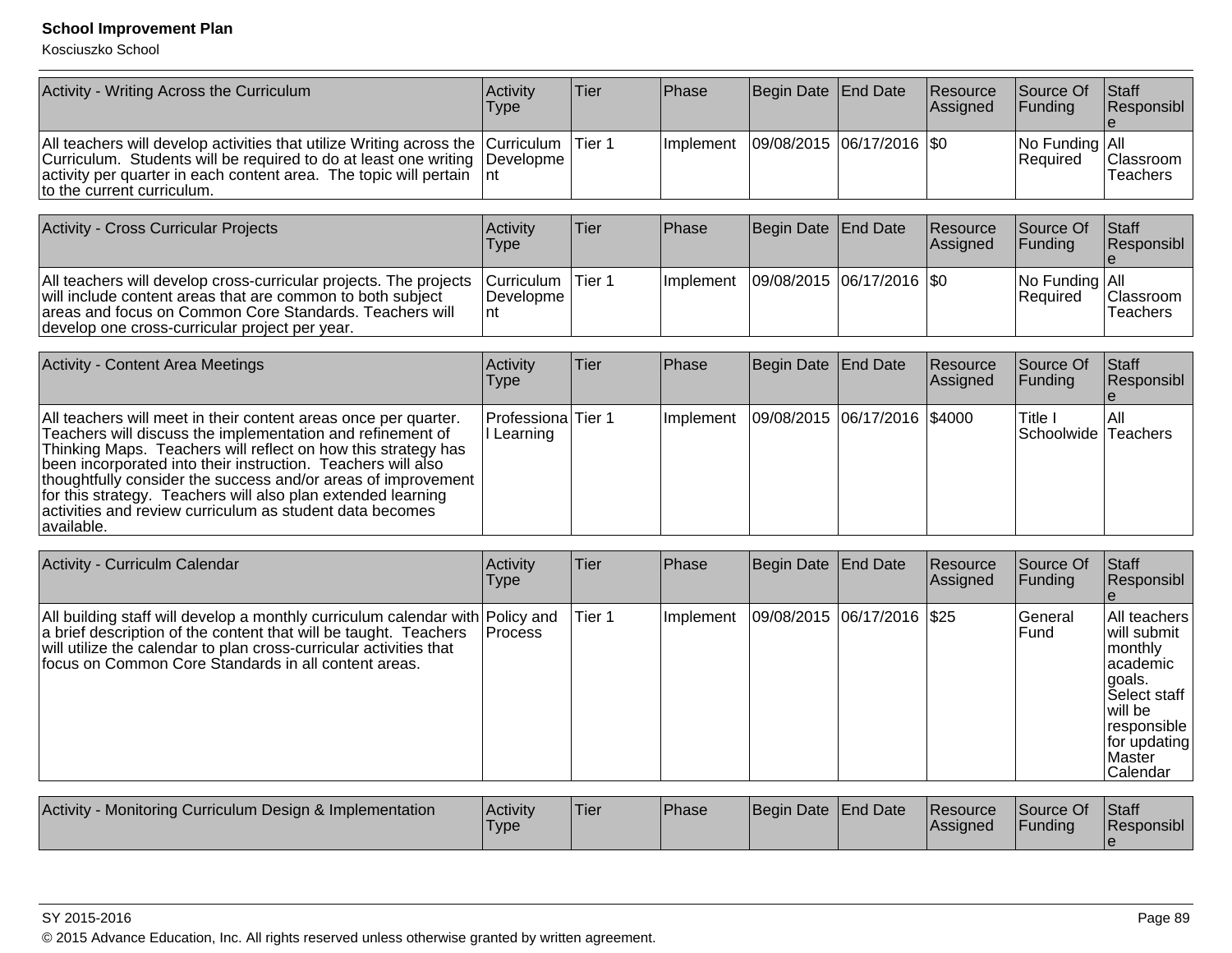| Activity - Writing Across the Curriculum                                                                                                                                                                                                                                     | Activity<br>Type | Tier | <b>Phase</b>     | Begin Date End Date         | Resource<br>Assigned | Source Of<br><b>IFundina</b>            | Staff<br>Responsibl          |
|------------------------------------------------------------------------------------------------------------------------------------------------------------------------------------------------------------------------------------------------------------------------------|------------------|------|------------------|-----------------------------|----------------------|-----------------------------------------|------------------------------|
| All teachers will develop activities that utilize Writing across the Curriculum Tier 1<br>Curriculum. Students will be required to do at least one writing Developme<br>activity per quarter in each content area. The topic will pertain   nt<br>to the current curriculum. |                  |      | <b>Implement</b> | 09/08/2015  06/17/2016  \$0 |                      | $ No$ Funding $ All$<br><b>Required</b> | <b>Classroom</b><br>Teachers |

| Activity - Cross Curricular Projects                                                                                                                                                                                                         | <b>Activity</b><br>Type                    | Tier    | <b>IPhase</b> | Begin Date End Date         | Resource<br>Assigned | <b>Source Of</b><br><b>IFundina</b>     | <b>Staff</b><br>Responsibl   |
|----------------------------------------------------------------------------------------------------------------------------------------------------------------------------------------------------------------------------------------------|--------------------------------------------|---------|---------------|-----------------------------|----------------------|-----------------------------------------|------------------------------|
| All teachers will develop cross-curricular projects. The projects<br>will include content areas that are common to both subject<br>areas and focus on Common Core Standards. Teachers will<br>develop one cross-curricular project per year. | Curriculum  <br><b>IDevelopme</b> I<br>Int | ITier 1 | Ilmplement    | 09/08/2015  06/17/2016  \$0 |                      | $ No$ Funding $ All$<br><b>Required</b> | Classroom<br><b>Teachers</b> |

| <b>Activity - Content Area Meetings</b>                                                                                                                                                                                                                                                                                                                                                                                                                                      | Activity<br>Type                        | lTier: | <b>Phase</b> | Begin Date End Date            | Resource<br>Assigned | Source Of<br><b>IFunding</b>    | Staff<br>Responsibl |
|------------------------------------------------------------------------------------------------------------------------------------------------------------------------------------------------------------------------------------------------------------------------------------------------------------------------------------------------------------------------------------------------------------------------------------------------------------------------------|-----------------------------------------|--------|--------------|--------------------------------|----------------------|---------------------------------|---------------------|
| All teachers will meet in their content areas once per quarter.<br>Teachers will discuss the implementation and refinement of<br>Thinking Maps. Teachers will reflect on how this strategy has<br>been incorporated into their instruction. Teachers will also<br> thoughtfully consider the success and/or areas of improvement  <br>for this strategy. Teachers will also plan extended learning<br>activities and review curriculum as student data becomes<br>available. | <b>ProfessionalTier 1</b><br>I Learning |        | ⊥Implement   | 09/08/2015  06/17/2016  \$4000 |                      | lTitle I<br>Schoolwide Teachers | IAII                |

| Activity - Curriculm Calendar                                                                                                                                                                                                                                                   | Activity<br>Type | Tier   | Phase     | Begin Date End Date |                            | Resource<br>Assigned | Source Of<br>Funding | <b>Staff</b><br>Responsibl                                                                                                                              |
|---------------------------------------------------------------------------------------------------------------------------------------------------------------------------------------------------------------------------------------------------------------------------------|------------------|--------|-----------|---------------------|----------------------------|----------------------|----------------------|---------------------------------------------------------------------------------------------------------------------------------------------------------|
| All building staff will develop a monthly curriculum calendar with Policy and<br>a brief description of the content that will be taught. Teachers<br>will utilize the calendar to plan cross-curricular activities that<br>focus on Common Core Standards in all content areas. | <b>Process</b>   | Tier 1 | Implement |                     | 09/08/2015 06/17/2016 \$25 |                      | lGeneral<br>Fund     | All teachers<br>lwill submit<br>monthly<br>lacademic<br>lgoals.<br>Select staff<br>lwill be<br>responsible<br>for updating<br><b>Master</b><br>Calendar |

| <b>Activity</b><br>Monitoring Curriculum Design & Implementation | Activity<br>Type | 'Tier | <b>Phase</b> | Begin Date End Date | <b>Resource</b><br><b>IAssigned</b> | Source Of<br><b>IFunding</b> | Staff<br>Responsibl |
|------------------------------------------------------------------|------------------|-------|--------------|---------------------|-------------------------------------|------------------------------|---------------------|
|                                                                  |                  |       |              |                     |                                     |                              |                     |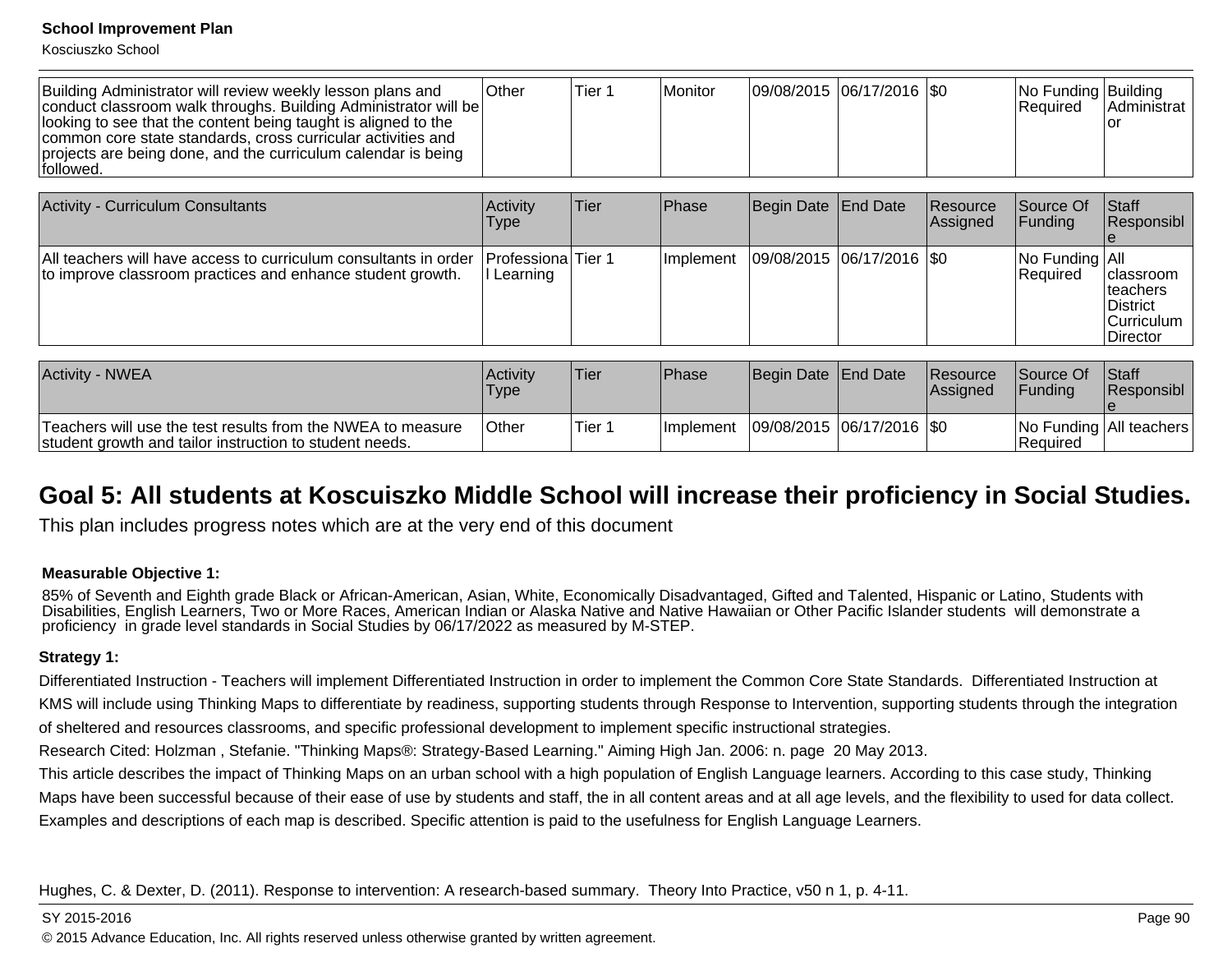Kosciuszko School

| Building Administrator will review weekly lesson plans and<br>conduct classroom walk throughs. Building Administrator will be<br>looking to see that the content being taught is aligned to the<br>common core state standards, cross curricular activities and<br>projects are being done, and the curriculum calendar is being<br>followed. | <b>Other</b> | Tier 1 | l Monitor | 09/08/2015 06/17/2016   \$0 |  |  | No Funding Building<br><b>IRequired</b> | IAdministrat<br>Tor |
|-----------------------------------------------------------------------------------------------------------------------------------------------------------------------------------------------------------------------------------------------------------------------------------------------------------------------------------------------|--------------|--------|-----------|-----------------------------|--|--|-----------------------------------------|---------------------|
|-----------------------------------------------------------------------------------------------------------------------------------------------------------------------------------------------------------------------------------------------------------------------------------------------------------------------------------------------|--------------|--------|-----------|-----------------------------|--|--|-----------------------------------------|---------------------|

| <b>Activity - Curriculum Consultants</b>                                                                                                             | Activity<br><b>Type</b> | Tier | <b>IPhase</b>     | Begin Date End Date         | Resource<br><b>Assigned</b> | Source Of<br>IFundina                   | Staff<br>Responsibl                                                           |
|------------------------------------------------------------------------------------------------------------------------------------------------------|-------------------------|------|-------------------|-----------------------------|-----------------------------|-----------------------------------------|-------------------------------------------------------------------------------|
| All teachers will have access to curriculum consultants in order   Professiona  Tier 1<br>to improve classroom practices and enhance student growth. | II Learning             |      | <b>Ilmplement</b> | 09/08/2015  06/17/2016  \$0 |                             | $ No$ Funding $ All$<br><b>Required</b> | classroom<br>Iteachers<br><b>IDistrict</b><br> Curriculum<br><b>IDirector</b> |

| <b>Activity - NWEA</b>                                                                                                 | <b>Activity</b><br><b>Type</b> | 'Tier  | <b>Phase</b> | Begin Date End Date         | <b>Resource</b><br><b>Assigned</b> | <b>Source Of</b><br><b>IFundina</b> | <b>Staff</b><br><b>Responsibl</b> |
|------------------------------------------------------------------------------------------------------------------------|--------------------------------|--------|--------------|-----------------------------|------------------------------------|-------------------------------------|-----------------------------------|
| Teachers will use the test results from the NWEA to measure<br>student growth and tailor instruction to student needs. | <b>Other</b>                   | Tier 1 | Ilmplement   | 09/08/2015  06/17/2016  \$0 |                                    | <b>IRequired</b>                    | No Funding   All teachers         |

## **Goal 5: All students at Koscuiszko Middle School will increase their proficiency in Social Studies.**

This plan includes progress notes which are at the very end of this document

### **Measurable Objective 1:**

85% of Seventh and Eighth grade Black or African-American, Asian, White, Economically Disadvantaged, Gifted and Talented, Hispanic or Latino, Students with<br>Disabilities, English Learners, Two or More Races, American Indian proficiency in grade level standards in Social Studies by 06/17/2022 as measured by M-STEP.

### **Strategy 1:**

Differentiated Instruction - Teachers will implement Differentiated Instruction in order to implement the Common Core State Standards. Differentiated Instruction atKMS will include using Thinking Maps to differentiate by readiness, supporting students through Response to Intervention, supporting students through the integrationof sheltered and resources classrooms, and specific professional development to implement specific instructional strategies.

Research Cited: Holzman , Stefanie. "Thinking Maps®: Strategy-Based Learning." Aiming High Jan. 2006: n. page 20 May 2013.

This article describes the impact of Thinking Maps on an urban school with a high population of English Language learners. According to this case study, ThinkingMaps have been successful because of their ease of use by students and staff, the in all content areas and at all age levels, and the flexibility to used for data collect.Examples and descriptions of each map is described. Specific attention is paid to the usefulness for English Language Learners.

Hughes, C. & Dexter, D. (2011). Response to intervention: A research-based summary. Theory Into Practice, v50 n 1, p. 4-11.

#### SY 2015-2016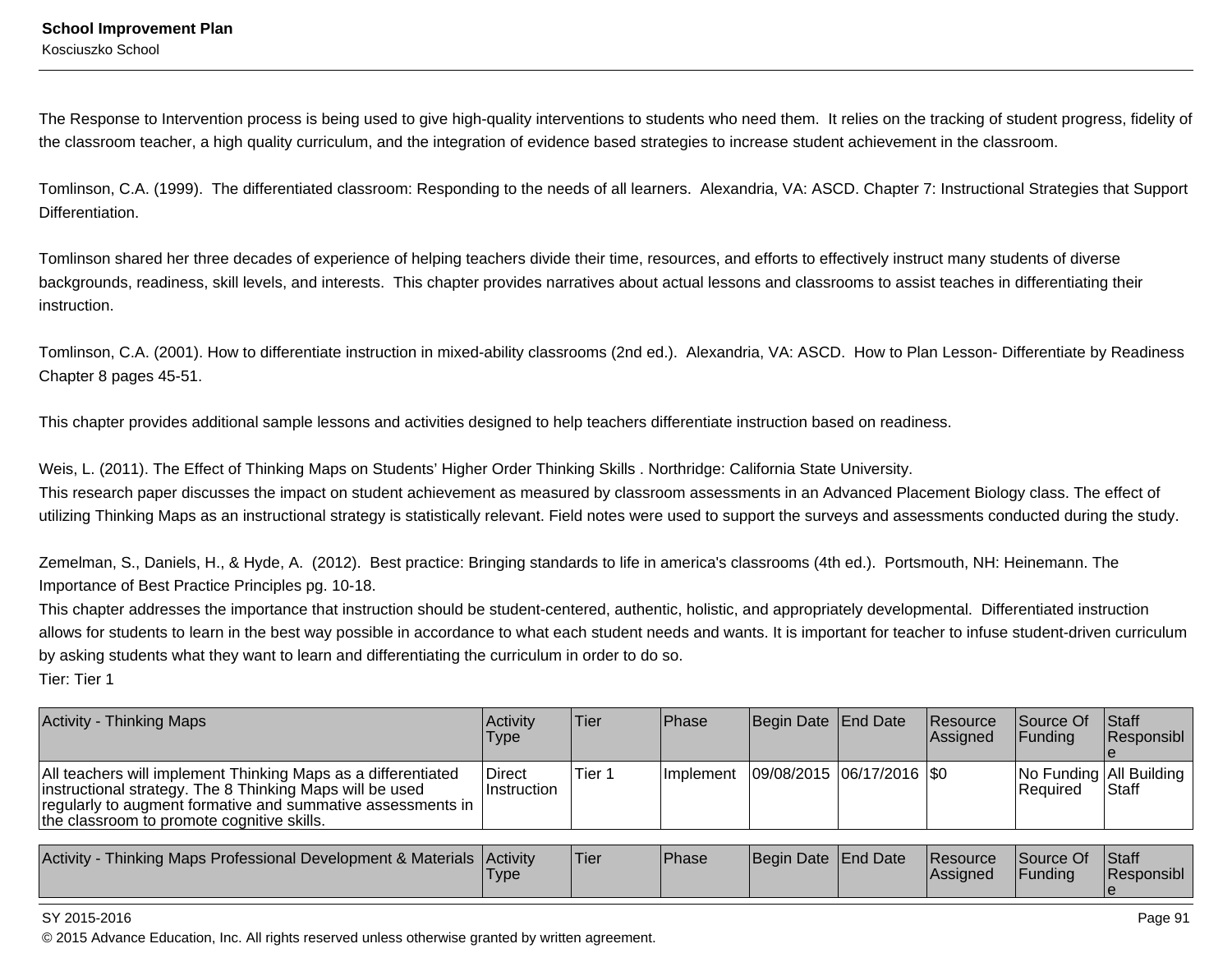The Response to Intervention process is being used to give high-quality interventions to students who need them. It relies on the tracking of student progress, fidelity ofthe classroom teacher, a high quality curriculum, and the integration of evidence based strategies to increase student achievement in the classroom.

Tomlinson, C.A. (1999). The differentiated classroom: Responding to the needs of all learners. Alexandria, VA: ASCD. Chapter 7: Instructional Strategies that SupportDifferentiation.

Tomlinson shared her three decades of experience of helping teachers divide their time, resources, and efforts to effectively instruct many students of diversebackgrounds, readiness, skill levels, and interests. This chapter provides narratives about actual lessons and classrooms to assist teaches in differentiating theirinstruction.

Tomlinson, C.A. (2001). How to differentiate instruction in mixed-ability classrooms (2nd ed.). Alexandria, VA: ASCD. How to Plan Lesson- Differentiate by ReadinessChapter 8 pages 45-51.

This chapter provides additional sample lessons and activities designed to help teachers differentiate instruction based on readiness.

Weis, L. (2011). The Effect of Thinking Maps on Students' Higher Order Thinking Skills . Northridge: California State University.

This research paper discusses the impact on student achievement as measured by classroom assessments in an Advanced Placement Biology class. The effect ofutilizing Thinking Maps as an instructional strategy is statistically relevant. Field notes were used to support the surveys and assessments conducted during the study.

Zemelman, S., Daniels, H., & Hyde, A. (2012). Best practice: Bringing standards to life in america's classrooms (4th ed.). Portsmouth, NH: Heinemann. TheImportance of Best Practice Principles pg. 10-18.

This chapter addresses the importance that instruction should be student-centered, authentic, holistic, and appropriately developmental. Differentiated instructionallows for students to learn in the best way possible in accordance to what each student needs and wants. It is important for teacher to infuse student-driven curriculumby asking students what they want to learn and differentiating the curriculum in order to do so. Tier: Tier 1

| <b>Activity - Thinking Maps</b>                                                                                                                                                                                                        | Activitv<br>Type       | Tier   | Phase             | Begin Date End Date         | <b>Resource</b><br>Assigned | <b>Source Of</b><br><b>IFundina</b>   | <b>Staff</b><br>Responsibl |
|----------------------------------------------------------------------------------------------------------------------------------------------------------------------------------------------------------------------------------------|------------------------|--------|-------------------|-----------------------------|-----------------------------|---------------------------------------|----------------------------|
| All teachers will implement Thinking Maps as a differentiated<br>instructional strategy. The 8 Thinking Maps will be used<br>regularly to augment formative and summative assessments in<br>the classroom to promote cognitive skills. | Direct<br>∣Instruction | Tier 1 | <b>Ilmplement</b> | 09/08/2015  06/17/2016  \$0 |                             | No Funding All Building<br>l Reauired | <b>Staff</b>               |

| Activity<br>Thinking Maps Professional Development & Materials | <b>Activity</b><br><b>Type</b> | <b>Tier</b> | <b>Phase</b> | Begin Date End Date |  | <b>Resource</b><br><b>Assigned</b> | Source Of<br>'Funding | Staff<br>Responsibl |
|----------------------------------------------------------------|--------------------------------|-------------|--------------|---------------------|--|------------------------------------|-----------------------|---------------------|
|----------------------------------------------------------------|--------------------------------|-------------|--------------|---------------------|--|------------------------------------|-----------------------|---------------------|

#### SY 2015-2016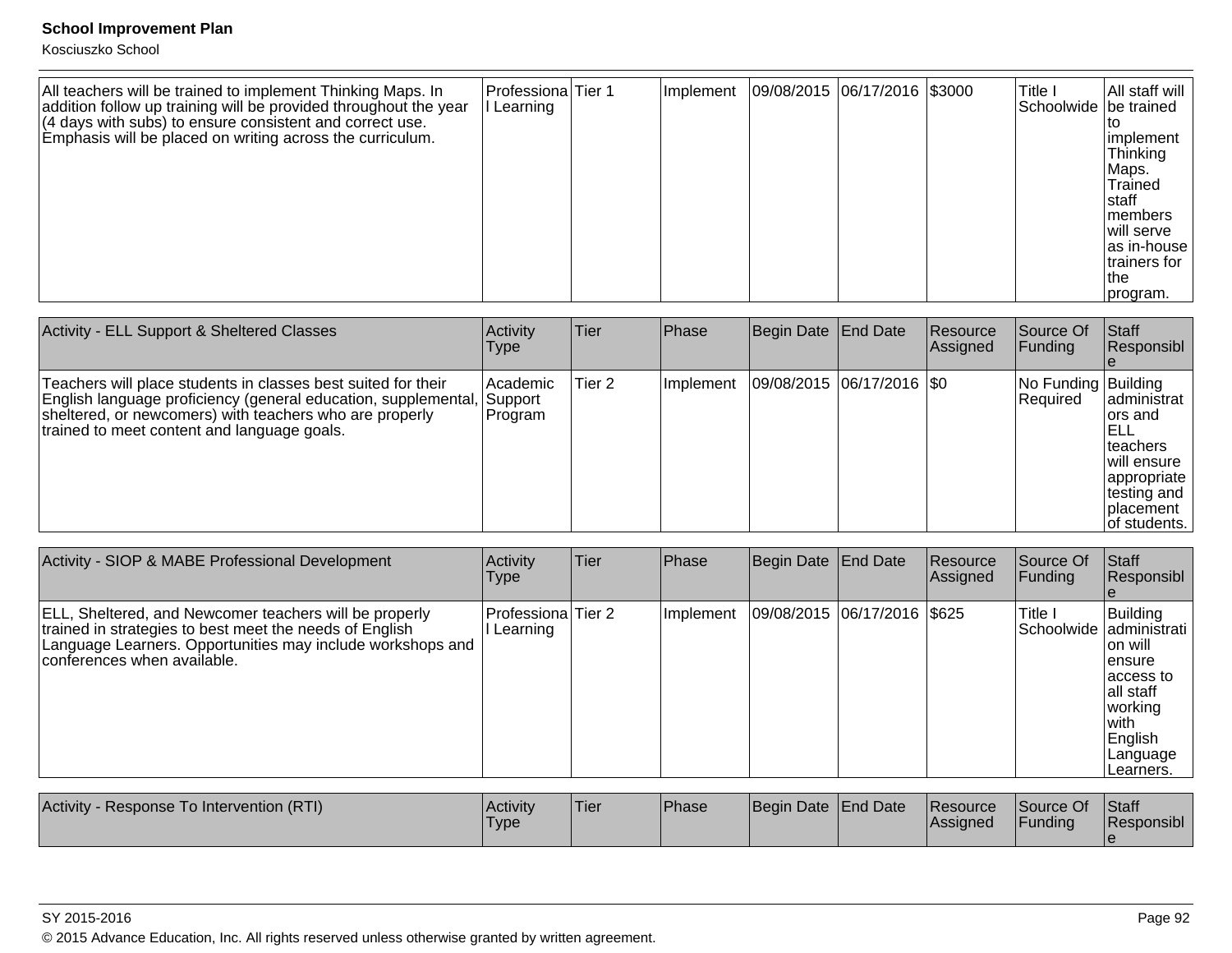| All teachers will be trained to implement Thinking Maps. In<br>addition follow up training will be provided throughout the year | Professiona Tier 1<br>Learning | Implement | 09/08/2015 06/17/2016 \$3000 | Title I<br>Schoolwide be trained | All staff will                                                                                                                     |
|---------------------------------------------------------------------------------------------------------------------------------|--------------------------------|-----------|------------------------------|----------------------------------|------------------------------------------------------------------------------------------------------------------------------------|
| $(4$ days with subs) to ensure consistent and correct use.<br>Emphasis will be placed on writing across the curriculum.         |                                |           |                              |                                  | implement<br>Thinking<br>Maps.<br>Trained<br>Istaff<br>Imembers<br>Iwill serve<br>as in-house<br>trainers for<br>Ithe<br> program. |

| Activity - ELL Support & Sheltered Classes                                                                                                                                                                                                 | Activity<br>Type                 | Tier   | Phase     | Begin Date   End Date       | Resource<br>Assigned | Source Of<br><b>Funding</b>     | <b>Staff</b><br>Responsibl                                                                                                 |
|--------------------------------------------------------------------------------------------------------------------------------------------------------------------------------------------------------------------------------------------|----------------------------------|--------|-----------|-----------------------------|----------------------|---------------------------------|----------------------------------------------------------------------------------------------------------------------------|
| Teachers will place students in classes best suited for their<br> English language proficiency (general education, supplemental,<br>sheltered, or newcomers) with teachers who are properly<br>trained to meet content and language goals. | l Academic<br>Support<br>Program | Tier 2 | Implement | 09/08/2015 06/17/2016   \$0 |                      | No Funding Building<br>Required | ladministrat<br>lors and<br>IELL<br>Iteachers<br>will ensure<br> appropriate<br>∣testing and<br>Iplacement<br>of students. |

| Activity - SIOP & MABE Professional Development                                                                                                                                                                | Activity<br>Type               | <b>Tier</b> | <b>Phase</b> | Begin Date   End Date |                             | Resource<br>Assigned | Source Of<br>Funding | <b>Staff</b><br>Responsibl                                                                                                                        |
|----------------------------------------------------------------------------------------------------------------------------------------------------------------------------------------------------------------|--------------------------------|-------------|--------------|-----------------------|-----------------------------|----------------------|----------------------|---------------------------------------------------------------------------------------------------------------------------------------------------|
| ELL, Sheltered, and Newcomer teachers will be properly<br>trained in strategies to best meet the needs of English<br>Language Learners. Opportunities may include workshops and<br>conferences when available. | Professiona Tier 2<br>Learning |             | Implement    |                       | 09/08/2015 06/17/2016 \$625 |                      | Title I              | Building<br>Schoolwide administrati<br>lon will<br>lensure<br>laccess to<br>lall staff<br> working <br>lwith.<br>English<br>Language<br>Learners. |

| Activity<br>- Response To Intervention (RTI) | <b>Activity</b><br><b>Type</b> | Tier | <b>Phase</b> | Begin Date End Date | <b>Resource</b><br><b>Assigned</b> | Source Of<br>Funding | Staff<br>Responsibl |
|----------------------------------------------|--------------------------------|------|--------------|---------------------|------------------------------------|----------------------|---------------------|
|                                              |                                |      |              |                     |                                    |                      |                     |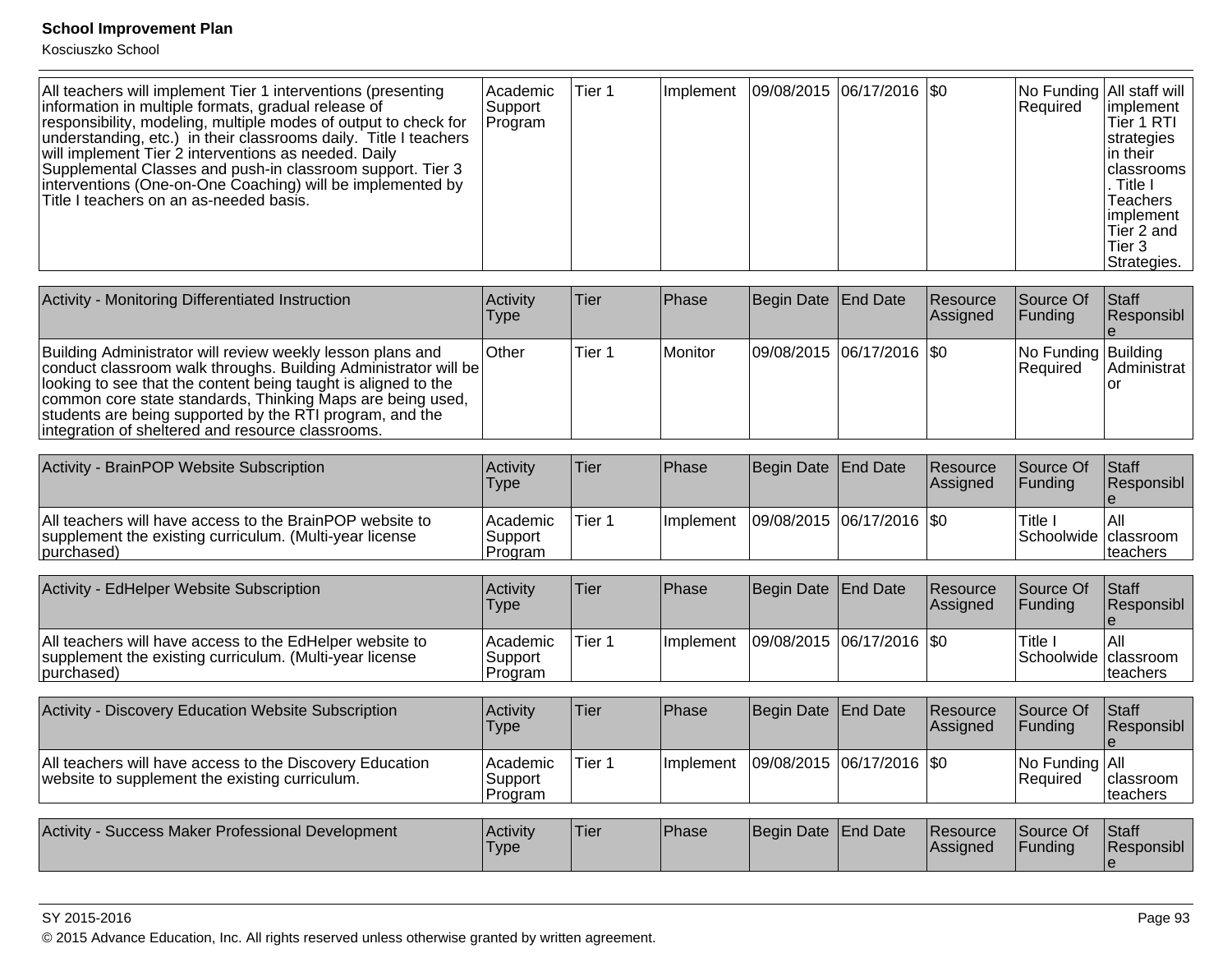Kosciuszko School

| All teachers will implement Tier 1 interventions (presenting<br>information in multiple formats, gradual release of<br>responsibility, modeling, multiple modes of output to check for<br>understanding, etc.) in their classrooms daily. Title I teachers<br>will implement Tier 2 interventions as needed. Daily<br>Supplemental Classes and push-in classroom support. Tier 3<br>interventions (One-on-One Coaching) will be implemented by<br>Title I teachers on an as-needed basis. | l Academic<br>Support<br>Program | Tier 1 | Implement   09/08/2015   06/17/2016   \$0 |  |  |  | No Funding All staff will<br>Required | limplement<br>Tier 1 RTI<br>strategies<br>lin their l<br><b>I</b> classrooms<br>. Title I<br><b>Teachers</b><br>limplement<br>Tier 2 and<br>Tier 3<br>Strategies. |
|-------------------------------------------------------------------------------------------------------------------------------------------------------------------------------------------------------------------------------------------------------------------------------------------------------------------------------------------------------------------------------------------------------------------------------------------------------------------------------------------|----------------------------------|--------|-------------------------------------------|--|--|--|---------------------------------------|-------------------------------------------------------------------------------------------------------------------------------------------------------------------|
|-------------------------------------------------------------------------------------------------------------------------------------------------------------------------------------------------------------------------------------------------------------------------------------------------------------------------------------------------------------------------------------------------------------------------------------------------------------------------------------------|----------------------------------|--------|-------------------------------------------|--|--|--|---------------------------------------|-------------------------------------------------------------------------------------------------------------------------------------------------------------------|

| Activity - Monitoring Differentiated Instruction                                                                                                                                                                                                                                                                                                                               | <b>Activity</b><br>Type | lTier  | Phase   | Begin Date End Date         | <b>Resource</b><br><b>Assigned</b> | <b>Source Of</b><br> Funding           | <b>Staff</b><br>Responsibl |
|--------------------------------------------------------------------------------------------------------------------------------------------------------------------------------------------------------------------------------------------------------------------------------------------------------------------------------------------------------------------------------|-------------------------|--------|---------|-----------------------------|------------------------------------|----------------------------------------|----------------------------|
| Building Administrator will review weekly lesson plans and<br>conduct classroom walk throughs. Building Administrator will be<br>looking to see that the content being taught is aligned to the<br>common core state standards, Thinking Maps are being used,<br>students are being supported by the RTI program, and the<br>integration of sheltered and resource classrooms. | ∣Other                  | Tier 1 | Monitor | 09/08/2015 06/17/2016   \$0 |                                    | No Funding Building<br><b>Required</b> | Administrat                |

| Activity - BrainPOP Website Subscription                                                                                          | Activity<br>Type                 | Tier   | <b>Phase</b>     | Begin Date End Date         | <b>Resource</b><br><b>IAssigned</b> | Source Of<br>IFundina           | <b>Staff</b><br><b>Responsibl</b> |
|-----------------------------------------------------------------------------------------------------------------------------------|----------------------------------|--------|------------------|-----------------------------|-------------------------------------|---------------------------------|-----------------------------------|
| All teachers will have access to the BrainPOP website to<br>supplement the existing curriculum. (Multi-year license<br>purchased) | l Academic<br>Support<br>Program | Tier 1 | <b>Implement</b> | 09/08/2015  06/17/2016  \$0 |                                     | Title<br>Schoolwide   classroom | lAll<br>Iteachers                 |

| Activity - EdHelper Website Subscription                                                                                          | <b>Activity</b><br>Type                  | 'Tier  | <b>Phase</b>      | Begin Date End Date         | <b>Resource</b><br><b>Assigned</b> | Source Of<br>IFundina            | <b>Staff</b><br><b>Responsibl</b> |
|-----------------------------------------------------------------------------------------------------------------------------------|------------------------------------------|--------|-------------------|-----------------------------|------------------------------------|----------------------------------|-----------------------------------|
| All teachers will have access to the EdHelper website to<br>supplement the existing curriculum. (Multi-year license<br>purchased) | <b>Academic</b><br>∣Support i<br>Program | Tier 1 | <b>Ilmplement</b> | 09/08/2015  06/17/2016  \$0 |                                    | Title.<br>Schoolwide   classroom | I All<br>Iteachers                |

| Activity - Discovery Education Website Subscription                                                        | Activity<br>Type                 | <b>Tier</b> | Phase             | Begin Date   End Date         | <b>Resource</b><br>Assigned | Source Of<br><b>IFunding</b>        | <b>Staff</b><br>Responsibl        |
|------------------------------------------------------------------------------------------------------------|----------------------------------|-------------|-------------------|-------------------------------|-----------------------------|-------------------------------------|-----------------------------------|
| All teachers will have access to the Discovery Education<br>website to supplement the existing curriculum. | Academic <br>Support<br> Program | Tier 1      | <b>Ilmplement</b> | $ 09/08/2015 06/17/2016 $ \$0 |                             | No Funding   All<br><b>Required</b> | Iclassroom<br>Iteachers           |
| Activity - Success Maker Professional Development                                                          | <b>Activity</b><br><b>Type</b>   | <b>Tier</b> | Phase             | Begin Date End Date           | <b>Resource</b><br>Assigned | Source Of<br><b>IFunding</b>        | <b>Staff</b><br><b>Responsibl</b> |

### SY 2015-2016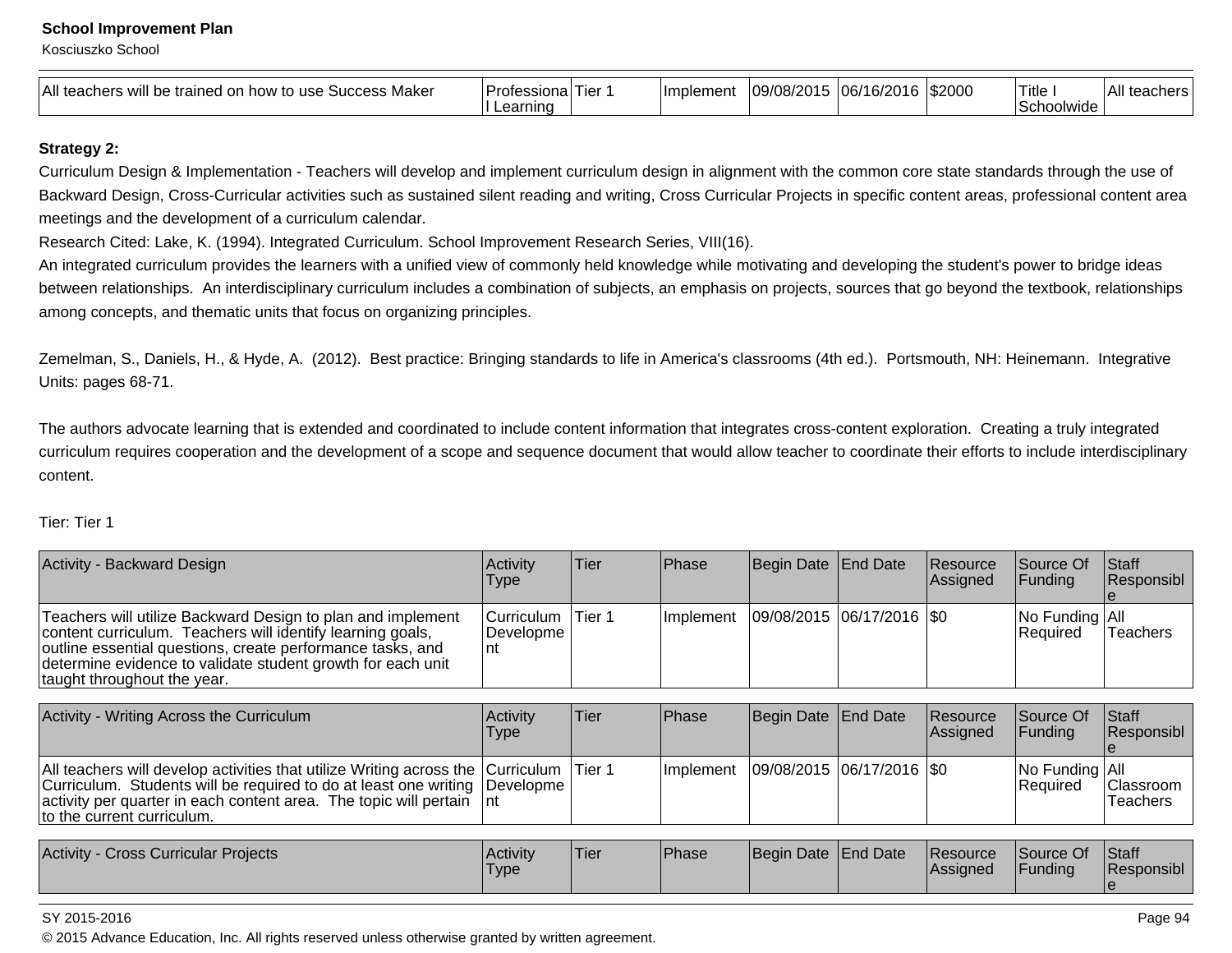Kosciuszko School

| All tea<br>Makeı<br>on<br>Success<br>trained<br>to use<br>how to<br>$n \Delta r$<br>WIII<br>,,,,,,, <del>,,</del> ,,,<br>בוסו | Professiona<br>. ier<br>''''<br><b>21</b> | <b>Ilmplement</b> | $\overline{\phantom{a}}$<br>~<br>/ח/חר<br>ำ 1 -<br>. | $\sim$<br>-<br><u>ົດເ</u><br>IU6 | \$2000 | .<br>Title<br>AA<br>שטושוני: | <b>A</b> 11<br>All |
|-------------------------------------------------------------------------------------------------------------------------------|-------------------------------------------|-------------------|------------------------------------------------------|----------------------------------|--------|------------------------------|--------------------|
|-------------------------------------------------------------------------------------------------------------------------------|-------------------------------------------|-------------------|------------------------------------------------------|----------------------------------|--------|------------------------------|--------------------|

### **Strategy 2:**

Curriculum Design & Implementation - Teachers will develop and implement curriculum design in alignment with the common core state standards through the use ofBackward Design, Cross-Curricular activities such as sustained silent reading and writing, Cross Curricular Projects in specific content areas, professional content areameetings and the development of a curriculum calendar.

Research Cited: Lake, K. (1994). Integrated Curriculum. School Improvement Research Series, VIII(16).

An integrated curriculum provides the learners with a unified view of commonly held knowledge while motivating and developing the student's power to bridge ideasbetween relationships. An interdisciplinary curriculum includes a combination of subjects, an emphasis on projects, sources that go beyond the textbook, relationshipsamong concepts, and thematic units that focus on organizing principles.

Zemelman, S., Daniels, H., & Hyde, A. (2012). Best practice: Bringing standards to life in America's classrooms (4th ed.). Portsmouth, NH: Heinemann. IntegrativeUnits: pages 68-71.

The authors advocate learning that is extended and coordinated to include content information that integrates cross-content exploration. Creating a truly integrated curriculum requires cooperation and the development of a scope and sequence document that would allow teacher to coordinate their efforts to include interdisciplinarycontent.

#### Tier: Tier 1

| <b>Activity - Backward Design</b>                                                                                                                                                                                                                                                     | Activity<br>Type               | Tier    | Phase     | Begin Date End Date           | Resource<br>Assigned | Source Of<br><b>Funding</b>  | <b>Staff</b><br>Responsibl          |
|---------------------------------------------------------------------------------------------------------------------------------------------------------------------------------------------------------------------------------------------------------------------------------------|--------------------------------|---------|-----------|-------------------------------|----------------------|------------------------------|-------------------------------------|
| Teachers will utilize Backward Design to plan and implement<br>content curriculum. Teachers will identify learning goals,<br>outline essential questions, create performance tasks, and<br>determine evidence to validate student growth for each unit<br>taught throughout the year. | Curriculum<br>Developme<br>Int | Tier 1  | Implement | $ 09/08/2015 06/17/2016 $ \$0 |                      | No Funding All<br>Required   | <b>Teachers</b>                     |
| Activity - Writing Across the Curriculum                                                                                                                                                                                                                                              | Activity<br>Type               | Tier    | Phase     | Begin Date End Date           | Resource<br>Assigned | Source Of<br><b>Funding</b>  | <b>Staff</b><br>Responsibl          |
| All teachers will develop activities that utilize Writing across the  Curriculum  <br>Curriculum. Students will be required to do at least one writing Developme<br>activity per quarter in each content area. The topic will pertain<br>to the current curriculum.                   | -Int                           | ITier 1 | Implement | 09/08/2015 06/17/2016 S0      |                      | No Funding   All<br>Required | <b>Classroom</b><br><b>Teachers</b> |

| Activity<br>Cross Curricular Projects | Activity<br>Type | 'Tier | Phase | Begin Date End Date |  | <b>Resource</b><br><b>IAssianed</b> | Source Of<br><sup>1</sup> Funding | <b>Staff</b><br>Responsibl |
|---------------------------------------|------------------|-------|-------|---------------------|--|-------------------------------------|-----------------------------------|----------------------------|
|---------------------------------------|------------------|-------|-------|---------------------|--|-------------------------------------|-----------------------------------|----------------------------|

#### SY 2015-2016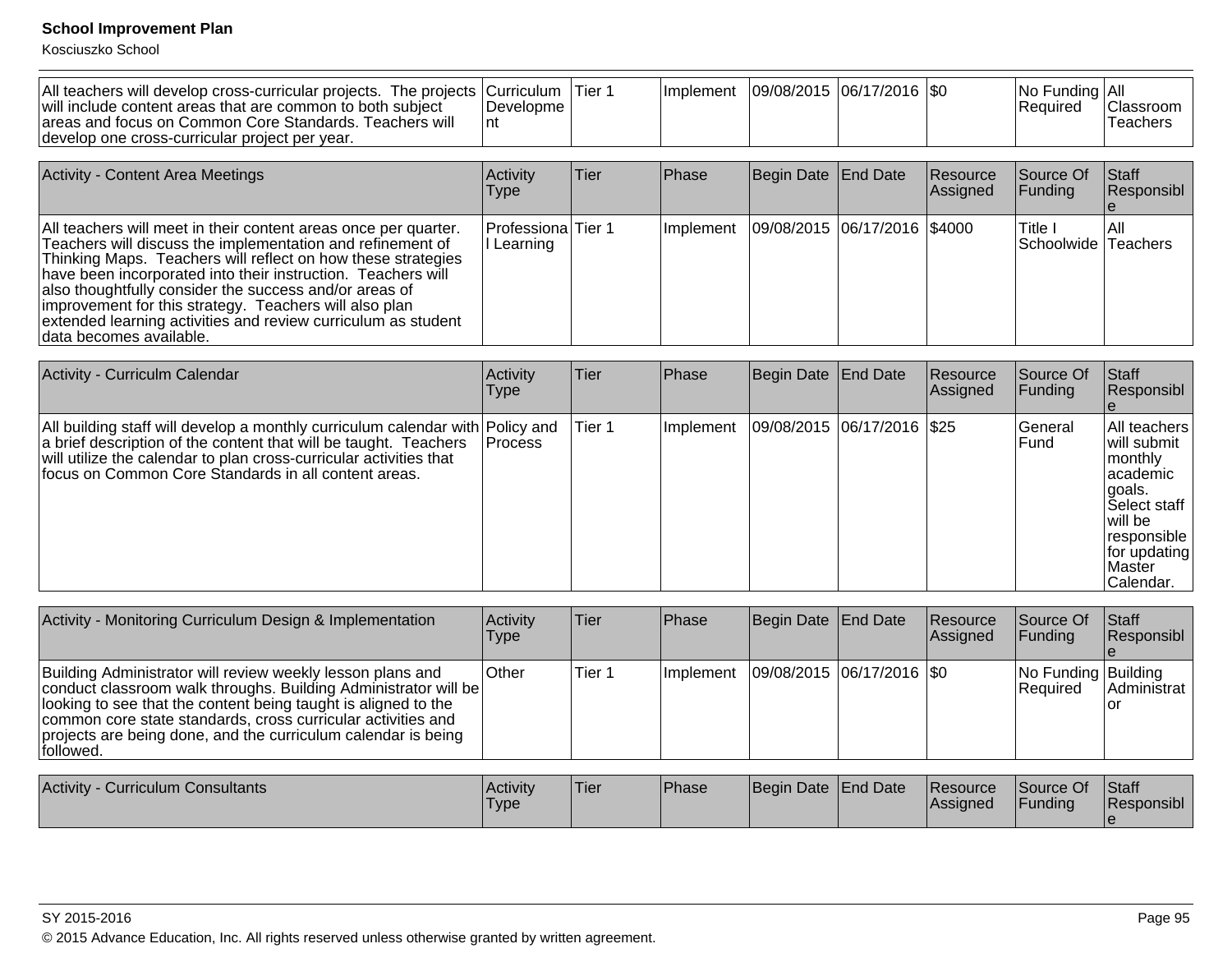| All teachers will develop cross-curricular projects. The projects   Curriculum  <br>will include content areas that are common to both subject<br>areas and focus on Common Core Standards. Teachers will<br>develop one cross-curricular project per year.                                                                                                                                                                                                                    | Developme<br>nt                | lTier 1 | Implement | 09/08/2015  06/17/2016  \$0  |                             | No Funding All<br>Required | Classroom<br><b>Teachers</b> |
|--------------------------------------------------------------------------------------------------------------------------------------------------------------------------------------------------------------------------------------------------------------------------------------------------------------------------------------------------------------------------------------------------------------------------------------------------------------------------------|--------------------------------|---------|-----------|------------------------------|-----------------------------|----------------------------|------------------------------|
|                                                                                                                                                                                                                                                                                                                                                                                                                                                                                |                                |         |           |                              |                             |                            |                              |
| <b>Activity - Content Area Meetings</b>                                                                                                                                                                                                                                                                                                                                                                                                                                        | Activity<br>Type               | Tier    | Phase     | Begin Date End Date          | Resource<br><b>Assigned</b> | Source Of<br>Funding       | Staff<br>Responsibl          |
| All teachers will meet in their content areas once per quarter.<br>Teachers will discuss the implementation and refinement of<br>Thinking Maps. Teachers will reflect on how these strategies<br>have been incorporated into their instruction. Teachers will<br>also thoughtfully consider the success and/or areas of<br>improvement for this strategy. Teachers will also plan<br>extended learning activities and review curriculum as student<br>Idata becomes available. | Professiona Tier 1<br>Learning |         | Implement | 09/08/2015 06/17/2016 \$4000 |                             | Title I<br>Schoolwide      | IAII<br>Teachers             |

| Activity - Curriculm Calendar                                                                                                                                                                                                                                                   | Activity<br>Type | <b>Tier</b> | Phase     | Begin Date End Date |                            | Resource<br> Assigned | Source Of<br> Funding | <b>Staff</b><br>Responsibl                                                                                                                             |
|---------------------------------------------------------------------------------------------------------------------------------------------------------------------------------------------------------------------------------------------------------------------------------|------------------|-------------|-----------|---------------------|----------------------------|-----------------------|-----------------------|--------------------------------------------------------------------------------------------------------------------------------------------------------|
| All building staff will develop a monthly curriculum calendar with Policy and<br>a brief description of the content that will be taught. Teachers<br>will utilize the calendar to plan cross-curricular activities that<br>focus on Common Core Standards in all content areas. | <b>Process</b>   | Tier 1      | Implement |                     | 09/08/2015 06/17/2016 \$25 |                       | lGeneral<br>Fund      | All teachers<br>lwill submit<br> monthly<br>lacademic<br>lgoals.<br>lSelect staff<br>lwill be<br> responsible<br>for updating<br>lMaster<br> Calendar. |

| Activity - Monitoring Curriculum Design & Implementation                                                                                                                                                                                                                                                                                       | Activity<br>Type | <b>Tier</b> | Phase       | Begin Date   End Date       | Resource<br>Assigned | Source Of<br><b>IFunding</b>           | Staff<br><b>Responsibl</b> |
|------------------------------------------------------------------------------------------------------------------------------------------------------------------------------------------------------------------------------------------------------------------------------------------------------------------------------------------------|------------------|-------------|-------------|-----------------------------|----------------------|----------------------------------------|----------------------------|
| Building Administrator will review weekly lesson plans and<br>conduct classroom walk throughs. Building Administrator will be<br>looking to see that the content being taught is aligned to the<br>common core state standards, cross curricular activities and<br>projects are being done, and the curriculum calendar is being<br>lfollowed. | <b>Other</b>     | Tier 1      | l Implement | 09/08/2015  06/17/2016  \$0 |                      | No Funding Building<br><b>Required</b> | Administrat                |
|                                                                                                                                                                                                                                                                                                                                                |                  |             |             |                             |                      |                                        |                            |

| Activity<br>Curriculum Consultants | <b>Activity</b><br>'Type | .<br>Tier | <b>Phase</b> | Begin Date End Date | <b>Resource</b><br><b>IAssigned</b> | Source Of<br><b>IFundina</b> | Staff<br>Responsibl |
|------------------------------------|--------------------------|-----------|--------------|---------------------|-------------------------------------|------------------------------|---------------------|
|                                    |                          |           |              |                     |                                     |                              |                     |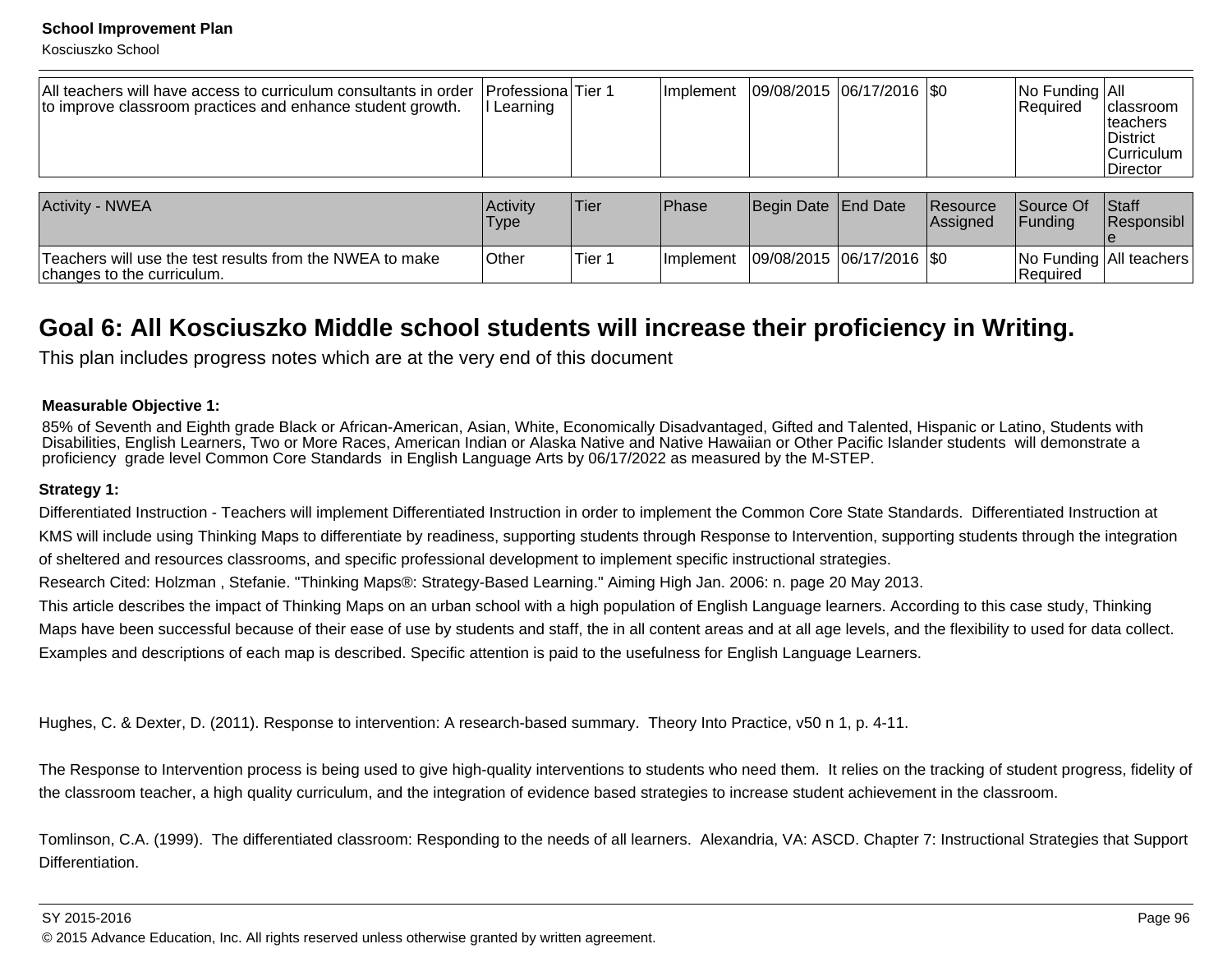Kosciuszko School

| All teachers will have access to curriculum consultants in order<br>to improve classroom practices and enhance student growth. | <b>Professiona</b> Tier 1<br>Learning |        | Ilmplement | $ 09/08/2015 06/17/2016 $ \$0 |                      | No Funding   All<br>Required | classroom<br>Iteachers<br><b>IDistrict</b><br><b>Curriculum</b><br><b>IDirector</b> |
|--------------------------------------------------------------------------------------------------------------------------------|---------------------------------------|--------|------------|-------------------------------|----------------------|------------------------------|-------------------------------------------------------------------------------------|
| Activity - NWEA                                                                                                                | Activity<br><b>Type</b>               | Tier   | Phase      | Begin Date End Date           | Resource<br>Assigned | Source Of<br><b>IFundina</b> | <b>Staff</b><br>Responsibl                                                          |
| Teachers will use the test results from the NWEA to make<br>changes to the curriculum.                                         | <b>Other</b>                          | Tier 1 | Implement  | $ 09/08/2015 06/17/2016 $ \$0 |                      | Required                     | No Funding   All teachers                                                           |

## **Goal 6: All Kosciuszko Middle school students will increase their proficiency in Writing.**

This plan includes progress notes which are at the very end of this document

### **Measurable Objective 1:**

85% of Seventh and Eighth grade Black or African-American, Asian, White, Economically Disadvantaged, Gifted and Talented, Hispanic or Latino, Students with Disabilities, English Learners, Two or More Races, American Indian or Alaska Native and Native Hawaiian or Other Pacific Islander students will demonstrate aproficiency grade level Common Core Standards in English Language Arts by 06/17/2022 as measured by the M-STEP.

### **Strategy 1:**

Differentiated Instruction - Teachers will implement Differentiated Instruction in order to implement the Common Core State Standards. Differentiated Instruction atKMS will include using Thinking Maps to differentiate by readiness, supporting students through Response to Intervention, supporting students through the integrationof sheltered and resources classrooms, and specific professional development to implement specific instructional strategies.

Research Cited: Holzman , Stefanie. "Thinking Maps®: Strategy-Based Learning." Aiming High Jan. 2006: n. page 20 May 2013.

This article describes the impact of Thinking Maps on an urban school with a high population of English Language learners. According to this case study, Thinking Maps have been successful because of their ease of use by students and staff, the in all content areas and at all age levels, and the flexibility to used for data collect.Examples and descriptions of each map is described. Specific attention is paid to the usefulness for English Language Learners.

Hughes, C. & Dexter, D. (2011). Response to intervention: A research-based summary. Theory Into Practice, v50 n 1, p. 4-11.

The Response to Intervention process is being used to give high-quality interventions to students who need them. It relies on the tracking of student progress, fidelity ofthe classroom teacher, a high quality curriculum, and the integration of evidence based strategies to increase student achievement in the classroom.

Tomlinson, C.A. (1999). The differentiated classroom: Responding to the needs of all learners. Alexandria, VA: ASCD. Chapter 7: Instructional Strategies that SupportDifferentiation.

#### SY 2015-2016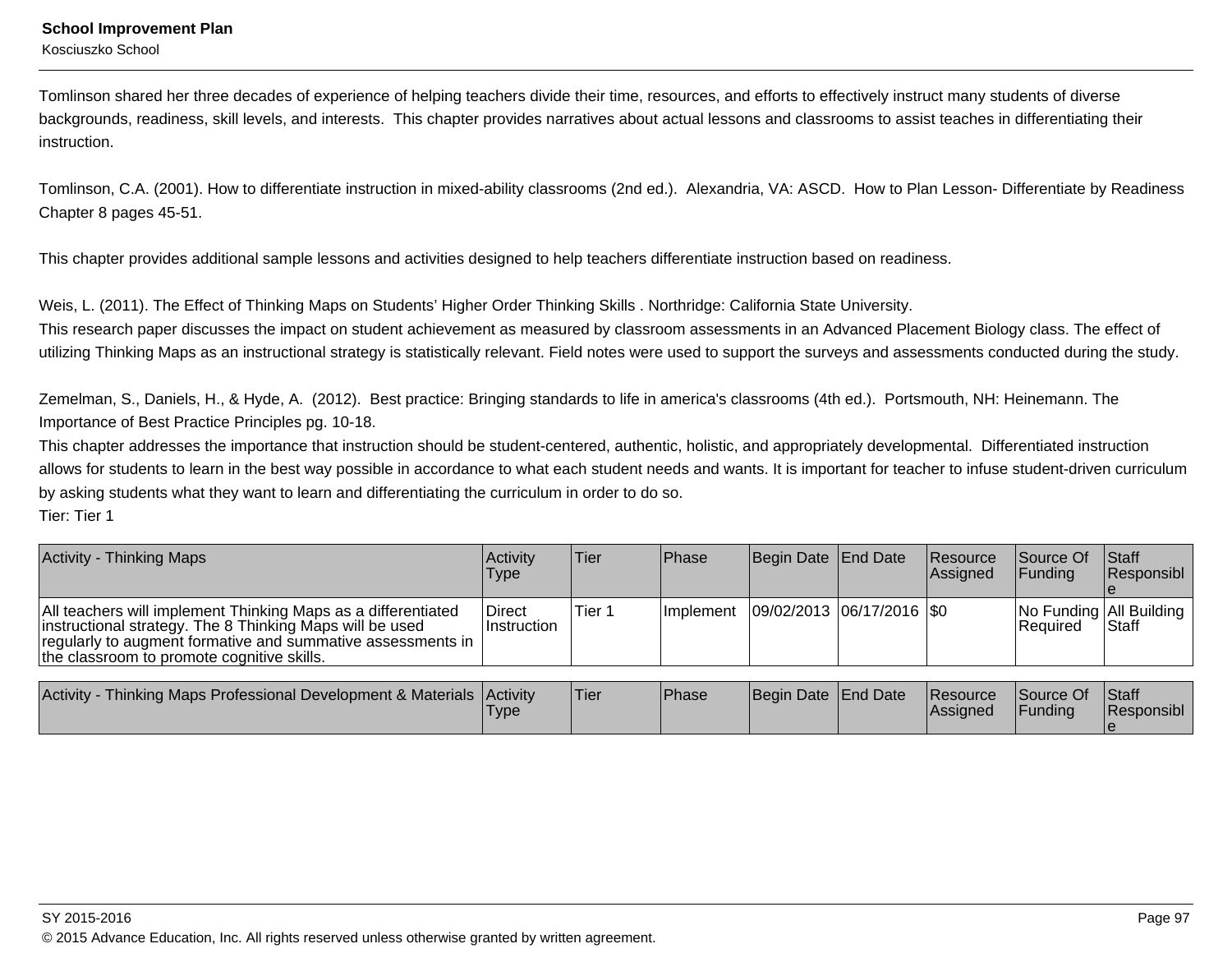Kosciuszko School

Tomlinson shared her three decades of experience of helping teachers divide their time, resources, and efforts to effectively instruct many students of diverse backgrounds, readiness, skill levels, and interests. This chapter provides narratives about actual lessons and classrooms to assist teaches in differentiating theirinstruction.

Tomlinson, C.A. (2001). How to differentiate instruction in mixed-ability classrooms (2nd ed.). Alexandria, VA: ASCD. How to Plan Lesson- Differentiate by ReadinessChapter 8 pages 45-51.

This chapter provides additional sample lessons and activities designed to help teachers differentiate instruction based on readiness.

Weis, L. (2011). The Effect of Thinking Maps on Students' Higher Order Thinking Skills . Northridge: California State University.

This research paper discusses the impact on student achievement as measured by classroom assessments in an Advanced Placement Biology class. The effect ofutilizing Thinking Maps as an instructional strategy is statistically relevant. Field notes were used to support the surveys and assessments conducted during the study.

Zemelman, S., Daniels, H., & Hyde, A. (2012). Best practice: Bringing standards to life in america's classrooms (4th ed.). Portsmouth, NH: Heinemann. TheImportance of Best Practice Principles pg. 10-18.

This chapter addresses the importance that instruction should be student-centered, authentic, holistic, and appropriately developmental. Differentiated instructionallows for students to learn in the best way possible in accordance to what each student needs and wants. It is important for teacher to infuse student-driven curriculumby asking students what they want to learn and differentiating the curriculum in order to do so. Tier: Tier 1

| <b>Activity - Thinking Maps</b>                                                                                                                                                                                                        | Activity<br>Type             | lTier. | <b>IPhase</b>     | Begin Date End Date         | Resource<br>Assigned | Source Of<br><b>IFundina</b>                   | <b>Staff</b><br>Responsibl |
|----------------------------------------------------------------------------------------------------------------------------------------------------------------------------------------------------------------------------------------|------------------------------|--------|-------------------|-----------------------------|----------------------|------------------------------------------------|----------------------------|
| All teachers will implement Thinking Maps as a differentiated<br>instructional strategy. The 8 Thinking Maps will be used<br>regularly to augment formative and summative assessments in<br>the classroom to promote cognitive skills. | Direct<br><b>Instruction</b> | Tier 1 | <b>Ilmplement</b> | 09/02/2013  06/17/2016  \$0 |                      | No Funding   All Building  <br><b>Required</b> | <b>Staff</b>               |

| Activity -<br>Thinking Maps Professional Development & Materials Activity | 'Type | 'Tier | <b>Phase</b> | Begin Date End Date |  | <b>Resource</b><br><b>IAssianed</b> | Source Of<br>Funding | <b>Staff</b><br>Responsibl |
|---------------------------------------------------------------------------|-------|-------|--------------|---------------------|--|-------------------------------------|----------------------|----------------------------|
|---------------------------------------------------------------------------|-------|-------|--------------|---------------------|--|-------------------------------------|----------------------|----------------------------|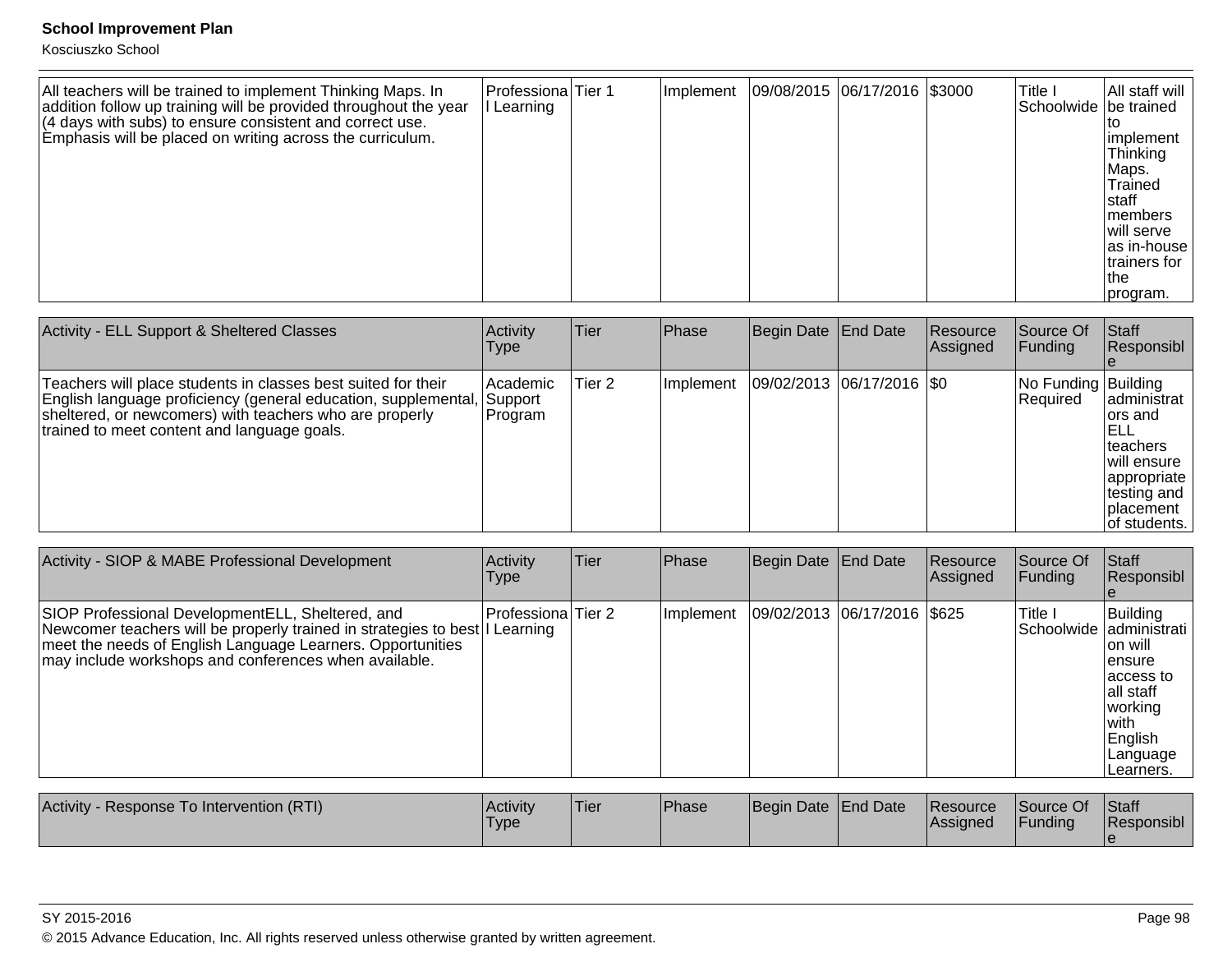| All teachers will be trained to implement Thinking Maps. In<br>addition follow up training will be provided throughout the year | Professiona Tier 1<br>Learning | Implement | 09/08/2015 06/17/2016 \$3000 | Title I<br>Schoolwide be trained | All staff will                                                                                                                     |
|---------------------------------------------------------------------------------------------------------------------------------|--------------------------------|-----------|------------------------------|----------------------------------|------------------------------------------------------------------------------------------------------------------------------------|
| $(4$ days with subs) to ensure consistent and correct use.<br>Emphasis will be placed on writing across the curriculum.         |                                |           |                              |                                  | implement<br>Thinking<br>Maps.<br>Trained<br>Istaff<br>Imembers<br>Iwill serve<br>as in-house<br>trainers for<br>Ithe<br> program. |

| Activity - ELL Support & Sheltered Classes                                                                                                                                                                                                | Activity<br><b>Type</b>           | <b>Tier</b> | Phase     | Begin Date   End Date         | Resource<br>Assigned | Source Of<br> Funding             | <b>Staff</b><br>Responsibl                                                                                              |
|-------------------------------------------------------------------------------------------------------------------------------------------------------------------------------------------------------------------------------------------|-----------------------------------|-------------|-----------|-------------------------------|----------------------|-----------------------------------|-------------------------------------------------------------------------------------------------------------------------|
| Teachers will place students in classes best suited for their<br>English language proficiency (general education, supplemental,<br>sheltered, or newcomers) with teachers who are properly<br>trained to meet content and language goals. | l Academic<br>Support<br> Program | Tier 2      | Implement | $ 09/02/2013 06/17/2016 $ \$0 |                      | No Funding  Building <br>Required | administrat<br>lors and<br>IELL<br>Iteachers<br>will ensure<br>appropriate<br>testing and<br>Iplacement<br>of students. |

| Activity - SIOP & MABE Professional Development                                                                                                                                                                                                         | Activity<br><b>Type</b> | Tier | Phase     | Begin Date End Date          | Resource<br>Assigned | Source Of<br><b>Funding</b> | <b>Staff</b><br>Responsibl                                                                                                                     |
|---------------------------------------------------------------------------------------------------------------------------------------------------------------------------------------------------------------------------------------------------------|-------------------------|------|-----------|------------------------------|----------------------|-----------------------------|------------------------------------------------------------------------------------------------------------------------------------------------|
| SIOP Professional Development ELL, Sheltered, and<br>Newcomer teachers will be properly trained in strategies to best I Learning<br>meet the needs of English Language Learners. Opportunities<br>may include workshops and conferences when available. | Professiona Tier 2      |      | Implement | 09/02/2013 06/17/2016 \\$625 |                      | Title I                     | Building<br>Schoolwide administrati<br>Ton will<br>lensure<br>laccess to<br>lall staff<br>working<br>lwith<br>English<br>Language<br>Learners. |

| <b>Activity</b><br>y - Response To Intervention (RTI) | <b>Activity</b><br>'Type | 'Tier | <b>Phase</b> | Begin Date End Date | Resource<br><b>Assigned</b> | Source Of<br>Funding | <b>Staff</b><br><b>IResponsibl</b> |
|-------------------------------------------------------|--------------------------|-------|--------------|---------------------|-----------------------------|----------------------|------------------------------------|
|                                                       |                          |       |              |                     |                             |                      |                                    |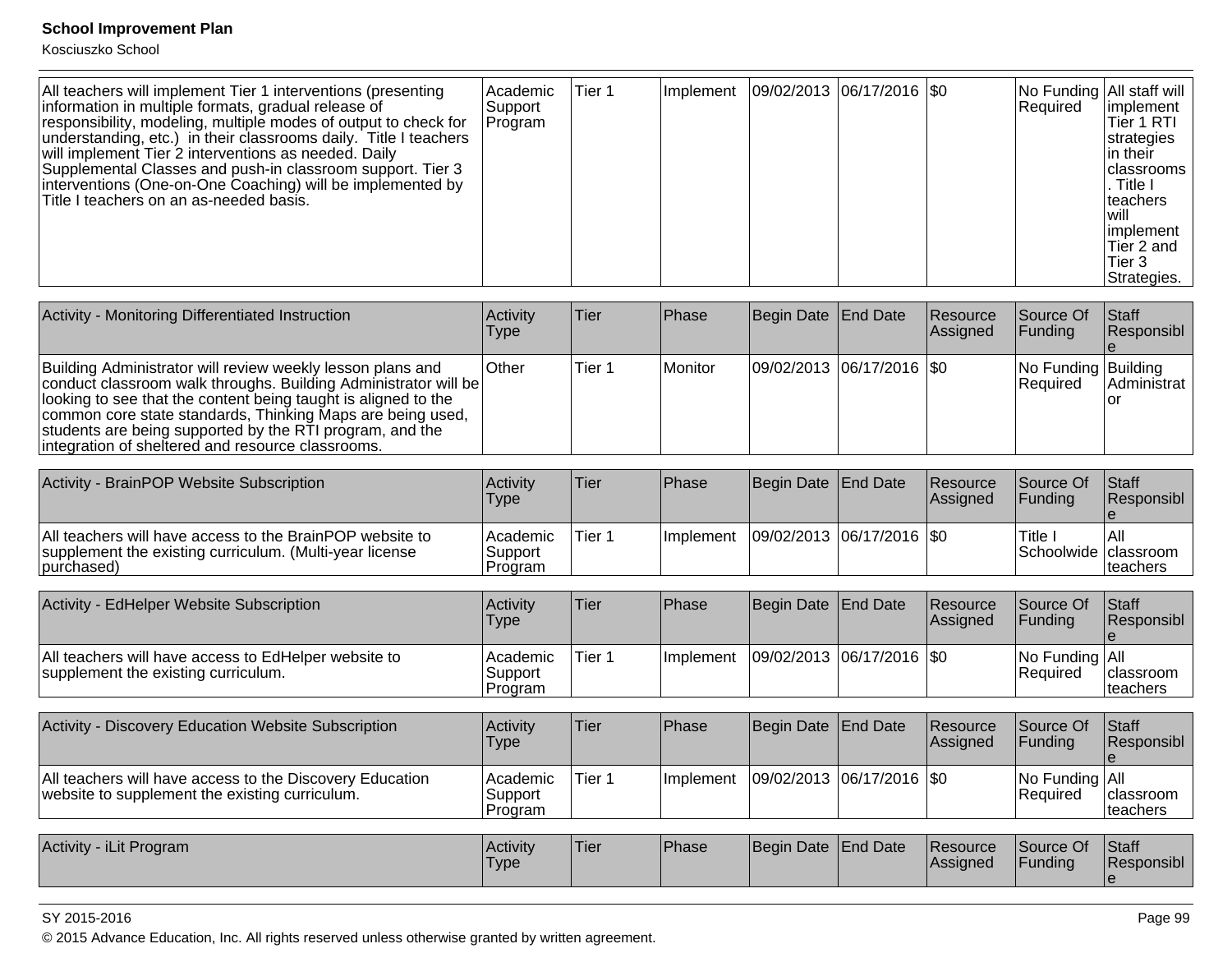Kosciuszko School

| All teachers will implement Tier 1 interventions (presenting<br>information in multiple formats, gradual release of<br>responsibility, modeling, multiple modes of output to check for<br>understanding, etc.) in their classrooms daily. Title I teachers<br>will implement Tier 2 interventions as needed. Daily<br>Supplemental Classes and push-in classroom support. Tier 3<br>interventions (One-on-One Coaching) will be implemented by<br>Title I teachers on an as-needed basis. | l Academic<br>Support<br>Program | Tier 1 |  | Implement   09/02/2013   06/17/2016   \$0 |  |  | No Funding All staff will<br>Required | limplement<br>Tier 1 RTI<br>strategies<br>lin their<br>Iclassrooms<br>. Title I<br>Iteachers<br>l will<br>limplement<br>lTier 2 and<br>Tier 3<br>Strategies. |
|-------------------------------------------------------------------------------------------------------------------------------------------------------------------------------------------------------------------------------------------------------------------------------------------------------------------------------------------------------------------------------------------------------------------------------------------------------------------------------------------|----------------------------------|--------|--|-------------------------------------------|--|--|---------------------------------------|--------------------------------------------------------------------------------------------------------------------------------------------------------------|
|-------------------------------------------------------------------------------------------------------------------------------------------------------------------------------------------------------------------------------------------------------------------------------------------------------------------------------------------------------------------------------------------------------------------------------------------------------------------------------------------|----------------------------------|--------|--|-------------------------------------------|--|--|---------------------------------------|--------------------------------------------------------------------------------------------------------------------------------------------------------------|

| Activity - Monitoring Differentiated Instruction                                                                                                                                                                                                                                                                                                                               | <b>Activity</b><br><b>Type</b> | lTier. | <b>Phase</b>   | Begin Date End Date           | Resource<br>Assigned | Source Of<br><b>IFunding</b>           | <b>Staff</b><br>Responsibl |
|--------------------------------------------------------------------------------------------------------------------------------------------------------------------------------------------------------------------------------------------------------------------------------------------------------------------------------------------------------------------------------|--------------------------------|--------|----------------|-------------------------------|----------------------|----------------------------------------|----------------------------|
| Building Administrator will review weekly lesson plans and<br>conduct classroom walk throughs. Building Administrator will be<br>looking to see that the content being taught is aligned to the<br>common core state standards, Thinking Maps are being used,<br>students are being supported by the RTI program, and the<br>integration of sheltered and resource classrooms. | lOther                         | Tier 1 | <b>Monitor</b> | $ 09/02/2013 06/17/2016 $ \$0 |                      | No Funding Building<br><b>Required</b> | Administrat                |

| Activity - BrainPOP Website Subscription                                                                                          | Activity<br>Type                 | Tier   | Phase      | Begin Date End Date         | <b>Resource</b><br><b>Assigned</b> | Source Of<br><b>IFundina</b>    | <b>IStaff</b><br><b>Responsibl</b> |
|-----------------------------------------------------------------------------------------------------------------------------------|----------------------------------|--------|------------|-----------------------------|------------------------------------|---------------------------------|------------------------------------|
| All teachers will have access to the BrainPOP website to<br>supplement the existing curriculum. (Multi-year license<br>purchased) | l Academic<br>Support<br>Program | Tier 1 | Ilmplement | 09/02/2013  06/17/2016  \$0 |                                    | Title .<br>Schoolwide classroom | IAII<br><b>Iteachers</b>           |

| Activity - EdHelper Website Subscription                                                    | <b>Activity</b><br>Type        | 'Tier  | <b>IPhase</b>    | Begin Date End Date         | <b>Resource</b><br>Assigned | Source Of<br><b>IFundina</b>            | <b>Staff</b><br><b>Responsibl</b> |
|---------------------------------------------------------------------------------------------|--------------------------------|--------|------------------|-----------------------------|-----------------------------|-----------------------------------------|-----------------------------------|
| All teachers will have access to EdHelper website to<br>supplement the existing curriculum. | Academic<br>Support<br>Program | Tier 1 | <b>Implement</b> | 09/02/2013  06/17/2016  \$0 |                             | $ No$ Funding $ All$<br><b>Required</b> | Iclassroom<br> teachers           |

| Activity - Discovery Education Website Subscription                                                        | <b>Activity</b><br>Type          | <b>Tier</b> | <b>Phase</b>      | Begin Date End Date |                             | <b>Resource</b><br><b>Assigned</b> | Source Of<br><b>IFundina</b>             | l Staff<br><b>Responsibl</b>   |
|------------------------------------------------------------------------------------------------------------|----------------------------------|-------------|-------------------|---------------------|-----------------------------|------------------------------------|------------------------------------------|--------------------------------|
| All teachers will have access to the Discovery Education<br>website to supplement the existing curriculum. | l Academic<br>Support<br>Program | Tier 1      | <b>Ilmplement</b> |                     | 09/02/2013  06/17/2016  \$0 |                                    | $ No$ Funding $ All$<br><b>IRequired</b> | <b>Iclassroom</b><br> teachers |

| <b>Activity</b><br>. iLit Program | <b>Activity</b><br>'Type | <sup>1</sup> Tier | Phase | Begin Date End Date |  | <b>Resource</b><br>lAssianed | Source Of<br>Fundina | Staff<br>l Responsibl |
|-----------------------------------|--------------------------|-------------------|-------|---------------------|--|------------------------------|----------------------|-----------------------|
|-----------------------------------|--------------------------|-------------------|-------|---------------------|--|------------------------------|----------------------|-----------------------|

### SY 2015-2016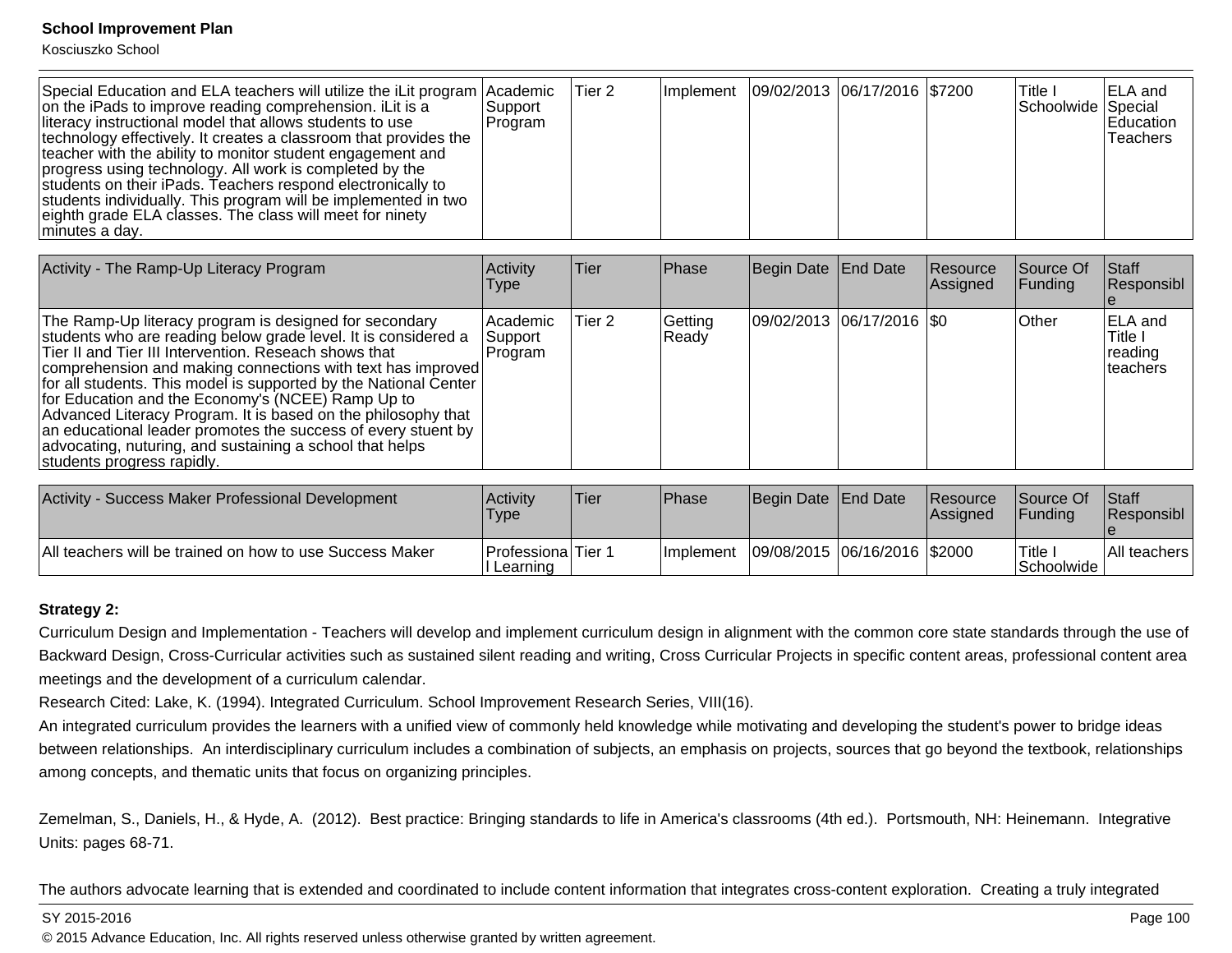Kosciuszko School

| Special Education and ELA teachers will utilize the iLit program Academic<br>on the iPads to improve reading comprehension. ILit is a<br>literacy instructional model that allows students to use<br>technology effectively. It creates a classroom that provides the<br>teacher with the ability to monitor student engagement and<br>progress using technology. All work is completed by the<br>students on their iPads. Teachers respond electronically to<br>students individually. This program will be implemented in two<br>eighth grade ELA classes. The class will meet for ninety<br>minutes a day. | Support<br>Program | Tier 2 | Implement   09/02/2013   06/17/2016   \$7200 |  | lTitle I<br>Schoolwide Special | <b>IELA</b> and<br>Education<br>Teachers |
|---------------------------------------------------------------------------------------------------------------------------------------------------------------------------------------------------------------------------------------------------------------------------------------------------------------------------------------------------------------------------------------------------------------------------------------------------------------------------------------------------------------------------------------------------------------------------------------------------------------|--------------------|--------|----------------------------------------------|--|--------------------------------|------------------------------------------|

| Activity - The Ramp-Up Literacy Program                                                                                                                                                                                                                                                                                                                                                                                                                                                                                                                                                               | Activity<br><b>Type</b>           | <b>Tier</b> | Phase            | Begin Date End Date         | Resource<br><b>Assigned</b> | Source Of<br><b>Funding</b> | Staff<br>Responsibl                               |
|-------------------------------------------------------------------------------------------------------------------------------------------------------------------------------------------------------------------------------------------------------------------------------------------------------------------------------------------------------------------------------------------------------------------------------------------------------------------------------------------------------------------------------------------------------------------------------------------------------|-----------------------------------|-------------|------------------|-----------------------------|-----------------------------|-----------------------------|---------------------------------------------------|
| The Ramp-Up literacy program is designed for secondary<br>students who are reading below grade level. It is considered a<br>Tier II and Tier III Intervention. Reseach shows that<br>comprehension and making connections with text has improved<br>for all students. This model is supported by the National Center<br>for Education and the Economy's (NCEE) Ramp Up to<br>Advanced Literacy Program. It is based on the philosophy that<br>an educational leader promotes the success of every stuent by<br>advocating, nuturing, and sustaining a school that helps<br>students progress rapidly. | l Academic<br>Support<br> Program | Tier 2      | Getting<br>Ready | 09/02/2013 06/17/2016   \$0 |                             | <b>Other</b>                | <b>ELA</b> and<br>Title I<br>reading<br>Iteachers |

| Activity -<br>- Success Maker Professional Development   | <b>Activity</b><br>'Type       | Tier | <b>Phase</b>      | Begin Date End Date |                              | <b>Resource</b><br><b>Assigned</b> | Source Of<br><b>IFunding</b> | <b>Staff</b><br><b>Responsibl</b> |
|----------------------------------------------------------|--------------------------------|------|-------------------|---------------------|------------------------------|------------------------------------|------------------------------|-----------------------------------|
| All teachers will be trained on how to use Success Maker | Professiona Tier 1<br>∟earninɑ |      | <b>Ilmplement</b> |                     | 09/08/2015 06/16/2016 \$2000 |                                    | Title<br><b>Schoolwide</b>   | <b>All teachers</b> '             |

### **Strategy 2:**

Curriculum Design and Implementation - Teachers will develop and implement curriculum design in alignment with the common core state standards through the use ofBackward Design, Cross-Curricular activities such as sustained silent reading and writing, Cross Curricular Projects in specific content areas, professional content areameetings and the development of a curriculum calendar.

Research Cited: Lake, K. (1994). Integrated Curriculum. School Improvement Research Series, VIII(16).

An integrated curriculum provides the learners with a unified view of commonly held knowledge while motivating and developing the student's power to bridge ideasbetween relationships. An interdisciplinary curriculum includes a combination of subjects, an emphasis on projects, sources that go beyond the textbook, relationships among concepts, and thematic units that focus on organizing principles.

Zemelman, S., Daniels, H., & Hyde, A. (2012). Best practice: Bringing standards to life in America's classrooms (4th ed.). Portsmouth, NH: Heinemann. IntegrativeUnits: pages 68-71.

The authors advocate learning that is extended and coordinated to include content information that integrates cross-content exploration. Creating a truly integrated

SY 2015-2016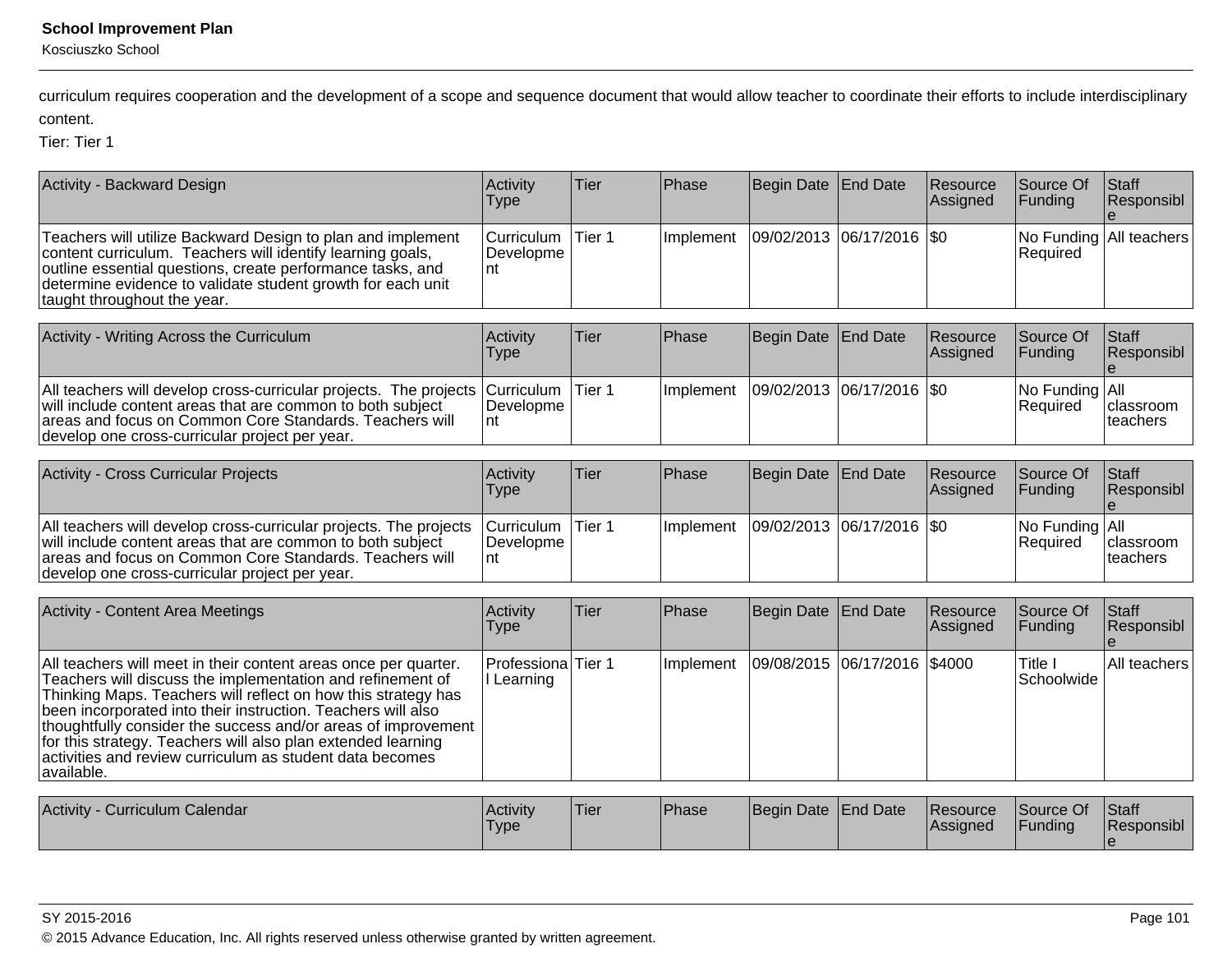Kosciuszko School

curriculum requires cooperation and the development of a scope and sequence document that would allow teacher to coordinate their efforts to include interdisciplinarycontent.

Tier: Tier 1

| Activity - Backward Design                                                                                                                                                                                                                                                                                                                                                                                                                                                | Activity<br><b>Type</b>        | <b>Tier</b>       | Phase     | Begin Date | End Date           | Resource<br>Assigned | Source Of<br>Funding                | Staff<br>Responsibl          |
|---------------------------------------------------------------------------------------------------------------------------------------------------------------------------------------------------------------------------------------------------------------------------------------------------------------------------------------------------------------------------------------------------------------------------------------------------------------------------|--------------------------------|-------------------|-----------|------------|--------------------|----------------------|-------------------------------------|------------------------------|
| Teachers will utilize Backward Design to plan and implement<br>content curriculum. Teachers will identify learning goals,<br>outline essential questions, create performance tasks, and<br>determine evidence to validate student growth for each unit<br>taught throughout the year.                                                                                                                                                                                     | Curriculum<br>Developme<br>nt  | Tier 1            | Implement | 09/02/2013 | $ 06/17/2016 $ \$0 |                      | No Funding All teachers<br>Required |                              |
| Activity - Writing Across the Curriculum                                                                                                                                                                                                                                                                                                                                                                                                                                  | Activity<br><b>Type</b>        | Tier              | Phase     | Begin Date | <b>End Date</b>    | Resource<br>Assigned | Source Of<br>Funding                | <b>Staff</b><br>Responsibl   |
| All teachers will develop cross-curricular projects. The projects<br>will include content areas that are common to both subject<br>areas and focus on Common Core Standards. Teachers will<br>develop one cross-curricular project per year.                                                                                                                                                                                                                              | Curriculum<br>Developme<br>Int | Tier <sub>1</sub> | Implement | 09/02/2013 | 06/17/2016         | \$0                  | No Funding<br>Required              | All<br>classroom<br>teachers |
| Activity - Cross Curricular Projects                                                                                                                                                                                                                                                                                                                                                                                                                                      | Activity<br><b>Type</b>        | Tier              | Phase     | Begin Date | <b>End Date</b>    | Resource<br>Assigned | Source Of<br>Funding                | Staff<br>Responsibl          |
| All teachers will develop cross-curricular projects. The projects<br>will include content areas that are common to both subject<br>areas and focus on Common Core Standards. Teachers will<br>develop one cross-curricular project per year.                                                                                                                                                                                                                              | Curriculum<br>Developme<br>nt  | Tier <sub>1</sub> | Implement | 09/02/2013 | $ 06/17/2016 $ \$0 |                      | No Funding All<br>Required          | classroom<br>teachers        |
| <b>Activity - Content Area Meetings</b>                                                                                                                                                                                                                                                                                                                                                                                                                                   | Activity<br><b>Type</b>        | Tier              | Phase     | Begin Date | <b>End Date</b>    | Resource<br>Assigned | Source Of<br>Funding                | Staff<br>Responsibl          |
| All teachers will meet in their content areas once per quarter.<br>Teachers will discuss the implementation and refinement of<br>Thinking Maps. Teachers will reflect on how this strategy has<br>been incorporated into their instruction. Teachers will also<br>thoughtfully consider the success and/or areas of improvement<br>for this strategy. Teachers will also plan extended learning<br>activities and review curriculum as student data becomes<br>available. | Professiona<br>I Learning      | Tier 1            | Implement | 09/08/2015 | 06/17/2016 \$4000  |                      | Title I<br>Schoolwide               | All teachers                 |
| Activity - Curriculum Calendar                                                                                                                                                                                                                                                                                                                                                                                                                                            | Activity<br>Type               | <b>Tier</b>       | Phase     | Begin Date | <b>End Date</b>    | Resource<br>Assigned | Source Of<br>Funding                | <b>Staff</b><br>Responsibl   |

e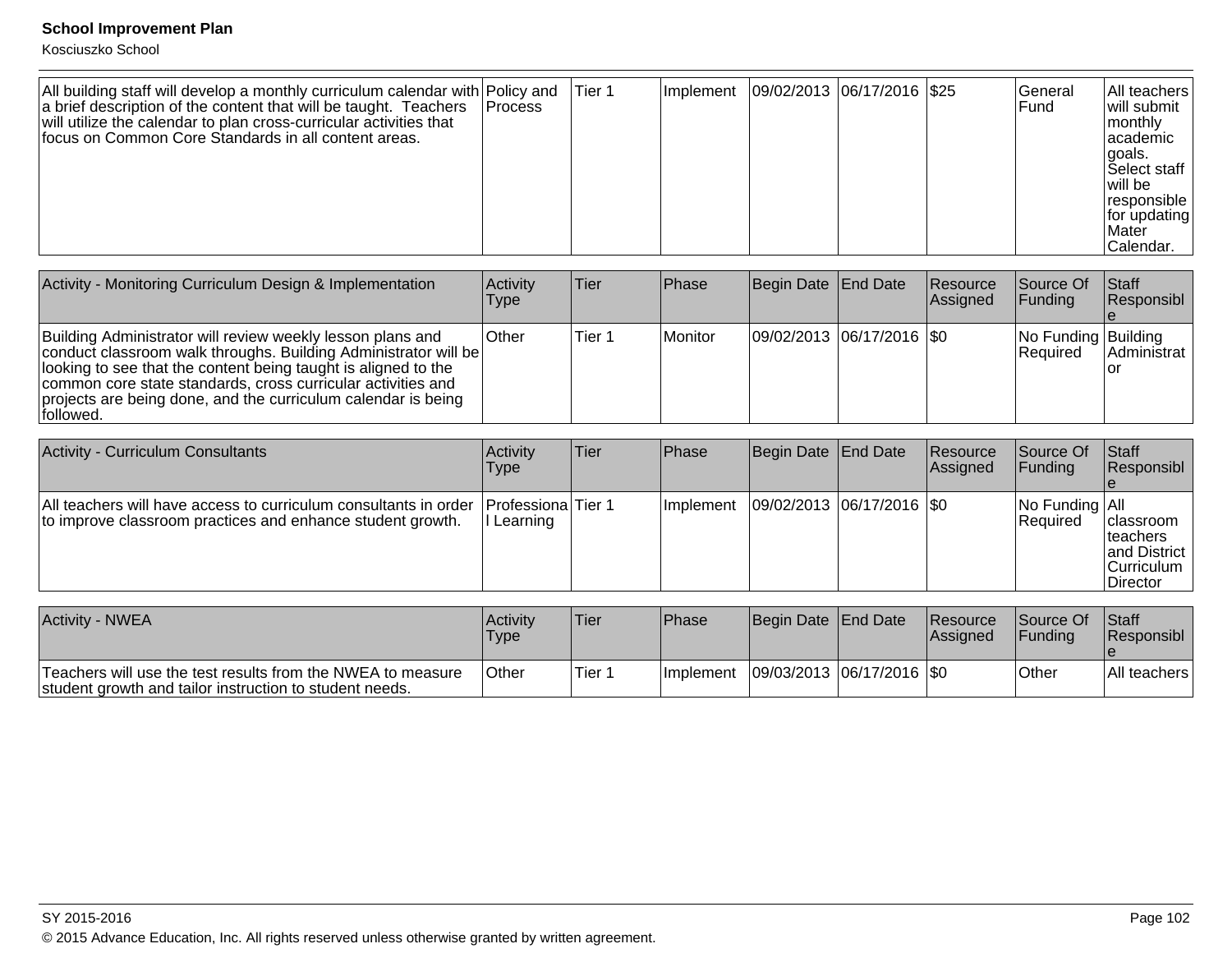| All building staff will develop a monthly curriculum calendar with Policy and<br>a brief description of the content that will be taught. Teachers   Process<br>will utilize the calendar to plan cross-curricular activities that<br>Ifocus on Common Core Standards in all content areas. |  | Tier 1 | Implement | 09/02/2013  06/17/2016   \$25 |  |  | lGeneral<br><b>Fund</b> | IAII teachers<br>will submit<br> monthly<br>lacademic<br>lgoals.<br><b>Select staff</b><br>lwill be<br> responsible<br>for updating<br><b>Mater</b><br>Calendar. |
|--------------------------------------------------------------------------------------------------------------------------------------------------------------------------------------------------------------------------------------------------------------------------------------------|--|--------|-----------|-------------------------------|--|--|-------------------------|------------------------------------------------------------------------------------------------------------------------------------------------------------------|
|--------------------------------------------------------------------------------------------------------------------------------------------------------------------------------------------------------------------------------------------------------------------------------------------|--|--------|-----------|-------------------------------|--|--|-------------------------|------------------------------------------------------------------------------------------------------------------------------------------------------------------|

| Activity - Monitoring Curriculum Design & Implementation                                                                                                                                                                                                                                                                                      | <b>Activity</b><br><b>Type</b> | Tier   | <b>IPhase</b>  | Begin Date End Date         | Resource<br><b>Assigned</b> | Source Of<br>IFundina                   | <b>Staff</b><br>Responsibl |
|-----------------------------------------------------------------------------------------------------------------------------------------------------------------------------------------------------------------------------------------------------------------------------------------------------------------------------------------------|--------------------------------|--------|----------------|-----------------------------|-----------------------------|-----------------------------------------|----------------------------|
| Building Administrator will review weekly lesson plans and<br>conduct classroom walk throughs. Building Administrator will be<br>looking to see that the content being taught is aligned to the<br>common core state standards, cross curricular activities and<br>projects are being done, and the curriculum calendar is being<br>followed. | Other                          | Tier 1 | <b>Monitor</b> | 09/02/2013 06/17/2016   \$0 |                             | No Funding Building<br><b>IRequired</b> | Administrat                |

| <b>Activity - Curriculum Consultants</b>                                                                                                          | <b>Activity</b><br><b>Type</b> | Tier | <b>IPhase</b> | Begin Date   End Date         | Resource<br><b>Assigned</b> | Source Of<br>IFundina             | <b>Staff</b><br>Responsibl                                                                     |
|---------------------------------------------------------------------------------------------------------------------------------------------------|--------------------------------|------|---------------|-------------------------------|-----------------------------|-----------------------------------|------------------------------------------------------------------------------------------------|
| All teachers will have access to curriculum consultants in order Professiona Tier 1<br>to improve classroom practices and enhance student growth. | II Learning                    |      | Ilmplement    | $ 09/02/2013 06/17/2016 $ \$0 |                             | No Funding All<br><b>Required</b> | <b>Iclassroom</b><br><b>Iteachers</b><br>and District<br><b>Curriculum</b><br><b>IDirector</b> |

| Activity - NWEA                                                                                                        | Activity<br><b>Type</b> | 'Tier  | <b>IPhase</b> | Begin Date End Date |                                           | <b>Resource</b><br><b>Assigned</b> | lSource Of<br><b>IFundina</b> | <b>Staff</b><br><b>Responsibl</b> |
|------------------------------------------------------------------------------------------------------------------------|-------------------------|--------|---------------|---------------------|-------------------------------------------|------------------------------------|-------------------------------|-----------------------------------|
| Teachers will use the test results from the NWEA to measure<br>student growth and tailor instruction to student needs. | <b>Other</b>            | Tier 1 |               |                     | Implement   09/03/2013   06/17/2016   \$0 |                                    | <b>Other</b>                  | <b>IAII</b> teachers <sup>1</sup> |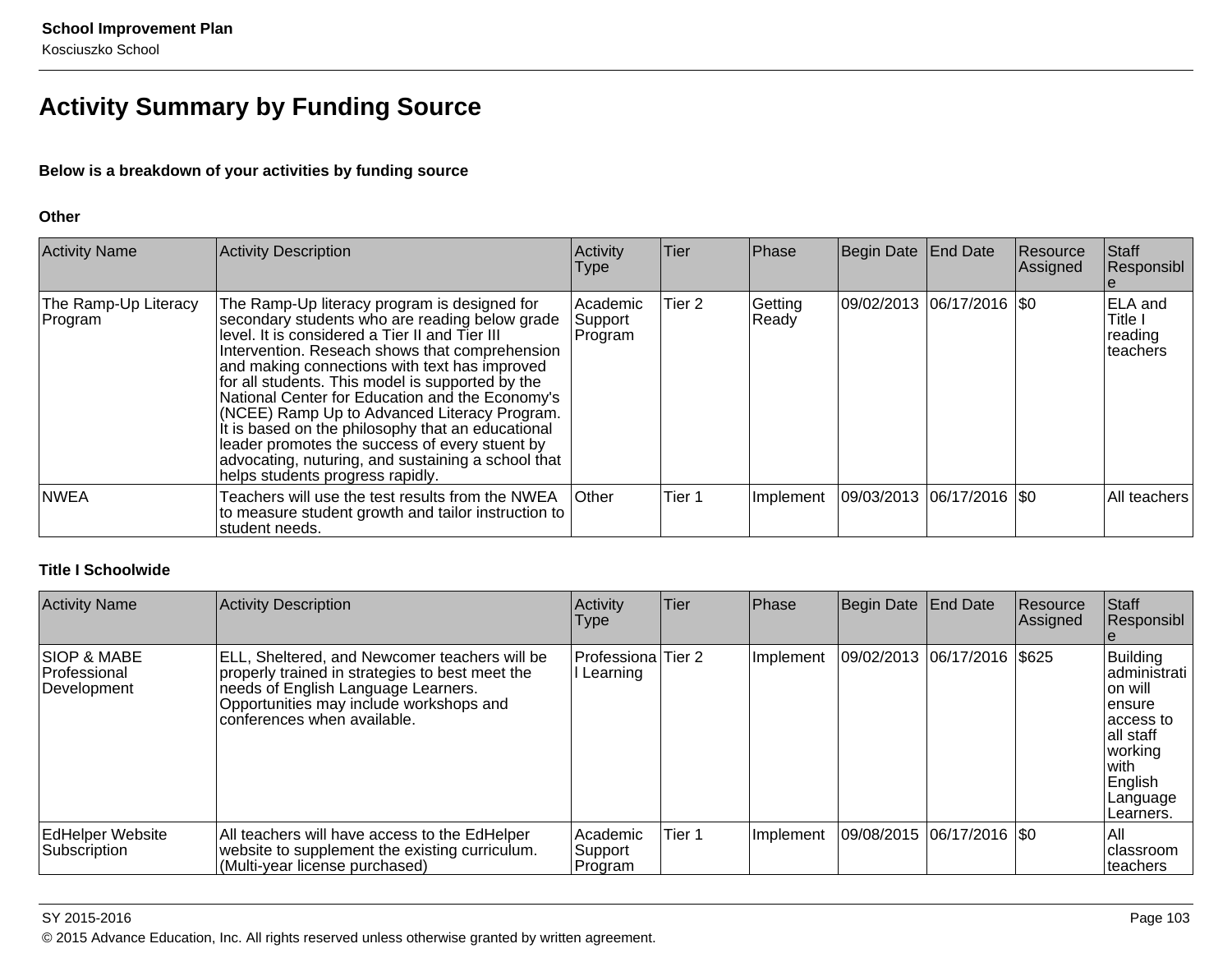# **Activity Summary by Funding Source**

### **Below is a breakdown of your activities by funding source**

### **Other**

| <b>Activity Name</b>            | Activity Description                                                                                                                                                                                                                                                                                                                                                                                                                                                                                                                                                                                        | Activity<br>Type               | <b>Tier</b> | Phase            | Begin Date End Date           | Resource<br> Assigned | Staff<br>Responsibl                               |
|---------------------------------|-------------------------------------------------------------------------------------------------------------------------------------------------------------------------------------------------------------------------------------------------------------------------------------------------------------------------------------------------------------------------------------------------------------------------------------------------------------------------------------------------------------------------------------------------------------------------------------------------------------|--------------------------------|-------------|------------------|-------------------------------|-----------------------|---------------------------------------------------|
| The Ramp-Up Literacy<br>Program | The Ramp-Up literacy program is designed for<br>secondary students who are reading below grade<br>level. It is considered a Tier II and Tier III<br>Intervention. Reseach shows that comprehension<br>and making connections with text has improved<br>for all students. This model is supported by the<br>National Center for Education and the Economy's<br>(NCEE) Ramp Up to Advanced Literacy Program.<br>It is based on the philosophy that an educational<br>leader promotes the success of every stuent by<br>advocating, nuturing, and sustaining a school that<br>helps students progress rapidly. | Academic<br>Support<br>Program | Tier 2      | Getting<br>Ready | 09/02/2013 06/17/2016  \$0    |                       | <b>ELA</b> and<br>Title I<br>reading<br>Iteachers |
| <b>NWEA</b>                     | Teachers will use the test results from the NWEA<br>to measure student growth and tailor instruction to<br>student needs.                                                                                                                                                                                                                                                                                                                                                                                                                                                                                   | <b>Other</b>                   | Tier 1      | Implement        | $ 09/03/2013 06/17/2016 $ \$0 |                       | All teachers                                      |

### **Title I Schoolwide**

| <b>Activity Name</b>                                  | <b>Activity Description</b>                                                                                                                                                                                              | Activity<br><b>Type</b>        | <b>Tier</b> | Phase     | Begin Date End Date |                               | Resource<br>Assigned | Staff<br>Responsibl                                                                                                                   |
|-------------------------------------------------------|--------------------------------------------------------------------------------------------------------------------------------------------------------------------------------------------------------------------------|--------------------------------|-------------|-----------|---------------------|-------------------------------|----------------------|---------------------------------------------------------------------------------------------------------------------------------------|
| <b>SIOP &amp; MABE</b><br>Professional<br>Development | <b>ELL, Sheltered, and Newcomer teachers will be</b><br>properly trained in strategies to best meet the<br>needs of English Language Learners.<br>Opportunities may include workshops and<br>conferences when available. | Professiona Tier 2<br>Learning |             | Implement |                     | 09/02/2013  06/17/2016  \$625 |                      | Building<br>ladministrati<br>Ton will<br>lensure<br>laccess to<br>lall staff<br>working<br>l with<br>English<br>Language<br>Learners. |
| <b>EdHelper Website</b><br>Subscription               | All teachers will have access to the EdHelper<br>website to supplement the existing curriculum.<br>(Multi-year license purchased)                                                                                        | Academic<br>Support<br>Program | Tier 1      | Implement |                     | 09/08/2015 06/17/2016  \$0    |                      | IAII<br>Iclassroom<br>Iteachers                                                                                                       |

### SY 2015-2016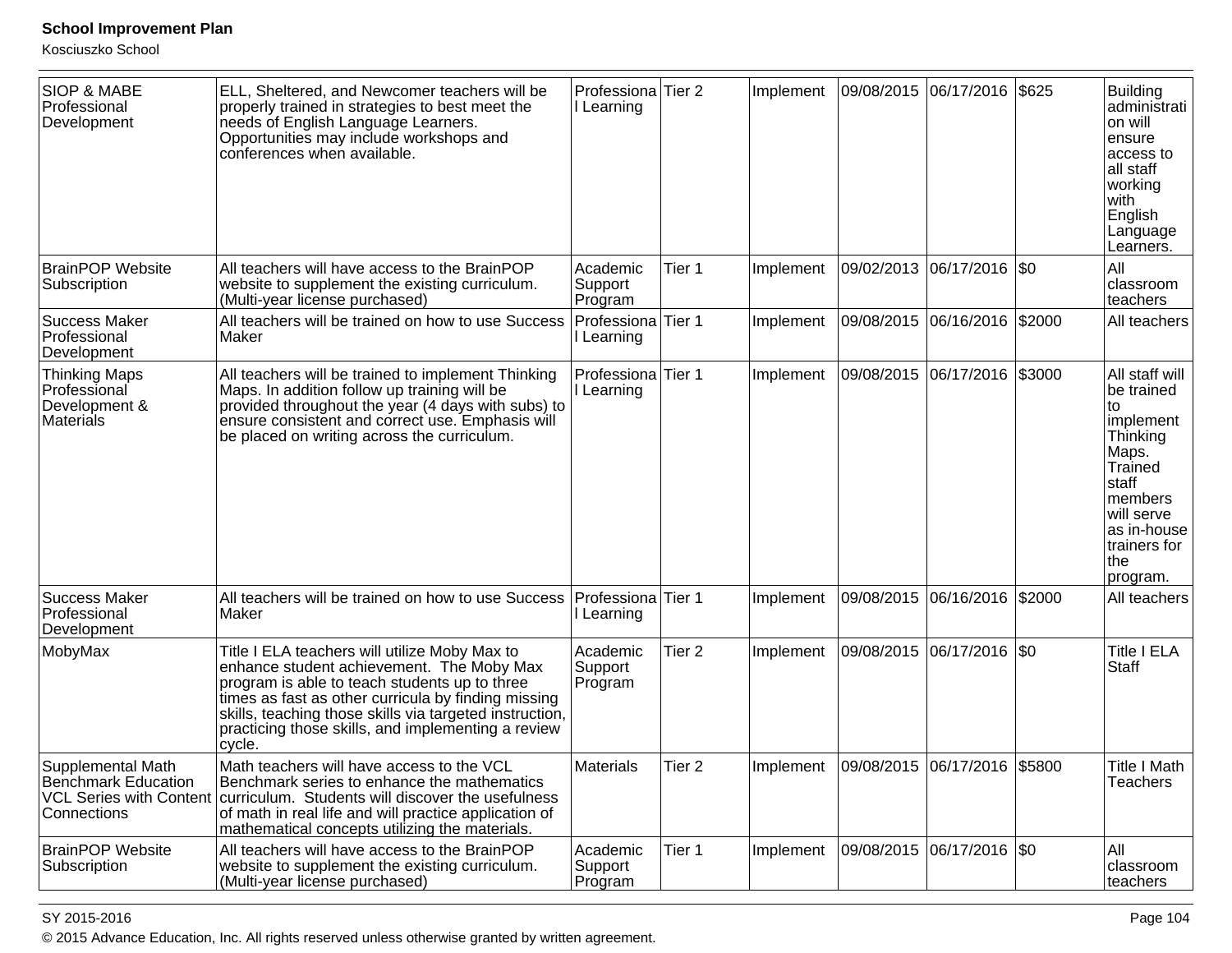Kosciuszko School

| <b>SIOP &amp; MABE</b><br>Professional<br>Development              | ELL, Sheltered, and Newcomer teachers will be<br>properly trained in strategies to best meet the<br>needs of English Language Learners.<br>Opportunities may include workshops and<br>conferences when available.                                                                                                             | Professiona Tier 2<br>I Learning |                   | Implement |                                              | 09/08/2015 06/17/2016       | \$625  | <b>Building</b><br>administrati<br>on will<br>ensure<br>access to<br>all staff<br>working<br>with<br>English<br>Language<br>Learners.                                       |
|--------------------------------------------------------------------|-------------------------------------------------------------------------------------------------------------------------------------------------------------------------------------------------------------------------------------------------------------------------------------------------------------------------------|----------------------------------|-------------------|-----------|----------------------------------------------|-----------------------------|--------|-----------------------------------------------------------------------------------------------------------------------------------------------------------------------------|
| <b>BrainPOP Website</b><br>Subscription                            | All teachers will have access to the BrainPOP<br>website to supplement the existing curriculum.<br>(Multi-year license purchased)                                                                                                                                                                                             | Academic<br>Support<br>Program   | Tier 1            | Implement |                                              | 09/02/2013  06/17/2016  \$0 |        | All<br>classroom<br>teachers                                                                                                                                                |
| <b>Success Maker</b><br>Professional<br>Development                | All teachers will be trained on how to use Success<br>Maker                                                                                                                                                                                                                                                                   | Professiona Tier 1<br>Learning   |                   | Implement |                                              | 09/08/2015 06/16/2016       | \$2000 | All teachers                                                                                                                                                                |
| <b>Thinking Maps</b><br>Professional<br>Development &<br>Materials | All teachers will be trained to implement Thinking<br>Maps. In addition follow up training will be<br>provided throughout the year (4 days with subs) to<br>ensure consistent and correct use. Emphasis will<br>be placed on writing across the curriculum.                                                                   | Professiona<br>I Learning        | Tier 1            | Implement |                                              | 09/08/2015 06/17/2016       | \$3000 | All staff will<br>be trained<br>to<br>implement<br>Thinking<br>Maps.<br>Trained<br>staff<br><b>Imembers</b><br>will serve<br>as in-house<br>trainers for<br>the<br>program. |
| <b>Success Maker</b><br>Professional<br>Development                | All teachers will be trained on how to use Success<br>Maker                                                                                                                                                                                                                                                                   | Professiona<br>Learning          | Tier 1            | Implement |                                              | 09/08/2015 06/16/2016       | \$2000 | All teachers                                                                                                                                                                |
| MobyMax                                                            | Title I ELA teachers will utilize Moby Max to<br>enhance student achievement. The Moby Max<br>program is able to teach students up to three<br>times as fast as other curricula by finding missing<br>skills, teaching those skills via targeted instruction,<br>practicing those skills, and implementing a review<br>cycle. | Academic<br>Support<br>Program   | Tier <sub>2</sub> | Implement |                                              | 09/08/2015  06/17/2016  \$0 |        | <b>Title I ELA</b><br>Staff                                                                                                                                                 |
| Supplemental Math<br>Benchmark Education<br>Connections            | Math teachers will have access to the VCL<br>Benchmark series to enhance the mathematics<br>VCL Series with Content curriculum. Students will discover the usefulness<br>of math in real life and will practice application of<br>mathematical concepts utilizing the materials.                                              | <b>Materials</b>                 | Tier 2            |           | Implement   09/08/2015   06/17/2016   \$5800 |                             |        | Title I Math<br>Teachers                                                                                                                                                    |
| <b>BrainPOP Website</b><br>Subscription                            | All teachers will have access to the BrainPOP<br>website to supplement the existing curriculum.<br>(Multi-year license purchased)                                                                                                                                                                                             | Academic<br>Support<br>Program   | Tier 1            | Implement |                                              | 09/08/2015  06/17/2016  \$0 |        | IAII<br>classroom<br>teachers                                                                                                                                               |

es a construction of the construction of the construction of the construction of the construction of the construction of the construction of the construction of the construction of the construction of the construction of t © 2015 Advance Education, Inc. All rights reserved unless otherwise granted by written agreement.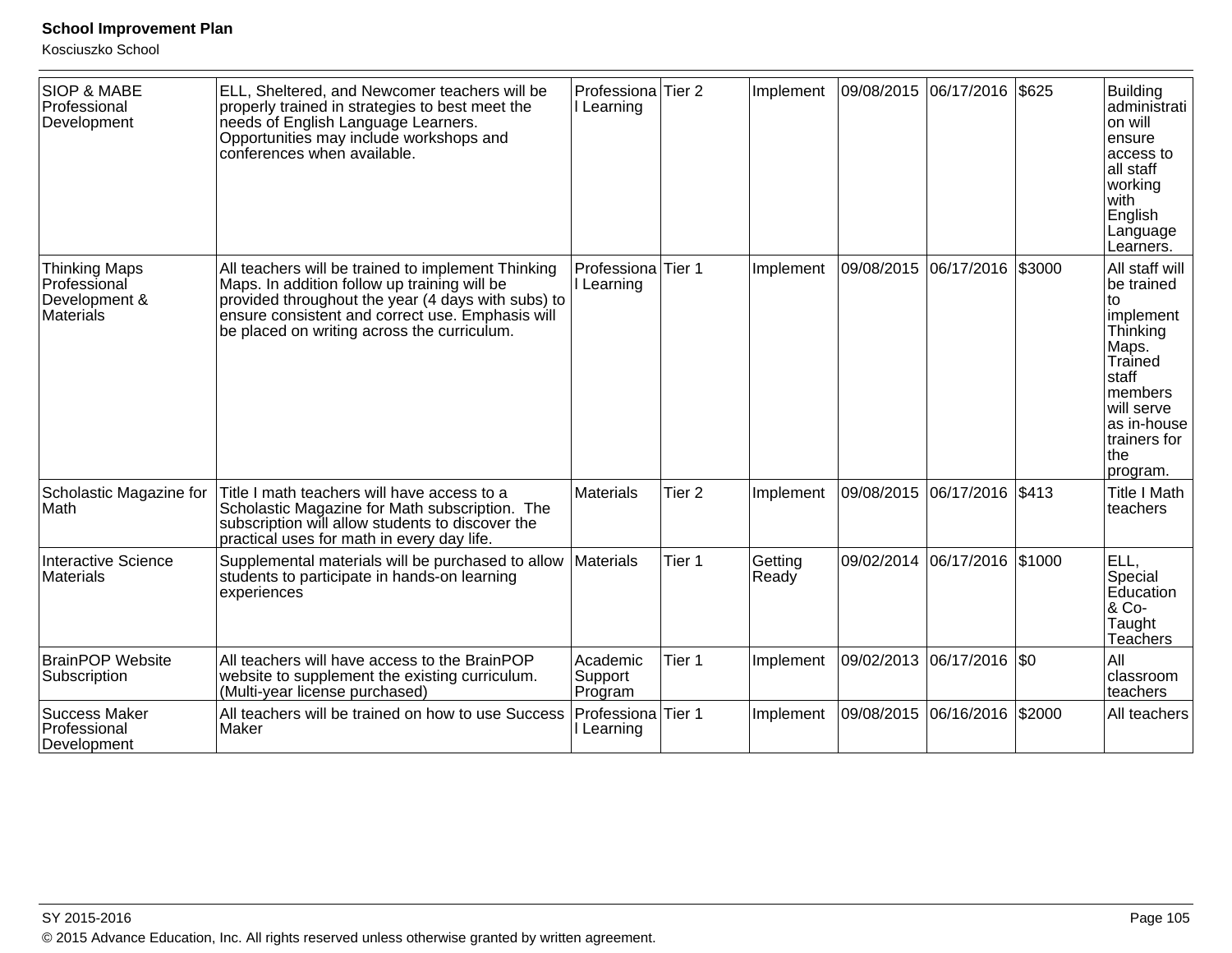| <b>SIOP &amp; MABE</b><br>Professional<br>Development                     | ELL, Sheltered, and Newcomer teachers will be<br>properly trained in strategies to best meet the<br>needs of English Language Learners.<br>Opportunities may include workshops and<br>conferences when available.                                           | Professiona<br>Learning        | Tier <sub>2</sub> | Implement        | 09/08/2015            | 06/17/2016            | \$625  | <b>Building</b><br>administrati<br>on will<br>ensure<br>access to<br>all staff<br>working<br>with<br>English<br>Language<br>Learners.                                        |
|---------------------------------------------------------------------------|-------------------------------------------------------------------------------------------------------------------------------------------------------------------------------------------------------------------------------------------------------------|--------------------------------|-------------------|------------------|-----------------------|-----------------------|--------|------------------------------------------------------------------------------------------------------------------------------------------------------------------------------|
| <b>Thinking Maps</b><br>Professional<br>Development &<br><b>Materials</b> | All teachers will be trained to implement Thinking<br>Maps. In addition follow up training will be<br>provided throughout the year (4 days with subs) to<br>ensure consistent and correct use. Emphasis will<br>be placed on writing across the curriculum. | Professiona<br>I Learning      | Tier 1            | Implement        | 09/08/2015            | 06/17/2016            | \$3000 | All staff will<br>be trained<br>to<br>implement<br>Thinking<br>Maps.<br>Trained<br>staff<br><b>Imembers</b><br>will serve<br>as in-house<br>trainers for<br> the<br>program. |
| Scholastic Magazine for<br><b>Math</b>                                    | Title I math teachers will have access to a<br>Scholastic Magazine for Math subscription. The<br>subscription will allow students to discover the<br>practical uses for math in every day life.                                                             | <b>Materials</b>               | Tier <sub>2</sub> | Implement        | 09/08/2015            | 06/17/2016            | \$413  | <b>Title I Math</b><br>teachers                                                                                                                                              |
| <b>Interactive Science</b><br>Materials                                   | Supplemental materials will be purchased to allow<br>students to participate in hands-on learning<br>experiences                                                                                                                                            | Materials                      | Tier 1            | Getting<br>Ready |                       | 09/02/2014 06/17/2016 | \$1000 | ELL,<br>Special<br>Education<br>& Co-<br>Taught<br>Teachers                                                                                                                  |
| <b>BrainPOP Website</b><br>Subscription                                   | All teachers will have access to the BrainPOP<br>website to supplement the existing curriculum.<br>(Multi-year license purchased)                                                                                                                           | Academic<br>Support<br>Program | Tier 1            | Implement        | 09/02/2013 06/17/2016 |                       | SO     | All<br>classroom<br>teachers                                                                                                                                                 |
| <b>Success Maker</b><br>Professional<br>Development                       | All teachers will be trained on how to use Success<br>Maker                                                                                                                                                                                                 | Professiona<br>Learning        | Tier 1            | Implement        | 09/08/2015 06/16/2016 |                       | \$2000 | All teachers                                                                                                                                                                 |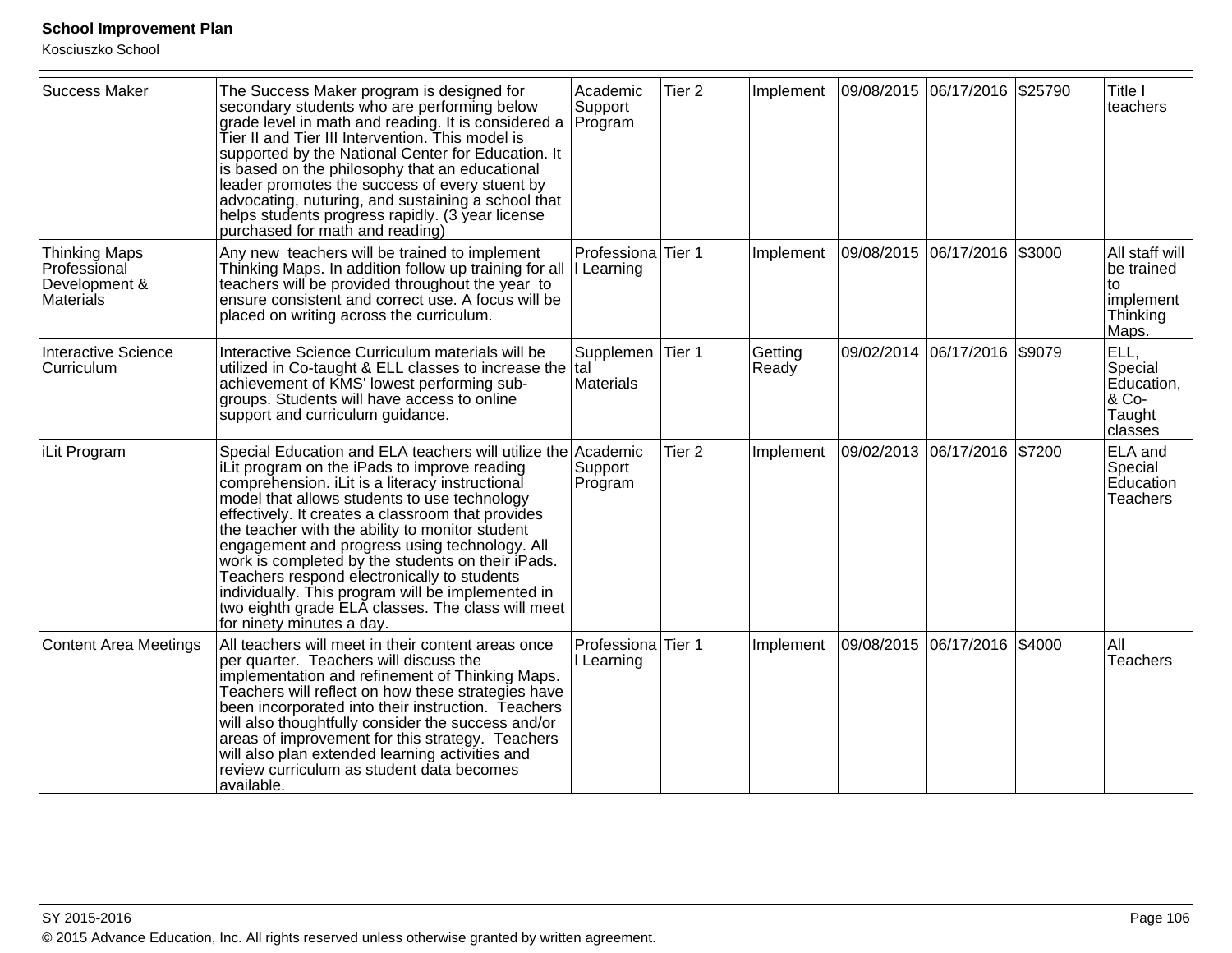| <b>Success Maker</b>                                               | The Success Maker program is designed for<br>secondary students who are performing below<br>grade level in math and reading. It is considered a<br>Tier II and Tier III Intervention. This model is<br>supported by the National Center for Education. It<br>is based on the philosophy that an educational<br>leader promotes the success of every stuent by<br>advocating, nuturing, and sustaining a school that<br>helps students progress rapidly. (3 year license<br>purchased for math and reading)                                                                                                 | Academic<br>Support<br>Program   | Tier <sub>2</sub> | Implement        | 09/08/2015 06/17/2016 \$25790 |                              |        | Title I<br>teachers                                                  |
|--------------------------------------------------------------------|------------------------------------------------------------------------------------------------------------------------------------------------------------------------------------------------------------------------------------------------------------------------------------------------------------------------------------------------------------------------------------------------------------------------------------------------------------------------------------------------------------------------------------------------------------------------------------------------------------|----------------------------------|-------------------|------------------|-------------------------------|------------------------------|--------|----------------------------------------------------------------------|
| <b>Thinking Maps</b><br>Professional<br>Development &<br>Materials | Any new teachers will be trained to implement<br>Thinking Maps. In addition follow up training for all<br>teachers will be provided throughout the year to<br>ensure consistent and correct use. A focus will be<br>placed on writing across the curriculum.                                                                                                                                                                                                                                                                                                                                               | Professiona Tier 1<br>I Learning |                   | Implement        | 09/08/2015 06/17/2016         |                              | \$3000 | All staff will<br>be trained<br>to<br>implement<br>Thinking<br>Maps. |
| Interactive Science<br>Curriculum                                  | Interactive Science Curriculum materials will be<br>utilized in Co-taught & ELL classes to increase the tal<br>achievement of KMS' lowest performing sub-<br>groups. Students will have access to online<br>support and curriculum guidance.                                                                                                                                                                                                                                                                                                                                                               | Supplemen Tier 1<br>Materials    |                   | Getting<br>Ready |                               | 09/02/2014 06/17/2016 \$9079 |        | ELL,<br>Special<br>Education,<br>& Co-<br>Taught<br>classes          |
| <b>iLit Program</b>                                                | Special Education and ELA teachers will utilize the<br>iLit program on the iPads to improve reading<br>comprehension. iLit is a literacy instructional<br>model that allows students to use technology<br>effectively. It creates a classroom that provides<br>the teacher with the ability to monitor student<br>engagement and progress using technology. All<br>work is completed by the students on their iPads.<br>Teachers respond electronically to students<br>individually. This program will be implemented in<br>two eighth grade ELA classes. The class will meet<br>for ninety minutes a day. | Academic<br>Support<br>Program   | Tier <sub>2</sub> | Implement        | 09/02/2013 06/17/2016 \$7200  |                              |        | ELA and<br>Special<br>Education<br><b>Teachers</b>                   |
| Content Area Meetings                                              | All teachers will meet in their content areas once<br>per quarter. Teachers will discuss the<br>implementation and refinement of Thinking Maps.<br>Teachers will reflect on how these strategies have<br>been incorporated into their instruction. Teachers<br>will also thoughtfully consider the success and/or<br>areas of improvement for this strategy. Teachers<br>will also plan extended learning activities and<br>review curriculum as student data becomes<br>available.                                                                                                                        | Professiona Tier 1<br>I Learning |                   | Implement        | 09/08/2015 06/17/2016         |                              | \$4000 | All<br><b>Teachers</b>                                               |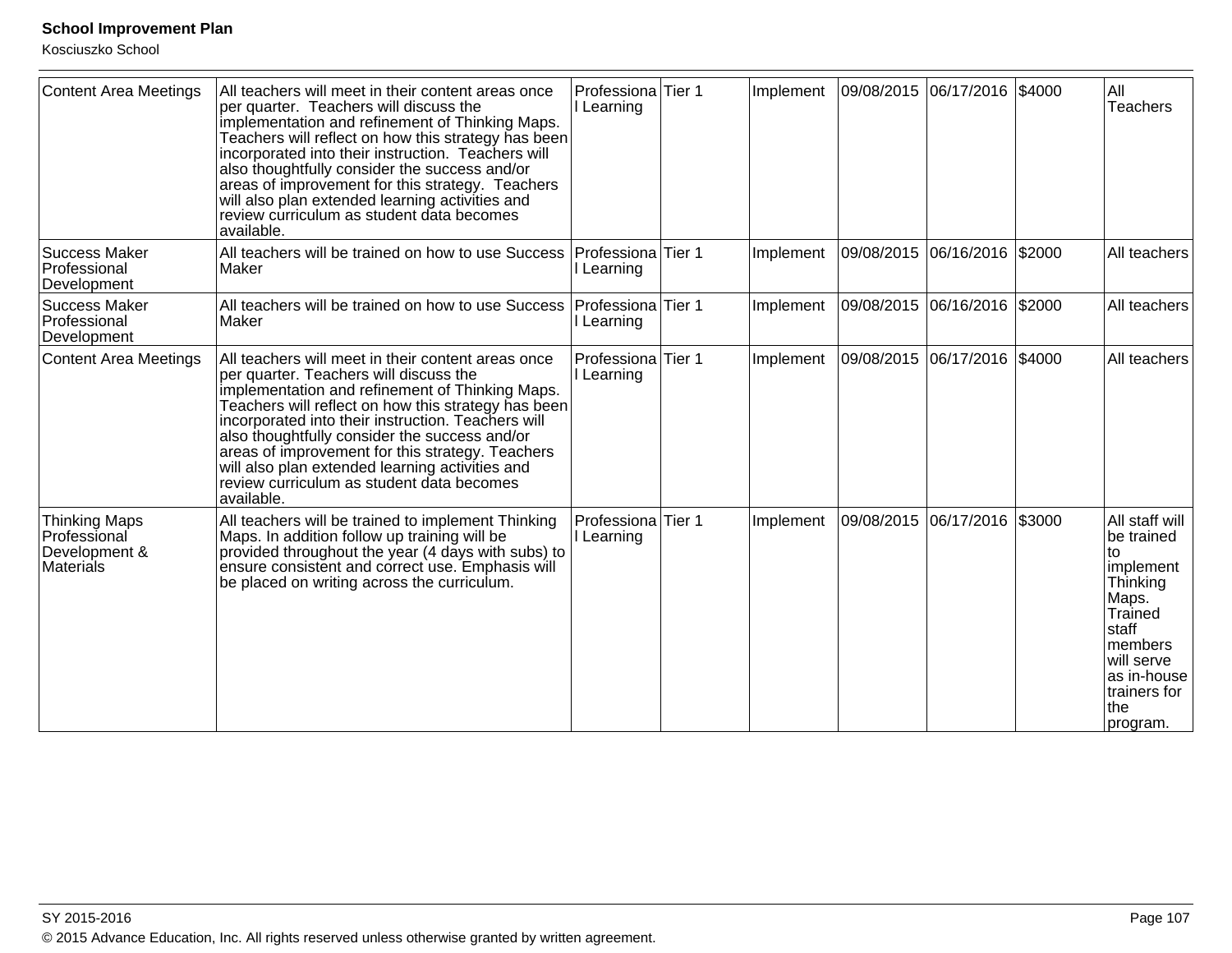| <b>Content Area Meetings</b>                                              | All teachers will meet in their content areas once<br>per quarter. Teachers will discuss the<br>implementation and refinement of Thinking Maps.<br>Teachers will reflect on how this strategy has been<br>incorporated into their instruction. Teachers will<br>also thoughtfully consider the success and/or<br>areas of improvement for this strategy. Teachers<br>will also plan extended learning activities and<br>review curriculum as student data becomes<br>available. | Professiona Tier 1<br>Learning   |        | Implement | 09/08/2015 06/17/2016 \$4000 |  | All<br><b>Teachers</b>                                                                                                                                                |
|---------------------------------------------------------------------------|---------------------------------------------------------------------------------------------------------------------------------------------------------------------------------------------------------------------------------------------------------------------------------------------------------------------------------------------------------------------------------------------------------------------------------------------------------------------------------|----------------------------------|--------|-----------|------------------------------|--|-----------------------------------------------------------------------------------------------------------------------------------------------------------------------|
| <b>Success Maker</b><br>Professional<br>Development                       | All teachers will be trained on how to use Success<br>Maker                                                                                                                                                                                                                                                                                                                                                                                                                     | Professiona<br>Learning          | Tier 1 | Implement | 09/08/2015 06/16/2016 \$2000 |  | All teachers                                                                                                                                                          |
| <b>Success Maker</b><br>Professional<br>Development                       | All teachers will be trained on how to use Success<br>Maker                                                                                                                                                                                                                                                                                                                                                                                                                     | Professiona<br>Learning          | Tier 1 | Implement | 09/08/2015 06/16/2016 \$2000 |  | All teachers                                                                                                                                                          |
| <b>Content Area Meetings</b>                                              | All teachers will meet in their content areas once<br>per quarter. Teachers will discuss the<br>implementation and refinement of Thinking Maps.<br>Teachers will reflect on how this strategy has been<br>incorporated into their instruction. Teachers will<br>also thoughtfully consider the success and/or<br>areas of improvement for this strategy. Teachers<br>will also plan extended learning activities and<br>review curriculum as student data becomes<br>available. | Professiona<br>l Learning        | Tier 1 | Implement | 09/08/2015 06/17/2016 \$4000 |  | All teachers                                                                                                                                                          |
| <b>Thinking Maps</b><br>Professional<br>Development &<br><b>Materials</b> | All teachers will be trained to implement Thinking<br>Maps. In addition follow up training will be<br>provided throughout the year (4 days with subs) to<br>ensure consistent and correct use. Emphasis will<br>be placed on writing across the curriculum.                                                                                                                                                                                                                     | Professiona Tier 1<br>I Learning |        | Implement | 09/08/2015 06/17/2016 \$3000 |  | All staff will<br>be trained<br>to<br>implement<br>Thinking<br>Maps.<br>Trained<br> staff<br>members<br>will serve<br>as in-house<br>trainers for<br> the<br>program. |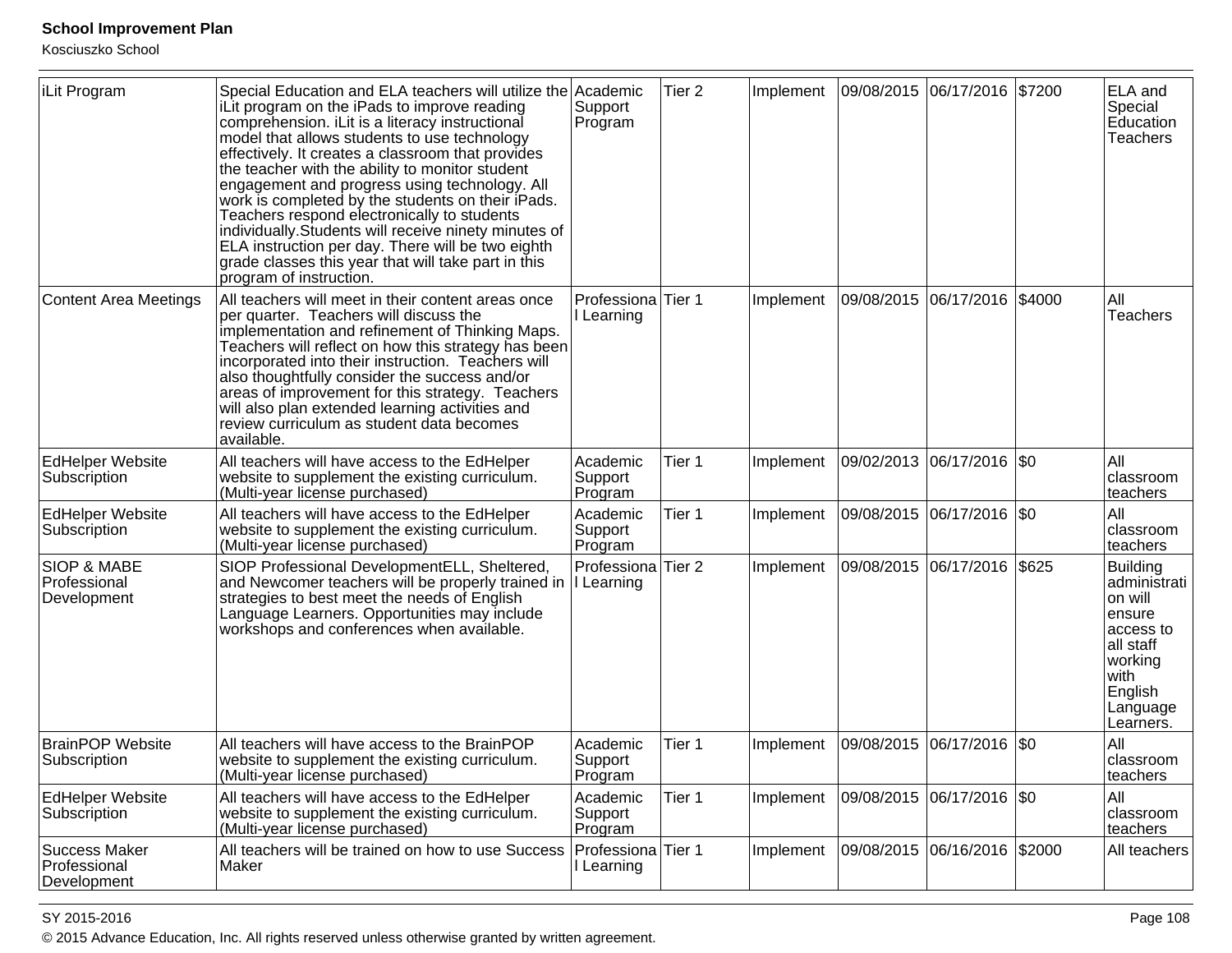Kosciuszko School

| iLit Program                                          | Special Education and ELA teachers will utilize the Academic<br>iLit program on the iPads to improve reading<br>comprehension. iLit is a literacy instructional<br>model that allows students to use technology<br>effectively. It creates a classroom that provides<br>the teacher with the ability to monitor student<br>engagement and progress using technology. All<br>work is completed by the students on their iPads.<br>Teachers respond electronically to students<br>individually. Students will receive ninety minutes of<br>ELA instruction per day. There will be two eighth<br>grade classes this year that will take part in this<br>program of instruction. | Support<br>Program                          | Tier <sub>2</sub> | Implement |                           | 09/08/2015 06/17/2016 \$7200 |        | <b>ELA</b> and<br>Special<br>Education<br><b>Teachers</b>                                                                        |
|-------------------------------------------------------|------------------------------------------------------------------------------------------------------------------------------------------------------------------------------------------------------------------------------------------------------------------------------------------------------------------------------------------------------------------------------------------------------------------------------------------------------------------------------------------------------------------------------------------------------------------------------------------------------------------------------------------------------------------------------|---------------------------------------------|-------------------|-----------|---------------------------|------------------------------|--------|----------------------------------------------------------------------------------------------------------------------------------|
| <b>Content Area Meetings</b>                          | All teachers will meet in their content areas once<br>per quarter. Teachers will discuss the<br>implementation and refinement of Thinking Maps.<br>Teachers will reflect on how this strategy has been<br>incorporated into their instruction. Teachers will<br>also thoughtfully consider the success and/or<br>areas of improvement for this strategy. Teachers<br>will also plan extended learning activities and<br>review curriculum as student data becomes<br>available.                                                                                                                                                                                              | Professiona<br>Learning                     | Tier 1            | Implement | 09/08/2015                | 06/17/2016                   | \$4000 | All<br><b>Teachers</b>                                                                                                           |
| <b>EdHelper Website</b><br>Subscription               | All teachers will have access to the EdHelper<br>website to supplement the existing curriculum.<br>(Multi-year license purchased)                                                                                                                                                                                                                                                                                                                                                                                                                                                                                                                                            | Academic<br>Support<br>Program              | Tier 1            | Implement |                           | 09/02/2013 06/17/2016 \$0    |        | All<br>classroom<br>teachers                                                                                                     |
| <b>EdHelper Website</b><br>Subscription               | All teachers will have access to the EdHelper<br>website to supplement the existing curriculum.<br>(Multi-year license purchased)                                                                                                                                                                                                                                                                                                                                                                                                                                                                                                                                            | Academic<br>Support<br>Program              | Tier 1            | Implement | 09/08/2015 06/17/2016 \$0 |                              |        | All<br>classroom<br>teachers                                                                                                     |
| <b>SIOP &amp; MABE</b><br>Professional<br>Development | SIOP Professional Development ELL, Sheltered,<br>and Newcomer teachers will be properly trained in<br>strategies to best meet the needs of English<br>Language Learners. Opportunities may include<br>workshops and conferences when available.                                                                                                                                                                                                                                                                                                                                                                                                                              | Professiona<br>I Learning                   | Tier <sub>2</sub> | Implement |                           | 09/08/2015 06/17/2016 \$625  |        | Building<br>administrati<br>on will<br>lensure<br>access to<br>all staff<br>working<br> with<br>English<br>Language<br>Learners. |
| <b>BrainPOP Website</b><br>Subscription               | All teachers will have access to the BrainPOP<br>website to supplement the existing curriculum.<br>(Multi-year license purchased)                                                                                                                                                                                                                                                                                                                                                                                                                                                                                                                                            | Academic<br>Support<br>Program              | Tier 1            | Implement | 09/08/2015                | $ 06/17/2016 $ \$0           |        | All<br>classroom<br>teachers                                                                                                     |
| <b>EdHelper Website</b><br>Subscription               | All teachers will have access to the EdHelper<br>website to supplement the existing curriculum.<br>(Multi-year license purchased)                                                                                                                                                                                                                                                                                                                                                                                                                                                                                                                                            | Academic<br>Support<br>Program              | Tier 1            | Implement | 09/08/2015 06/17/2016 \$0 |                              |        | All<br>classroom<br>teachers                                                                                                     |
| <b>Success Maker</b><br>Professional<br>Development   | All teachers will be trained on how to use Success<br>Maker                                                                                                                                                                                                                                                                                                                                                                                                                                                                                                                                                                                                                  | Professiona <sup> </sup> Tier 1<br>Learning |                   | Implement | 09/08/2015 06/16/2016     |                              | \$2000 | All teachers                                                                                                                     |

#### SY 2015-2016

en and the set of the set of the set of the set of the set of the set of the set of the set of the set of the set of the set of the set of the set of the set of the set of the set of the set of the set of the set of the se © 2015 Advance Education, Inc. All rights reserved unless otherwise granted by written agreement.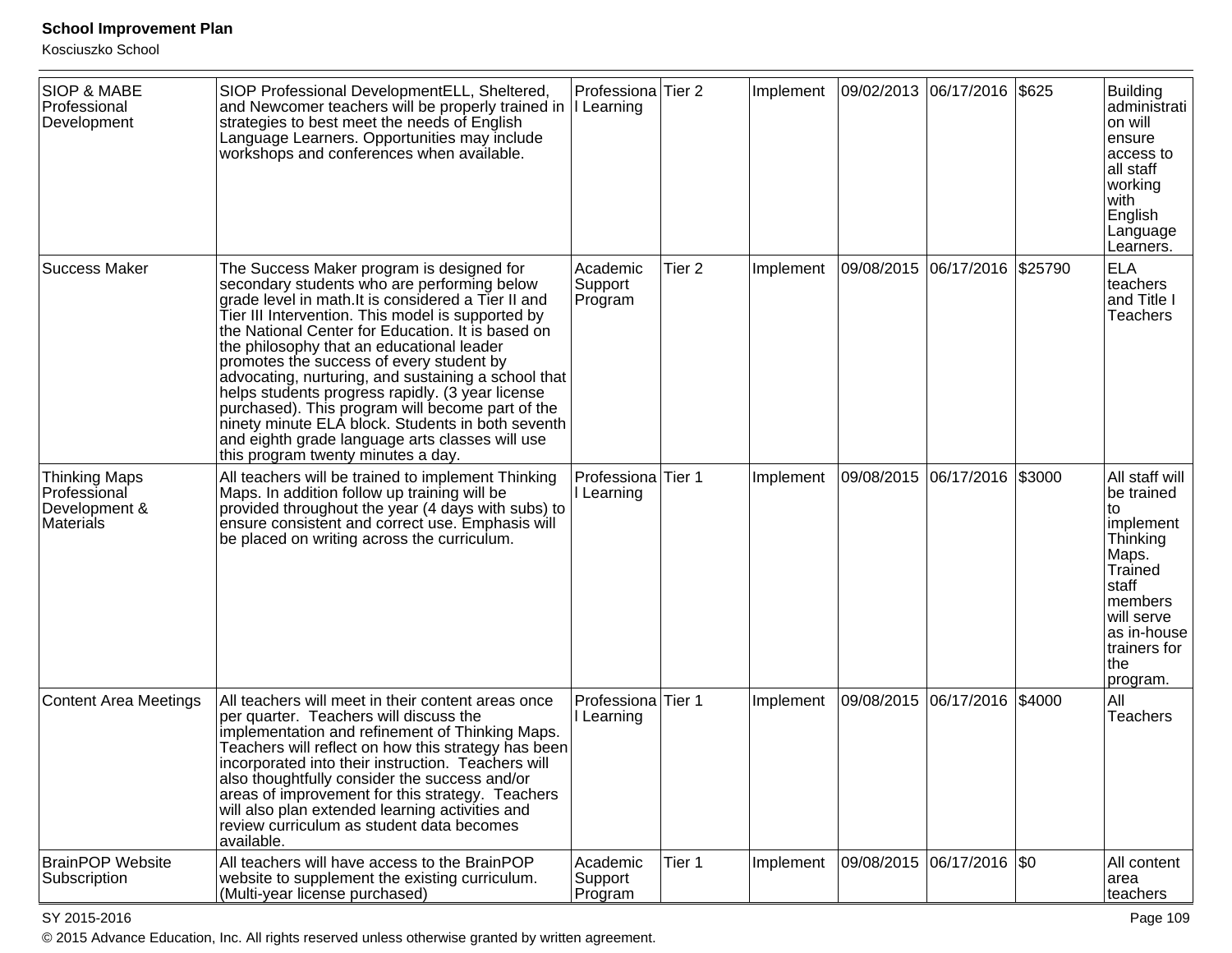Kosciuszko School

| <b>SIOP &amp; MABE</b><br>Professional<br>Development                     | SIOP Professional Development ELL, Sheltered,<br>and Newcomer teachers will be properly trained in   Learning<br>strategies to best meet the needs of English<br>Language Learners. Opportunities may include<br>workshops and conferences when available.                                                                                                                                                                                                                                                                                                                                                                                                      | Professional Tier 2            |                   | Implement | 09/02/2013  06/17/2016  \$625 |        | <b>Building</b><br>administrati<br>on will<br>ensure<br>access to<br>all staff<br>working<br>with<br>English<br>Language<br>Learners.                                        |
|---------------------------------------------------------------------------|-----------------------------------------------------------------------------------------------------------------------------------------------------------------------------------------------------------------------------------------------------------------------------------------------------------------------------------------------------------------------------------------------------------------------------------------------------------------------------------------------------------------------------------------------------------------------------------------------------------------------------------------------------------------|--------------------------------|-------------------|-----------|-------------------------------|--------|------------------------------------------------------------------------------------------------------------------------------------------------------------------------------|
| <b>Success Maker</b>                                                      | The Success Maker program is designed for<br>secondary students who are performing below<br>grade level in math. It is considered a Tier II and<br>Tier III Intervention. This model is supported by<br>the National Center for Education. It is based on<br>the philosophy that an educational leader<br>promotes the success of every student by<br>advocating, nurturing, and sustaining a school that<br>helps students progress rapidly. (3 year license<br>purchased). This program will become part of the<br>ninety minute ELA block. Students in both seventh<br>and eighth grade language arts classes will use<br>this program twenty minutes a day. | Academic<br>Support<br>Program | Tier <sub>2</sub> | Implement | 09/08/2015 06/17/2016 \$25790 |        | <b>ELA</b><br>teachers<br>and Title I<br><b>Teachers</b>                                                                                                                     |
| <b>Thinking Maps</b><br>Professional<br>Development &<br><b>Materials</b> | All teachers will be trained to implement Thinking<br>Maps. In addition follow up training will be<br>provided throughout the year (4 days with subs) to<br>ensure consistent and correct use. Emphasis will<br>be placed on writing across the curriculum.                                                                                                                                                                                                                                                                                                                                                                                                     | Professiona<br>I Learning      | Tier 1            | Implement | 09/08/2015 06/17/2016         | \$3000 | All staff will<br>be trained<br>to<br>implement<br>Thinking<br>Maps.<br>Trained<br>staff<br><b>Imembers</b><br>will serve<br>as in-house<br>trainers for<br> the<br>program. |
| <b>Content Area Meetings</b>                                              | All teachers will meet in their content areas once<br>per quarter. Teachers will discuss the<br>implementation and refinement of Thinking Maps.<br>Teachers will reflect on how this strategy has been<br>incorporated into their instruction. Teachers will<br>also thoughtfully consider the success and/or<br>areas of improvement for this strategy. Teachers<br>will also plan extended learning activities and<br>review curriculum as student data becomes<br>available.                                                                                                                                                                                 | Professiona<br>I Learning      | Tier 1            | Implement | 09/08/2015 06/17/2016         | \$4000 | All<br>Teachers                                                                                                                                                              |
| <b>BrainPOP Website</b><br>Subscription                                   | All teachers will have access to the BrainPOP<br>website to supplement the existing curriculum.<br>(Multi-year license purchased)                                                                                                                                                                                                                                                                                                                                                                                                                                                                                                                               | Academic<br>Support<br>Program | Tier 1            | Implement | 09/08/2015  06/17/2016  \$0   |        | All content<br>area<br>teachers                                                                                                                                              |

SY 2015-2016

es and the contract of the contract of the contract of the contract of the contract of the contract of the contract of the contract of the contract of the contract of the contract of the contract of the contract of the con © 2015 Advance Education, Inc. All rights reserved unless otherwise granted by written agreement.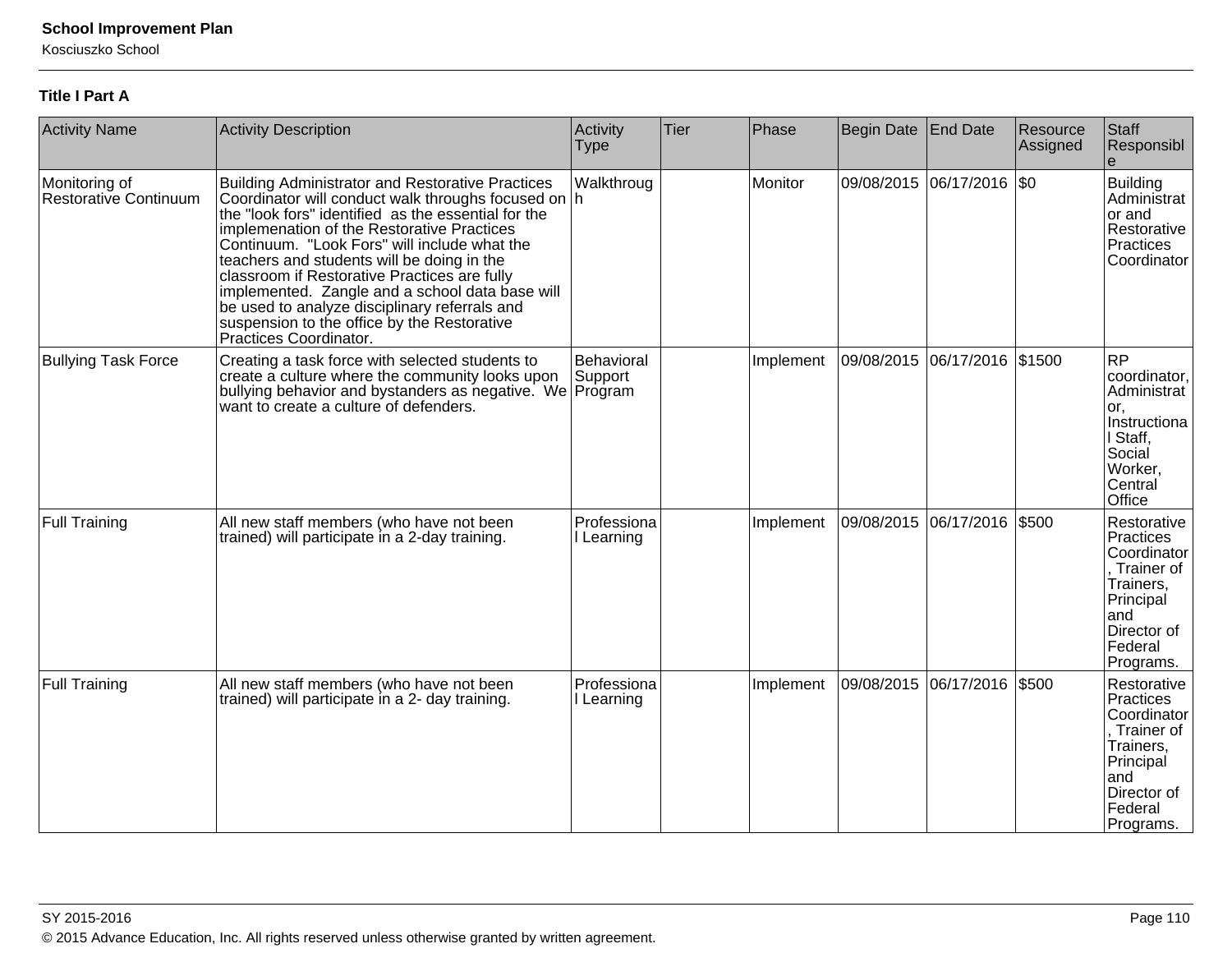Kosciuszko School

#### **Title I Part A**

| <b>Activity Name</b>                   | <b>Activity Description</b>                                                                                                                                                                                                                                                                                                                                                                                                                                                                                                                    | Activity<br><b>Type</b>          | Tier | Phase     | <b>Begin Date</b> | End Date                  | Resource<br>Assigned | Staff<br>Responsibl                                                                                                           |
|----------------------------------------|------------------------------------------------------------------------------------------------------------------------------------------------------------------------------------------------------------------------------------------------------------------------------------------------------------------------------------------------------------------------------------------------------------------------------------------------------------------------------------------------------------------------------------------------|----------------------------------|------|-----------|-------------------|---------------------------|----------------------|-------------------------------------------------------------------------------------------------------------------------------|
| Monitoring of<br>Restorative Continuum | <b>Building Administrator and Restorative Practices</b><br>Coordinator will conduct walk throughs focused on h<br>the "look fors" identified as the essential for the<br>implemenation of the Restorative Practices<br>Continuum. "Look Fors" will include what the<br>teachers and students will be doing in the<br>classroom if Restorative Practices are fully<br>implemented. Zangle and a school data base will<br>be used to analyze disciplinary referrals and<br>suspension to the office by the Restorative<br>Practices Coordinator. | Walkthroug                       |      | Monitor   |                   | 09/08/2015 06/17/2016 \$0 |                      | <b>Building</b><br>Administrat<br>or and<br>Restorative<br>Practices<br>Coordinator                                           |
| <b>Bullying Task Force</b>             | Creating a task force with selected students to<br>create a culture where the community looks upon<br>bullying behavior and bystanders as negative. We<br>want to create a culture of defenders.                                                                                                                                                                                                                                                                                                                                               | Behavioral<br>Support<br>Program |      | Implement |                   | 09/08/2015 06/17/2016     | \$1500               | <b>RP</b><br>coordinator,<br>Administrat<br>or.<br>Instructiona<br>I Staff,<br>Social<br>Worker,<br>Central<br>Office         |
| <b>Full Training</b>                   | All new staff members (who have not been<br>trained) will participate in a 2-day training.                                                                                                                                                                                                                                                                                                                                                                                                                                                     | Professiona<br>I Learning        |      | Implement | 09/08/2015        | 06/17/2016                | \$500                | Restorative<br>Practices<br>Coordinator<br>Trainer of<br>Trainers,<br>Principal<br>and<br>Director of<br>Federal<br>Programs. |
| <b>Full Training</b>                   | All new staff members (who have not been<br>trained) will participate in a 2- day training.                                                                                                                                                                                                                                                                                                                                                                                                                                                    | Professiona<br>Learning          |      | Implement |                   | 09/08/2015 06/17/2016     | \$500                | Restorative<br>Practices<br>Coordinator<br>Trainer of<br>Trainers,<br>Principal<br>and<br>Director of<br>Federal<br>Programs. |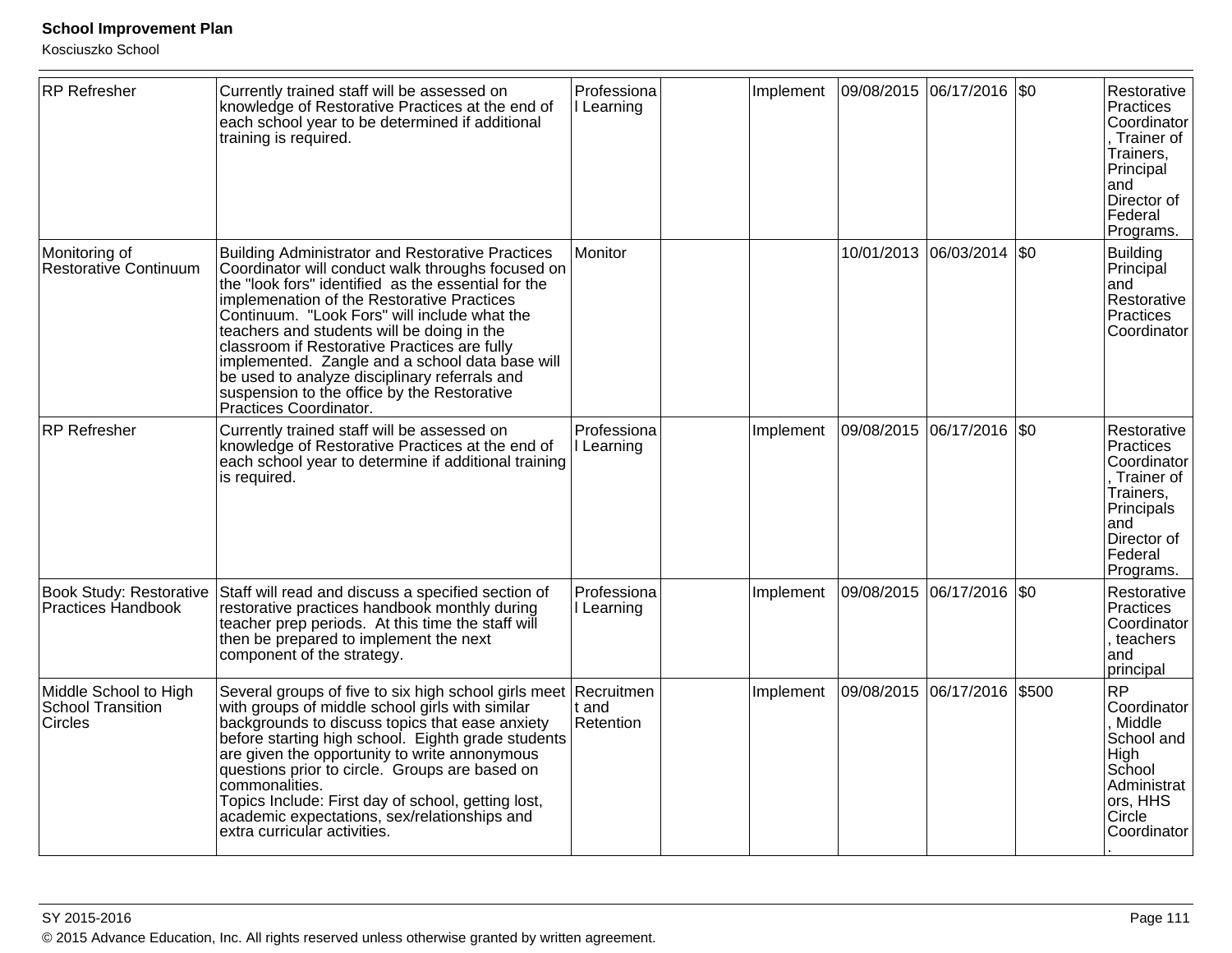| <b>RP</b> Refresher                                   | Currently trained staff will be assessed on<br>knowledge of Restorative Practices at the end of<br>each school year to be determined if additional<br>training is required.                                                                                                                                                                                                                                                                                                                                                                  | Professiona<br>I Learning | Implement |            | 09/08/2015 06/17/2016 \$0 |           | Restorative<br>Practices<br>Coordinator<br>Trainer of<br>Trainers,<br>Principal<br>and<br>Director of<br>Federal<br>Programs.    |
|-------------------------------------------------------|----------------------------------------------------------------------------------------------------------------------------------------------------------------------------------------------------------------------------------------------------------------------------------------------------------------------------------------------------------------------------------------------------------------------------------------------------------------------------------------------------------------------------------------------|---------------------------|-----------|------------|---------------------------|-----------|----------------------------------------------------------------------------------------------------------------------------------|
| Monitoring of<br>Restorative Continuum                | <b>Building Administrator and Restorative Practices</b><br>Coordinator will conduct walk throughs focused on<br>the "look fors" identified as the essential for the<br>implemenation of the Restorative Practices<br>Continuum. "Look Fors" will include what the<br>teachers and students will be doing in the<br>classroom if Restorative Practices are fully<br>implemented. Zangle and a school data base will<br>be used to analyze disciplinary referrals and<br>suspension to the office by the Restorative<br>Practices Coordinator. | Monitor                   |           |            | 10/01/2013 06/03/2014 \$0 |           | <b>Building</b><br>Principal<br>and<br>Restorative<br>Practices<br>Coordinator                                                   |
| <b>RP</b> Refresher                                   | Currently trained staff will be assessed on<br>knowledge of Restorative Practices at the end of<br>each school year to determine if additional training<br>is required.                                                                                                                                                                                                                                                                                                                                                                      | Professiona<br>I Learning | Implement | 09/08/2015 | 06/17/2016                | <b>SO</b> | Restorative<br>Practices<br>Coordinator<br>, Trainer of<br>Trainers,<br>Principals<br>and<br>Director of<br>Federal<br>Programs. |
| <b>Book Study: Restorative</b><br>Practices Handbook  | Staff will read and discuss a specified section of<br>restorative practices handbook monthly during<br>teacher prep periods. At this time the staff will<br>then be prepared to implement the next<br>component of the strategy.                                                                                                                                                                                                                                                                                                             | Professiona<br>I Learning | Implement |            | 09/08/2015 06/17/2016 \$0 |           | Restorative<br>Practices<br>Coordinator<br>, teachers<br>and<br>principal                                                        |
| Middle School to High<br>School Transition<br>Circles | Several groups of five to six high school girls meet Recruitmen<br>with groups of middle school girls with similar<br>backgrounds to discuss topics that ease anxiety<br>before starting high school. Eighth grade students<br>are given the opportunity to write annonymous<br>questions prior to circle. Groups are based on<br>commonalities.<br>Topics Include: First day of school, getting lost,<br>academic expectations, sex/relationships and<br>extra curricular activities.                                                       | t and<br>Retention        | Implement |            | 09/08/2015 06/17/2016     | \$500     | <b>RP</b><br>Coordinator<br>, Middle<br>School and<br>High<br>School<br>Administrat<br>ors, HHS<br>Circle<br>Coordinator         |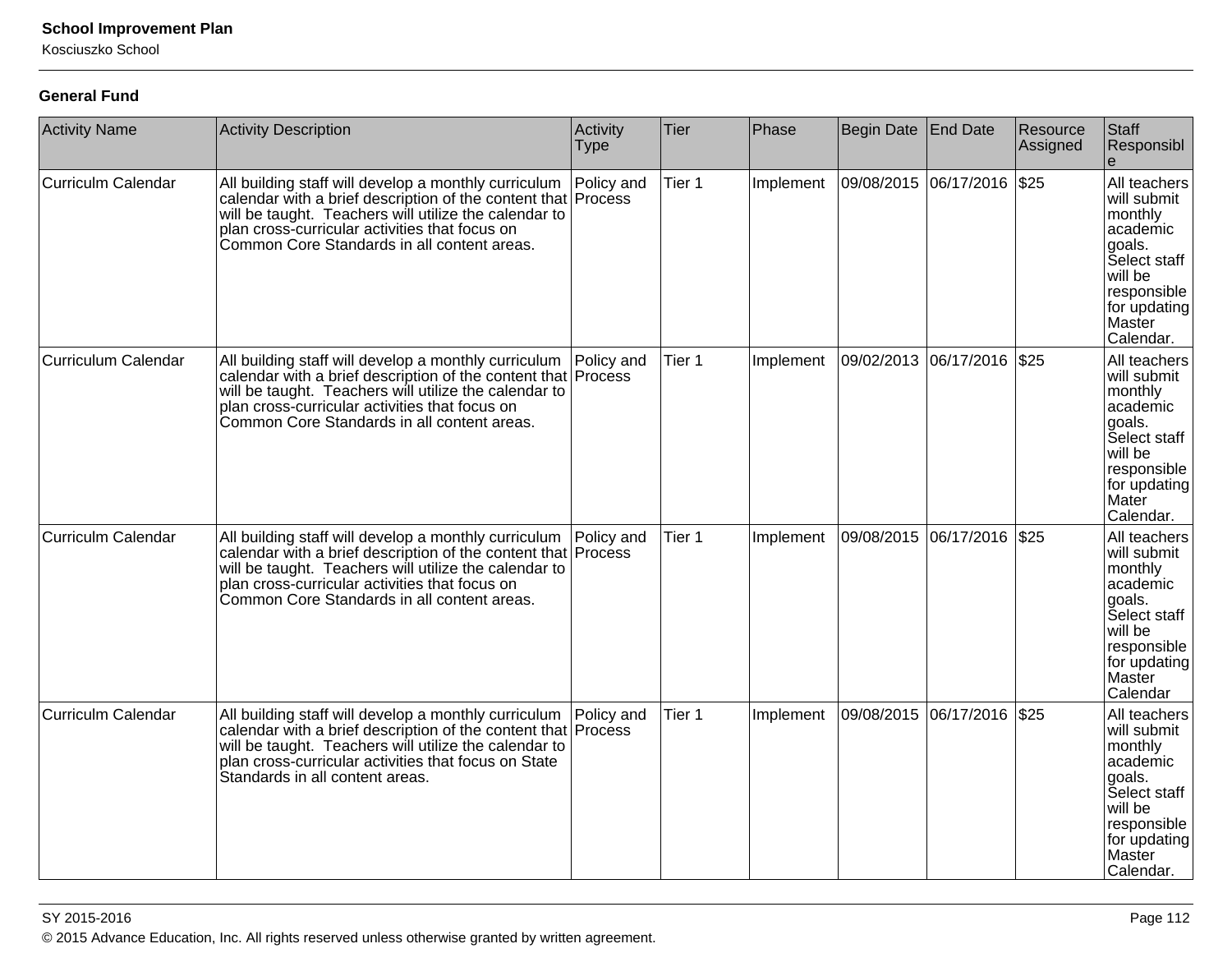Kosciuszko School

#### **General Fund**

| <b>Activity Name</b>       | <b>Activity Description</b>                                                                                                                                                                                                                                                     | Activity<br><b>Type</b>      | Tier   | Phase     | <b>Begin Date</b> | <b>End Date</b>              | Resource<br>Assigned | Staff<br>Responsibl                                                                                                                           |
|----------------------------|---------------------------------------------------------------------------------------------------------------------------------------------------------------------------------------------------------------------------------------------------------------------------------|------------------------------|--------|-----------|-------------------|------------------------------|----------------------|-----------------------------------------------------------------------------------------------------------------------------------------------|
| <b>Curriculm Calendar</b>  | All building staff will develop a monthly curriculum<br>calendar with a brief description of the content that Process<br>will be taught. Teachers will utilize the calendar to<br>plan cross-curricular activities that focus on<br>Common Core Standards in all content areas. | Policy and                   | Tier 1 | Implement |                   | 09/08/2015 06/17/2016        | \$25                 | All teachers<br>will submit<br>monthly<br>academic<br>goals.<br>Select staff<br>will be<br>responsible<br>for updating<br>Master<br>Calendar. |
| <b>Curriculum Calendar</b> | All building staff will develop a monthly curriculum<br>calendar with a brief description of the content that<br>will be taught. Teachers will utilize the calendar to<br>plan cross-curricular activities that focus on<br>Common Core Standards in all content areas.         | Policy and<br><b>Process</b> | Tier 1 | Implement |                   | 09/02/2013 06/17/2016        | $\frac{1}{2}$        | All teachers<br>will submit<br>monthly<br>academic<br>goals.<br>Select staff<br>will be<br>responsible<br>for updating<br>Mater<br>Calendar.  |
| <b>Curriculm Calendar</b>  | All building staff will develop a monthly curriculum<br>calendar with a brief description of the content that<br>will be taught. Teachers will utilize the calendar to<br>plan cross-curricular activities that focus on<br>Common Core Standards in all content areas.         | Policy and<br><b>Process</b> | Tier 1 | Implement |                   | 09/08/2015 06/17/2016        | $\frac{1}{2}$        | All teachers<br>will submit<br>monthly<br>academic<br>goals.<br>Select staff<br>will be<br>responsible<br>for updating<br>Master<br>Calendar  |
| <b>Curriculm Calendar</b>  | All building staff will develop a monthly curriculum<br>calendar with a brief description of the content that Process<br>will be taught. Teachers will utilize the calendar to<br>plan cross-curricular activities that focus on State<br>Standards in all content areas.       | Policy and                   | Tier 1 | Implement |                   | 09/08/2015  06/17/2016  \$25 |                      | All teachers<br>will submit<br>monthly<br>academic<br>goals.<br>Select staff<br>will be<br>responsible<br>for updating<br>Master<br>Calendar. |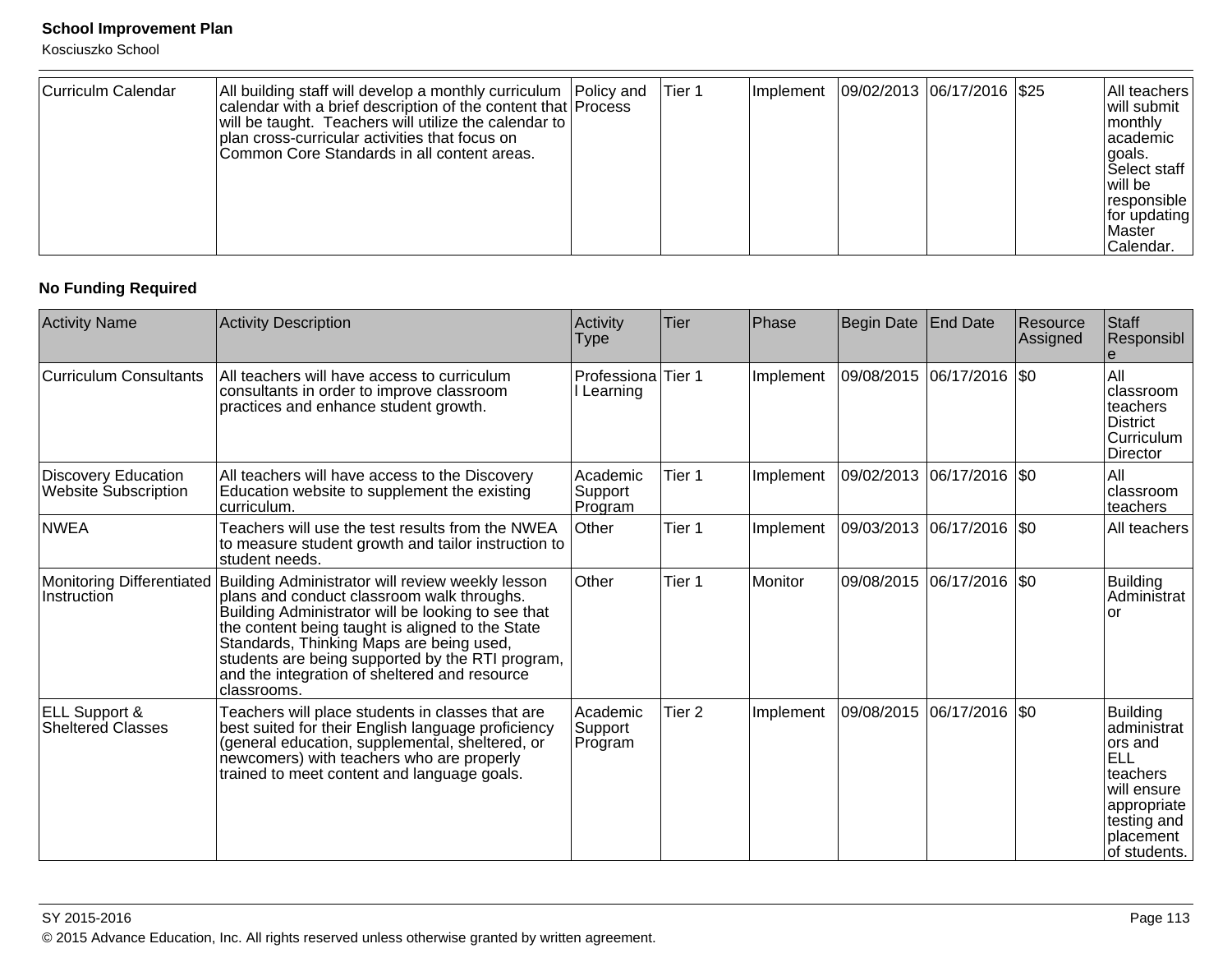Kosciuszko School

| Curriculm Calendar | All building staff will develop a monthly curriculum   Policy and<br>calendar with a brief description of the content that Process<br>will be taught. Teachers will utilize the calendar to<br>plan cross-curricular activities that focus on<br>Common Core Standards in all content areas. |  | lTier 1 | <b>Implement</b> | 09/02/2013  06/17/2016   \$25 |  |  | All teachers<br>will submit<br>monthly<br>lacademic<br>l goals.<br><b>Select staff</b><br>l will be<br> responsible  <br>$ $ for updating<br><b>IMaster</b><br>Calendar. |
|--------------------|----------------------------------------------------------------------------------------------------------------------------------------------------------------------------------------------------------------------------------------------------------------------------------------------|--|---------|------------------|-------------------------------|--|--|--------------------------------------------------------------------------------------------------------------------------------------------------------------------------|
|--------------------|----------------------------------------------------------------------------------------------------------------------------------------------------------------------------------------------------------------------------------------------------------------------------------------------|--|---------|------------------|-------------------------------|--|--|--------------------------------------------------------------------------------------------------------------------------------------------------------------------------|

# **No Funding Required**

| <b>Activity Name</b>                                      | <b>Activity Description</b>                                                                                                                                                                                                                                                                                                                                              | Activity<br><b>Type</b>        | <b>Tier</b> | Phase     | Begin Date | <b>End Date</b>             | Resource<br>Assigned | Staff<br>Responsibl                                                                                                                            |
|-----------------------------------------------------------|--------------------------------------------------------------------------------------------------------------------------------------------------------------------------------------------------------------------------------------------------------------------------------------------------------------------------------------------------------------------------|--------------------------------|-------------|-----------|------------|-----------------------------|----------------------|------------------------------------------------------------------------------------------------------------------------------------------------|
| <b>Curriculum Consultants</b>                             | All teachers will have access to curriculum<br>consultants in order to improve classroom<br>practices and enhance student growth.                                                                                                                                                                                                                                        | Professiona Tier 1<br>Learning |             | Implement |            | 09/08/2015 06/17/2016 \$0   |                      | All<br>classroom<br>teachers<br>District<br>Curriculum<br>Director                                                                             |
| <b>Discovery Education</b><br><b>Website Subscription</b> | All teachers will have access to the Discovery<br>Education website to supplement the existing<br>curriculum.                                                                                                                                                                                                                                                            | Academic<br>Support<br>Program | Tier 1      | Implement | 09/02/2013 | $ 06/17/2016 $ \$0          |                      | All<br>classroom<br>teachers                                                                                                                   |
| <b>NWEA</b>                                               | Teachers will use the test results from the NWEA<br>to measure student growth and tailor instruction to<br>student needs.                                                                                                                                                                                                                                                | Other                          | Tier 1      | Implement |            | 09/03/2013 06/17/2016 \$0   |                      | All teachers                                                                                                                                   |
| Monitoring Differentiated<br>Instruction                  | Building Administrator will review weekly lesson<br>plans and conduct classroom walk throughs.<br>Building Administrator will be looking to see that<br>the content being taught is aligned to the State<br>Standards, Thinking Maps are being used,<br>students are being supported by the RTI program,<br>and the integration of sheltered and resource<br>classrooms. | Other                          | Tier 1      | Monitor   |            | 09/08/2015  06/17/2016  \$0 |                      | <b>Building</b><br>Administrat<br>or                                                                                                           |
| <b>ELL Support &amp;</b><br><b>Sheltered Classes</b>      | Teachers will place students in classes that are<br>best suited for their English language proficiency<br>(general education, supplemental, sheltered, or<br>newcomers) with teachers who are properly<br>trained to meet content and language goals.                                                                                                                    | Academic<br>Support<br>Program | Tier 2      | Implement |            | 09/08/2015  06/17/2016  \$0 |                      | <b>Building</b><br>administrat<br>ors and<br><b>ELL</b><br>teachers<br>will ensure<br>appropriate<br>testing and<br>placement<br>lof students. |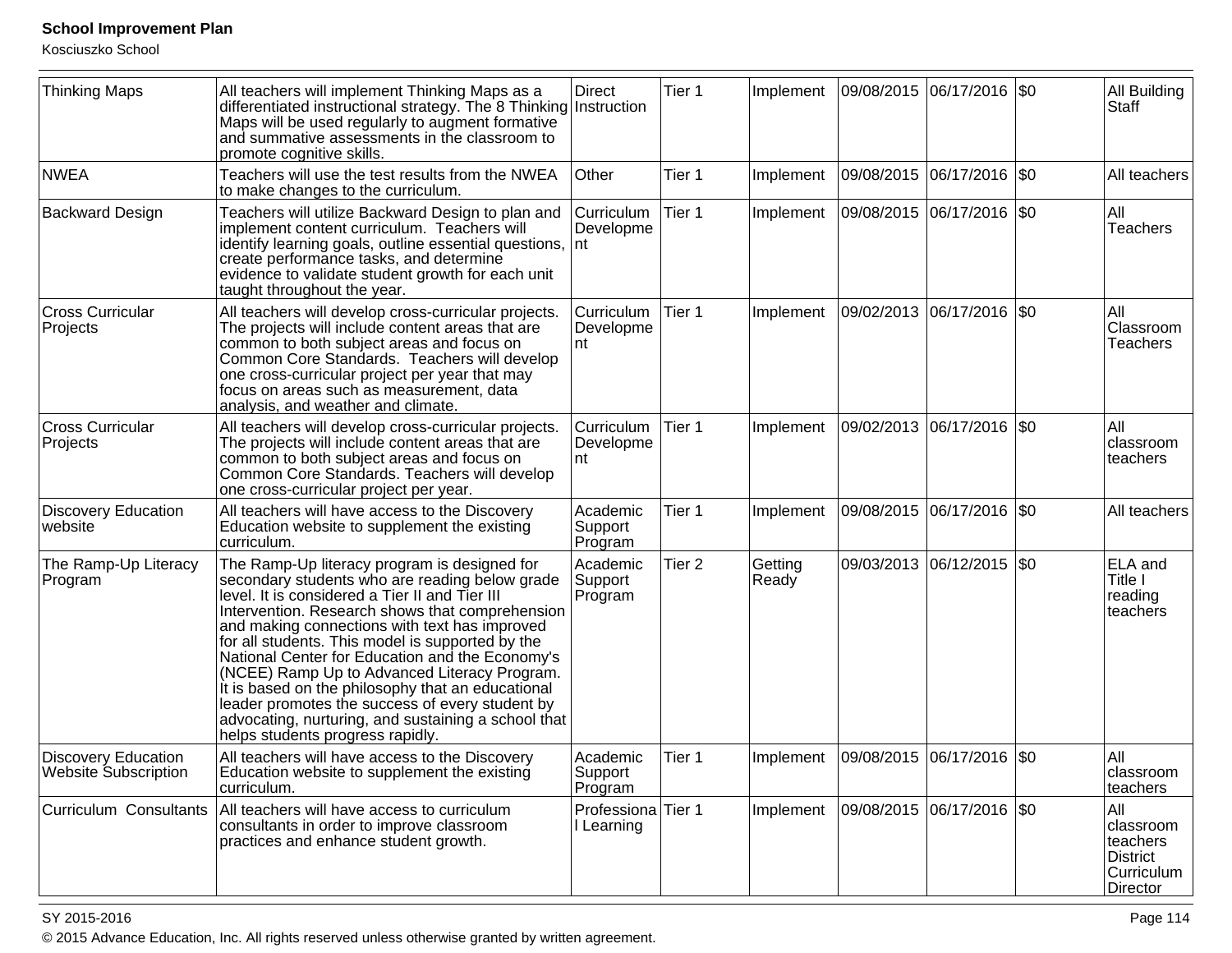Kosciuszko School

| <b>Thinking Maps</b>                                      | All teachers will implement Thinking Maps as a<br>differentiated instructional strategy. The 8 Thinking Instruction<br>Maps will be used regularly to augment formative<br>and summative assessments in the classroom to<br>promote cognitive skills.                                                                                                                                                                                                                                                                                                                                                          | <b>Direct</b>                                 | Tier 1            | Implement        | 09/08/2015  06/17/2016  \$0 |                 | All Building<br>Staff                                              |
|-----------------------------------------------------------|----------------------------------------------------------------------------------------------------------------------------------------------------------------------------------------------------------------------------------------------------------------------------------------------------------------------------------------------------------------------------------------------------------------------------------------------------------------------------------------------------------------------------------------------------------------------------------------------------------------|-----------------------------------------------|-------------------|------------------|-----------------------------|-----------------|--------------------------------------------------------------------|
| <b>NWEA</b>                                               | Teachers will use the test results from the NWEA<br>to make changes to the curriculum.                                                                                                                                                                                                                                                                                                                                                                                                                                                                                                                         | Other                                         | Tier 1            | Implement        | 09/08/2015  06/17/2016  \$0 |                 | All teachers                                                       |
| <b>Backward Design</b>                                    | Teachers will utilize Backward Design to plan and<br>implement content curriculum. Teachers will<br>identify learning goals, outline essential questions,<br>create performance tasks, and determine<br>evidence to validate student growth for each unit<br>taught throughout the year.                                                                                                                                                                                                                                                                                                                       | <b>Curriculum</b><br>Developme<br>∣nt         | Tier 1            | Implement        | 09/08/2015  06/17/2016  \$0 |                 | All<br>Teachers                                                    |
| <b>Cross Curricular</b><br>Projects                       | All teachers will develop cross-curricular projects.<br>The projects will include content areas that are<br>common to both subject areas and focus on<br>Common Core Standards. Teachers will develop<br>one cross-curricular project per year that may<br>focus on areas such as measurement, data<br>analysis, and weather and climate.                                                                                                                                                                                                                                                                      | Curriculum<br>Developme<br>nt                 | Tier 1            | Implement        | 09/02/2013                  | 06/17/2016  \$0 | All<br>Classroom<br><b>Teachers</b>                                |
| <b>Cross Curricular</b><br>Projects                       | All teachers will develop cross-curricular projects.<br>The projects will include content areas that are<br>common to both subject areas and focus on<br>Common Core Standards. Teachers will develop<br>one cross-curricular project per year.                                                                                                                                                                                                                                                                                                                                                                | Curriculum<br>Developme<br>nt                 | Tier 1            | Implement        | 09/02/2013  06/17/2016  \$0 |                 | All<br>classroom<br>teachers                                       |
| Discovery Education<br>website                            | All teachers will have access to the Discovery<br>Education website to supplement the existing<br>curriculum.                                                                                                                                                                                                                                                                                                                                                                                                                                                                                                  | Academic<br>Support<br>Program                | Tier 1            | Implement        | 09/08/2015  06/17/2016  \$0 |                 | All teachers                                                       |
| The Ramp-Up Literacy<br>Program                           | The Ramp-Up literacy program is designed for<br>secondary students who are reading below grade<br>level. It is considered a Tier II and Tier III<br>Intervention. Research shows that comprehension<br>and making connections with text has improved<br>for all students. This model is supported by the<br>National Center for Education and the Economy's<br>(NCEE) Ramp Up to Advanced Literacy Program.<br>It is based on the philosophy that an educational<br>leader promotes the success of every student by<br>advocating, nurturing, and sustaining a school that<br>helps students progress rapidly. | Academic<br>Support<br>Program                | Tier <sub>2</sub> | Getting<br>Ready | 09/03/2013                  | 06/12/2015  \$0 | <b>ELA</b> and<br>Title I<br>reading<br>teachers                   |
| <b>Discovery Education</b><br><b>Website Subscription</b> | All teachers will have access to the Discovery<br>Education website to supplement the existing<br>curriculum.                                                                                                                                                                                                                                                                                                                                                                                                                                                                                                  | Academic<br>Support<br>Program                | Tier 1            | Implement        | 09/08/2015 06/17/2016 \$0   |                 | All<br>classroom<br>teachers                                       |
| Curriculum Consultants                                    | All teachers will have access to curriculum<br>consultants in order to improve classroom<br>practices and enhance student growth.                                                                                                                                                                                                                                                                                                                                                                                                                                                                              | Professiona <sup> </sup> Tier 1<br>I Learning |                   | Implement        | 09/08/2015 06/17/2016  \$0  |                 | All<br>classroom<br>teachers<br>District<br>Curriculum<br>Director |

#### SY 2015-2016

en and the set of the set of the set of the set of the set of the set of the set of the set of the set of the  $P$ age 114  $\,$ © 2015 Advance Education, Inc. All rights reserved unless otherwise granted by written agreement.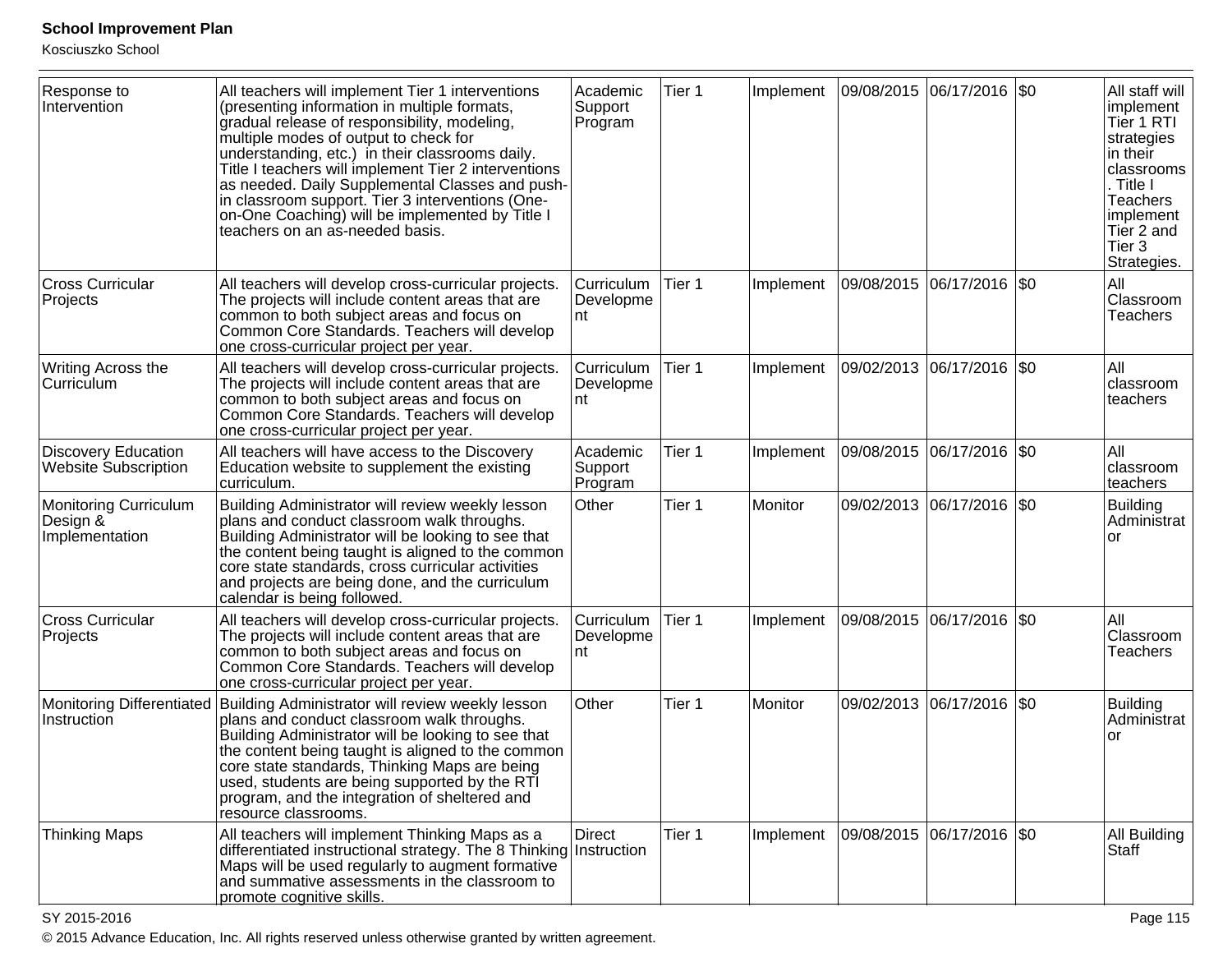Kosciuszko School

| Response to<br>Intervention                                | All teachers will implement Tier 1 interventions<br>(presenting information in multiple formats,<br>gradual release of responsibility, modeling,<br>multiple modes of output to check for<br>understanding, etc.) in their classrooms daily.<br>Title I teachers will implement Tier 2 interventions<br>as needed. Daily Supplemental Classes and push-<br>in classroom support. Tier 3 interventions (One-<br>on-One Coaching) will be implemented by Title I<br>teachers on an as-needed basis. | Academic<br>Support<br>Program | Tier 1 | Implement |            | 09/08/2015 06/17/2016 \$0   | All staff will<br>implement<br>Tier 1 RTI<br>strategies<br>in their<br>classrooms<br>. Title I<br>Teachers<br>implement<br>Tier 2 and<br>Tier 3<br>Strategies. |
|------------------------------------------------------------|---------------------------------------------------------------------------------------------------------------------------------------------------------------------------------------------------------------------------------------------------------------------------------------------------------------------------------------------------------------------------------------------------------------------------------------------------------------------------------------------------|--------------------------------|--------|-----------|------------|-----------------------------|----------------------------------------------------------------------------------------------------------------------------------------------------------------|
| <b>Cross Curricular</b><br>Projects                        | All teachers will develop cross-curricular projects.<br>The projects will include content areas that are<br>common to both subject areas and focus on<br>Common Core Standards. Teachers will develop<br>one cross-curricular project per year.                                                                                                                                                                                                                                                   | Curriculum<br>Developme<br>nt  | Tier 1 | Implement | 09/08/2015 | 06/17/2016   \$0            | All<br>Classroom<br>Teachers                                                                                                                                   |
| Writing Across the<br>Curriculum                           | All teachers will develop cross-curricular projects.<br>The projects will include content areas that are<br>common to both subject areas and focus on<br>Common Core Standards. Teachers will develop<br>one cross-curricular project per year.                                                                                                                                                                                                                                                   | Curriculum<br>Developme<br>nt  | Tier 1 | Implement |            | 09/02/2013 06/17/2016 \$0   | All<br>classroom<br>teachers                                                                                                                                   |
| <b>Discovery Education</b><br>Website Subscription         | All teachers will have access to the Discovery<br>Education website to supplement the existing<br>curriculum.                                                                                                                                                                                                                                                                                                                                                                                     | Academic<br>Support<br>Program | Tier 1 | Implement |            | 09/08/2015  06/17/2016  \$0 | All<br>classroom<br>teachers                                                                                                                                   |
| <b>Monitoring Curriculum</b><br>Design &<br>Implementation | Building Administrator will review weekly lesson<br>plans and conduct classroom walk throughs.<br>Building Administrator will be looking to see that<br>the content being taught is aligned to the common<br>core state standards, cross curricular activities<br>and projects are being done, and the curriculum<br>calendar is being followed.                                                                                                                                                  | Other                          | Tier 1 | Monitor   |            | 09/02/2013 06/17/2016 \$0   | Building<br>Administrat<br>or                                                                                                                                  |
| <b>Cross Curricular</b><br>Projects                        | All teachers will develop cross-curricular projects.<br>The projects will include content areas that are<br>common to both subject areas and focus on<br>Common Core Standards. Teachers will develop<br>one cross-curricular project per year.                                                                                                                                                                                                                                                   | Curriculum<br>Developme<br>nt  | Tier 1 | Implement | 09/08/2015 | 06/17/2016   \$0            | All<br>Classroom<br>Teachers                                                                                                                                   |
| Instruction                                                | Monitoring Differentiated Building Administrator will review weekly lesson<br>plans and conduct classroom walk throughs.<br>Building Administrator will be looking to see that<br>the content being taught is aligned to the common<br>core state standards, Thinking Maps are being<br>used, students are being supported by the RTI<br>program, and the integration of sheltered and<br>resource classrooms.                                                                                    | Other                          | Tier 1 | Monitor   |            | 09/02/2013 06/17/2016 \$0   | <b>Building</b><br>Administrat<br>or                                                                                                                           |
| <b>Thinking Maps</b>                                       | All teachers will implement Thinking Maps as a<br>differentiated instructional strategy. The 8 Thinking Instruction<br>Maps will be used regularly to augment formative<br>and summative assessments in the classroom to<br>promote cognitive skills.                                                                                                                                                                                                                                             | <b>Direct</b>                  | Tier 1 | Implement |            | 09/08/2015  06/17/2016  \$0 | All Building<br>Staff                                                                                                                                          |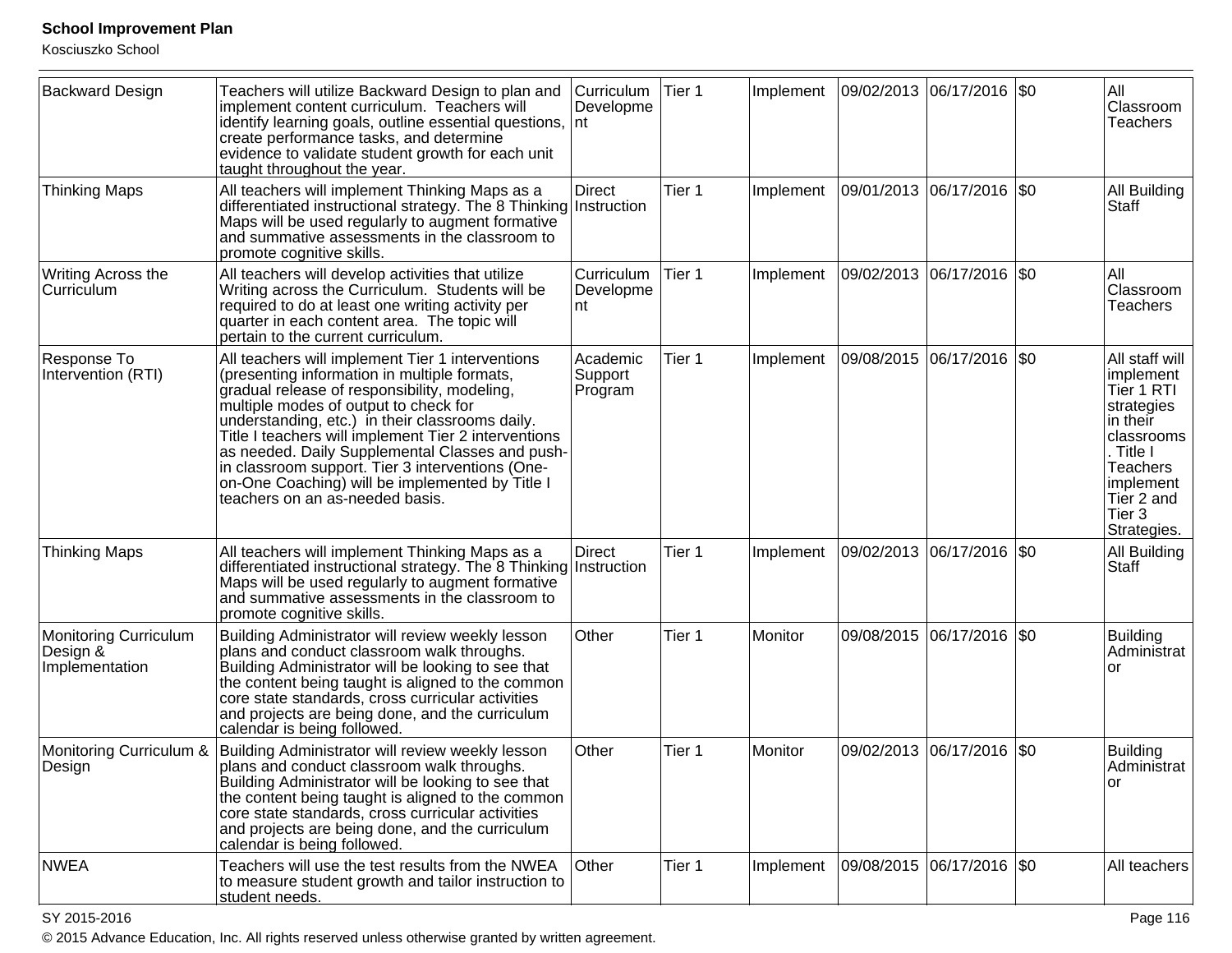Kosciuszko School

| <b>Backward Design</b>                                     | Teachers will utilize Backward Design to plan and<br>implement content curriculum. Teachers will<br>identify learning goals, outline essential questions,<br>create performance tasks, and determine<br>evidence to validate student growth for each unit<br>taught throughout the year.                                                                                                                                                                                                          | <b>Curriculum</b><br>Developme<br>Int | Tier 1 | Implement |                           | 09/02/2013 06/17/2016 \$0  |             | All<br>Classroom<br><b>Teachers</b>                                                                                                                                   |
|------------------------------------------------------------|---------------------------------------------------------------------------------------------------------------------------------------------------------------------------------------------------------------------------------------------------------------------------------------------------------------------------------------------------------------------------------------------------------------------------------------------------------------------------------------------------|---------------------------------------|--------|-----------|---------------------------|----------------------------|-------------|-----------------------------------------------------------------------------------------------------------------------------------------------------------------------|
| <b>Thinking Maps</b>                                       | All teachers will implement Thinking Maps as a<br>differentiated instructional strategy. The 8 Thinking Instruction<br>Maps will be used regularly to augment formative<br>and summative assessments in the classroom to<br>promote cognitive skills.                                                                                                                                                                                                                                             | <b>Direct</b>                         | Tier 1 | Implement | 09/01/2013                | 06/17/2016                 | $\sqrt{50}$ | All Building<br>Staff                                                                                                                                                 |
| Writing Across the<br>Curriculum                           | All teachers will develop activities that utilize<br>Writing across the Curriculum. Students will be<br>required to do at least one writing activity per<br>quarter in each content area. The topic will<br>pertain to the current curriculum.                                                                                                                                                                                                                                                    | Curriculum<br>Developme<br>nt         | Tier 1 | Implement |                           | 09/02/2013 06/17/2016  \$0 |             | All<br>Classroom<br><b>Teachers</b>                                                                                                                                   |
| Response To<br>Intervention (RTI)                          | All teachers will implement Tier 1 interventions<br>(presenting information in multiple formats,<br>gradual release of responsibility, modeling,<br>multiple modes of output to check for<br>understanding, etc.) in their classrooms daily.<br>Title I teachers will implement Tier 2 interventions<br>as needed. Daily Supplemental Classes and push-<br>in classroom support. Tier 3 interventions (One-<br>on-One Coaching) will be implemented by Title I<br>teachers on an as-needed basis. | Academic<br>Support<br>Program        | Tier 1 | Implement | 09/08/2015                | 06/17/2016                 | $\sqrt{50}$ | All staff will<br>implement<br>Tier 1 RTI<br>strategies<br>in their<br>classrooms<br>. Title I<br><b>Teachers</b><br>implement<br>Tier 2 and<br>Tier 3<br>Strategies. |
| <b>Thinking Maps</b>                                       | All teachers will implement Thinking Maps as a<br>differentiated instructional strategy. The 8 Thinking Instruction<br>Maps will be used regularly to augment formative<br>and summative assessments in the classroom to<br>promote cognitive skills.                                                                                                                                                                                                                                             | <b>Direct</b>                         | Tier 1 | Implement |                           | 09/02/2013 06/17/2016 \$0  |             | All Building<br>Staff                                                                                                                                                 |
| <b>Monitoring Curriculum</b><br>Design &<br>Implementation | Building Administrator will review weekly lesson<br>plans and conduct classroom walk throughs.<br>Building Administrator will be looking to see that<br>the content being taught is aligned to the common<br>core state standards, cross curricular activities<br>and projects are being done, and the curriculum<br>calendar is being followed.                                                                                                                                                  | Other                                 | Tier 1 | Monitor   | 09/08/2015                | 06/17/2016   \$0           |             | <b>Building</b><br>Administrat<br>or                                                                                                                                  |
| Monitoring Curriculum &<br>Design                          | Building Administrator will review weekly lesson<br>plans and conduct classroom walk throughs.<br>Building Administrator will be looking to see that<br>the content being taught is aligned to the common<br>core state standards, cross curricular activities<br>and projects are being done, and the curriculum<br>calendar is being followed.                                                                                                                                                  | Other                                 | Tier 1 | Monitor   |                           | 09/02/2013 06/17/2016      | $ $ \$0     | <b>Building</b><br>Administrat<br>lor                                                                                                                                 |
| <b>NWEA</b>                                                | Teachers will use the test results from the NWEA<br>to measure student growth and tailor instruction to<br>student needs.                                                                                                                                                                                                                                                                                                                                                                         | Other                                 | Tier 1 | Implement | 09/08/2015 06/17/2016 \$0 |                            |             | All teachers                                                                                                                                                          |

en and the set of the set of the set of the set of the set of the set of the set of the set of the Page 116  $\,$ © 2015 Advance Education, Inc. All rights reserved unless otherwise granted by written agreement.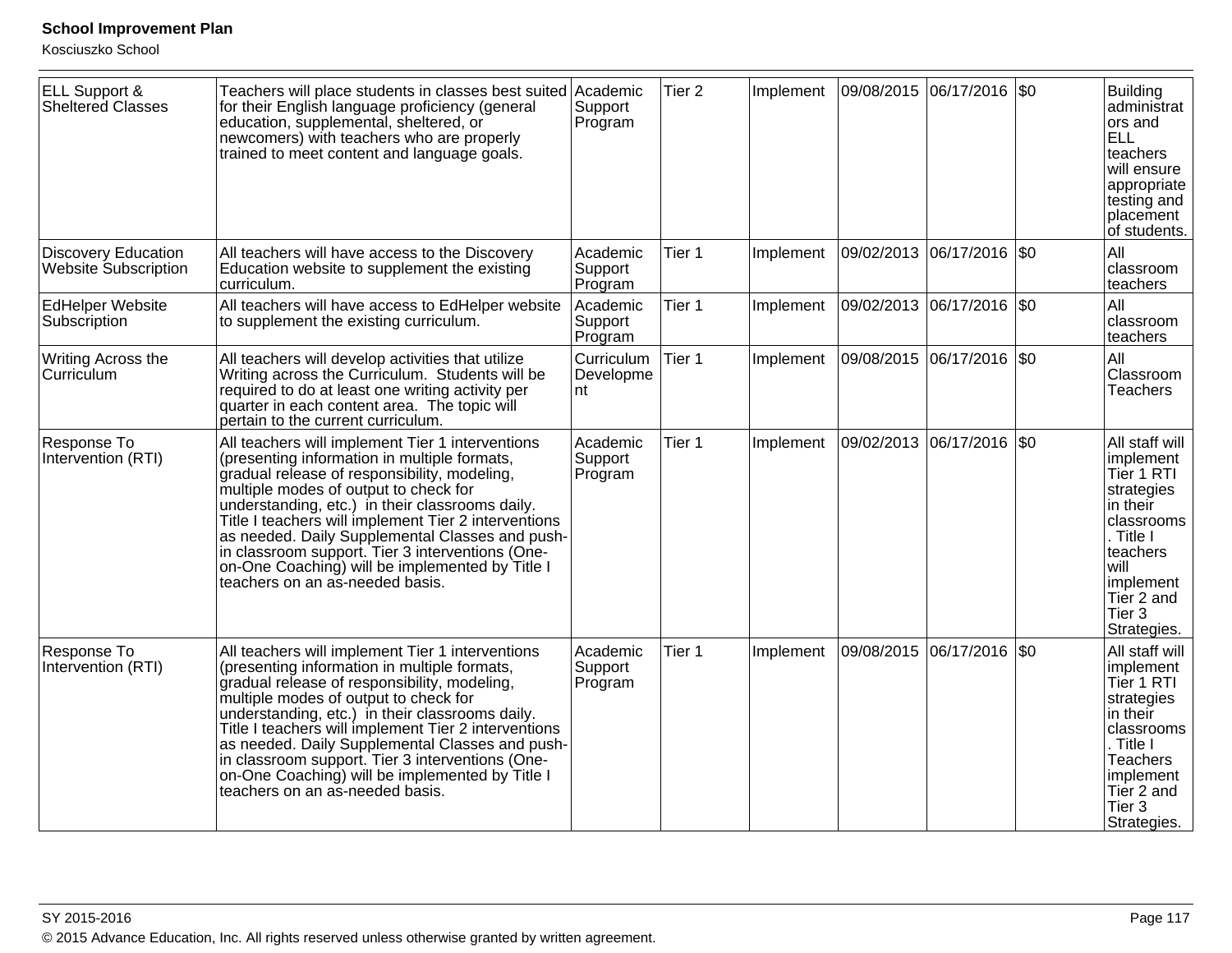| ELL Support &<br>Sheltered Classes                        | Teachers will place students in classes best suited Academic<br>for their English language proficiency (general<br>education, supplemental, sheltered, or<br>newcomers) with teachers who are properly<br>trained to meet content and language goals.                                                                                                                                                                                                                                             | Support<br>Program             | Tier <sub>2</sub> | Implement |            | 09/08/2015  06/17/2016  \$0 | <b>Building</b><br>administrat<br>ors and<br><b>ELL</b><br>teachers<br>will ensure<br>appropriate<br>testing and<br>placement<br>of students.                                  |
|-----------------------------------------------------------|---------------------------------------------------------------------------------------------------------------------------------------------------------------------------------------------------------------------------------------------------------------------------------------------------------------------------------------------------------------------------------------------------------------------------------------------------------------------------------------------------|--------------------------------|-------------------|-----------|------------|-----------------------------|--------------------------------------------------------------------------------------------------------------------------------------------------------------------------------|
| <b>Discovery Education</b><br><b>Website Subscription</b> | All teachers will have access to the Discovery<br>Education website to supplement the existing<br>curriculum.                                                                                                                                                                                                                                                                                                                                                                                     | Academic<br>Support<br>Program | Tier 1            | Implement |            | 09/02/2013 06/17/2016 \$0   | All<br>classroom<br>teachers                                                                                                                                                   |
| <b>EdHelper Website</b><br>Subscription                   | All teachers will have access to EdHelper website<br>to supplement the existing curriculum.                                                                                                                                                                                                                                                                                                                                                                                                       | Academic<br>Support<br>Program | Tier 1            | Implement |            | 09/02/2013  06/17/2016  \$0 | All<br>classroom<br>teachers                                                                                                                                                   |
| Writing Across the<br>Curriculum                          | All teachers will develop activities that utilize<br>Writing across the Curriculum. Students will be<br>required to do at least one writing activity per<br>quarter in each content area. The topic will<br>pertain to the current curriculum.                                                                                                                                                                                                                                                    | Curriculum<br>Developme<br>nt  | Tier 1            | Implement |            | 09/08/2015  06/17/2016  \$0 | All<br>Classroom<br><b>Teachers</b>                                                                                                                                            |
| Response To<br>Intervention (RTI)                         | All teachers will implement Tier 1 interventions<br>(presenting information in multiple formats,<br>gradual release of responsibility, modeling,<br>multiple modes of output to check for<br>understanding, etc.) in their classrooms daily.<br>Title I teachers will implement Tier 2 interventions<br>as needed. Daily Supplemental Classes and push-<br>in classroom support. Tier 3 interventions (One-<br>on-One Coaching) will be implemented by Title I<br>teachers on an as-needed basis. | Academic<br>Support<br>Program | Tier 1            | Implement | 09/02/2013 | $ 06/17/2016 $ \$0          | All staff will<br>implement<br>Tier 1 RTI<br>strategies<br>in their<br>classrooms<br>Title I<br>teachers<br>will<br>implement<br>Tier 2 and<br>Tier 3<br>Strategies.           |
| Response To<br>Intervention (RTI)                         | All teachers will implement Tier 1 interventions<br>(presenting information in multiple formats,<br>gradual release of responsibility, modeling,<br>multiple modes of output to check for<br>understanding, etc.) in their classrooms daily.<br>Title I teachers will implement Tier 2 interventions<br>as needed. Daily Supplemental Classes and push-<br>in classroom support. Tier 3 interventions (One-<br>on-One Coaching) will be implemented by Title I<br>teachers on an as-needed basis. | Academic<br>Support<br>Program | Tier 1            | Implement |            | 09/08/2015 06/17/2016 \$0   | All staff will<br>implement<br>Tier 1 RTI<br>strategies<br>in their<br>classrooms<br>Title I<br><b>Teachers</b><br>implement<br>Tier 2 and<br>Tier <sub>3</sub><br>Strategies. |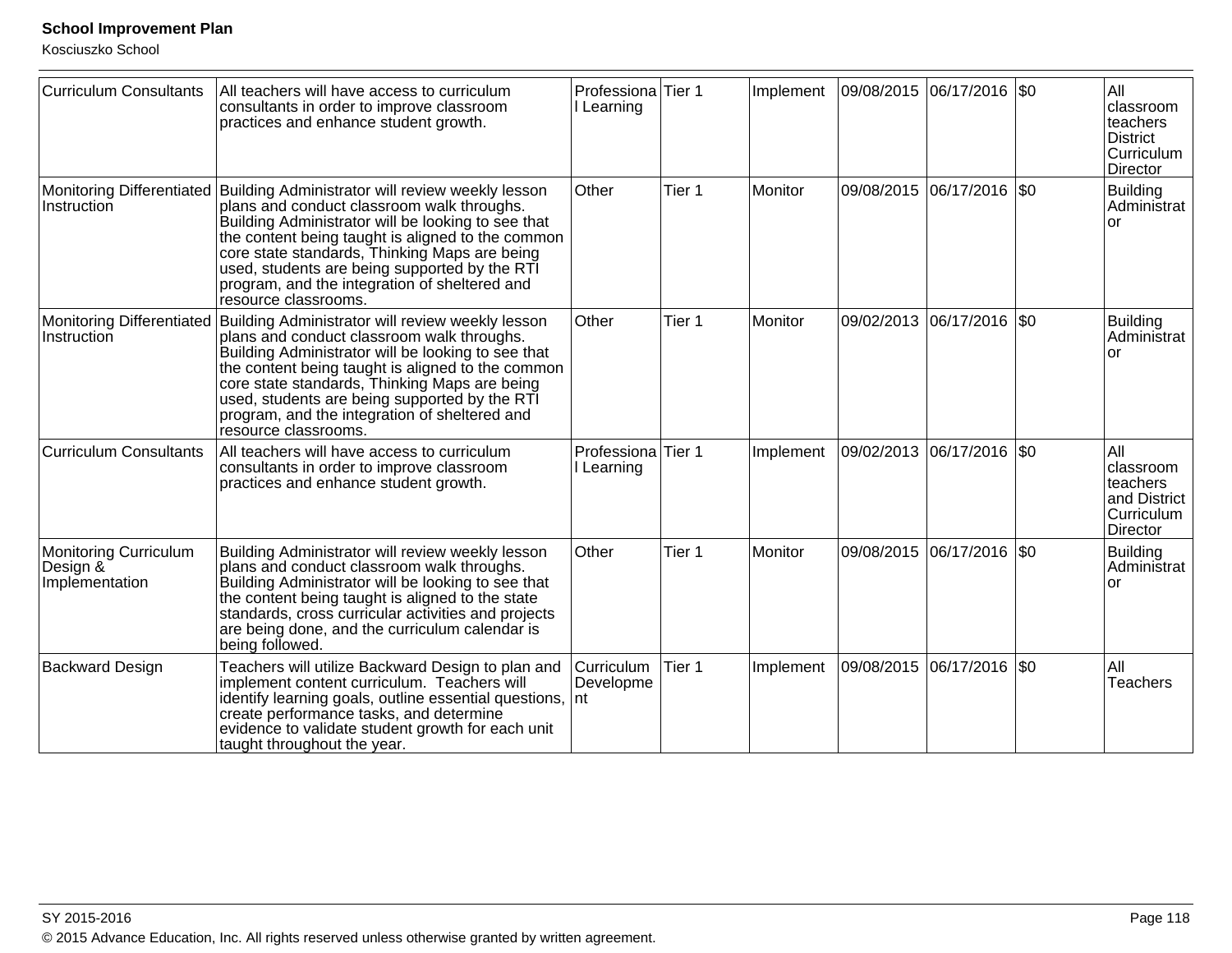| <b>Curriculum Consultants</b>                              | All teachers will have access to curriculum<br>consultants in order to improve classroom<br>practices and enhance student growth.                                                                                                                                                                                                                                                                              | Professiona Tier 1<br>Learning |        | Implement | 09/08/2015 06/17/2016 \$0  | All<br>classroom<br>teachers<br><b>District</b><br>Curriculum<br>Director     |
|------------------------------------------------------------|----------------------------------------------------------------------------------------------------------------------------------------------------------------------------------------------------------------------------------------------------------------------------------------------------------------------------------------------------------------------------------------------------------------|--------------------------------|--------|-----------|----------------------------|-------------------------------------------------------------------------------|
| Instruction                                                | Monitoring Differentiated Building Administrator will review weekly lesson<br>plans and conduct classroom walk throughs.<br>Building Administrator will be looking to see that<br>the content being taught is aligned to the common<br>core state standards, Thinking Maps are being<br>used, students are being supported by the RTI<br>program, and the integration of sheltered and<br>resource classrooms. | Other                          | Tier 1 | Monitor   | 09/08/2015 06/17/2016  \$0 | Building<br>Administrat<br><b>or</b>                                          |
| <b>Monitoring Differentiated</b><br>Instruction            | Building Administrator will review weekly lesson<br>Other<br>plans and conduct classroom walk throughs.<br>Building Administrator will be looking to see that<br>the content being taught is aligned to the common<br>core state standards, Thinking Maps are being<br>used, students are being supported by the RTI<br>program, and the integration of sheltered and<br>resource classrooms.                  |                                | Tier 1 | Monitor   | 09/02/2013 06/17/2016  \$0 | <b>Building</b><br>Administrat<br><b>or</b>                                   |
| <b>Curriculum Consultants</b>                              | All teachers will have access to curriculum<br>consultants in order to improve classroom<br>practices and enhance student growth.                                                                                                                                                                                                                                                                              | Professiona Tier 1<br>Learning |        | Implement | 09/02/2013 06/17/2016 \$0  | All<br>classroom<br>teachers<br>and District<br>Curriculum<br><b>Director</b> |
| <b>Monitoring Curriculum</b><br>Design &<br>Implementation | Building Administrator will review weekly lesson<br>plans and conduct classroom walk throughs.<br>Building Administrator will be looking to see that<br>the content being taught is aligned to the state<br>standards, cross curricular activities and projects<br>are being done, and the curriculum calendar is<br>being followed.                                                                           | Other                          | Tier 1 | Monitor   | 09/08/2015 06/17/2016 \$0  | Building<br>Administrat<br><b>or</b>                                          |
| <b>Backward Design</b>                                     | Teachers will utilize Backward Design to plan and<br>implement content curriculum. Teachers will<br>identify learning goals, outline essential questions, nt<br>create performance tasks, and determine<br>evidence to validate student growth for each unit<br>taught throughout the year.                                                                                                                    | Curriculum<br>Developme        | Tier 1 | Implement | 09/08/2015 06/17/2016 \$0  | All<br><b>Teachers</b>                                                        |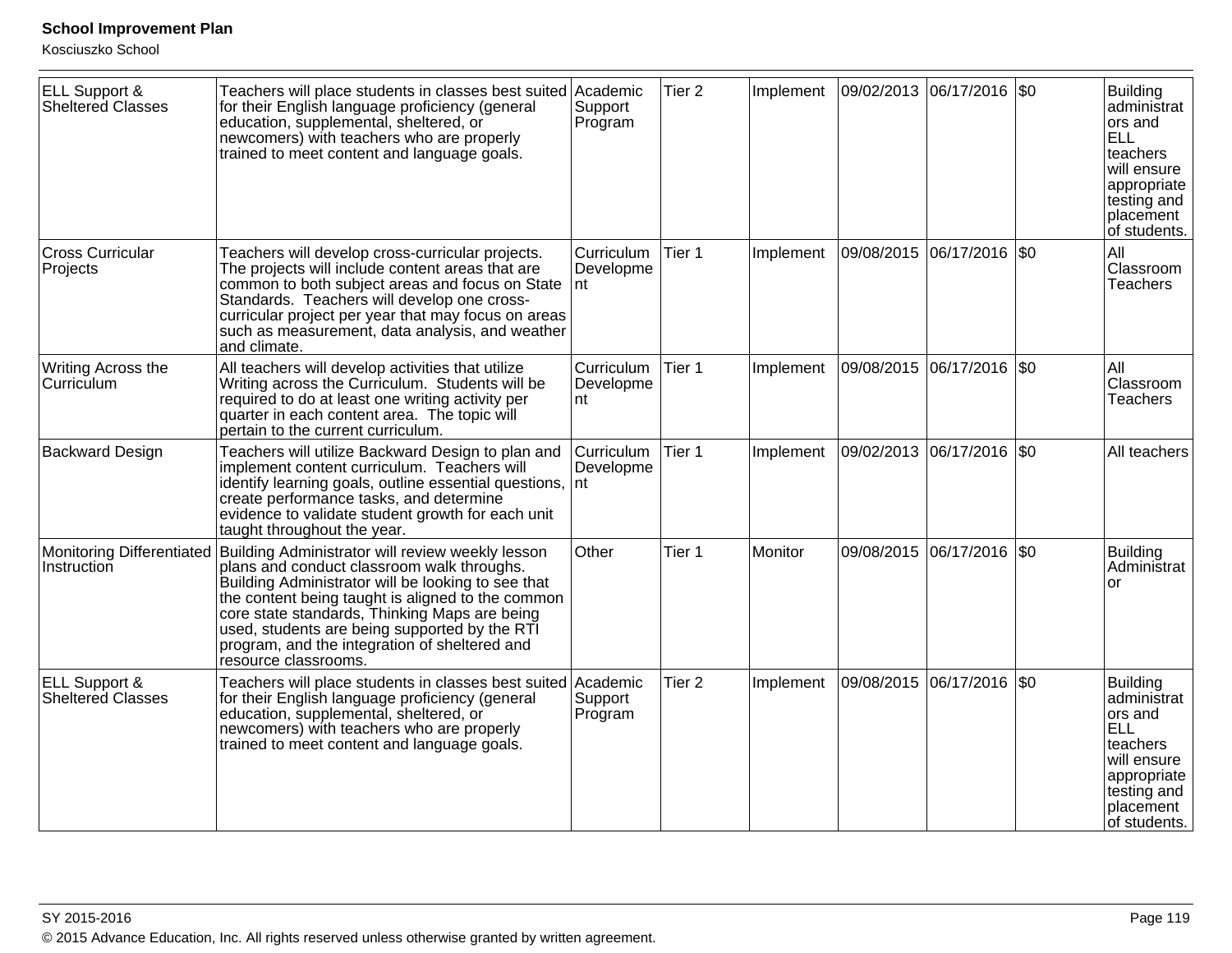| <b>ELL Support &amp;</b><br><b>Sheltered Classes</b> | Teachers will place students in classes best suited Academic<br>for their English language proficiency (general<br>education, supplemental, sheltered, or<br>newcomers) with teachers who are properly<br>trained to meet content and language goals.                                                                                                                                | Support<br>Program             | Tier <sub>2</sub> | Implement |            | 09/02/2013 06/17/2016 \$0   | Building<br>administrat<br>ors and<br>ELL<br>teachers<br>will ensure<br>appropriate<br>testing and<br>placement<br>of students. |
|------------------------------------------------------|--------------------------------------------------------------------------------------------------------------------------------------------------------------------------------------------------------------------------------------------------------------------------------------------------------------------------------------------------------------------------------------|--------------------------------|-------------------|-----------|------------|-----------------------------|---------------------------------------------------------------------------------------------------------------------------------|
| <b>Cross Curricular</b><br>Projects                  | Teachers will develop cross-curricular projects.<br>The projects will include content areas that are<br>common to both subject areas and focus on State<br>Standards. Teachers will develop one cross-<br>curricular project per year that may focus on areas<br>such as measurement, data analysis, and weather<br>and climate.                                                     | Curriculum<br>Developme<br>Int | Tier 1            | Implement |            | 09/08/2015  06/17/2016  \$0 | All<br>Classroom<br><b>Teachers</b>                                                                                             |
| Writing Across the<br>Curriculum                     | All teachers will develop activities that utilize<br>Writing across the Curriculum. Students will be<br>required to do at least one writing activity per<br>quarter in each content area. The topic will<br>pertain to the current curriculum.                                                                                                                                       | Curriculum<br>Developme<br>Int | Tier 1            | Implement |            | 09/08/2015  06/17/2016  \$0 | All<br>Classroom<br><b>Teachers</b>                                                                                             |
| <b>Backward Design</b>                               | Teachers will utilize Backward Design to plan and<br>implement content curriculum. Teachers will<br>identify learning goals, outline essential questions, nt<br>create performance tasks, and determine<br>evidence to validate student growth for each unit<br>taught throughout the year.                                                                                          | Curriculum<br>Developme        | Tier 1            | Implement |            | 09/02/2013  06/17/2016  \$0 | All teachers                                                                                                                    |
| <b>Monitoring Differentiated</b><br>Instruction      | Building Administrator will review weekly lesson<br>plans and conduct classroom walk throughs.<br>Building Administrator will be looking to see that<br>the content being taught is aligned to the common<br>core state standards, Thinking Maps are being<br>used, students are being supported by the RTI<br>program, and the integration of sheltered and<br>resource classrooms. | Other                          | Tier 1            | Monitor   | 09/08/2015 | 06/17/2016 \$0              | <b>Building</b><br>Administrat<br><b>or</b>                                                                                     |
| ELL Support &<br><b>Sheltered Classes</b>            | Teachers will place students in classes best suited<br>for their English language proficiency (general<br>education, supplemental, sheltered, or<br>newcomers) with teachers who are properly<br>trained to meet content and language goals.                                                                                                                                         | Academic<br>Support<br>Program | Tier <sub>2</sub> | Implement | 09/08/2015 | 06/17/2016  \$0             | Building<br>administrat<br>ors and<br>ELL<br>teachers<br>will ensure<br>appropriate<br>testing and<br>placement<br>of students. |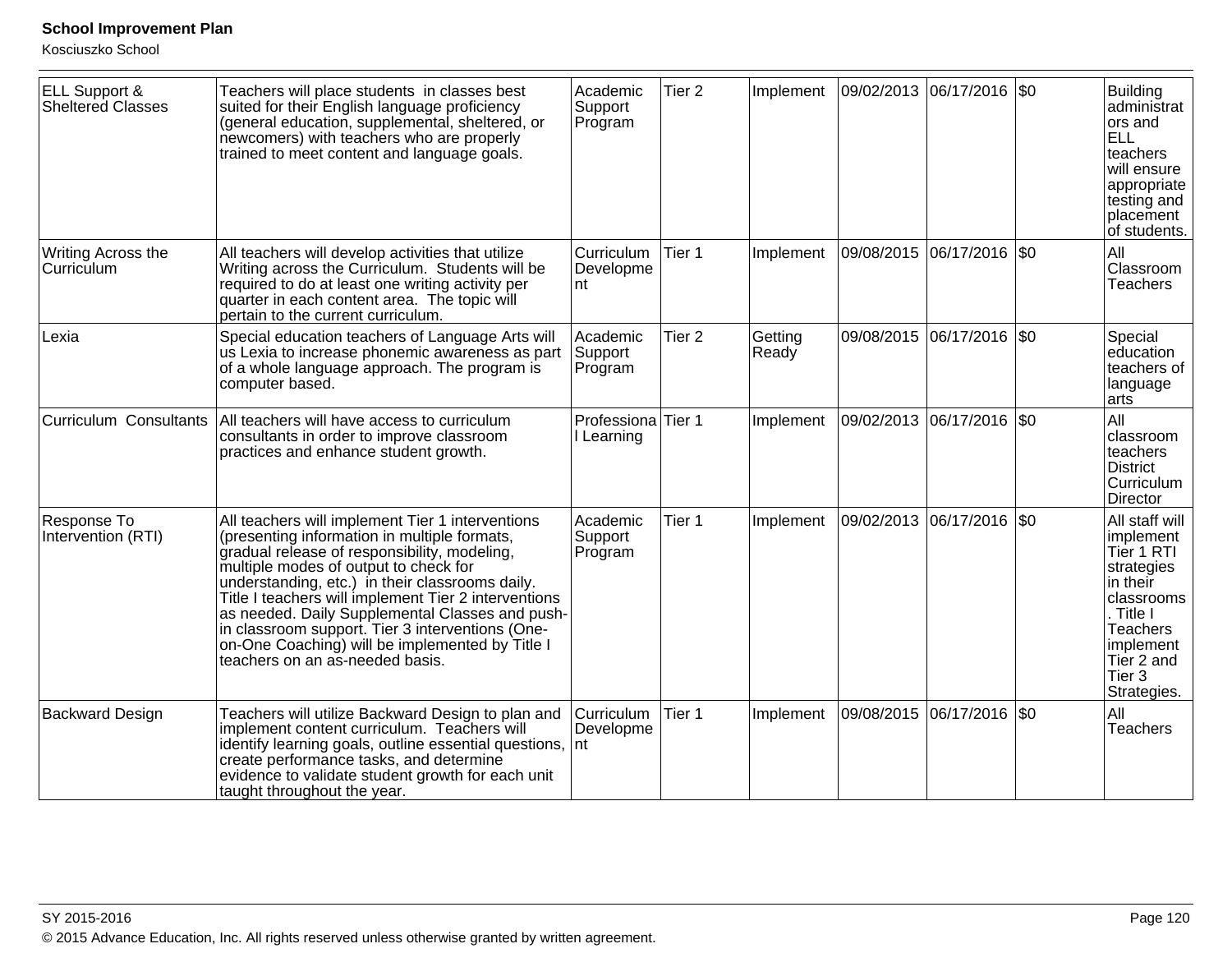| <b>ELL Support &amp;</b><br><b>Sheltered Classes</b> | Teachers will place students in classes best<br>suited for their English language proficiency<br>(general education, supplemental, sheltered, or<br>newcomers) with teachers who are properly<br>trained to meet content and language goals.                                                                                                                                                                                                                                                      | Academic<br>Support<br>Program        | Tier 2            | Implement        |            | 09/02/2013 06/17/2016 \$0  | <b>Building</b><br>administrat<br>ors and<br><b>ELL</b><br>teachers<br>will ensure<br>appropriate<br>testing and<br>placement<br>of students.                  |
|------------------------------------------------------|---------------------------------------------------------------------------------------------------------------------------------------------------------------------------------------------------------------------------------------------------------------------------------------------------------------------------------------------------------------------------------------------------------------------------------------------------------------------------------------------------|---------------------------------------|-------------------|------------------|------------|----------------------------|----------------------------------------------------------------------------------------------------------------------------------------------------------------|
| Writing Across the<br>Curriculum                     | All teachers will develop activities that utilize<br>Writing across the Curriculum. Students will be<br>required to do at least one writing activity per<br>quarter in each content area. The topic will<br>pertain to the current curriculum.                                                                                                                                                                                                                                                    | <b>Curriculum</b><br>Developme<br>Int | Tier 1            | Implement        | 09/08/2015 | 06/17/2016   \$0           | All<br>Classroom<br><b>Teachers</b>                                                                                                                            |
| Lexia                                                | Special education teachers of Language Arts will<br>us Lexia to increase phonemic awareness as part<br>of a whole language approach. The program is<br>computer based.                                                                                                                                                                                                                                                                                                                            | Academic<br>Support<br>Program        | Tier <sub>2</sub> | Getting<br>Ready |            | 09/08/2015 06/17/2016  \$0 | Special<br>education<br>teachers of<br>language<br>arts                                                                                                        |
| <b>Curriculum Consultants</b>                        | All teachers will have access to curriculum<br>consultants in order to improve classroom<br>practices and enhance student growth.                                                                                                                                                                                                                                                                                                                                                                 | Professiona Tier 1<br>Learning        |                   | Implement        |            | 09/02/2013 06/17/2016 \$0  | All<br>classroom<br>teachers<br><b>District</b><br>Curriculum<br>Director                                                                                      |
| Response To<br>Intervention (RTI)                    | All teachers will implement Tier 1 interventions<br>(presenting information in multiple formats,<br>gradual release of responsibility, modeling,<br>multiple modes of output to check for<br>understanding, etc.) in their classrooms daily.<br>Title I teachers will implement Tier 2 interventions<br>as needed. Daily Supplemental Classes and push-<br>in classroom support. Tier 3 interventions (One-<br>on-One Coaching) will be implemented by Title I<br>teachers on an as-needed basis. | Academic<br>Support<br>Program        | Tier 1            | Implement        | 09/02/2013 | 06/17/2016   \$0           | All staff will<br>implement<br>Tier 1 RTI<br>strategies<br>in their<br>classrooms<br>. Title I<br>Teachers<br>implement<br>Tier 2 and<br>Tier 3<br>Strategies. |
| <b>Backward Design</b>                               | Teachers will utilize Backward Design to plan and<br>implement content curriculum. Teachers will<br>identify learning goals, outline essential questions,<br>create performance tasks, and determine<br>evidence to validate student growth for each unit<br>taught throughout the year.                                                                                                                                                                                                          | Curriculum<br>Developme<br>Int        | Tier 1            | Implement        | 09/08/2015 | 06/17/2016   \$0           | All<br><b>Teachers</b>                                                                                                                                         |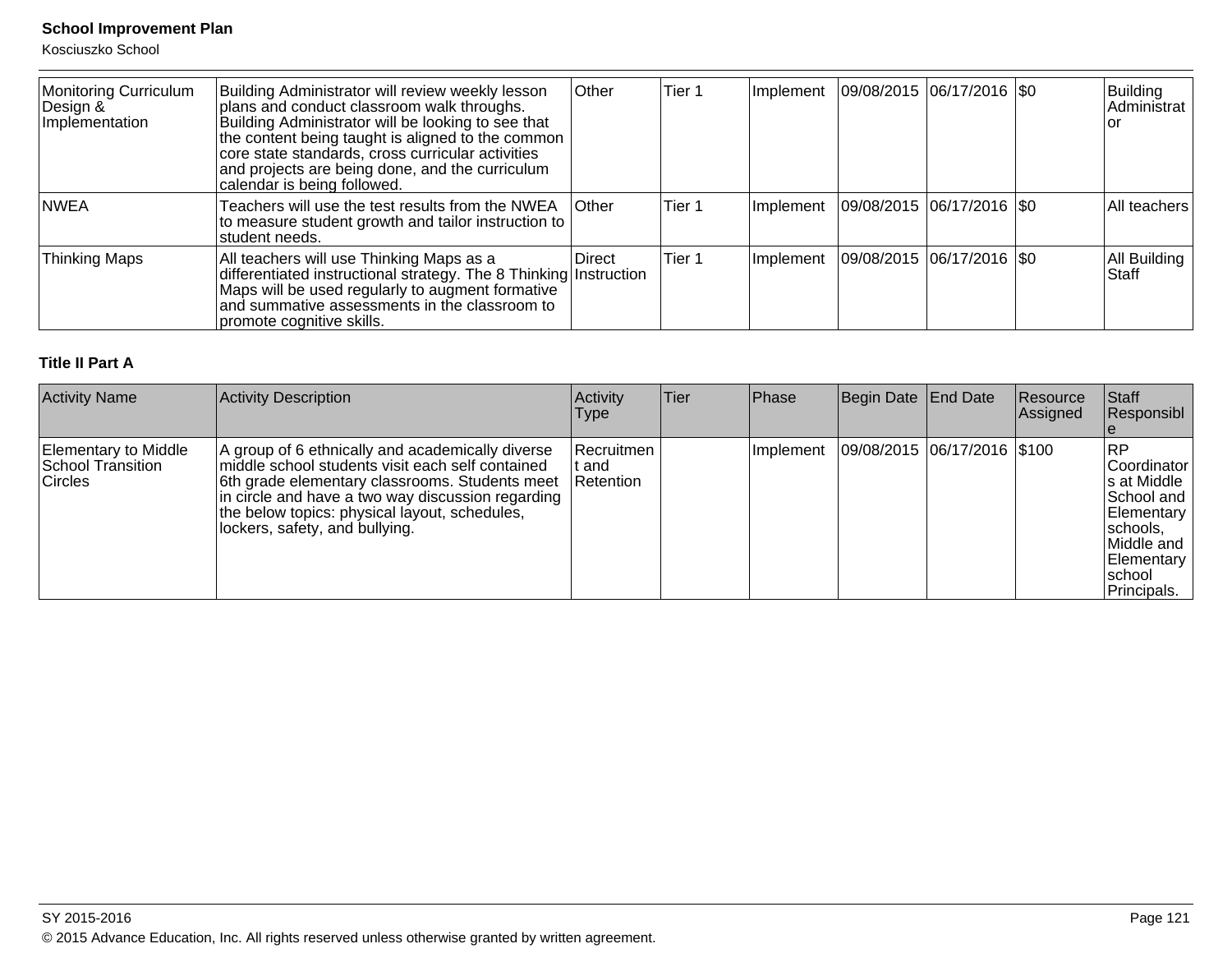Kosciuszko School

| Monitoring Curriculum<br>Design &<br>Implementation | Building Administrator will review weekly lesson<br>plans and conduct classroom walk throughs.<br>Building Administrator will be looking to see that<br>the content being taught is aligned to the common<br>core state standards, cross curricular activities<br>and projects are being done, and the curriculum<br>calendar is being followed. | <b>Other</b>   | Tier 1 | Implement | $ 09/08/2015 06/17/2016 $ \$0             | Building<br>Administrat<br>Ior |
|-----------------------------------------------------|--------------------------------------------------------------------------------------------------------------------------------------------------------------------------------------------------------------------------------------------------------------------------------------------------------------------------------------------------|----------------|--------|-----------|-------------------------------------------|--------------------------------|
| <b>INWEA</b>                                        | Teachers will use the test results from the NWEA<br>to measure student growth and tailor instruction to<br>student needs.                                                                                                                                                                                                                        | <b>Other</b>   | Tier 1 | Implement | $ 09/08/2015 06/17/2016 $ \$0             | All teachers                   |
| <b>Thinking Maps</b>                                | All teachers will use Thinking Maps as a<br>differentiated instructional strategy. The 8 Thinking Instruction<br>Maps will be used regularly to augment formative<br>and summative assessments in the classroom to<br>promote cognitive skills.                                                                                                  | <b>IDirect</b> | Tier 1 |           | Implement   09/08/2015   06/17/2016   \$0 | All Building<br><b>Staff</b>   |

#### **Title II Part A**

| <b>Activity Name</b>                                               | Activity Description                                                                                                                                                                                                                                                                           | Activity<br><b>Type</b>          | Tier | <b>Phase</b> | Begin Date End Date         | Resource<br>Assigned | Staff<br>Responsibl                                                                                                              |
|--------------------------------------------------------------------|------------------------------------------------------------------------------------------------------------------------------------------------------------------------------------------------------------------------------------------------------------------------------------------------|----------------------------------|------|--------------|-----------------------------|----------------------|----------------------------------------------------------------------------------------------------------------------------------|
| Elementary to Middle<br><b>School Transition</b><br><b>Circles</b> | A group of 6 ethnically and academically diverse<br>middle school students visit each self contained<br>6th grade elementary classrooms. Students meet<br>in circle and have a two way discussion regarding<br>the below topics: physical layout, schedules,<br>lockers, safety, and bullying. | Recruitmen<br>: and<br>Retention |      | Implement    | 09/08/2015 06/17/2016 \$100 |                      | RP<br> Coordinator<br>s at Middle<br>School and<br>Elementary<br> schools,<br>Middle and<br>Elementary<br>Ischool<br>Principals. |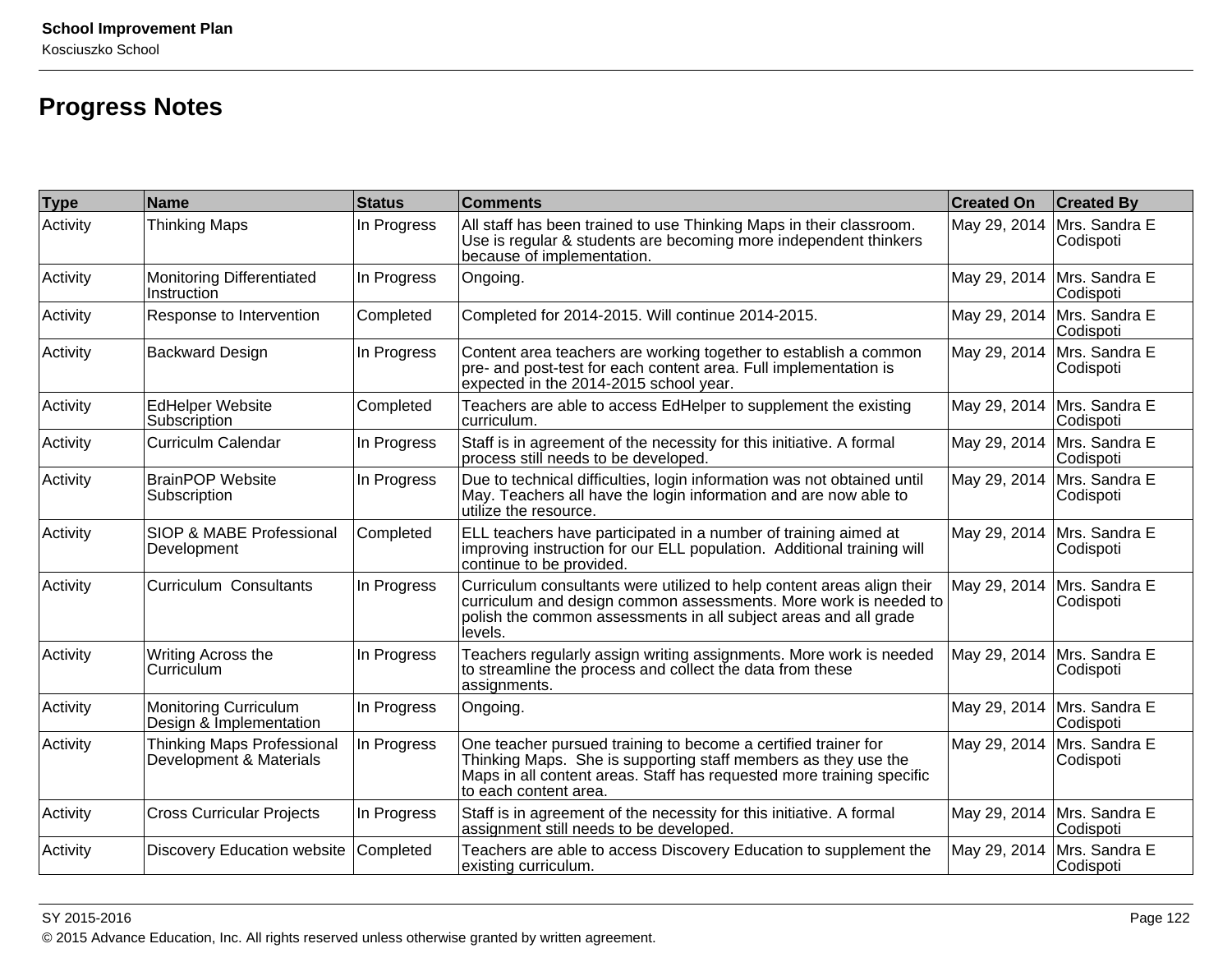# **Progress Notes**

| <b>Type</b> | Name                                                         | <b>Status</b> | <b>Comments</b>                                                                                                                                                                                                                    | <b>Created On</b> | <b>Created By</b>                         |
|-------------|--------------------------------------------------------------|---------------|------------------------------------------------------------------------------------------------------------------------------------------------------------------------------------------------------------------------------------|-------------------|-------------------------------------------|
| Activity    | <b>Thinking Maps</b>                                         | In Progress   | All staff has been trained to use Thinking Maps in their classroom.<br>Use is regular & students are becoming more independent thinkers<br>because of implementation.                                                              | May 29, 2014      | Mrs. Sandra E<br>Codispoti                |
| Activity    | <b>Monitoring Differentiated</b><br>Instruction              | In Progress   | Ongoing.                                                                                                                                                                                                                           |                   | May 29, 2014   Mrs. Sandra E<br>Codispoti |
| Activity    | Response to Intervention                                     | Completed     | Completed for 2014-2015. Will continue 2014-2015.                                                                                                                                                                                  | May 29, 2014      | Mrs. Sandra E<br>Codispoti                |
| Activity    | <b>Backward Design</b>                                       | In Progress   | Content area teachers are working together to establish a common<br>pre- and post-test for each content area. Full implementation is<br>expected in the 2014-2015 school year.                                                     | May 29, 2014      | Mrs. Sandra E<br>Codispoti                |
| Activity    | <b>EdHelper Website</b><br>Subscription                      | Completed     | Teachers are able to access EdHelper to supplement the existing<br>curriculum.                                                                                                                                                     |                   | May 29, 2014  Mrs. Sandra E<br>Codispoti  |
| Activity    | <b>Curriculm Calendar</b>                                    | In Progress   | Staff is in agreement of the necessity for this initiative. A formal<br>process still needs to be developed.                                                                                                                       | May 29, 2014      | Mrs. Sandra E<br>Codispoti                |
| Activity    | <b>BrainPOP Website</b><br>Subscription                      | In Progress   | Due to technical difficulties, login information was not obtained until<br>May. Teachers all have the login information and are now able to<br>utilize the resource.                                                               | May 29, 2014      | Mrs. Sandra E<br>Codispoti                |
| Activity    | SIOP & MABE Professional<br>Development                      | Completed     | ELL teachers have participated in a number of training aimed at<br>improving instruction for our ELL population. Additional training will<br>continue to be provided.                                                              | May 29, 2014      | Mrs. Sandra E<br>Codispoti                |
| Activity    | <b>Curriculum Consultants</b>                                | In Progress   | Curriculum consultants were utilized to help content areas align their<br>curriculum and design common assessments. More work is needed to<br>polish the common assessments in all subject areas and all grade<br>levels.          | May 29, 2014      | Mrs. Sandra E<br>Codispoti                |
| Activity    | Writing Across the<br>Curriculum                             | In Progress   | Teachers regularly assign writing assignments. More work is needed<br>to streamline the process and collect the data from these<br>assignments.                                                                                    | May 29, 2014      | Mrs. Sandra E<br>Codispoti                |
| Activity    | <b>Monitoring Curriculum</b><br>Design & Implementation      | In Progress   | Ongoing.                                                                                                                                                                                                                           | May 29, 2014      | Mrs. Sandra E<br>Codispoti                |
| Activity    | <b>Thinking Maps Professional</b><br>Development & Materials | In Progress   | One teacher pursued training to become a certified trainer for<br>Thinking Maps. She is supporting staff members as they use the<br>Maps in all content areas. Staff has requested more training specific<br>to each content area. | May 29, 2014      | Mrs. Sandra E<br>Codispoti                |
| Activity    | <b>Cross Curricular Projects</b>                             | In Progress   | Staff is in agreement of the necessity for this initiative. A formal<br>assignment still needs to be developed.                                                                                                                    | May 29, 2014      | Mrs. Sandra E<br>Codispoti                |
| Activity    | <b>Discovery Education website</b>                           | Completed     | Teachers are able to access Discovery Education to supplement the<br>existing curriculum.                                                                                                                                          | May 29, 2014      | Mrs. Sandra E<br>Codispoti                |

#### SY 2015-2016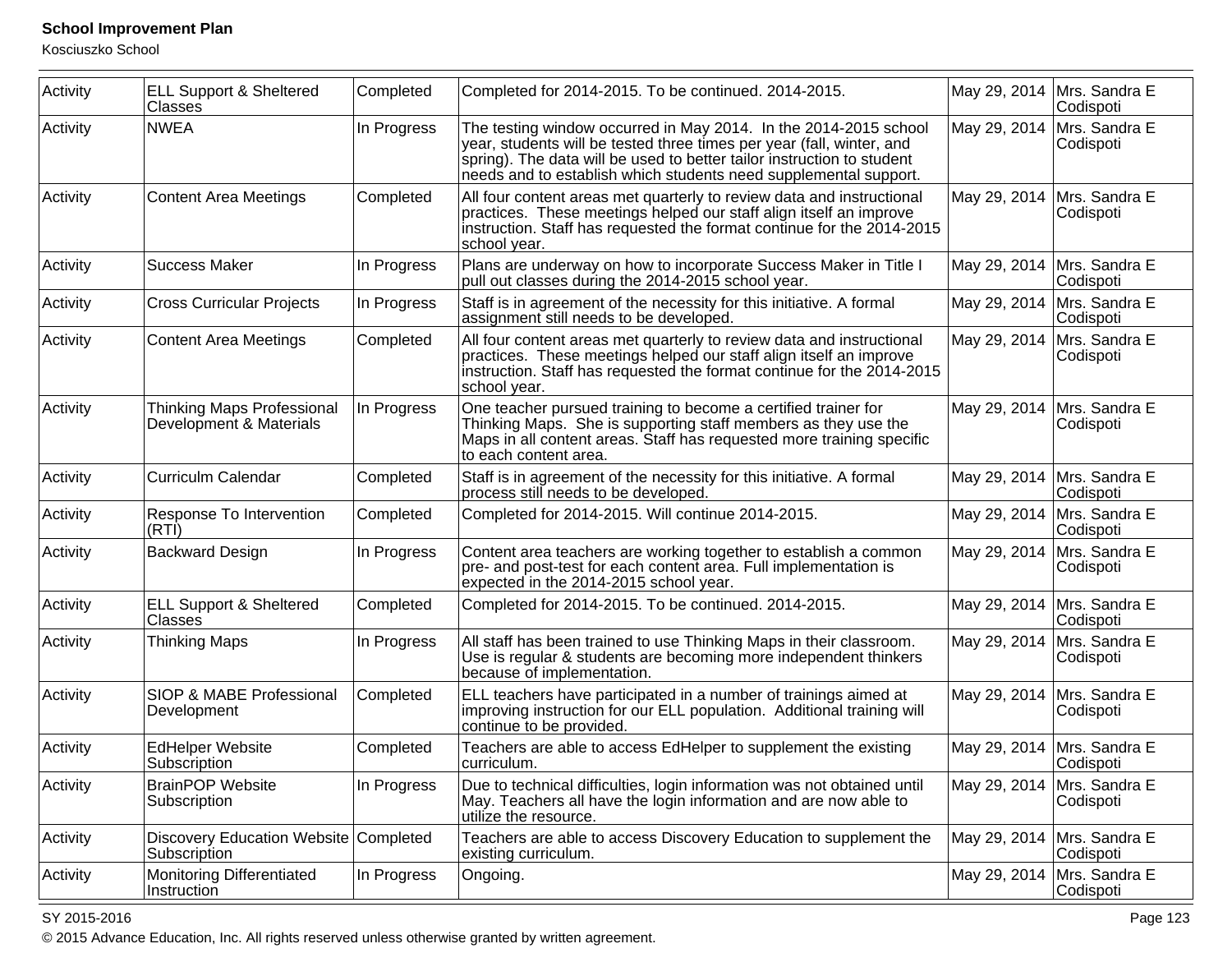Kosciuszko School

| Activity | <b>ELL Support &amp; Sheltered</b><br>Classes                | Completed   | Completed for 2014-2015. To be continued. 2014-2015.                                                                                                                                                                                                                                    |              | May 29, 2014   Mrs. Sandra E<br>Codispoti |
|----------|--------------------------------------------------------------|-------------|-----------------------------------------------------------------------------------------------------------------------------------------------------------------------------------------------------------------------------------------------------------------------------------------|--------------|-------------------------------------------|
| Activity | <b>NWEA</b>                                                  | In Progress | The testing window occurred in May 2014. In the 2014-2015 school<br>year, students will be tested three times per year (fall, winter, and<br>spring). The data will be used to better tailor instruction to student<br>needs and to establish which students need supplemental support. | May 29, 2014 | Mrs. Sandra E<br>Codispoti                |
| Activity | <b>Content Area Meetings</b>                                 | Completed   | All four content areas met quarterly to review data and instructional<br>practices. These meetings helped our staff align itself an improve<br>instruction. Staff has requested the format continue for the 2014-2015<br>school year.                                                   |              | May 29, 2014   Mrs. Sandra E<br>Codispoti |
| Activity | <b>Success Maker</b>                                         | In Progress | Plans are underway on how to incorporate Success Maker in Title I<br>pull out classes during the 2014-2015 school year.                                                                                                                                                                 | May 29, 2014 | Mrs. Sandra E<br>Codispoti                |
| Activity | <b>Cross Curricular Projects</b>                             | In Progress | Staff is in agreement of the necessity for this initiative. A formal<br>assignment still needs to be developed.                                                                                                                                                                         | May 29, 2014 | Mrs. Sandra E<br>Codispoti                |
| Activity | <b>Content Area Meetings</b>                                 | Completed   | All four content areas met quarterly to review data and instructional<br>practices. These meetings helped our staff align itself an improve<br>instruction. Staff has requested the format continue for the 2014-2015<br>school year.                                                   | May 29, 2014 | Mrs. Sandra E<br>Codispoti                |
| Activity | <b>Thinking Maps Professional</b><br>Development & Materials | In Progress | One teacher pursued training to become a certified trainer for<br>Thinking Maps. She is supporting staff members as they use the<br>Maps in all content areas. Staff has requested more training specific<br>to each content area.                                                      |              | May 29, 2014   Mrs. Sandra E<br>Codispoti |
| Activity | <b>Curriculm Calendar</b>                                    | Completed   | Staff is in agreement of the necessity for this initiative. A formal<br>process still needs to be developed.                                                                                                                                                                            |              | May 29, 2014   Mrs. Sandra E<br>Codispoti |
| Activity | Response To Intervention<br>(RTİ)                            | Completed   | Completed for 2014-2015. Will continue 2014-2015.                                                                                                                                                                                                                                       | May 29, 2014 | Mrs. Sandra E<br>Codispoti                |
| Activity | <b>Backward Design</b>                                       | In Progress | Content area teachers are working together to establish a common<br>pre- and post-test for each content area. Full implementation is<br>expected in the 2014-2015 school year.                                                                                                          | May 29, 2014 | Mrs. Sandra E<br>Codispoti                |
| Activity | <b>ELL Support &amp; Sheltered</b><br>Classes                | Completed   | Completed for 2014-2015. To be continued. 2014-2015.                                                                                                                                                                                                                                    |              | May 29, 2014   Mrs. Sandra E<br>Codispoti |
| Activity | <b>Thinking Maps</b>                                         | In Progress | All staff has been trained to use Thinking Maps in their classroom.<br>Use is regular & students are becoming more independent thinkers<br>because of implementation.                                                                                                                   | May 29, 2014 | Mrs. Sandra E<br>Codispoti                |
| Activity | SIOP & MABE Professional<br>Development                      | Completed   | ELL teachers have participated in a number of trainings aimed at<br>improving instruction for our ELL population. Additional training will<br>continue to be provided.                                                                                                                  |              | May 29, 2014   Mrs. Sandra E<br>Codispoti |
| Activity | <b>EdHelper Website</b><br>Subscription                      | Completed   | Teachers are able to access EdHelper to supplement the existing<br>curriculum.                                                                                                                                                                                                          | May 29, 2014 | Mrs. Sandra E<br>Codispoti                |
| Activity | <b>BrainPOP Website</b><br>Subscription                      | In Progress | Due to technical difficulties, login information was not obtained until<br>May. Teachers all have the login information and are now able to<br>utilize the resource.                                                                                                                    |              | May 29, 2014  Mrs. Sandra E<br>Codispoti  |
| Activity | Discovery Education Website Completed<br>Subscription        |             | Teachers are able to access Discovery Education to supplement the<br>existing curriculum.                                                                                                                                                                                               | May 29, 2014 | Mrs. Sandra E<br>Codispoti                |
| Activity | Monitoring Differentiated<br>Instruction                     | In Progress | Ongoing.                                                                                                                                                                                                                                                                                | May 29, 2014 | Mrs. Sandra E<br>Codispoti                |

#### SY 2015-2016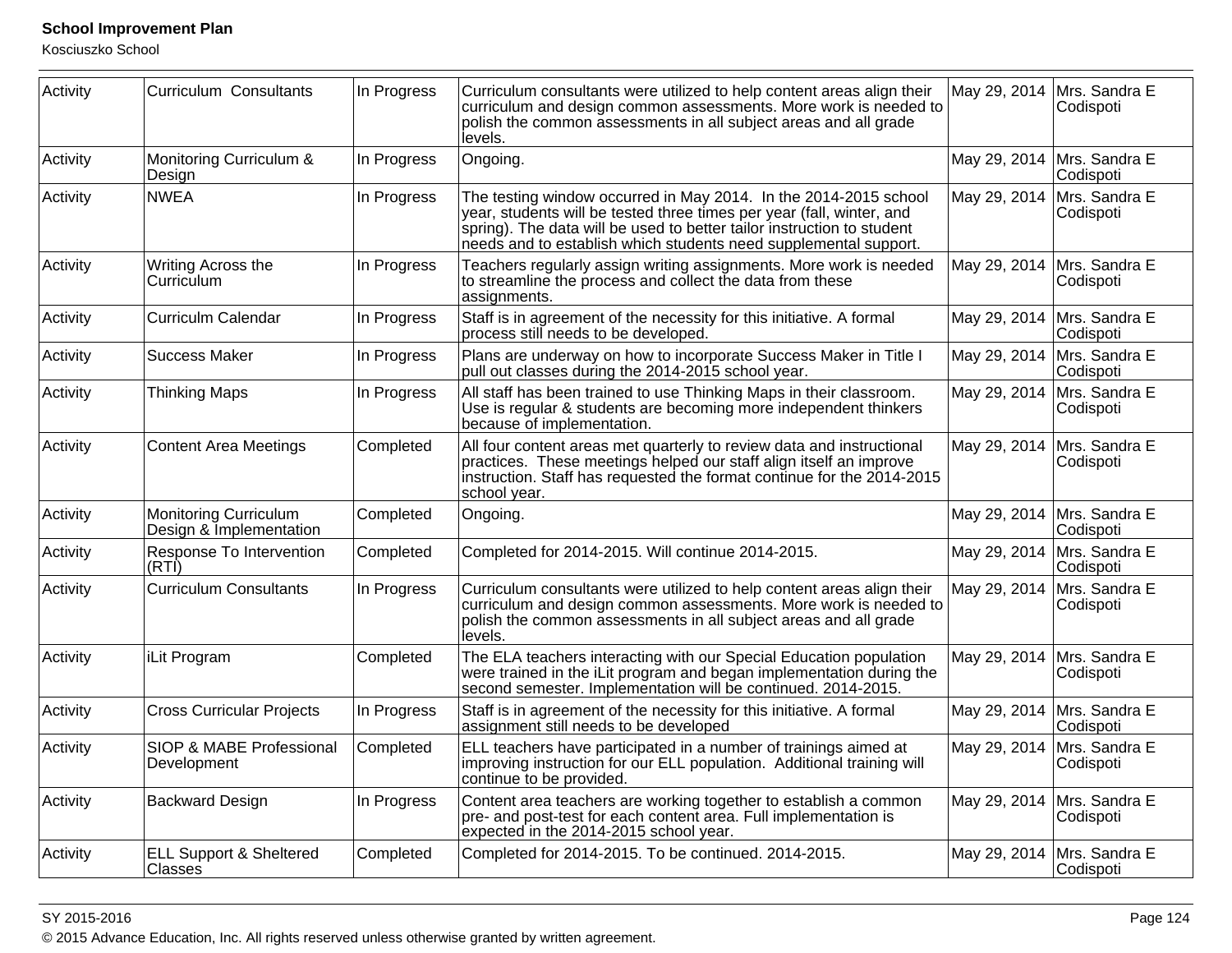Kosciuszko School

| Activity | <b>Curriculum Consultants</b>                           | In Progress | Curriculum consultants were utilized to help content areas align their<br>curriculum and design common assessments. More work is needed to<br>polish the common assessments in all subject areas and all grade<br>levels.                                                               | May 29, 2014 | Mrs. Sandra E<br>Codispoti                |
|----------|---------------------------------------------------------|-------------|-----------------------------------------------------------------------------------------------------------------------------------------------------------------------------------------------------------------------------------------------------------------------------------------|--------------|-------------------------------------------|
| Activity | Monitoring Curriculum &<br>Design                       | In Progress | Ongoing.                                                                                                                                                                                                                                                                                | May 29, 2014 | Mrs. Sandra E<br>Codispoti                |
| Activity | <b>NWEA</b>                                             | In Progress | The testing window occurred in May 2014. In the 2014-2015 school<br>year, students will be tested three times per year (fall, winter, and<br>spring). The data will be used to better tailor instruction to student<br>needs and to establish which students need supplemental support. | May 29, 2014 | Mrs. Sandra E<br>Codispoti                |
| Activity | Writing Across the<br>Curriculum                        | In Progress | Teachers regularly assign writing assignments. More work is needed<br>to streamline the process and collect the data from these<br>assignments.                                                                                                                                         | May 29, 2014 | Mrs. Sandra E<br>Codispoti                |
| Activity | <b>Curriculm Calendar</b>                               | In Progress | Staff is in agreement of the necessity for this initiative. A formal<br>process still needs to be developed.                                                                                                                                                                            |              | May 29, 2014   Mrs. Sandra E<br>Codispoti |
| Activity | <b>Success Maker</b>                                    | In Progress | Plans are underway on how to incorporate Success Maker in Title I<br>pull out classes during the 2014-2015 school year.                                                                                                                                                                 | May 29, 2014 | Mrs. Sandra E<br>Codispoti                |
| Activity | <b>Thinking Maps</b>                                    | In Progress | All staff has been trained to use Thinking Maps in their classroom.<br>Use is regular & students are becoming more independent thinkers<br>because of implementation.                                                                                                                   | May 29, 2014 | Mrs. Sandra E<br>Codispoti                |
| Activity | <b>Content Area Meetings</b>                            | Completed   | All four content areas met quarterly to review data and instructional<br>practices. These meetings helped our staff align itself an improve<br>instruction. Staff has requested the format continue for the 2014-2015<br>school year.                                                   | May 29, 2014 | Mrs. Sandra E<br>Codispoti                |
| Activity | <b>Monitoring Curriculum</b><br>Design & Implementation | Completed   | Ongoing.                                                                                                                                                                                                                                                                                | May 29, 2014 | Mrs. Sandra E<br>Codispoti                |
| Activity | Response To Intervention<br>(RTI)                       | Completed   | Completed for 2014-2015. Will continue 2014-2015.                                                                                                                                                                                                                                       | May 29, 2014 | Mrs. Sandra E<br>Codispoti                |
| Activity | <b>Curriculum Consultants</b>                           | In Progress | Curriculum consultants were utilized to help content areas align their<br>curriculum and design common assessments. More work is needed to<br>polish the common assessments in all subject areas and all grade<br>levels.                                                               | May 29, 2014 | Mrs. Sandra E<br>Codispoti                |
| Activity | iLit Program                                            | Completed   | The ELA teachers interacting with our Special Education population<br>were trained in the iLit program and began implementation during the<br>second semester. Implementation will be continued. 2014-2015.                                                                             | May 29, 2014 | Mrs. Sandra E<br>Codispoti                |
| Activity | <b>Cross Curricular Projects</b>                        | In Progress | Staff is in agreement of the necessity for this initiative. A formal<br>assignment still needs to be developed                                                                                                                                                                          | May 29, 2014 | Mrs. Sandra E<br>Codispoti                |
| Activity | SIOP & MABE Professional<br>Development                 | Completed   | ELL teachers have participated in a number of trainings aimed at<br>improving instruction for our ELL population. Additional training will<br>continue to be provided.                                                                                                                  | May 29, 2014 | Mrs. Sandra E<br>Codispoti                |
| Activity | <b>Backward Design</b>                                  | In Progress | Content area teachers are working together to establish a common<br>pre- and post-test for each content area. Full implementation is<br>expected in the 2014-2015 school year.                                                                                                          | May 29, 2014 | Mrs. Sandra E<br>Codispoti                |
| Activity | <b>ELL Support &amp; Sheltered</b><br>Classes           | Completed   | Completed for 2014-2015. To be continued. 2014-2015.                                                                                                                                                                                                                                    | May 29, 2014 | Mrs. Sandra E<br>Codispoti                |

#### SY 2015-2016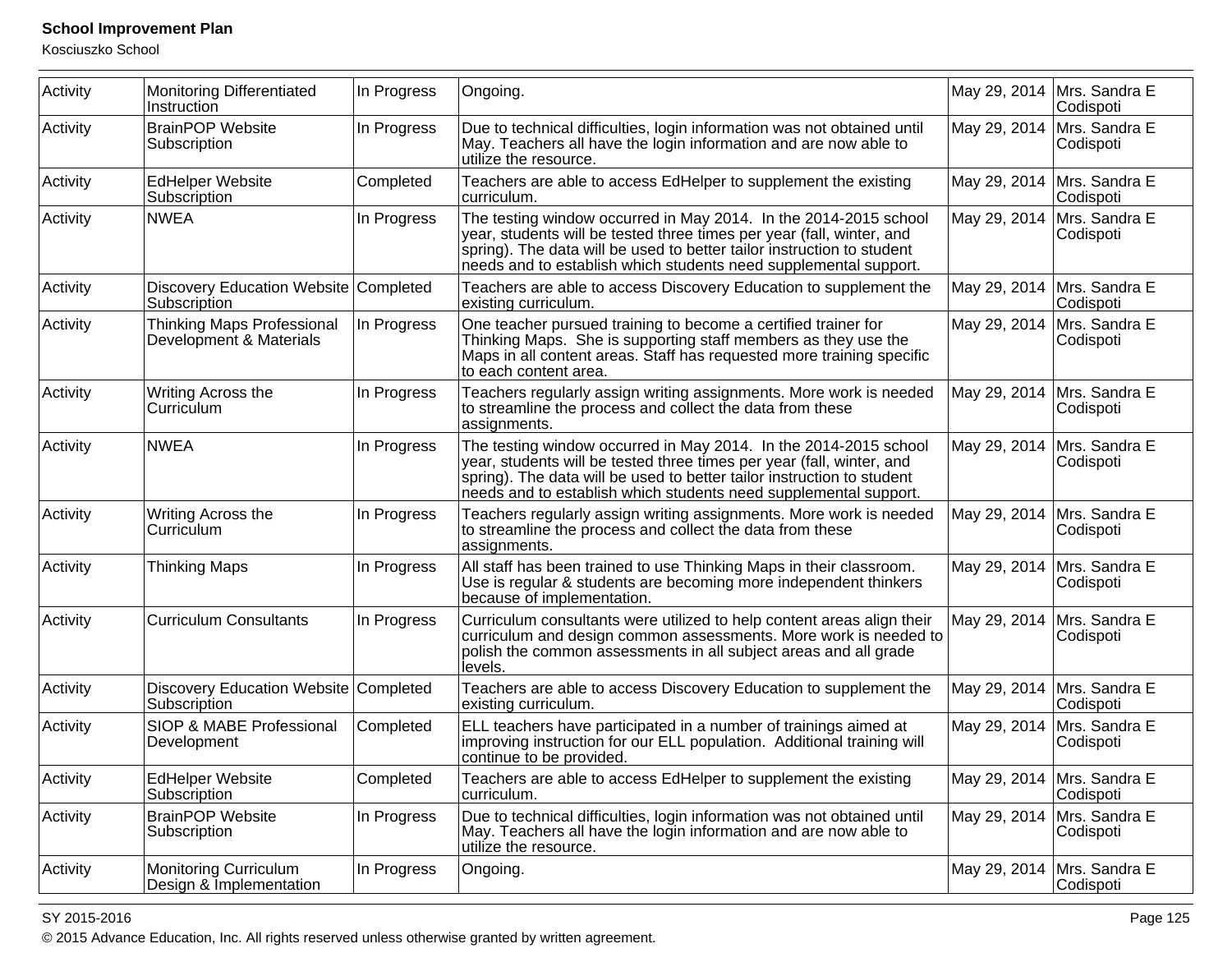Kosciuszko School

| Activity | <b>Monitoring Differentiated</b><br>Instruction         | In Progress | Ongoing.                                                                                                                                                                                                                                                                                |                             | May 29, 2014   Mrs. Sandra E<br>Codispoti |
|----------|---------------------------------------------------------|-------------|-----------------------------------------------------------------------------------------------------------------------------------------------------------------------------------------------------------------------------------------------------------------------------------------|-----------------------------|-------------------------------------------|
| Activity | <b>BrainPOP Website</b><br>Subscription                 | In Progress | Due to technical difficulties, login information was not obtained until<br>May. Teachers all have the login information and are now able to<br>utilize the resource.                                                                                                                    | May 29, 2014                | Mrs. Sandra E<br>Codispoti                |
| Activity | <b>EdHelper Website</b><br>Subscription                 | Completed   | Teachers are able to access EdHelper to supplement the existing<br>curriculum.                                                                                                                                                                                                          | May 29, 2014                | Mrs. Sandra E<br>Codispoti                |
| Activity | <b>NWEA</b>                                             | In Progress | The testing window occurred in May 2014. In the 2014-2015 school<br>year, students will be tested three times per year (fall, winter, and<br>spring). The data will be used to better tailor instruction to student<br>needs and to establish which students need supplemental support. | May 29, 2014                | Mrs. Sandra E<br>Codispoti                |
| Activity | Discovery Education Website Completed<br>Subscription   |             | Teachers are able to access Discovery Education to supplement the<br>existing curriculum.                                                                                                                                                                                               | May 29, 2014                | Mrs. Sandra E<br>Codispoti                |
| Activity | Thinking Maps Professional<br>Development & Materials   | In Progress | One teacher pursued training to become a certified trainer for<br>Thinking Maps. She is supporting staff members as they use the<br>Maps in all content areas. Staff has requested more training specific<br>to each content area.                                                      | May 29, 2014                | Mrs. Sandra E<br>Codispoti                |
| Activity | Writing Across the<br>Curriculum                        | In Progress | Teachers regularly assign writing assignments. More work is needed<br>to streamline the process and collect the data from these<br>assignments.                                                                                                                                         | May 29, 2014                | Mrs. Sandra E<br>Codispoti                |
| Activity | <b>NWEA</b>                                             | In Progress | The testing window occurred in May 2014. In the 2014-2015 school<br>year, students will be tested three times per year (fall, winter, and<br>spring). The data will be used to better tailor instruction to student<br>needs and to establish which students need supplemental support. | May 29, 2014                | Mrs. Sandra E<br>Codispoti                |
| Activity | Writing Across the<br>Curriculum                        | In Progress | Teachers regularly assign writing assignments. More work is needed<br>to streamline the process and collect the data from these<br>assignments.                                                                                                                                         | May 29, 2014                | Mrs. Sandra E<br>Codispoti                |
| Activity | <b>Thinking Maps</b>                                    | In Progress | All staff has been trained to use Thinking Maps in their classroom.<br>Use is regular & students are becoming more independent thinkers<br>because of implementation.                                                                                                                   | May 29, 2014                | Mrs. Sandra E<br>Codispoti                |
| Activity | <b>Curriculum Consultants</b>                           | In Progress | Curriculum consultants were utilized to help content areas align their<br>curriculum and design common assessments. More work is needed to<br>polish the common assessments in all subject areas and all grade<br>levels.                                                               | May 29, 2014                | Mrs. Sandra E<br>Codispoti                |
| Activity | Discovery Education Website Completed<br>Subscription   |             | Teachers are able to access Discovery Education to supplement the<br>existing curriculum.                                                                                                                                                                                               | May 29, 2014                | Mrs. Sandra E<br>Codispoti                |
| Activity | SIOP & MABE Professional<br>Development                 | Completed   | ELL teachers have participated in a number of trainings aimed at<br>improving instruction for our ELL population. Additional training will<br>continue to be provided.                                                                                                                  | May 29, 2014                | Mrs. Sandra E<br>Codispoti                |
| Activity | <b>EdHelper Website</b><br>Subscription                 | Completed   | Teachers are able to access EdHelper to supplement the existing<br>curriculum.                                                                                                                                                                                                          | May 29, 2014  Mrs. Sandra E | Codispoti                                 |
| Activity | <b>BrainPOP Website</b><br>Subscription                 | In Progress | Due to technical difficulties, login information was not obtained until<br>May. Teachers all have the login information and are now able to<br>utilize the resource.                                                                                                                    | May 29, 2014                | Mrs. Sandra E<br>Codispoti                |
| Activity | <b>Monitoring Curriculum</b><br>Design & Implementation | In Progress | Ongoing.                                                                                                                                                                                                                                                                                | May 29, 2014                | Mrs. Sandra E<br>Codispoti                |

#### SY 2015-2016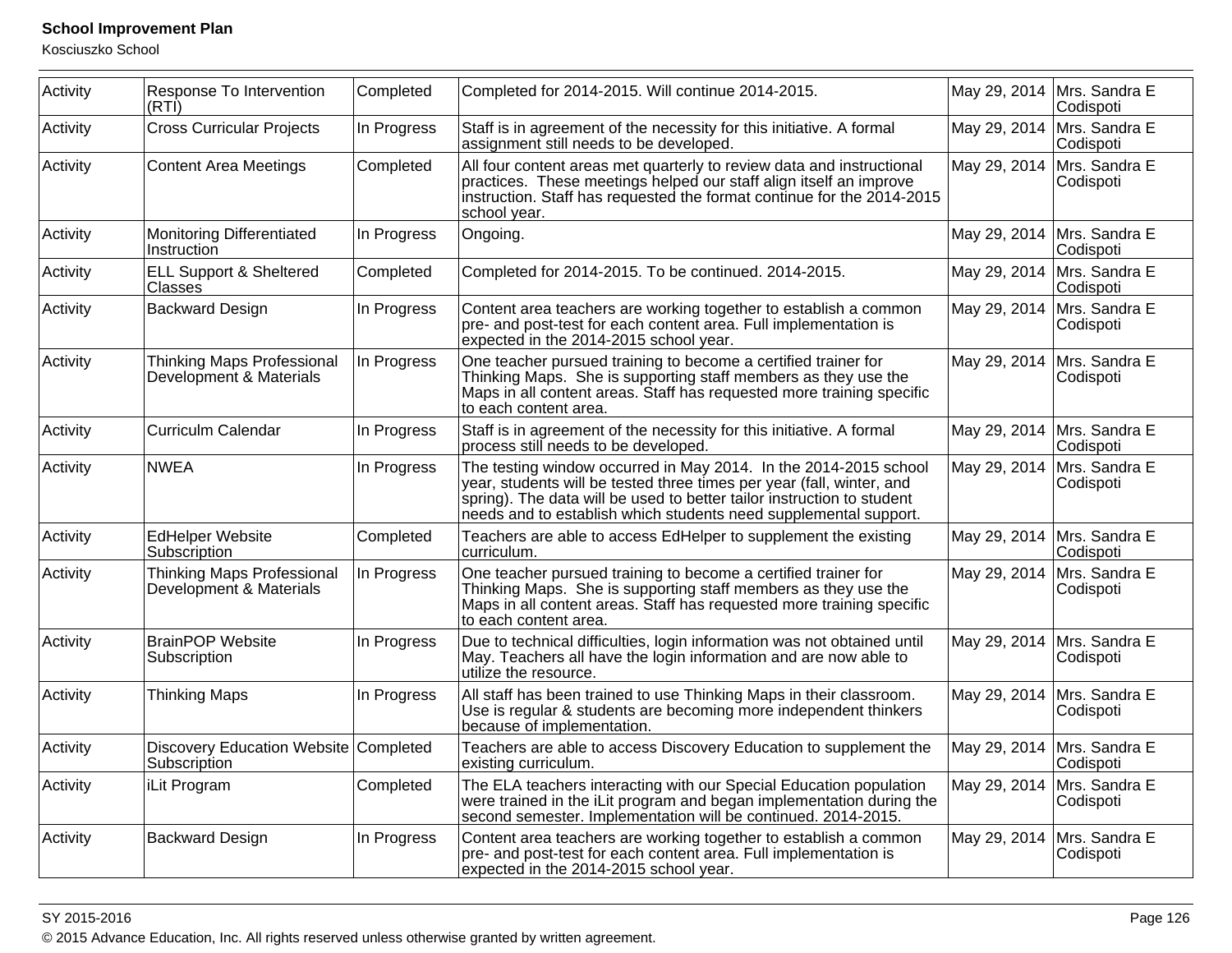Kosciuszko School

| Activity | Response To Intervention<br>(RTI)                            | Completed   | Completed for 2014-2015. Will continue 2014-2015.                                                                                                                                                                                                                                       | May 29, 2014 | Mrs. Sandra E<br>Codispoti |
|----------|--------------------------------------------------------------|-------------|-----------------------------------------------------------------------------------------------------------------------------------------------------------------------------------------------------------------------------------------------------------------------------------------|--------------|----------------------------|
| Activity | <b>Cross Curricular Projects</b>                             | In Progress | Staff is in agreement of the necessity for this initiative. A formal<br>assignment still needs to be developed.                                                                                                                                                                         | May 29, 2014 | Mrs. Sandra E<br>Codispoti |
| Activity | <b>Content Area Meetings</b>                                 | Completed   | All four content areas met quarterly to review data and instructional<br>practices. These meetings helped our staff align itself an improve<br>instruction. Staff has requested the format continue for the 2014-2015<br>school year.                                                   | May 29, 2014 | Mrs. Sandra E<br>Codispoti |
| Activity | Monitoring Differentiated<br>Instruction                     | In Progress | Ongoing.                                                                                                                                                                                                                                                                                | May 29, 2014 | Mrs. Sandra E<br>Codispoti |
| Activity | <b>ELL Support &amp; Sheltered</b><br>Classes                | Completed   | Completed for 2014-2015. To be continued. 2014-2015.                                                                                                                                                                                                                                    | May 29, 2014 | Mrs. Sandra E<br>Codispoti |
| Activity | <b>Backward Design</b>                                       | In Progress | Content area teachers are working together to establish a common<br>pre- and post-test for each content area. Full implementation is<br>expected in the 2014-2015 school year.                                                                                                          | May 29, 2014 | Mrs. Sandra E<br>Codispoti |
| Activity | <b>Thinking Maps Professional</b><br>Development & Materials | In Progress | One teacher pursued training to become a certified trainer for<br>Thinking Maps. She is supporting staff members as they use the<br>Maps in all content areas. Staff has requested more training specific<br>to each content area.                                                      | May 29, 2014 | Mrs. Sandra E<br>Codispoti |
| Activity | <b>Curriculm Calendar</b>                                    | In Progress | Staff is in agreement of the necessity for this initiative. A formal<br>process still needs to be developed.                                                                                                                                                                            | May 29, 2014 | Mrs. Sandra E<br>Codispoti |
| Activity | <b>NWEA</b>                                                  | In Progress | The testing window occurred in May 2014. In the 2014-2015 school<br>year, students will be tested three times per year (fall, winter, and<br>spring). The data will be used to better tailor instruction to student<br>needs and to establish which students need supplemental support. | May 29, 2014 | Mrs. Sandra E<br>Codispoti |
| Activity | <b>EdHelper Website</b><br>Subscription                      | Completed   | Teachers are able to access EdHelper to supplement the existing<br>curriculum.                                                                                                                                                                                                          | May 29, 2014 | Mrs. Sandra E<br>Codispoti |
| Activity | Thinking Maps Professional<br>Development & Materials        | In Progress | One teacher pursued training to become a certified trainer for<br>Thinking Maps. She is supporting staff members as they use the<br>Maps in all content areas. Staff has requested more training specific<br>to each content area.                                                      | May 29, 2014 | Mrs. Sandra E<br>Codispoti |
| Activity | <b>BrainPOP Website</b><br>Subscription                      | In Progress | Due to technical difficulties, login information was not obtained until<br>May. Teachers all have the login information and are now able to<br>utilize the resource.                                                                                                                    | May 29, 2014 | Mrs. Sandra E<br>Codispoti |
| Activity | <b>Thinking Maps</b>                                         | In Progress | All staff has been trained to use Thinking Maps in their classroom.<br>Use is regular & students are becoming more independent thinkers<br>because of implementation.                                                                                                                   | May 29, 2014 | Mrs. Sandra E<br>Codispoti |
| Activity | Discovery Education Website Completed<br>Subscription        |             | Teachers are able to access Discovery Education to supplement the<br>existing curriculum.                                                                                                                                                                                               | May 29, 2014 | Mrs. Sandra E<br>Codispoti |
| Activity | iLit Program                                                 | Completed   | The ELA teachers interacting with our Special Education population<br>were trained in the iLit program and began implementation during the<br>second semester. Implementation will be continued. 2014-2015.                                                                             | May 29, 2014 | Mrs. Sandra E<br>Codispoti |
| Activity | <b>Backward Design</b>                                       | In Progress | Content area teachers are working together to establish a common<br>pre- and post-test for each content area. Full implementation is<br>expected in the 2014-2015 school year.                                                                                                          | May 29, 2014 | Mrs. Sandra E<br>Codispoti |

#### SY 2015-2016